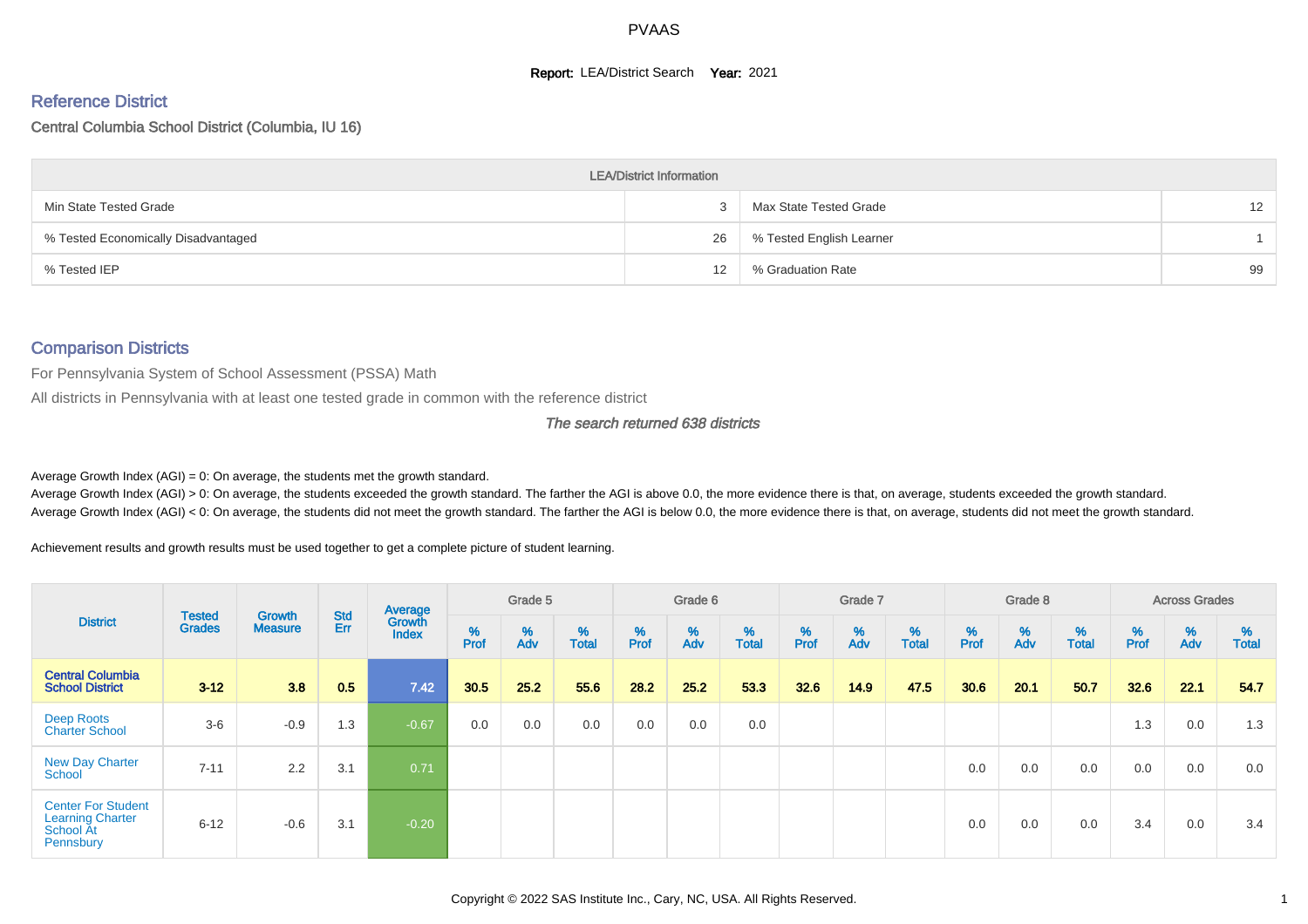#### **Report: LEA/District Search Year: 2021**

# Reference District

#### Central Columbia School District (Columbia, IU 16)

|                                     | <b>LEA/District Information</b> |                          |    |
|-------------------------------------|---------------------------------|--------------------------|----|
| Min State Tested Grade              |                                 | Max State Tested Grade   | 12 |
| % Tested Economically Disadvantaged | 26                              | % Tested English Learner |    |
| % Tested IEP                        | 12                              | % Graduation Rate        | 99 |

#### Comparison Districts

For Pennsylvania System of School Assessment (PSSA) Math

All districts in Pennsylvania with at least one tested grade in common with the reference district

#### The search returned 638 districts

Average Growth Index  $(AGI) = 0$ : On average, the students met the growth standard.

Average Growth Index (AGI) > 0: On average, the students exceeded the growth standard. The farther the AGI is above 0.0, the more evidence there is that, on average, students exceeded the growth standard. Average Growth Index (AGI) < 0: On average, the students did not meet the growth standard. The farther the AGI is below 0.0, the more evidence there is that, on average, students did not meet the growth standard.

Achievement results and growth results must be used together to get a complete picture of student learning.

| <b>District</b>                                                                |                                |                          |                   | Average                |           | Grade 5  |                   |          | Grade 6  |                   |          | Grade 7  |                   |          | Grade 8  |                   |                  | <b>Across Grades</b> |                   |
|--------------------------------------------------------------------------------|--------------------------------|--------------------------|-------------------|------------------------|-----------|----------|-------------------|----------|----------|-------------------|----------|----------|-------------------|----------|----------|-------------------|------------------|----------------------|-------------------|
|                                                                                | <b>Tested</b><br><b>Grades</b> | Growth<br><b>Measure</b> | <b>Std</b><br>Err | Growth<br><b>Index</b> | %<br>Prof | %<br>Adv | %<br><b>Total</b> | $%$ Prof | %<br>Adv | %<br><b>Total</b> | $%$ Prof | %<br>Adv | %<br><b>Total</b> | $%$ Prof | %<br>Adv | %<br><b>Total</b> | %<br><b>Prof</b> | %<br>Adv             | %<br><b>Total</b> |
| <b>Central Columbia</b><br><b>School District</b>                              | $3 - 12$                       | 3.8                      | 0.5               | 7.42                   | 30.5      | 25.2     | 55.6              | 28.2     | 25.2     | 53.3              | 32.6     | 14.9     | 47.5              | 30.6     | 20.1     | 50.7              | 32.6             | 22.1                 | 54.7              |
| Deep Roots<br><b>Charter School</b>                                            | $3-6$                          | $-0.9$                   | 1.3               | $-0.67$                | 0.0       | 0.0      | 0.0               | 0.0      | 0.0      | 0.0               |          |          |                   |          |          |                   | 1.3              | 0.0                  | 1.3               |
| <b>New Day Charter</b><br>School                                               | $7 - 11$                       | 2.2                      | 3.1               | 0.71                   |           |          |                   |          |          |                   |          |          |                   | 0.0      | 0.0      | 0.0               | 0.0              | 0.0                  | 0.0               |
| <b>Center For Student</b><br><b>Learning Charter</b><br>School At<br>Pennsbury | $6 - 12$                       | $-0.6$                   | 3.1               | $-0.20$                |           |          |                   |          |          |                   |          |          |                   | 0.0      | 0.0      | 0.0               | 3.4              | 0.0                  | 3.4               |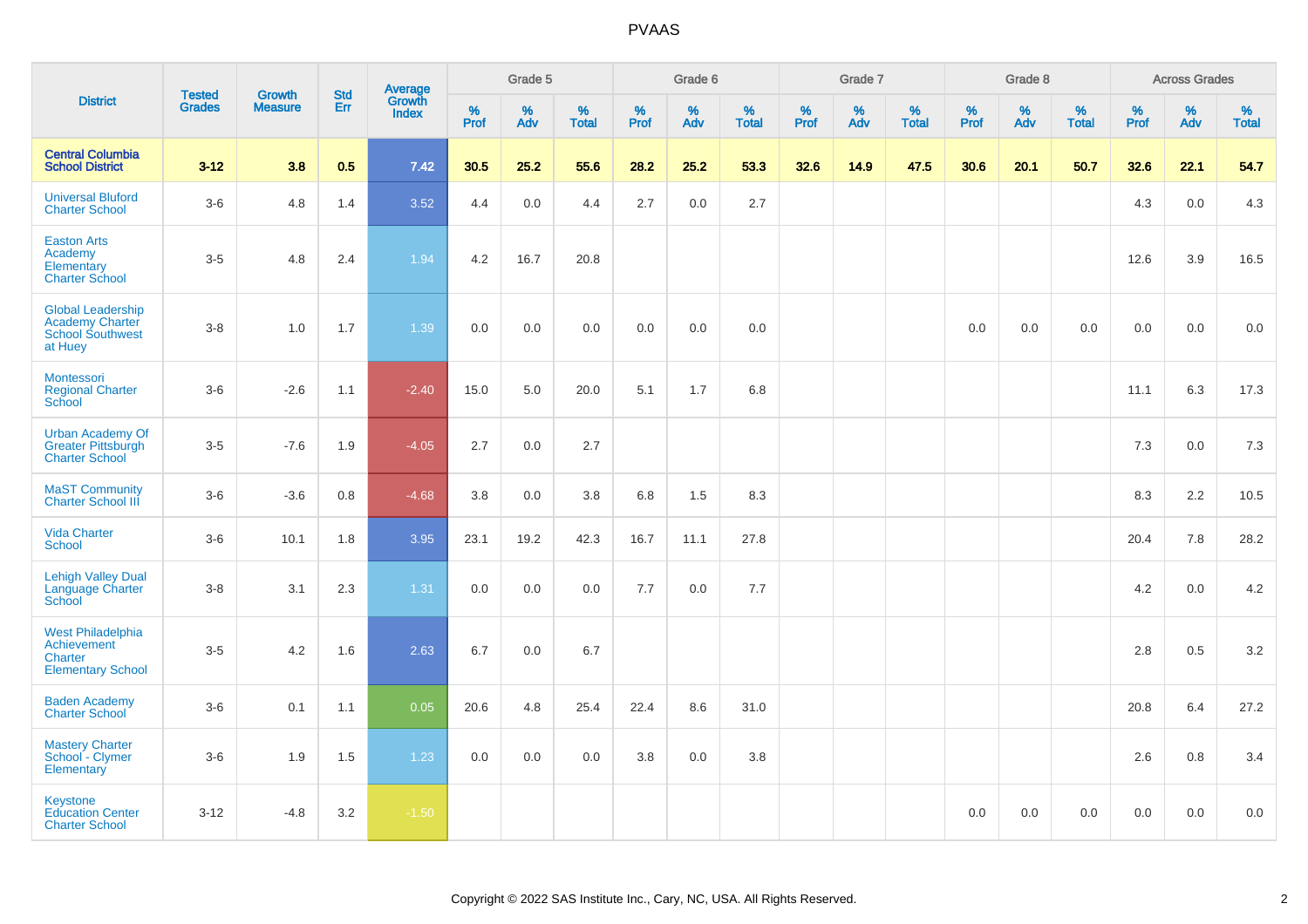|                                                                                          | <b>Tested</b> | <b>Growth</b>  | <b>Std</b> |                                          |           | Grade 5  |                   |           | Grade 6  |                   |           | Grade 7  |                   |           | Grade 8  |                   |           | <b>Across Grades</b> |                   |
|------------------------------------------------------------------------------------------|---------------|----------------|------------|------------------------------------------|-----------|----------|-------------------|-----------|----------|-------------------|-----------|----------|-------------------|-----------|----------|-------------------|-----------|----------------------|-------------------|
| <b>District</b>                                                                          | <b>Grades</b> | <b>Measure</b> | Err        | <b>Average</b><br>Growth<br><b>Index</b> | %<br>Prof | %<br>Adv | %<br><b>Total</b> | %<br>Prof | %<br>Adv | %<br><b>Total</b> | %<br>Prof | %<br>Adv | %<br><b>Total</b> | %<br>Prof | %<br>Adv | %<br><b>Total</b> | %<br>Prof | %<br>Adv             | %<br><b>Total</b> |
| <b>Central Columbia</b><br><b>School District</b>                                        | $3 - 12$      | 3.8            | 0.5        | 7.42                                     | 30.5      | 25.2     | 55.6              | 28.2      | 25.2     | 53.3              | 32.6      | 14.9     | 47.5              | 30.6      | 20.1     | 50.7              | 32.6      | 22.1                 | 54.7              |
| <b>Universal Bluford</b><br><b>Charter School</b>                                        | $3-6$         | 4.8            | 1.4        | 3.52                                     | 4.4       | 0.0      | 4.4               | 2.7       | 0.0      | 2.7               |           |          |                   |           |          |                   | 4.3       | 0.0                  | 4.3               |
| <b>Easton Arts</b><br>Academy<br>Elementary<br><b>Charter School</b>                     | $3-5$         | 4.8            | 2.4        | 1.94                                     | 4.2       | 16.7     | 20.8              |           |          |                   |           |          |                   |           |          |                   | 12.6      | 3.9                  | 16.5              |
| <b>Global Leadership</b><br><b>Academy Charter</b><br><b>School Southwest</b><br>at Huey | $3 - 8$       | 1.0            | 1.7        | 1.39                                     | 0.0       | 0.0      | 0.0               | 0.0       | 0.0      | 0.0               |           |          |                   | 0.0       | 0.0      | 0.0               | 0.0       | 0.0                  | 0.0               |
| Montessori<br><b>Regional Charter</b><br>School                                          | $3-6$         | $-2.6$         | 1.1        | $-2.40$                                  | 15.0      | 5.0      | 20.0              | 5.1       | 1.7      | 6.8               |           |          |                   |           |          |                   | 11.1      | 6.3                  | 17.3              |
| <b>Urban Academy Of</b><br>Greater Pittsburgh<br><b>Charter School</b>                   | $3 - 5$       | $-7.6$         | 1.9        | $-4.05$                                  | 2.7       | 0.0      | 2.7               |           |          |                   |           |          |                   |           |          |                   | 7.3       | 0.0                  | 7.3               |
| <b>MaST Community</b><br><b>Charter School III</b>                                       | $3-6$         | $-3.6$         | 0.8        | $-4.68$                                  | 3.8       | 0.0      | 3.8               | 6.8       | 1.5      | 8.3               |           |          |                   |           |          |                   | 8.3       | 2.2                  | 10.5              |
| <b>Vida Charter</b><br>School                                                            | $3-6$         | 10.1           | 1.8        | 3.95                                     | 23.1      | 19.2     | 42.3              | 16.7      | 11.1     | 27.8              |           |          |                   |           |          |                   | 20.4      | 7.8                  | 28.2              |
| <b>Lehigh Valley Dual</b><br>Language Charter<br>School                                  | $3-8$         | 3.1            | 2.3        | 1.31                                     | $0.0\,$   | 0.0      | 0.0               | 7.7       | 0.0      | 7.7               |           |          |                   |           |          |                   | 4.2       | 0.0                  | $4.2\,$           |
| <b>West Philadelphia</b><br>Achievement<br>Charter<br><b>Elementary School</b>           | $3-5$         | 4.2            | 1.6        | 2.63                                     | 6.7       | 0.0      | 6.7               |           |          |                   |           |          |                   |           |          |                   | 2.8       | 0.5                  | $3.2\,$           |
| <b>Baden Academy</b><br><b>Charter School</b>                                            | $3-6$         | 0.1            | 1.1        | 0.05                                     | 20.6      | 4.8      | 25.4              | 22.4      | 8.6      | 31.0              |           |          |                   |           |          |                   | 20.8      | 6.4                  | 27.2              |
| <b>Mastery Charter</b><br>School - Clymer<br>Elementary                                  | $3-6$         | 1.9            | 1.5        | 1.23                                     | 0.0       | 0.0      | 0.0               | 3.8       | 0.0      | 3.8               |           |          |                   |           |          |                   | 2.6       | 0.8                  | 3.4               |
| Keystone<br><b>Education Center</b><br><b>Charter School</b>                             | $3 - 12$      | $-4.8$         | 3.2        | $-1.50$                                  |           |          |                   |           |          |                   |           |          |                   | 0.0       | 0.0      | 0.0               | 0.0       | 0.0                  | 0.0               |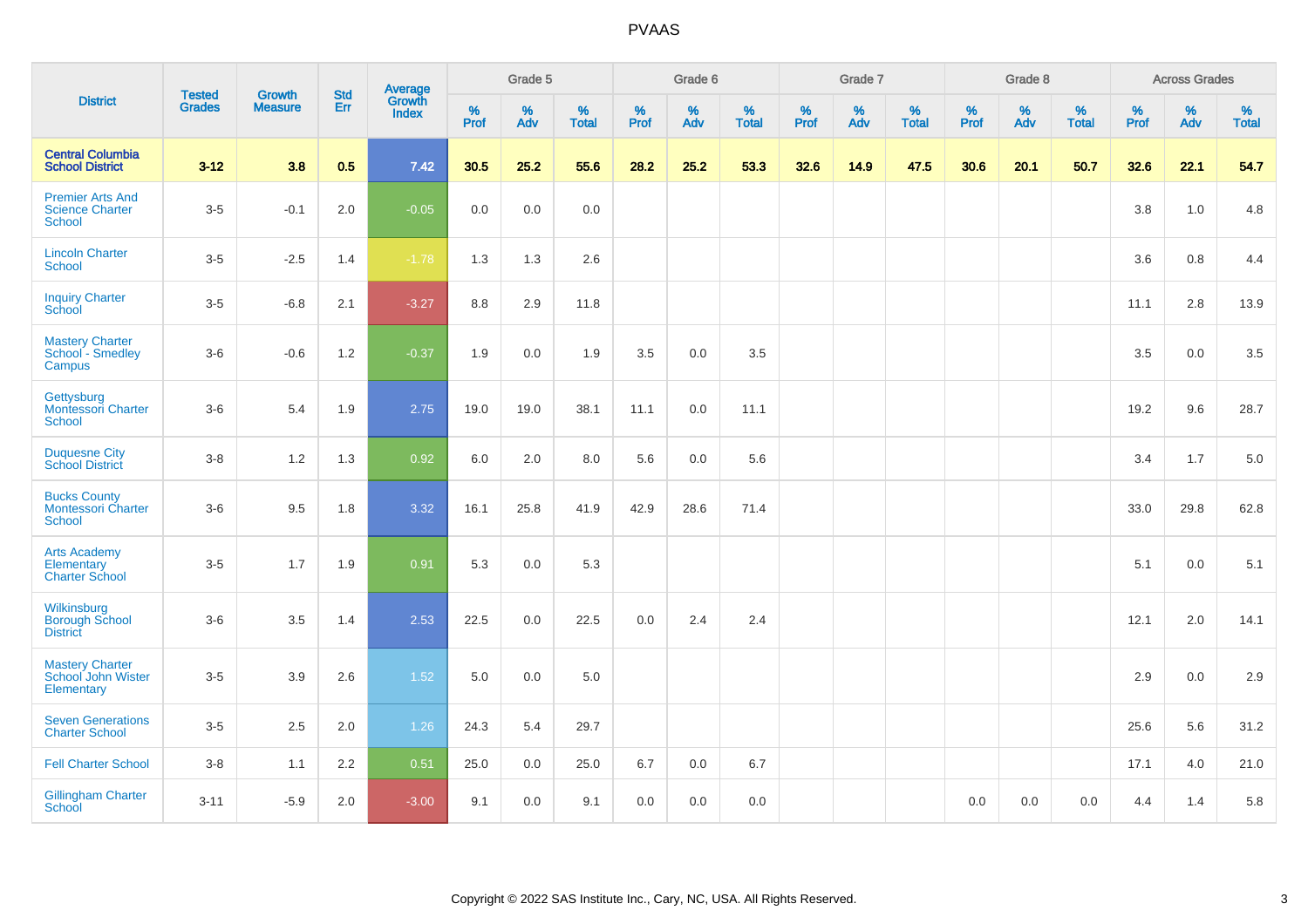|                                                             | <b>Tested</b> | <b>Growth</b>  | <b>Std</b> | <b>Average</b><br>Growth |              | Grade 5  |                   |              | Grade 6  |                   |              | Grade 7  |                   |              | Grade 8  |                   |              | <b>Across Grades</b> |                   |
|-------------------------------------------------------------|---------------|----------------|------------|--------------------------|--------------|----------|-------------------|--------------|----------|-------------------|--------------|----------|-------------------|--------------|----------|-------------------|--------------|----------------------|-------------------|
| <b>District</b>                                             | <b>Grades</b> | <b>Measure</b> | Err        | <b>Index</b>             | $\%$<br>Prof | %<br>Adv | %<br><b>Total</b> | $\%$<br>Prof | %<br>Adv | %<br><b>Total</b> | $\%$<br>Prof | %<br>Adv | %<br><b>Total</b> | $\%$<br>Prof | %<br>Adv | %<br><b>Total</b> | $\%$<br>Prof | %<br>Adv             | %<br><b>Total</b> |
| <b>Central Columbia</b><br><b>School District</b>           | $3 - 12$      | 3.8            | 0.5        | 7.42                     | 30.5         | 25.2     | 55.6              | 28.2         | 25.2     | 53.3              | 32.6         | 14.9     | 47.5              | 30.6         | 20.1     | 50.7              | 32.6         | 22.1                 | 54.7              |
| <b>Premier Arts And</b><br><b>Science Charter</b><br>School | $3-5$         | $-0.1$         | 2.0        | $-0.05$                  | 0.0          | 0.0      | 0.0               |              |          |                   |              |          |                   |              |          |                   | 3.8          | 1.0                  | 4.8               |
| <b>Lincoln Charter</b><br><b>School</b>                     | $3-5$         | $-2.5$         | 1.4        | $-1.78$                  | 1.3          | 1.3      | 2.6               |              |          |                   |              |          |                   |              |          |                   | 3.6          | 0.8                  | 4.4               |
| <b>Inquiry Charter</b><br>School                            | $3-5$         | $-6.8$         | 2.1        | $-3.27$                  | 8.8          | 2.9      | 11.8              |              |          |                   |              |          |                   |              |          |                   | 11.1         | 2.8                  | 13.9              |
| Mastery Charter<br>School - Smedley<br>Campus               | $3-6$         | $-0.6$         | 1.2        | $-0.37$                  | 1.9          | 0.0      | 1.9               | 3.5          | 0.0      | 3.5               |              |          |                   |              |          |                   | 3.5          | 0.0                  | 3.5               |
| Gettysburg<br><b>Montessori Charter</b><br>School           | $3-6$         | 5.4            | 1.9        | 2.75                     | 19.0         | 19.0     | 38.1              | 11.1         | 0.0      | 11.1              |              |          |                   |              |          |                   | 19.2         | 9.6                  | 28.7              |
| <b>Duquesne City</b><br><b>School District</b>              | $3 - 8$       | $1.2$          | 1.3        | 0.92                     | 6.0          | $2.0\,$  | 8.0               | 5.6          | $0.0\,$  | 5.6               |              |          |                   |              |          |                   | 3.4          | 1.7                  | 5.0               |
| <b>Bucks County</b><br><b>Montessori Charter</b><br>School  | $3-6$         | 9.5            | 1.8        | 3.32                     | 16.1         | 25.8     | 41.9              | 42.9         | 28.6     | 71.4              |              |          |                   |              |          |                   | 33.0         | 29.8                 | 62.8              |
| <b>Arts Academy</b><br>Elementary<br><b>Charter School</b>  | $3-5$         | 1.7            | 1.9        | 0.91                     | 5.3          | 0.0      | 5.3               |              |          |                   |              |          |                   |              |          |                   | 5.1          | 0.0                  | 5.1               |
| Wilkinsburg<br><b>Borough School</b><br><b>District</b>     | $3-6$         | 3.5            | 1.4        | 2.53                     | 22.5         | 0.0      | 22.5              | 0.0          | 2.4      | 2.4               |              |          |                   |              |          |                   | 12.1         | 2.0                  | 14.1              |
| <b>Mastery Charter</b><br>School John Wister<br>Elementary  | $3-5$         | 3.9            | 2.6        | 1.52                     | 5.0          | 0.0      | 5.0               |              |          |                   |              |          |                   |              |          |                   | 2.9          | 0.0                  | 2.9               |
| <b>Seven Generations</b><br><b>Charter School</b>           | $3-5$         | 2.5            | 2.0        | 1.26                     | 24.3         | 5.4      | 29.7              |              |          |                   |              |          |                   |              |          |                   | 25.6         | 5.6                  | 31.2              |
| <b>Fell Charter School</b>                                  | $3 - 8$       | 1.1            | 2.2        | 0.51                     | 25.0         | 0.0      | 25.0              | 6.7          | 0.0      | 6.7               |              |          |                   |              |          |                   | 17.1         | 4.0                  | 21.0              |
| <b>Gillingham Charter</b><br>School                         | $3 - 11$      | $-5.9$         | 2.0        | $-3.00$                  | 9.1          | 0.0      | 9.1               | 0.0          | 0.0      | 0.0               |              |          |                   | 0.0          | 0.0      | 0.0               | 4.4          | 1.4                  | 5.8               |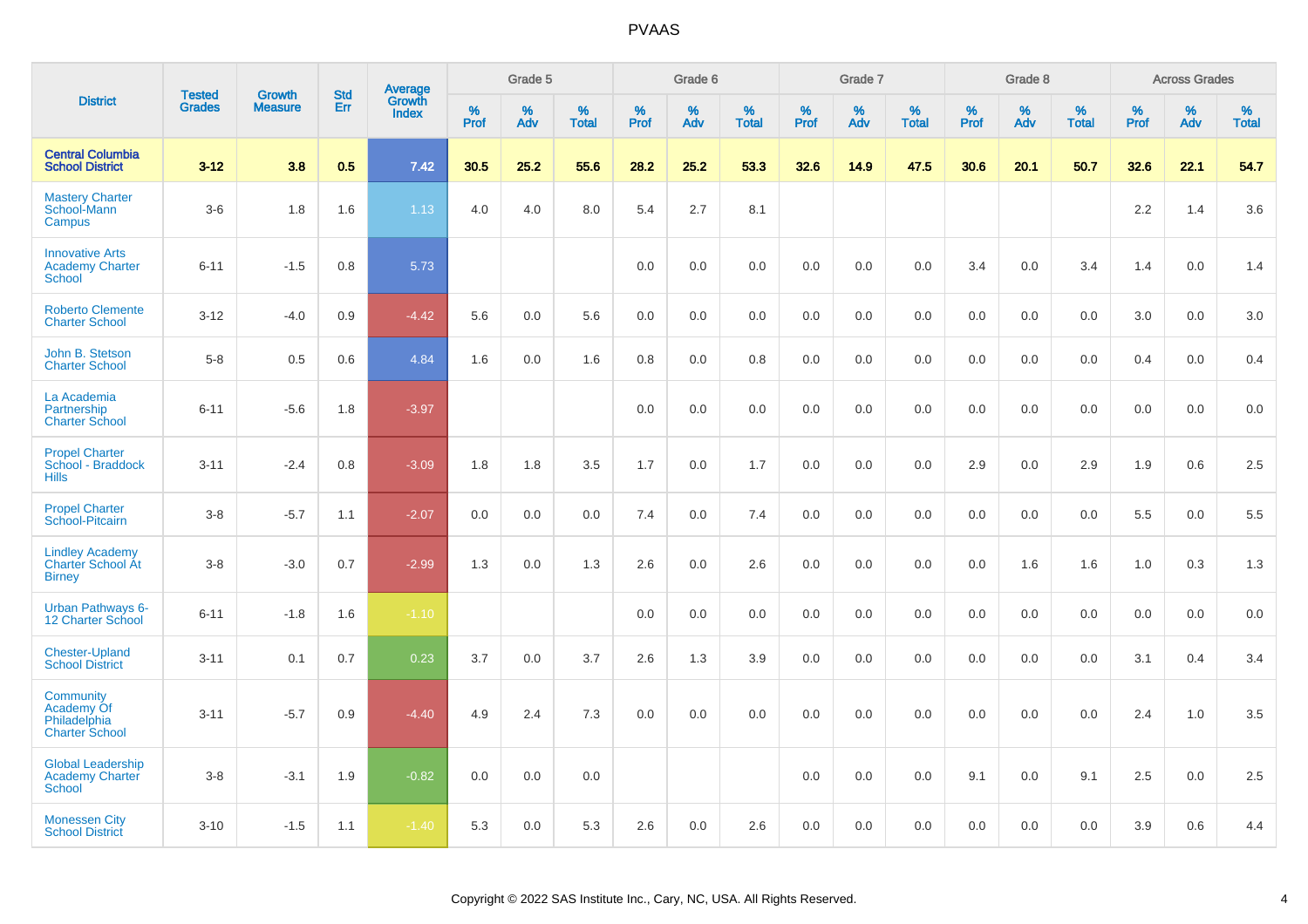|                                                                         |                         | <b>Growth</b>  |                   | Average                |                     | Grade 5     |                   |                  | Grade 6     |                   |                  | Grade 7  |                   |           | Grade 8  |                   |                     | <b>Across Grades</b> |                   |
|-------------------------------------------------------------------------|-------------------------|----------------|-------------------|------------------------|---------------------|-------------|-------------------|------------------|-------------|-------------------|------------------|----------|-------------------|-----------|----------|-------------------|---------------------|----------------------|-------------------|
| <b>District</b>                                                         | <b>Tested</b><br>Grades | <b>Measure</b> | <b>Std</b><br>Err | Growth<br><b>Index</b> | $\%$<br><b>Prof</b> | $\%$<br>Adv | %<br><b>Total</b> | %<br><b>Prof</b> | $\%$<br>Adv | %<br><b>Total</b> | %<br><b>Prof</b> | %<br>Adv | %<br><b>Total</b> | %<br>Prof | %<br>Adv | %<br><b>Total</b> | $\%$<br><b>Prof</b> | $\%$<br>Adv          | %<br><b>Total</b> |
| <b>Central Columbia</b><br><b>School District</b>                       | $3 - 12$                | 3.8            | 0.5               | 7.42                   | 30.5                | 25.2        | 55.6              | 28.2             | 25.2        | 53.3              | 32.6             | 14.9     | 47.5              | 30.6      | 20.1     | 50.7              | 32.6                | 22.1                 | 54.7              |
| <b>Mastery Charter</b><br>School-Mann<br>Campus                         | $3-6$                   | 1.8            | 1.6               | 1.13                   | 4.0                 | 4.0         | 8.0               | 5.4              | 2.7         | 8.1               |                  |          |                   |           |          |                   | 2.2                 | 1.4                  | 3.6               |
| <b>Innovative Arts</b><br><b>Academy Charter</b><br><b>School</b>       | $6 - 11$                | $-1.5$         | 0.8               | 5.73                   |                     |             |                   | 0.0              | 0.0         | 0.0               | 0.0              | 0.0      | 0.0               | 3.4       | 0.0      | 3.4               | 1.4                 | 0.0                  | 1.4               |
| <b>Roberto Clemente</b><br><b>Charter School</b>                        | $3 - 12$                | $-4.0$         | 0.9               | $-4.42$                | 5.6                 | 0.0         | 5.6               | 0.0              | 0.0         | 0.0               | 0.0              | 0.0      | 0.0               | 0.0       | 0.0      | 0.0               | 3.0                 | 0.0                  | 3.0               |
| John B. Stetson<br><b>Charter School</b>                                | $5-8$                   | 0.5            | 0.6               | 4.84                   | 1.6                 | 0.0         | 1.6               | 0.8              | 0.0         | 0.8               | 0.0              | 0.0      | 0.0               | 0.0       | 0.0      | 0.0               | 0.4                 | 0.0                  | 0.4               |
| La Academia<br>Partnership<br><b>Charter School</b>                     | $6 - 11$                | $-5.6$         | 1.8               | $-3.97$                |                     |             |                   | 0.0              | 0.0         | $0.0\,$           | 0.0              | 0.0      | 0.0               | 0.0       | 0.0      | 0.0               | 0.0                 | 0.0                  | 0.0               |
| <b>Propel Charter</b><br>School - Braddock<br><b>Hills</b>              | $3 - 11$                | $-2.4$         | 0.8               | $-3.09$                | 1.8                 | 1.8         | 3.5               | 1.7              | 0.0         | 1.7               | 0.0              | 0.0      | 0.0               | 2.9       | 0.0      | 2.9               | 1.9                 | 0.6                  | 2.5               |
| <b>Propel Charter</b><br>School-Pitcairn                                | $3-8$                   | $-5.7$         | 1.1               | $-2.07$                | 0.0                 | 0.0         | 0.0               | 7.4              | 0.0         | 7.4               | 0.0              | 0.0      | 0.0               | 0.0       | 0.0      | 0.0               | 5.5                 | 0.0                  | 5.5               |
| <b>Lindley Academy</b><br><b>Charter School At</b><br><b>Birney</b>     | $3-8$                   | $-3.0$         | 0.7               | $-2.99$                | 1.3                 | 0.0         | 1.3               | 2.6              | 0.0         | 2.6               | 0.0              | 0.0      | 0.0               | 0.0       | 1.6      | 1.6               | 1.0                 | 0.3                  | 1.3               |
| <b>Urban Pathways 6-</b><br>12 Charter School                           | $6 - 11$                | $-1.8$         | 1.6               | $-1.10$                |                     |             |                   | 0.0              | 0.0         | 0.0               | 0.0              | 0.0      | 0.0               | 0.0       | 0.0      | 0.0               | 0.0                 | 0.0                  | 0.0               |
| <b>Chester-Upland</b><br><b>School District</b>                         | $3 - 11$                | 0.1            | 0.7               | 0.23                   | 3.7                 | 0.0         | 3.7               | 2.6              | 1.3         | 3.9               | 0.0              | 0.0      | 0.0               | 0.0       | 0.0      | 0.0               | 3.1                 | 0.4                  | 3.4               |
| <b>Community</b><br>Academy Of<br>Philadelphia<br><b>Charter School</b> | $3 - 11$                | $-5.7$         | 0.9               | $-4.40$                | 4.9                 | 2.4         | 7.3               | 0.0              | 0.0         | 0.0               | 0.0              | 0.0      | 0.0               | 0.0       | 0.0      | 0.0               | 2.4                 | 1.0                  | 3.5               |
| <b>Global Leadership</b><br><b>Academy Charter</b><br><b>School</b>     | $3-8$                   | $-3.1$         | 1.9               | $-0.82$                | 0.0                 | 0.0         | 0.0               |                  |             |                   | 0.0              | 0.0      | 0.0               | 9.1       | 0.0      | 9.1               | 2.5                 | 0.0                  | 2.5               |
| <b>Monessen City</b><br><b>School District</b>                          | $3 - 10$                | $-1.5$         | 1.1               | $-1.40$                | 5.3                 | 0.0         | 5.3               | 2.6              | 0.0         | 2.6               | 0.0              | 0.0      | 0.0               | 0.0       | 0.0      | 0.0               | 3.9                 | 0.6                  | 4.4               |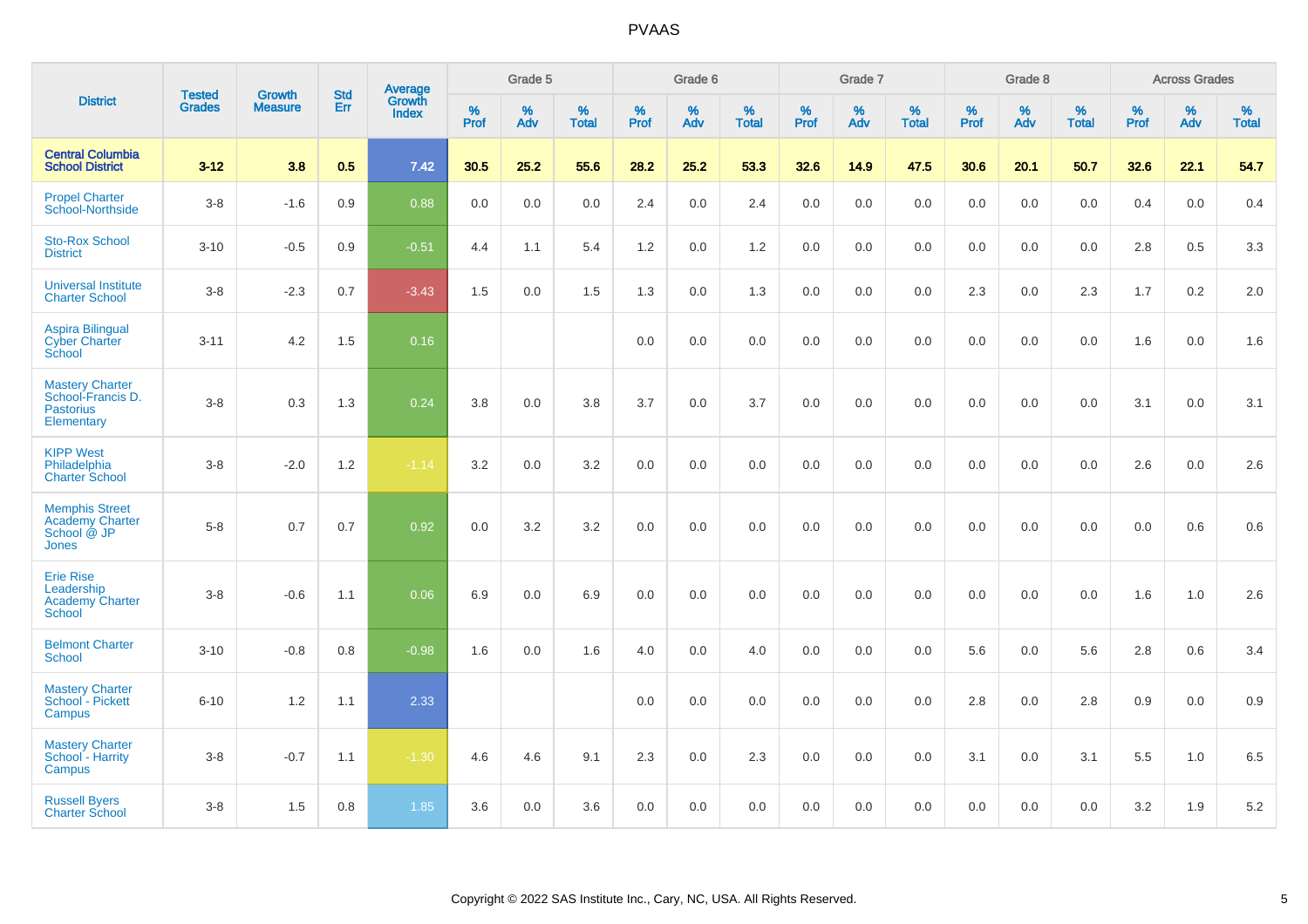|                                                                               | <b>Tested</b> | <b>Growth</b>  | <b>Std</b> | Average                |                  | Grade 5  |                   |           | Grade 6  |                   |           | Grade 7  |                   |           | Grade 8  |                   |           | <b>Across Grades</b> |                   |
|-------------------------------------------------------------------------------|---------------|----------------|------------|------------------------|------------------|----------|-------------------|-----------|----------|-------------------|-----------|----------|-------------------|-----------|----------|-------------------|-----------|----------------------|-------------------|
| <b>District</b>                                                               | <b>Grades</b> | <b>Measure</b> | Err        | Growth<br><b>Index</b> | %<br><b>Prof</b> | %<br>Adv | %<br><b>Total</b> | %<br>Prof | %<br>Adv | %<br><b>Total</b> | %<br>Prof | %<br>Adv | %<br><b>Total</b> | %<br>Prof | %<br>Adv | %<br><b>Total</b> | %<br>Prof | %<br>Adv             | %<br><b>Total</b> |
| <b>Central Columbia</b><br><b>School District</b>                             | $3 - 12$      | 3.8            | 0.5        | 7.42                   | 30.5             | 25.2     | 55.6              | 28.2      | 25.2     | 53.3              | 32.6      | 14.9     | 47.5              | 30.6      | 20.1     | 50.7              | 32.6      | 22.1                 | 54.7              |
| <b>Propel Charter</b><br>School-Northside                                     | $3-8$         | $-1.6$         | 0.9        | 0.88                   | 0.0              | 0.0      | 0.0               | 2.4       | 0.0      | 2.4               | 0.0       | 0.0      | 0.0               | 0.0       | 0.0      | 0.0               | 0.4       | 0.0                  | 0.4               |
| <b>Sto-Rox School</b><br><b>District</b>                                      | $3 - 10$      | $-0.5$         | 0.9        | $-0.51$                | 4.4              | 1.1      | 5.4               | 1.2       | 0.0      | 1.2               | 0.0       | 0.0      | 0.0               | 0.0       | 0.0      | 0.0               | 2.8       | $0.5\,$              | 3.3               |
| <b>Universal Institute</b><br><b>Charter School</b>                           | $3 - 8$       | $-2.3$         | 0.7        | $-3.43$                | 1.5              | 0.0      | 1.5               | 1.3       | 0.0      | 1.3               | 0.0       | 0.0      | 0.0               | 2.3       | 0.0      | 2.3               | 1.7       | 0.2                  | 2.0               |
| <b>Aspira Bilingual</b><br><b>Cyber Charter</b><br>School                     | $3 - 11$      | 4.2            | 1.5        | 0.16                   |                  |          |                   | 0.0       | 0.0      | 0.0               | 0.0       | 0.0      | 0.0               | 0.0       | 0.0      | 0.0               | 1.6       | 0.0                  | 1.6               |
| <b>Mastery Charter</b><br>School-Francis D.<br><b>Pastorius</b><br>Elementary | $3 - 8$       | 0.3            | 1.3        | 0.24                   | 3.8              | 0.0      | 3.8               | 3.7       | 0.0      | 3.7               | 0.0       | 0.0      | 0.0               | 0.0       | 0.0      | 0.0               | 3.1       | 0.0                  | 3.1               |
| <b>KIPP West</b><br>Philadelphia<br><b>Charter School</b>                     | $3 - 8$       | $-2.0$         | 1.2        | $-1.14$                | 3.2              | 0.0      | 3.2               | 0.0       | 0.0      | 0.0               | 0.0       | 0.0      | 0.0               | 0.0       | 0.0      | 0.0               | 2.6       | 0.0                  | 2.6               |
| <b>Memphis Street</b><br>Academy Charter<br>School @ JP<br><b>Jones</b>       | $5 - 8$       | 0.7            | 0.7        | 0.92                   | 0.0              | 3.2      | 3.2               | 0.0       | 0.0      | 0.0               | 0.0       | 0.0      | 0.0               | 0.0       | 0.0      | 0.0               | 0.0       | 0.6                  | 0.6               |
| <b>Erie Rise</b><br>Leadership<br><b>Academy Charter</b><br>School            | $3 - 8$       | $-0.6$         | 1.1        | 0.06                   | 6.9              | 0.0      | 6.9               | 0.0       | 0.0      | 0.0               | 0.0       | 0.0      | 0.0               | 0.0       | 0.0      | 0.0               | 1.6       | 1.0                  | 2.6               |
| <b>Belmont Charter</b><br><b>School</b>                                       | $3 - 10$      | $-0.8$         | 0.8        | $-0.98$                | 1.6              | 0.0      | 1.6               | 4.0       | 0.0      | 4.0               | 0.0       | 0.0      | 0.0               | 5.6       | 0.0      | 5.6               | 2.8       | 0.6                  | 3.4               |
| <b>Mastery Charter</b><br>School - Pickett<br>Campus                          | $6 - 10$      | 1.2            | 1.1        | 2.33                   |                  |          |                   | 0.0       | 0.0      | 0.0               | 0.0       | 0.0      | 0.0               | 2.8       | 0.0      | 2.8               | 0.9       | 0.0                  | 0.9               |
| <b>Mastery Charter</b><br>School - Harrity<br>Campus                          | $3 - 8$       | $-0.7$         | 1.1        | $-1.30$                | 4.6              | 4.6      | 9.1               | 2.3       | 0.0      | 2.3               | 0.0       | 0.0      | 0.0               | 3.1       | 0.0      | 3.1               | 5.5       | 1.0                  | 6.5               |
| <b>Russell Byers</b><br><b>Charter School</b>                                 | $3 - 8$       | 1.5            | 0.8        | 1.85                   | 3.6              | 0.0      | 3.6               | 0.0       | 0.0      | 0.0               | 0.0       | 0.0      | 0.0               | 0.0       | 0.0      | 0.0               | 3.2       | 1.9                  | $5.2\,$           |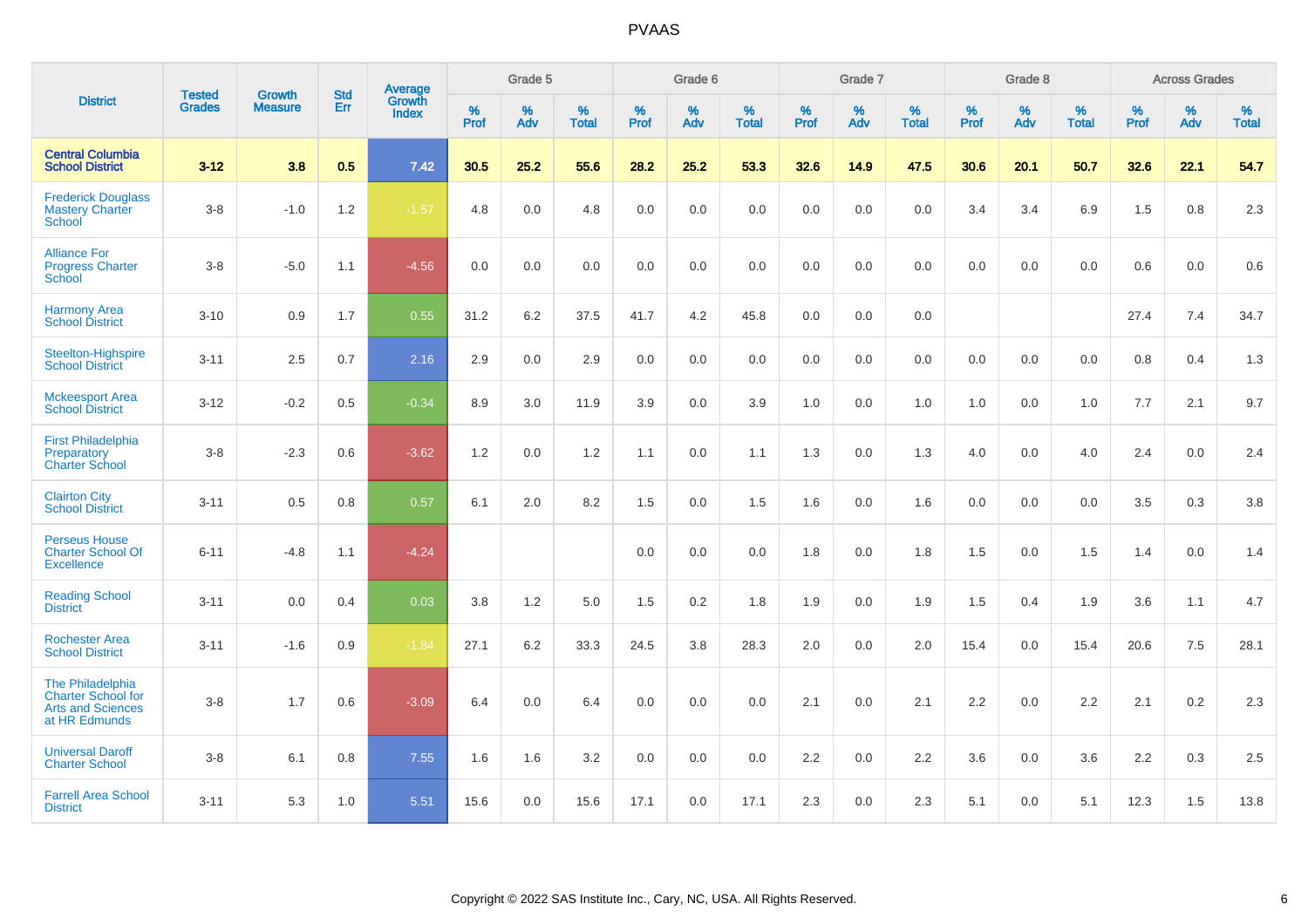| <b>District</b>                                                                     | <b>Tested</b> |                                 | <b>Std</b> | Average                |           | Grade 5  |                   |           | Grade 6  |                   |           | Grade 7  |                   |           | Grade 8  |                   |           | <b>Across Grades</b> |                   |
|-------------------------------------------------------------------------------------|---------------|---------------------------------|------------|------------------------|-----------|----------|-------------------|-----------|----------|-------------------|-----------|----------|-------------------|-----------|----------|-------------------|-----------|----------------------|-------------------|
|                                                                                     | <b>Grades</b> | <b>Growth</b><br><b>Measure</b> | Err        | Growth<br><b>Index</b> | %<br>Prof | %<br>Adv | %<br><b>Total</b> | %<br>Prof | %<br>Adv | %<br><b>Total</b> | %<br>Prof | %<br>Adv | %<br><b>Total</b> | %<br>Prof | %<br>Adv | %<br><b>Total</b> | %<br>Prof | %<br>Adv             | %<br><b>Total</b> |
| <b>Central Columbia</b><br><b>School District</b>                                   | $3 - 12$      | 3.8                             | 0.5        | 7.42                   | 30.5      | 25.2     | 55.6              | 28.2      | 25.2     | 53.3              | 32.6      | 14.9     | 47.5              | 30.6      | 20.1     | 50.7              | 32.6      | 22.1                 | 54.7              |
| <b>Frederick Douglass</b><br><b>Mastery Charter</b><br>School                       | $3 - 8$       | $-1.0$                          | 1.2        | $-1.57$                | 4.8       | 0.0      | 4.8               | 0.0       | 0.0      | 0.0               | 0.0       | 0.0      | 0.0               | 3.4       | 3.4      | 6.9               | 1.5       | 0.8                  | 2.3               |
| <b>Alliance For</b><br><b>Progress Charter</b><br>School                            | $3 - 8$       | $-5.0$                          | 1.1        | $-4.56$                | 0.0       | 0.0      | 0.0               | 0.0       | 0.0      | 0.0               | 0.0       | 0.0      | 0.0               | 0.0       | 0.0      | 0.0               | 0.6       | 0.0                  | 0.6               |
| <b>Harmony Area</b><br><b>School District</b>                                       | $3 - 10$      | 0.9                             | 1.7        | 0.55                   | 31.2      | 6.2      | 37.5              | 41.7      | 4.2      | 45.8              | 0.0       | 0.0      | 0.0               |           |          |                   | 27.4      | 7.4                  | 34.7              |
| Steelton-Highspire<br><b>School District</b>                                        | $3 - 11$      | 2.5                             | 0.7        | 2.16                   | 2.9       | 0.0      | 2.9               | 0.0       | 0.0      | 0.0               | 0.0       | 0.0      | 0.0               | 0.0       | 0.0      | 0.0               | 0.8       | 0.4                  | 1.3               |
| <b>Mckeesport Area</b><br><b>School District</b>                                    | $3 - 12$      | $-0.2$                          | 0.5        | $-0.34$                | 8.9       | 3.0      | 11.9              | 3.9       | 0.0      | 3.9               | 1.0       | 0.0      | 1.0               | 1.0       | 0.0      | 1.0               | 7.7       | 2.1                  | 9.7               |
| <b>First Philadelphia</b><br>Preparatory<br><b>Charter School</b>                   | $3 - 8$       | $-2.3$                          | 0.6        | $-3.62$                | 1.2       | 0.0      | 1.2               | 1.1       | 0.0      | 1.1               | 1.3       | 0.0      | 1.3               | 4.0       | 0.0      | 4.0               | 2.4       | 0.0                  | 2.4               |
| <b>Clairton City</b><br><b>School District</b>                                      | $3 - 11$      | 0.5                             | 0.8        | 0.57                   | 6.1       | 2.0      | 8.2               | 1.5       | 0.0      | 1.5               | 1.6       | 0.0      | 1.6               | 0.0       | 0.0      | 0.0               | 3.5       | $0.3\,$              | $3.8\,$           |
| <b>Perseus House</b><br><b>Charter School Of</b><br><b>Excellence</b>               | $6 - 11$      | $-4.8$                          | 1.1        | $-4.24$                |           |          |                   | 0.0       | 0.0      | 0.0               | 1.8       | 0.0      | 1.8               | 1.5       | 0.0      | 1.5               | 1.4       | 0.0                  | 1.4               |
| <b>Reading School</b><br><b>District</b>                                            | $3 - 11$      | 0.0                             | 0.4        | 0.03                   | 3.8       | 1.2      | 5.0               | 1.5       | 0.2      | 1.8               | 1.9       | 0.0      | 1.9               | 1.5       | 0.4      | 1.9               | 3.6       | 1.1                  | 4.7               |
| <b>Rochester Area</b><br><b>School District</b>                                     | $3 - 11$      | $-1.6$                          | 0.9        | $-1.84$                | 27.1      | 6.2      | 33.3              | 24.5      | 3.8      | 28.3              | 2.0       | 0.0      | 2.0               | 15.4      | 0.0      | 15.4              | 20.6      | 7.5                  | 28.1              |
| The Philadelphia<br>Charter School for<br><b>Arts and Sciences</b><br>at HR Edmunds | $3 - 8$       | 1.7                             | 0.6        | $-3.09$                | 6.4       | 0.0      | 6.4               | 0.0       | 0.0      | 0.0               | 2.1       | 0.0      | 2.1               | 2.2       | 0.0      | 2.2               | 2.1       | 0.2                  | 2.3               |
| <b>Universal Daroff</b><br><b>Charter School</b>                                    | $3 - 8$       | 6.1                             | 0.8        | 7.55                   | 1.6       | 1.6      | 3.2               | 0.0       | 0.0      | 0.0               | 2.2       | 0.0      | 2.2               | 3.6       | 0.0      | 3.6               | 2.2       | 0.3                  | 2.5               |
| <b>Farrell Area School</b><br><b>District</b>                                       | $3 - 11$      | 5.3                             | 1.0        | 5.51                   | 15.6      | 0.0      | 15.6              | 17.1      | 0.0      | 17.1              | 2.3       | 0.0      | 2.3               | 5.1       | 0.0      | 5.1               | 12.3      | 1.5                  | 13.8              |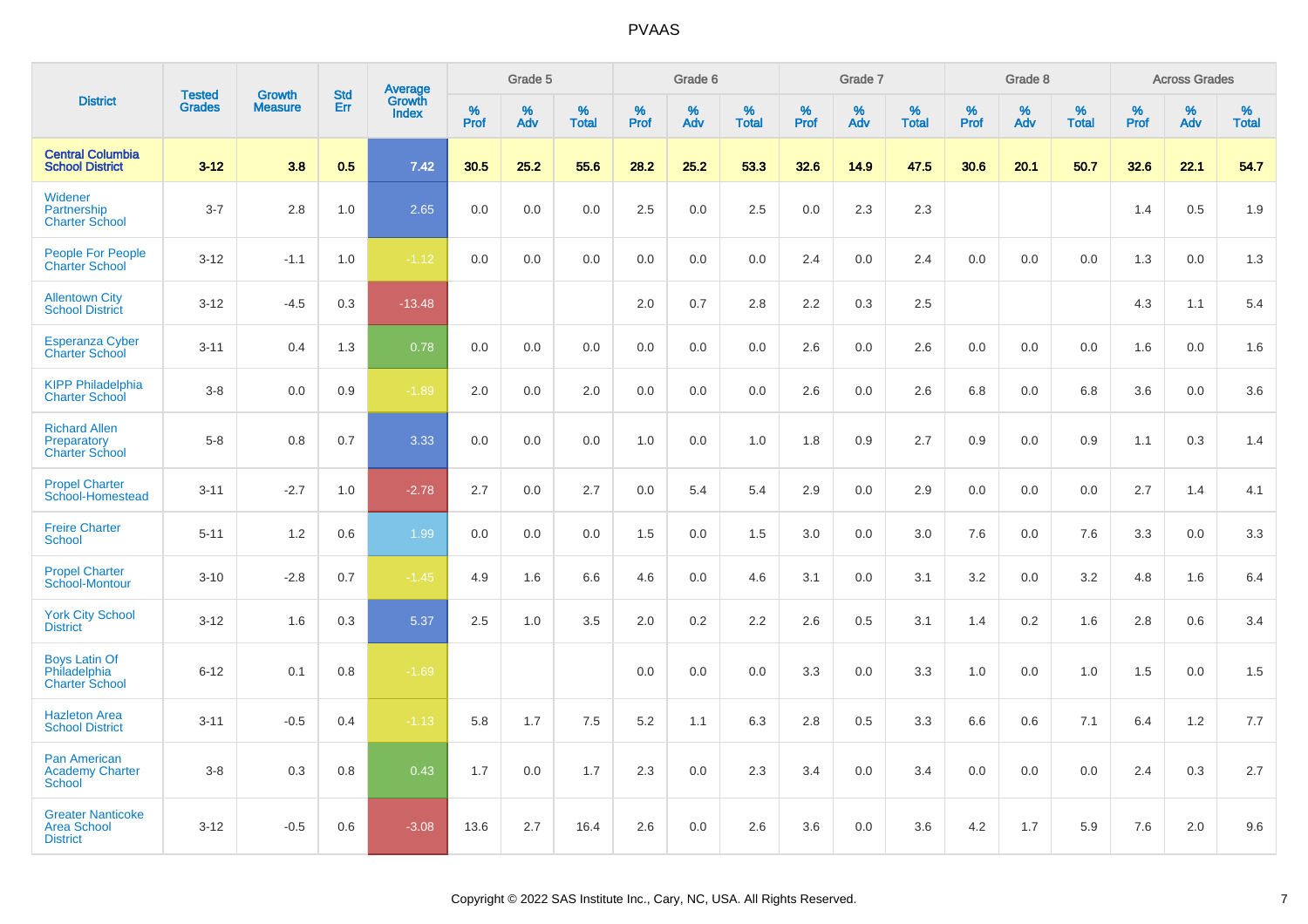| <b>District</b>                                                   |                                |                                 |                   |                                          |                     | Grade 5  |                   |                  | Grade 6  |                   |                  | Grade 7  |                   |           | Grade 8  |                   |                     | <b>Across Grades</b> |                   |
|-------------------------------------------------------------------|--------------------------------|---------------------------------|-------------------|------------------------------------------|---------------------|----------|-------------------|------------------|----------|-------------------|------------------|----------|-------------------|-----------|----------|-------------------|---------------------|----------------------|-------------------|
|                                                                   | <b>Tested</b><br><b>Grades</b> | <b>Growth</b><br><b>Measure</b> | <b>Std</b><br>Err | <b>Average</b><br>Growth<br><b>Index</b> | $\%$<br><b>Prof</b> | %<br>Adv | %<br><b>Total</b> | %<br><b>Prof</b> | %<br>Adv | %<br><b>Total</b> | %<br><b>Prof</b> | %<br>Adv | %<br><b>Total</b> | %<br>Prof | %<br>Adv | %<br><b>Total</b> | $\%$<br><b>Prof</b> | $\%$<br>Adv          | %<br><b>Total</b> |
| <b>Central Columbia</b><br><b>School District</b>                 | $3 - 12$                       | 3.8                             | 0.5               | 7.42                                     | 30.5                | 25.2     | 55.6              | 28.2             | 25.2     | 53.3              | 32.6             | 14.9     | 47.5              | 30.6      | 20.1     | 50.7              | 32.6                | 22.1                 | 54.7              |
| Widener<br>Partnership<br><b>Charter School</b>                   | $3 - 7$                        | 2.8                             | 1.0               | 2.65                                     | 0.0                 | 0.0      | 0.0               | 2.5              | 0.0      | 2.5               | 0.0              | 2.3      | 2.3               |           |          |                   | 1.4                 | 0.5                  | 1.9               |
| <b>People For People</b><br><b>Charter School</b>                 | $3 - 12$                       | $-1.1$                          | 1.0               | $-1.12$                                  | 0.0                 | 0.0      | 0.0               | 0.0              | 0.0      | 0.0               | 2.4              | 0.0      | 2.4               | 0.0       | 0.0      | 0.0               | 1.3                 | 0.0                  | 1.3               |
| <b>Allentown City</b><br><b>School District</b>                   | $3 - 12$                       | $-4.5$                          | 0.3               | $-13.48$                                 |                     |          |                   | 2.0              | 0.7      | 2.8               | 2.2              | 0.3      | 2.5               |           |          |                   | 4.3                 | 1.1                  | 5.4               |
| <b>Esperanza Cyber</b><br><b>Charter School</b>                   | $3 - 11$                       | 0.4                             | 1.3               | 0.78                                     | 0.0                 | 0.0      | 0.0               | 0.0              | 0.0      | 0.0               | 2.6              | 0.0      | 2.6               | 0.0       | 0.0      | 0.0               | 1.6                 | 0.0                  | 1.6               |
| <b>KIPP Philadelphia</b><br><b>Charter School</b>                 | $3-8$                          | 0.0                             | 0.9               | $-1.89$                                  | 2.0                 | 0.0      | 2.0               | 0.0              | 0.0      | 0.0               | 2.6              | 0.0      | 2.6               | 6.8       | 0.0      | 6.8               | 3.6                 | 0.0                  | 3.6               |
| <b>Richard Allen</b><br>Preparatory<br><b>Charter School</b>      | $5-8$                          | 0.8                             | 0.7               | 3.33                                     | 0.0                 | 0.0      | 0.0               | 1.0              | 0.0      | 1.0               | 1.8              | 0.9      | 2.7               | 0.9       | 0.0      | 0.9               | 1.1                 | 0.3                  | 1.4               |
| <b>Propel Charter</b><br>School-Homestead                         | $3 - 11$                       | $-2.7$                          | 1.0               | $-2.78$                                  | 2.7                 | 0.0      | 2.7               | 0.0              | 5.4      | 5.4               | 2.9              | 0.0      | 2.9               | 0.0       | 0.0      | 0.0               | 2.7                 | 1.4                  | 4.1               |
| <b>Freire Charter</b><br>School                                   | $5 - 11$                       | 1.2                             | 0.6               | 1.99                                     | 0.0                 | 0.0      | 0.0               | 1.5              | 0.0      | 1.5               | 3.0              | 0.0      | 3.0               | 7.6       | 0.0      | 7.6               | 3.3                 | 0.0                  | 3.3               |
| <b>Propel Charter</b><br>School-Montour                           | $3 - 10$                       | $-2.8$                          | 0.7               | $-1.45$                                  | 4.9                 | 1.6      | 6.6               | 4.6              | 0.0      | 4.6               | 3.1              | 0.0      | 3.1               | 3.2       | 0.0      | 3.2               | 4.8                 | 1.6                  | 6.4               |
| <b>York City School</b><br><b>District</b>                        | $3 - 12$                       | 1.6                             | 0.3               | 5.37                                     | 2.5                 | 1.0      | 3.5               | 2.0              | 0.2      | $2.2\,$           | 2.6              | 0.5      | 3.1               | 1.4       | 0.2      | 1.6               | 2.8                 | 0.6                  | 3.4               |
| <b>Boys Latin Of</b><br>Philadelphia<br><b>Charter School</b>     | $6 - 12$                       | 0.1                             | 0.8               | $-1.69$                                  |                     |          |                   | 0.0              | 0.0      | 0.0               | 3.3              | 0.0      | 3.3               | 1.0       | 0.0      | 1.0               | 1.5                 | 0.0                  | 1.5               |
| <b>Hazleton Area</b><br><b>School District</b>                    | $3 - 11$                       | $-0.5$                          | 0.4               | $-1.13$                                  | 5.8                 | 1.7      | 7.5               | 5.2              | 1.1      | 6.3               | 2.8              | 0.5      | 3.3               | 6.6       | 0.6      | 7.1               | 6.4                 | 1.2                  | 7.7               |
| <b>Pan American</b><br><b>Academy Charter</b><br><b>School</b>    | $3-8$                          | 0.3                             | 0.8               | 0.43                                     | 1.7                 | 0.0      | 1.7               | 2.3              | 0.0      | 2.3               | 3.4              | 0.0      | 3.4               | 0.0       | 0.0      | 0.0               | 2.4                 | 0.3                  | 2.7               |
| <b>Greater Nanticoke</b><br><b>Area School</b><br><b>District</b> | $3 - 12$                       | $-0.5$                          | 0.6               | $-3.08$                                  | 13.6                | 2.7      | 16.4              | 2.6              | 0.0      | 2.6               | 3.6              | 0.0      | 3.6               | 4.2       | 1.7      | 5.9               | 7.6                 | 2.0                  | 9.6               |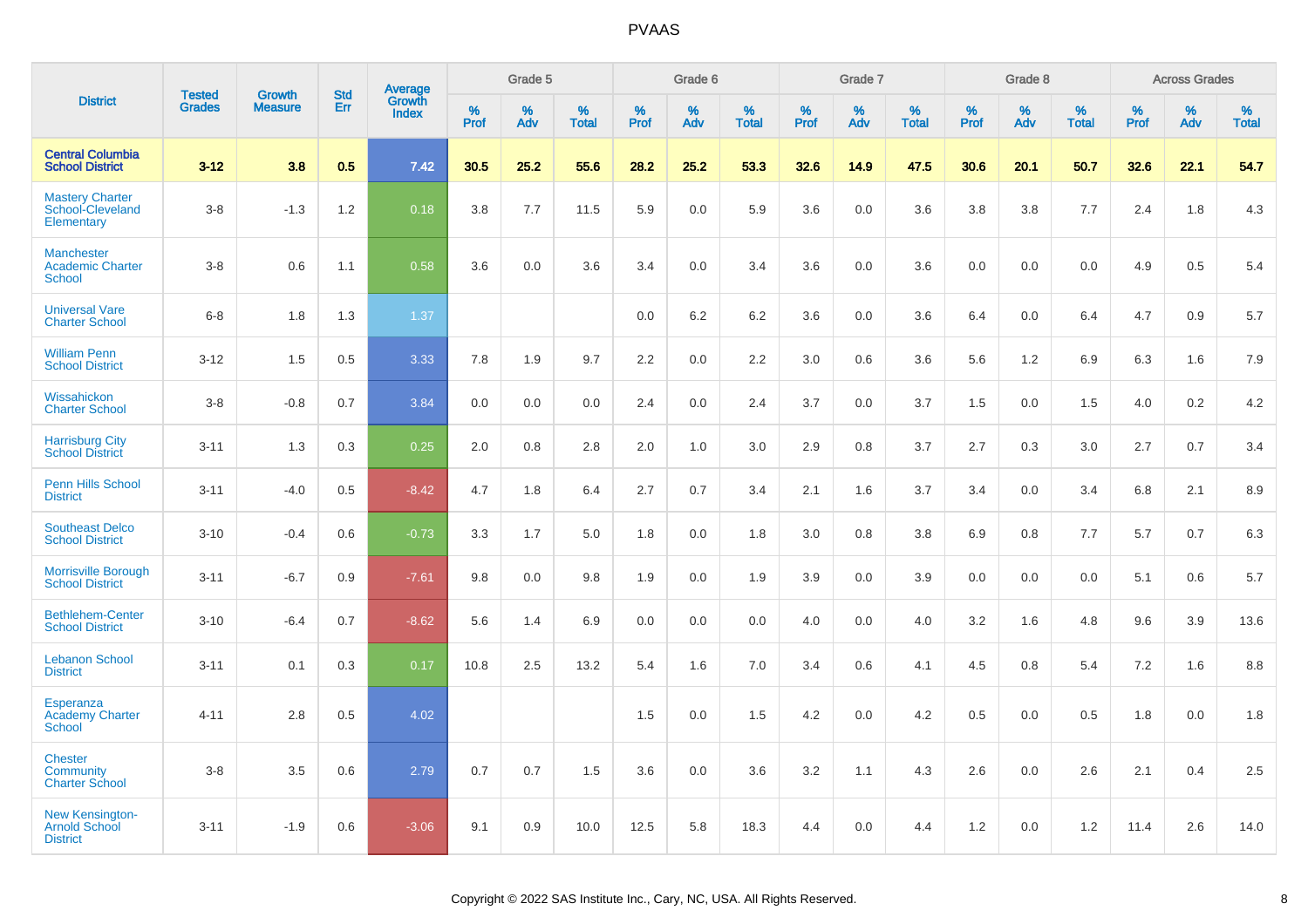|                                                               |                                |                                 | <b>Std</b> | Average                |                     | Grade 5  |                   |                  | Grade 6  |                   |                  | Grade 7  |                   |           | Grade 8  |                   |                     | <b>Across Grades</b> |                   |
|---------------------------------------------------------------|--------------------------------|---------------------------------|------------|------------------------|---------------------|----------|-------------------|------------------|----------|-------------------|------------------|----------|-------------------|-----------|----------|-------------------|---------------------|----------------------|-------------------|
| <b>District</b>                                               | <b>Tested</b><br><b>Grades</b> | <b>Growth</b><br><b>Measure</b> | Err        | Growth<br><b>Index</b> | $\%$<br><b>Prof</b> | %<br>Adv | %<br><b>Total</b> | %<br><b>Prof</b> | %<br>Adv | %<br><b>Total</b> | %<br><b>Prof</b> | %<br>Adv | %<br><b>Total</b> | %<br>Prof | %<br>Adv | %<br><b>Total</b> | $\%$<br><b>Prof</b> | %<br>Adv             | %<br><b>Total</b> |
| <b>Central Columbia</b><br><b>School District</b>             | $3 - 12$                       | 3.8                             | 0.5        | 7.42                   | 30.5                | 25.2     | 55.6              | 28.2             | 25.2     | 53.3              | 32.6             | 14.9     | 47.5              | 30.6      | 20.1     | 50.7              | 32.6                | 22.1                 | 54.7              |
| <b>Mastery Charter</b><br>School-Cleveland<br>Elementary      | $3 - 8$                        | $-1.3$                          | 1.2        | 0.18                   | 3.8                 | 7.7      | 11.5              | 5.9              | 0.0      | 5.9               | 3.6              | 0.0      | 3.6               | 3.8       | 3.8      | 7.7               | 2.4                 | 1.8                  | 4.3               |
| <b>Manchester</b><br><b>Academic Charter</b><br><b>School</b> | $3-8$                          | 0.6                             | 1.1        | 0.58                   | 3.6                 | 0.0      | 3.6               | 3.4              | 0.0      | 3.4               | 3.6              | 0.0      | 3.6               | 0.0       | 0.0      | 0.0               | 4.9                 | 0.5                  | 5.4               |
| <b>Universal Vare</b><br><b>Charter School</b>                | $6 - 8$                        | 1.8                             | 1.3        | 1.37                   |                     |          |                   | 0.0              | 6.2      | 6.2               | 3.6              | 0.0      | 3.6               | 6.4       | 0.0      | 6.4               | 4.7                 | 0.9                  | 5.7               |
| <b>William Penn</b><br><b>School District</b>                 | $3 - 12$                       | 1.5                             | 0.5        | 3.33                   | 7.8                 | 1.9      | 9.7               | 2.2              | 0.0      | 2.2               | 3.0              | 0.6      | 3.6               | 5.6       | 1.2      | 6.9               | 6.3                 | 1.6                  | 7.9               |
| Wissahickon<br><b>Charter School</b>                          | $3-8$                          | $-0.8$                          | 0.7        | 3.84                   | 0.0                 | 0.0      | 0.0               | 2.4              | 0.0      | 2.4               | 3.7              | 0.0      | 3.7               | 1.5       | 0.0      | 1.5               | 4.0                 | 0.2                  | 4.2               |
| <b>Harrisburg City</b><br><b>School District</b>              | $3 - 11$                       | 1.3                             | 0.3        | 0.25                   | 2.0                 | 0.8      | 2.8               | 2.0              | 1.0      | 3.0               | 2.9              | 0.8      | 3.7               | 2.7       | 0.3      | 3.0               | 2.7                 | 0.7                  | 3.4               |
| Penn Hills School<br><b>District</b>                          | $3 - 11$                       | $-4.0$                          | 0.5        | $-8.42$                | 4.7                 | 1.8      | 6.4               | 2.7              | 0.7      | 3.4               | 2.1              | 1.6      | 3.7               | 3.4       | 0.0      | 3.4               | 6.8                 | 2.1                  | 8.9               |
| <b>Southeast Delco</b><br><b>School District</b>              | $3 - 10$                       | $-0.4$                          | 0.6        | $-0.73$                | 3.3                 | 1.7      | 5.0               | 1.8              | 0.0      | 1.8               | 3.0              | 0.8      | 3.8               | 6.9       | 0.8      | 7.7               | 5.7                 | 0.7                  | 6.3               |
| <b>Morrisville Borough</b><br><b>School District</b>          | $3 - 11$                       | $-6.7$                          | 0.9        | $-7.61$                | 9.8                 | 0.0      | 9.8               | 1.9              | 0.0      | 1.9               | 3.9              | 0.0      | 3.9               | 0.0       | 0.0      | 0.0               | 5.1                 | 0.6                  | 5.7               |
| <b>Bethlehem-Center</b><br><b>School District</b>             | $3 - 10$                       | $-6.4$                          | 0.7        | $-8.62$                | 5.6                 | 1.4      | 6.9               | 0.0              | 0.0      | 0.0               | 4.0              | 0.0      | 4.0               | 3.2       | 1.6      | 4.8               | 9.6                 | 3.9                  | 13.6              |
| <b>Lebanon School</b><br><b>District</b>                      | $3 - 11$                       | 0.1                             | 0.3        | 0.17                   | 10.8                | 2.5      | 13.2              | 5.4              | 1.6      | 7.0               | 3.4              | 0.6      | 4.1               | 4.5       | 0.8      | 5.4               | 7.2                 | 1.6                  | 8.8               |
| Esperanza<br><b>Academy Charter</b><br><b>School</b>          | $4 - 11$                       | 2.8                             | 0.5        | 4.02                   |                     |          |                   | 1.5              | 0.0      | 1.5               | 4.2              | 0.0      | 4.2               | 0.5       | 0.0      | 0.5               | 1.8                 | 0.0                  | 1.8               |
| <b>Chester</b><br>Community<br><b>Charter School</b>          | $3 - 8$                        | 3.5                             | 0.6        | 2.79                   | 0.7                 | 0.7      | 1.5               | 3.6              | 0.0      | 3.6               | 3.2              | 1.1      | 4.3               | 2.6       | 0.0      | 2.6               | 2.1                 | 0.4                  | 2.5               |
| <b>New Kensington-</b><br>Arnold School<br><b>District</b>    | $3 - 11$                       | $-1.9$                          | 0.6        | $-3.06$                | 9.1                 | 0.9      | 10.0              | 12.5             | 5.8      | 18.3              | 4.4              | 0.0      | 4.4               | 1.2       | 0.0      | 1.2               | 11.4                | 2.6                  | 14.0              |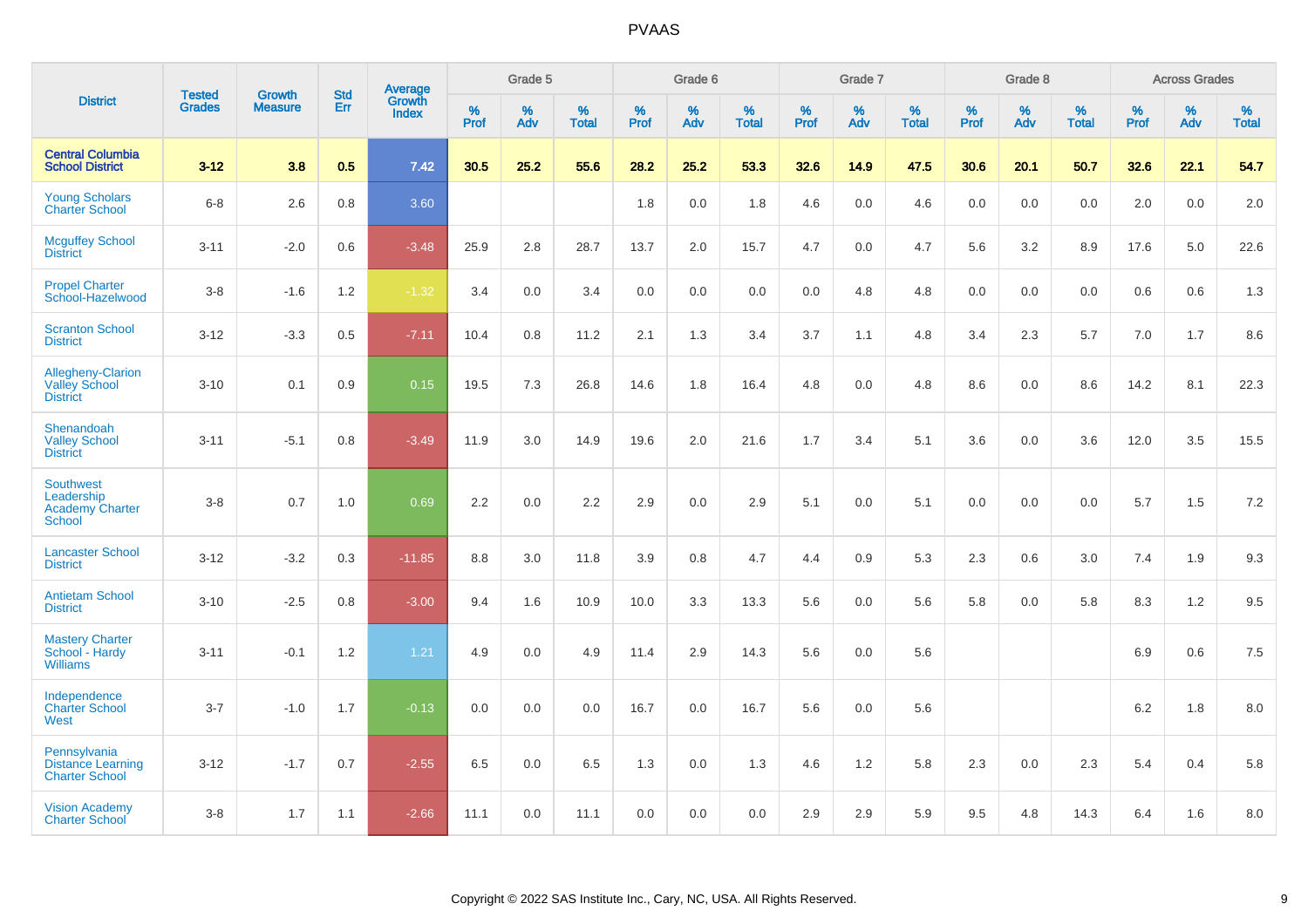|                                                                           |                                |                                 | <b>Std</b> | Average                |           | Grade 5  |                   |           | Grade 6  |                   |           | Grade 7  |                   |           | Grade 8  |                   |           | <b>Across Grades</b> |                   |
|---------------------------------------------------------------------------|--------------------------------|---------------------------------|------------|------------------------|-----------|----------|-------------------|-----------|----------|-------------------|-----------|----------|-------------------|-----------|----------|-------------------|-----------|----------------------|-------------------|
| <b>District</b>                                                           | <b>Tested</b><br><b>Grades</b> | <b>Growth</b><br><b>Measure</b> | Err        | Growth<br><b>Index</b> | %<br>Prof | %<br>Adv | %<br><b>Total</b> | %<br>Prof | %<br>Adv | %<br><b>Total</b> | %<br>Prof | %<br>Adv | %<br><b>Total</b> | %<br>Prof | %<br>Adv | %<br><b>Total</b> | %<br>Prof | %<br>Adv             | %<br><b>Total</b> |
| <b>Central Columbia</b><br><b>School District</b>                         | $3 - 12$                       | 3.8                             | 0.5        | 7.42                   | 30.5      | 25.2     | 55.6              | 28.2      | 25.2     | 53.3              | 32.6      | 14.9     | 47.5              | 30.6      | 20.1     | 50.7              | 32.6      | 22.1                 | 54.7              |
| <b>Young Scholars</b><br><b>Charter School</b>                            | $6 - 8$                        | 2.6                             | 0.8        | 3.60                   |           |          |                   | 1.8       | 0.0      | 1.8               | 4.6       | 0.0      | 4.6               | 0.0       | 0.0      | 0.0               | 2.0       | 0.0                  | 2.0               |
| <b>Mcguffey School</b><br><b>District</b>                                 | $3 - 11$                       | $-2.0$                          | 0.6        | $-3.48$                | 25.9      | 2.8      | 28.7              | 13.7      | 2.0      | 15.7              | 4.7       | 0.0      | 4.7               | 5.6       | 3.2      | 8.9               | 17.6      | 5.0                  | 22.6              |
| <b>Propel Charter</b><br>School-Hazelwood                                 | $3-8$                          | $-1.6$                          | 1.2        | $-1.32$                | 3.4       | 0.0      | 3.4               | 0.0       | 0.0      | 0.0               | 0.0       | 4.8      | 4.8               | 0.0       | 0.0      | 0.0               | 0.6       | 0.6                  | 1.3               |
| <b>Scranton School</b><br><b>District</b>                                 | $3 - 12$                       | $-3.3$                          | 0.5        | $-7.11$                | 10.4      | 0.8      | 11.2              | 2.1       | 1.3      | 3.4               | 3.7       | 1.1      | 4.8               | 3.4       | 2.3      | 5.7               | 7.0       | 1.7                  | 8.6               |
| Allegheny-Clarion<br><b>Valley School</b><br><b>District</b>              | $3 - 10$                       | 0.1                             | 0.9        | 0.15                   | 19.5      | 7.3      | 26.8              | 14.6      | 1.8      | 16.4              | 4.8       | 0.0      | 4.8               | 8.6       | 0.0      | 8.6               | 14.2      | 8.1                  | 22.3              |
| Shenandoah<br><b>Valley School</b><br><b>District</b>                     | $3 - 11$                       | $-5.1$                          | 0.8        | $-3.49$                | 11.9      | 3.0      | 14.9              | 19.6      | 2.0      | 21.6              | 1.7       | 3.4      | 5.1               | 3.6       | 0.0      | 3.6               | 12.0      | 3.5                  | 15.5              |
| <b>Southwest</b><br>Leadership<br><b>Academy Charter</b><br><b>School</b> | $3-8$                          | 0.7                             | 1.0        | 0.69                   | 2.2       | 0.0      | 2.2               | 2.9       | 0.0      | 2.9               | 5.1       | 0.0      | 5.1               | 0.0       | 0.0      | 0.0               | 5.7       | 1.5                  | 7.2               |
| <b>Lancaster School</b><br><b>District</b>                                | $3 - 12$                       | $-3.2$                          | 0.3        | $-11.85$               | 8.8       | 3.0      | 11.8              | 3.9       | 0.8      | 4.7               | 4.4       | 0.9      | 5.3               | 2.3       | 0.6      | 3.0               | 7.4       | 1.9                  | 9.3               |
| <b>Antietam School</b><br><b>District</b>                                 | $3 - 10$                       | $-2.5$                          | 0.8        | $-3.00$                | 9.4       | 1.6      | 10.9              | 10.0      | 3.3      | 13.3              | 5.6       | 0.0      | 5.6               | 5.8       | 0.0      | 5.8               | 8.3       | 1.2                  | 9.5               |
| <b>Mastery Charter</b><br>School - Hardy<br><b>Williams</b>               | $3 - 11$                       | $-0.1$                          | 1.2        | 1.21                   | 4.9       | 0.0      | 4.9               | 11.4      | 2.9      | 14.3              | 5.6       | 0.0      | 5.6               |           |          |                   | 6.9       | 0.6                  | 7.5               |
| Independence<br><b>Charter School</b><br>West                             | $3 - 7$                        | $-1.0$                          | 1.7        | $-0.13$                | 0.0       | 0.0      | 0.0               | 16.7      | 0.0      | 16.7              | 5.6       | 0.0      | 5.6               |           |          |                   | 6.2       | 1.8                  | 8.0               |
| Pennsylvania<br><b>Distance Learning</b><br><b>Charter School</b>         | $3 - 12$                       | $-1.7$                          | 0.7        | $-2.55$                | 6.5       | 0.0      | 6.5               | 1.3       | 0.0      | 1.3               | 4.6       | $1.2\,$  | 5.8               | 2.3       | 0.0      | 2.3               | 5.4       | 0.4                  | 5.8               |
| <b>Vision Academy</b><br><b>Charter School</b>                            | $3-8$                          | 1.7                             | 1.1        | $-2.66$                | 11.1      | 0.0      | 11.1              | 0.0       | 0.0      | 0.0               | 2.9       | 2.9      | 5.9               | 9.5       | 4.8      | 14.3              | 6.4       | 1.6                  | 8.0               |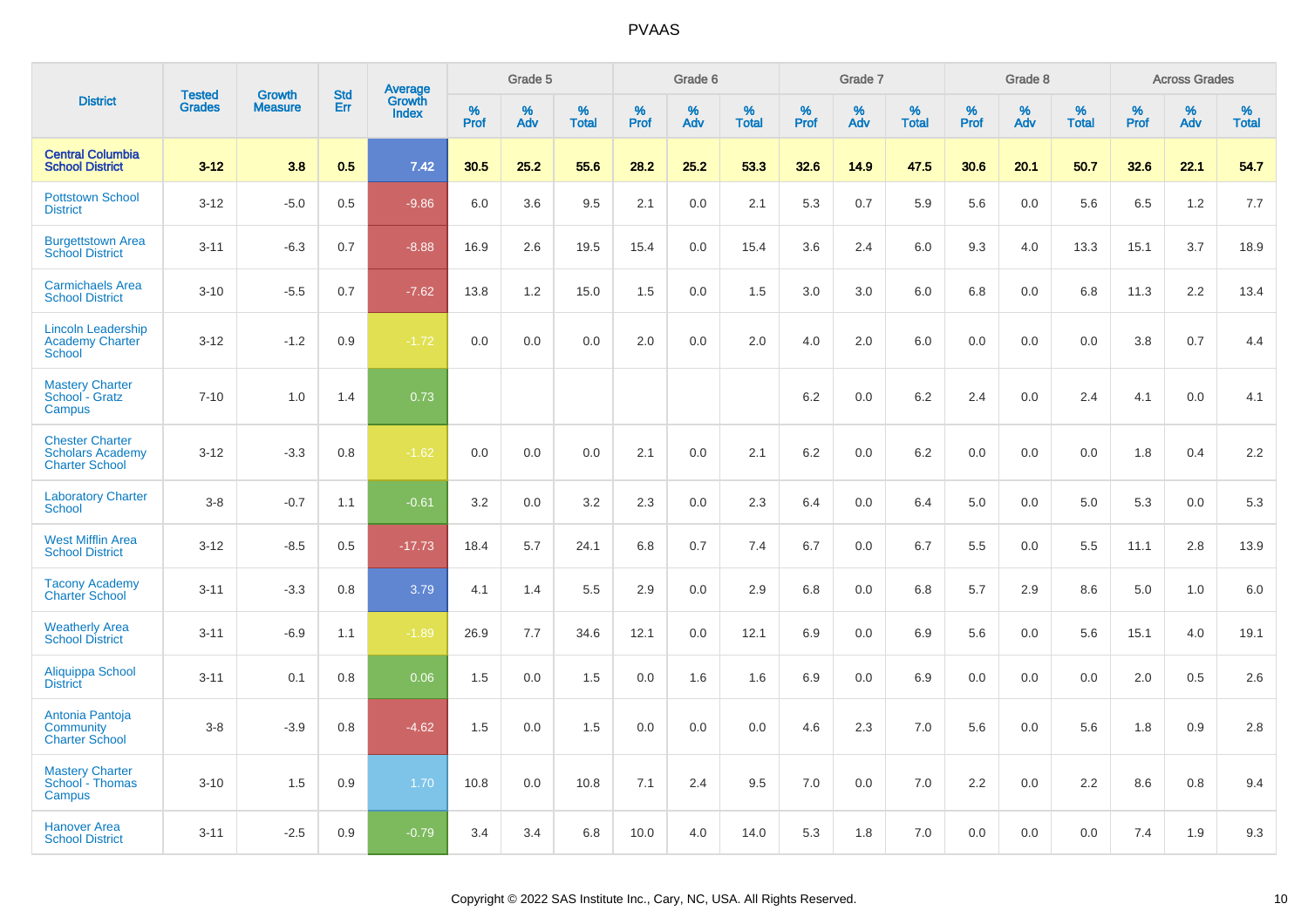| <b>District</b>                                                            | <b>Tested</b> | <b>Growth</b>  | <b>Std</b> |                                   |              | Grade 5  |                   |           | Grade 6  |                   |           | Grade 7  |                   |           | Grade 8  |                   |              | <b>Across Grades</b> |                   |
|----------------------------------------------------------------------------|---------------|----------------|------------|-----------------------------------|--------------|----------|-------------------|-----------|----------|-------------------|-----------|----------|-------------------|-----------|----------|-------------------|--------------|----------------------|-------------------|
|                                                                            | <b>Grades</b> | <b>Measure</b> | <b>Err</b> | Average<br>Growth<br><b>Index</b> | $\%$<br>Prof | %<br>Adv | %<br><b>Total</b> | %<br>Prof | %<br>Adv | %<br><b>Total</b> | %<br>Prof | %<br>Adv | %<br><b>Total</b> | %<br>Prof | %<br>Adv | %<br><b>Total</b> | $\%$<br>Prof | %<br>Adv             | %<br><b>Total</b> |
| <b>Central Columbia</b><br><b>School District</b>                          | $3 - 12$      | 3.8            | 0.5        | 7.42                              | 30.5         | 25.2     | 55.6              | 28.2      | 25.2     | 53.3              | 32.6      | 14.9     | 47.5              | 30.6      | 20.1     | 50.7              | 32.6         | 22.1                 | 54.7              |
| <b>Pottstown School</b><br><b>District</b>                                 | $3 - 12$      | $-5.0$         | 0.5        | $-9.86$                           | 6.0          | 3.6      | 9.5               | 2.1       | 0.0      | 2.1               | 5.3       | 0.7      | 5.9               | 5.6       | 0.0      | 5.6               | 6.5          | 1.2                  | 7.7               |
| <b>Burgettstown Area</b><br><b>School District</b>                         | $3 - 11$      | $-6.3$         | 0.7        | $-8.88$                           | 16.9         | 2.6      | 19.5              | 15.4      | 0.0      | 15.4              | 3.6       | 2.4      | 6.0               | 9.3       | 4.0      | 13.3              | 15.1         | 3.7                  | 18.9              |
| <b>Carmichaels Area</b><br><b>School District</b>                          | $3 - 10$      | $-5.5$         | 0.7        | $-7.62$                           | 13.8         | 1.2      | 15.0              | 1.5       | 0.0      | 1.5               | 3.0       | 3.0      | 6.0               | 6.8       | 0.0      | 6.8               | 11.3         | 2.2                  | 13.4              |
| <b>Lincoln Leadership</b><br><b>Academy Charter</b><br>School              | $3 - 12$      | $-1.2$         | 0.9        | $-1.72$                           | 0.0          | 0.0      | 0.0               | 2.0       | 0.0      | 2.0               | 4.0       | 2.0      | 6.0               | 0.0       | $0.0\,$  | 0.0               | 3.8          | 0.7                  | 4.4               |
| <b>Mastery Charter</b><br>School - Gratz<br><b>Campus</b>                  | $7 - 10$      | 1.0            | 1.4        | 0.73                              |              |          |                   |           |          |                   | 6.2       | 0.0      | 6.2               | 2.4       | 0.0      | 2.4               | 4.1          | 0.0                  | 4.1               |
| <b>Chester Charter</b><br><b>Scholars Academy</b><br><b>Charter School</b> | $3 - 12$      | $-3.3$         | 0.8        | $-1.62$                           | 0.0          | 0.0      | 0.0               | 2.1       | 0.0      | 2.1               | 6.2       | 0.0      | 6.2               | 0.0       | 0.0      | 0.0               | 1.8          | 0.4                  | 2.2               |
| <b>Laboratory Charter</b><br>School                                        | $3 - 8$       | $-0.7$         | 1.1        | $-0.61$                           | 3.2          | 0.0      | 3.2               | 2.3       | 0.0      | 2.3               | 6.4       | 0.0      | 6.4               | 5.0       | 0.0      | 5.0               | 5.3          | 0.0                  | 5.3               |
| <b>West Mifflin Area</b><br><b>School District</b>                         | $3 - 12$      | $-8.5$         | 0.5        | $-17.73$                          | 18.4         | 5.7      | 24.1              | 6.8       | 0.7      | 7.4               | 6.7       | 0.0      | 6.7               | 5.5       | 0.0      | 5.5               | 11.1         | 2.8                  | 13.9              |
| <b>Tacony Academy</b><br><b>Charter School</b>                             | $3 - 11$      | $-3.3$         | 0.8        | 3.79                              | 4.1          | 1.4      | 5.5               | 2.9       | 0.0      | 2.9               | 6.8       | 0.0      | 6.8               | 5.7       | 2.9      | 8.6               | 5.0          | 1.0                  | 6.0               |
| <b>Weatherly Area</b><br><b>School District</b>                            | $3 - 11$      | $-6.9$         | 1.1        | $-1.89$                           | 26.9         | 7.7      | 34.6              | 12.1      | 0.0      | 12.1              | 6.9       | 0.0      | 6.9               | 5.6       | 0.0      | 5.6               | 15.1         | 4.0                  | 19.1              |
| Aliquippa School<br><b>District</b>                                        | $3 - 11$      | 0.1            | 0.8        | 0.06                              | 1.5          | 0.0      | 1.5               | 0.0       | 1.6      | 1.6               | 6.9       | 0.0      | 6.9               | 0.0       | 0.0      | 0.0               | 2.0          | 0.5                  | 2.6               |
| Antonia Pantoja<br>Community<br><b>Charter School</b>                      | $3 - 8$       | $-3.9$         | 0.8        | $-4.62$                           | 1.5          | 0.0      | 1.5               | 0.0       | 0.0      | 0.0               | 4.6       | 2.3      | 7.0               | 5.6       | 0.0      | 5.6               | 1.8          | 0.9                  | 2.8               |
| <b>Mastery Charter</b><br>School - Thomas<br>Campus                        | $3 - 10$      | 1.5            | 0.9        | 1.70                              | 10.8         | 0.0      | 10.8              | 7.1       | 2.4      | 9.5               | 7.0       | 0.0      | 7.0               | 2.2       | 0.0      | 2.2               | 8.6          | 0.8                  | 9.4               |
| <b>Hanover Area</b><br><b>School District</b>                              | $3 - 11$      | $-2.5$         | 0.9        | $-0.79$                           | 3.4          | 3.4      | 6.8               | 10.0      | 4.0      | 14.0              | 5.3       | 1.8      | 7.0               | 0.0       | 0.0      | 0.0               | 7.4          | 1.9                  | 9.3               |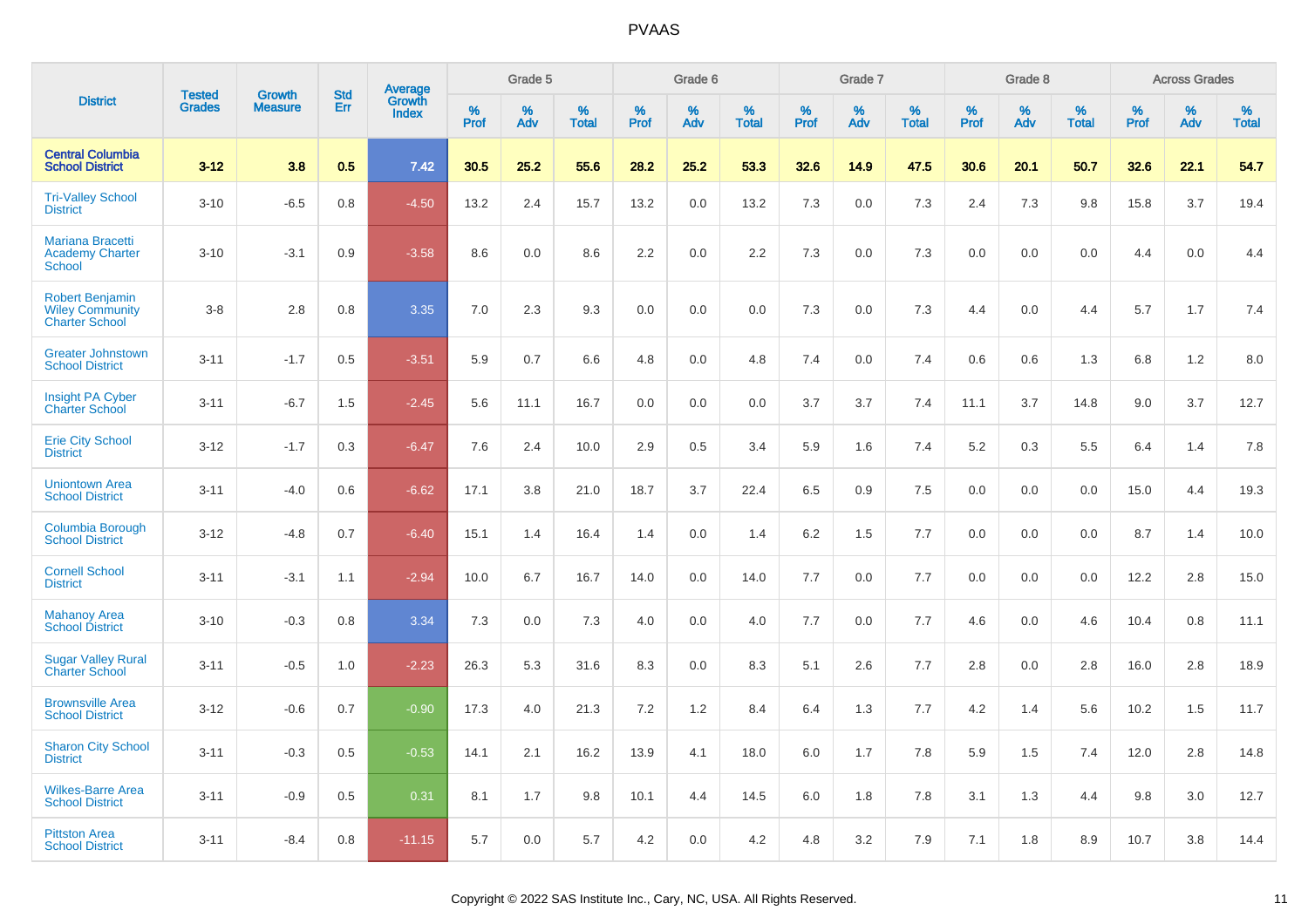| <b>District</b>                                                           |                                |                                 | <b>Std</b> | Average                |              | Grade 5  |                   |              | Grade 6  |                   |              | Grade 7  |                   |              | Grade 8  |                   |              | <b>Across Grades</b> |                   |
|---------------------------------------------------------------------------|--------------------------------|---------------------------------|------------|------------------------|--------------|----------|-------------------|--------------|----------|-------------------|--------------|----------|-------------------|--------------|----------|-------------------|--------------|----------------------|-------------------|
|                                                                           | <b>Tested</b><br><b>Grades</b> | <b>Growth</b><br><b>Measure</b> | Err        | Growth<br><b>Index</b> | $\%$<br>Prof | %<br>Adv | %<br><b>Total</b> | $\%$<br>Prof | %<br>Adv | %<br><b>Total</b> | $\%$<br>Prof | %<br>Adv | %<br><b>Total</b> | $\%$<br>Prof | %<br>Adv | %<br><b>Total</b> | $\%$<br>Prof | %<br>Adv             | %<br><b>Total</b> |
| <b>Central Columbia</b><br><b>School District</b>                         | $3 - 12$                       | 3.8                             | 0.5        | 7.42                   | 30.5         | 25.2     | 55.6              | 28.2         | 25.2     | 53.3              | 32.6         | 14.9     | 47.5              | 30.6         | 20.1     | 50.7              | 32.6         | 22.1                 | 54.7              |
| <b>Tri-Valley School</b><br><b>District</b>                               | $3 - 10$                       | $-6.5$                          | 0.8        | $-4.50$                | 13.2         | 2.4      | 15.7              | 13.2         | 0.0      | 13.2              | 7.3          | 0.0      | 7.3               | 2.4          | 7.3      | 9.8               | 15.8         | 3.7                  | 19.4              |
| Mariana Bracetti<br><b>Academy Charter</b><br><b>School</b>               | $3 - 10$                       | $-3.1$                          | 0.9        | $-3.58$                | 8.6          | 0.0      | 8.6               | 2.2          | 0.0      | 2.2               | 7.3          | 0.0      | 7.3               | 0.0          | 0.0      | 0.0               | 4.4          | 0.0                  | 4.4               |
| <b>Robert Benjamin</b><br><b>Wiley Community</b><br><b>Charter School</b> | $3 - 8$                        | 2.8                             | 0.8        | 3.35                   | 7.0          | 2.3      | 9.3               | 0.0          | 0.0      | 0.0               | 7.3          | 0.0      | 7.3               | 4.4          | 0.0      | 4.4               | 5.7          | 1.7                  | 7.4               |
| <b>Greater Johnstown</b><br><b>School District</b>                        | $3 - 11$                       | $-1.7$                          | 0.5        | $-3.51$                | 5.9          | 0.7      | 6.6               | 4.8          | 0.0      | 4.8               | 7.4          | 0.0      | 7.4               | 0.6          | 0.6      | 1.3               | 6.8          | 1.2                  | 8.0               |
| <b>Insight PA Cyber</b><br><b>Charter School</b>                          | $3 - 11$                       | $-6.7$                          | 1.5        | $-2.45$                | 5.6          | 11.1     | 16.7              | 0.0          | 0.0      | 0.0               | 3.7          | 3.7      | 7.4               | 11.1         | 3.7      | 14.8              | 9.0          | 3.7                  | 12.7              |
| <b>Erie City School</b><br><b>District</b>                                | $3 - 12$                       | $-1.7$                          | 0.3        | $-6.47$                | 7.6          | 2.4      | 10.0              | 2.9          | 0.5      | 3.4               | 5.9          | 1.6      | 7.4               | 5.2          | 0.3      | 5.5               | 6.4          | 1.4                  | 7.8               |
| <b>Uniontown Area</b><br><b>School District</b>                           | $3 - 11$                       | $-4.0$                          | 0.6        | $-6.62$                | 17.1         | 3.8      | 21.0              | 18.7         | 3.7      | 22.4              | 6.5          | 0.9      | 7.5               | 0.0          | 0.0      | 0.0               | 15.0         | 4.4                  | 19.3              |
| Columbia Borough<br><b>School District</b>                                | $3 - 12$                       | $-4.8$                          | 0.7        | $-6.40$                | 15.1         | 1.4      | 16.4              | 1.4          | 0.0      | 1.4               | 6.2          | 1.5      | 7.7               | 0.0          | 0.0      | 0.0               | 8.7          | 1.4                  | 10.0              |
| <b>Cornell School</b><br><b>District</b>                                  | $3 - 11$                       | $-3.1$                          | 1.1        | $-2.94$                | 10.0         | 6.7      | 16.7              | 14.0         | 0.0      | 14.0              | 7.7          | 0.0      | 7.7               | 0.0          | 0.0      | 0.0               | 12.2         | 2.8                  | 15.0              |
| <b>Mahanoy Area</b><br><b>School District</b>                             | $3 - 10$                       | $-0.3$                          | 0.8        | 3.34                   | 7.3          | 0.0      | 7.3               | 4.0          | 0.0      | 4.0               | 7.7          | 0.0      | 7.7               | 4.6          | 0.0      | 4.6               | 10.4         | 0.8                  | 11.1              |
| <b>Sugar Valley Rural</b><br><b>Charter School</b>                        | $3 - 11$                       | $-0.5$                          | 1.0        | $-2.23$                | 26.3         | 5.3      | 31.6              | 8.3          | 0.0      | 8.3               | 5.1          | 2.6      | 7.7               | 2.8          | 0.0      | 2.8               | 16.0         | 2.8                  | 18.9              |
| <b>Brownsville Area</b><br><b>School District</b>                         | $3 - 12$                       | $-0.6$                          | 0.7        | $-0.90$                | 17.3         | 4.0      | 21.3              | 7.2          | 1.2      | 8.4               | 6.4          | 1.3      | 7.7               | 4.2          | 1.4      | 5.6               | 10.2         | 1.5                  | 11.7              |
| <b>Sharon City School</b><br><b>District</b>                              | $3 - 11$                       | $-0.3$                          | 0.5        | $-0.53$                | 14.1         | 2.1      | 16.2              | 13.9         | 4.1      | 18.0              | 6.0          | 1.7      | 7.8               | 5.9          | 1.5      | 7.4               | 12.0         | 2.8                  | 14.8              |
| <b>Wilkes-Barre Area</b><br><b>School District</b>                        | $3 - 11$                       | $-0.9$                          | 0.5        | 0.31                   | 8.1          | 1.7      | 9.8               | 10.1         | 4.4      | 14.5              | 6.0          | 1.8      | 7.8               | 3.1          | 1.3      | 4.4               | 9.8          | 3.0                  | 12.7              |
| <b>Pittston Area</b><br><b>School District</b>                            | $3 - 11$                       | $-8.4$                          | 0.8        | $-11.15$               | 5.7          | 0.0      | 5.7               | 4.2          | 0.0      | 4.2               | 4.8          | 3.2      | 7.9               | 7.1          | 1.8      | 8.9               | 10.7         | 3.8                  | 14.4              |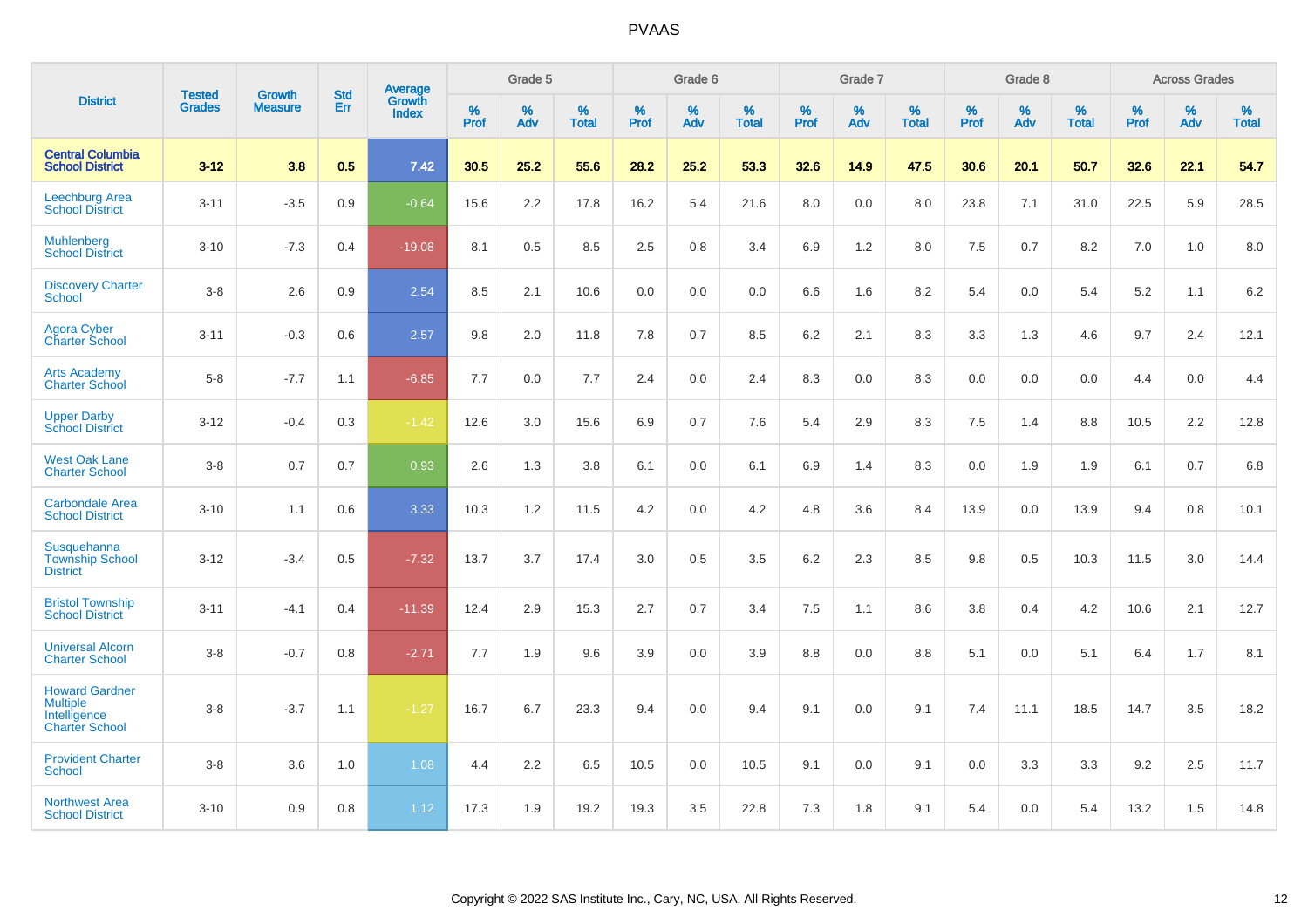|                                                                                   |                                |                                 | <b>Std</b> | Average                       |           | Grade 5  |                   |           | Grade 6  |                   |           | Grade 7  |                   |           | Grade 8  |                   |           | <b>Across Grades</b> |                   |
|-----------------------------------------------------------------------------------|--------------------------------|---------------------------------|------------|-------------------------------|-----------|----------|-------------------|-----------|----------|-------------------|-----------|----------|-------------------|-----------|----------|-------------------|-----------|----------------------|-------------------|
| <b>District</b>                                                                   | <b>Tested</b><br><b>Grades</b> | <b>Growth</b><br><b>Measure</b> | Err        | <b>Growth</b><br><b>Index</b> | %<br>Prof | %<br>Adv | %<br><b>Total</b> | %<br>Prof | %<br>Adv | %<br><b>Total</b> | %<br>Prof | %<br>Adv | %<br><b>Total</b> | %<br>Prof | %<br>Adv | %<br><b>Total</b> | %<br>Prof | %<br>Adv             | %<br><b>Total</b> |
| <b>Central Columbia</b><br><b>School District</b>                                 | $3 - 12$                       | 3.8                             | 0.5        | 7.42                          | 30.5      | 25.2     | 55.6              | 28.2      | 25.2     | 53.3              | 32.6      | 14.9     | 47.5              | 30.6      | 20.1     | 50.7              | 32.6      | 22.1                 | 54.7              |
| <b>Leechburg Area</b><br><b>School District</b>                                   | $3 - 11$                       | $-3.5$                          | 0.9        | $-0.64$                       | 15.6      | 2.2      | 17.8              | 16.2      | 5.4      | 21.6              | 8.0       | 0.0      | 8.0               | 23.8      | 7.1      | 31.0              | 22.5      | 5.9                  | 28.5              |
| <b>Muhlenberg</b><br><b>School District</b>                                       | $3 - 10$                       | $-7.3$                          | 0.4        | $-19.08$                      | 8.1       | 0.5      | 8.5               | 2.5       | 0.8      | 3.4               | 6.9       | 1.2      | 8.0               | 7.5       | 0.7      | 8.2               | 7.0       | 1.0                  | 8.0               |
| <b>Discovery Charter</b><br>School                                                | $3 - 8$                        | 2.6                             | 0.9        | 2.54                          | 8.5       | 2.1      | 10.6              | 0.0       | 0.0      | 0.0               | 6.6       | 1.6      | 8.2               | 5.4       | 0.0      | 5.4               | 5.2       | 1.1                  | 6.2               |
| <b>Agora Cyber</b><br><b>Charter School</b>                                       | $3 - 11$                       | $-0.3$                          | 0.6        | 2.57                          | 9.8       | 2.0      | 11.8              | 7.8       | 0.7      | 8.5               | 6.2       | 2.1      | 8.3               | 3.3       | 1.3      | 4.6               | 9.7       | 2.4                  | 12.1              |
| <b>Arts Academy</b><br><b>Charter School</b>                                      | $5 - 8$                        | $-7.7$                          | 1.1        | $-6.85$                       | 7.7       | 0.0      | 7.7               | 2.4       | 0.0      | 2.4               | 8.3       | 0.0      | 8.3               | 0.0       | 0.0      | 0.0               | 4.4       | 0.0                  | 4.4               |
| <b>Upper Darby</b><br><b>School District</b>                                      | $3 - 12$                       | $-0.4$                          | 0.3        | $-1.42$                       | 12.6      | 3.0      | 15.6              | 6.9       | 0.7      | 7.6               | 5.4       | 2.9      | 8.3               | 7.5       | 1.4      | 8.8               | 10.5      | 2.2                  | 12.8              |
| <b>West Oak Lane</b><br><b>Charter School</b>                                     | $3-8$                          | 0.7                             | 0.7        | 0.93                          | 2.6       | 1.3      | 3.8               | 6.1       | 0.0      | 6.1               | 6.9       | 1.4      | 8.3               | 0.0       | 1.9      | 1.9               | 6.1       | 0.7                  | 6.8               |
| <b>Carbondale Area</b><br><b>School District</b>                                  | $3 - 10$                       | 1.1                             | 0.6        | 3.33                          | 10.3      | 1.2      | 11.5              | 4.2       | 0.0      | 4.2               | 4.8       | 3.6      | 8.4               | 13.9      | 0.0      | 13.9              | 9.4       | 0.8                  | 10.1              |
| Susquehanna<br><b>Township School</b><br><b>District</b>                          | $3 - 12$                       | $-3.4$                          | 0.5        | $-7.32$                       | 13.7      | 3.7      | 17.4              | 3.0       | 0.5      | 3.5               | 6.2       | 2.3      | 8.5               | 9.8       | 0.5      | 10.3              | 11.5      | 3.0                  | 14.4              |
| <b>Bristol Township</b><br><b>School District</b>                                 | $3 - 11$                       | $-4.1$                          | 0.4        | $-11.39$                      | 12.4      | 2.9      | 15.3              | 2.7       | 0.7      | 3.4               | 7.5       | 1.1      | 8.6               | 3.8       | 0.4      | 4.2               | 10.6      | 2.1                  | 12.7              |
| <b>Universal Alcorn</b><br><b>Charter School</b>                                  | $3 - 8$                        | $-0.7$                          | 0.8        | $-2.71$                       | 7.7       | 1.9      | 9.6               | 3.9       | 0.0      | 3.9               | 8.8       | 0.0      | 8.8               | 5.1       | 0.0      | 5.1               | 6.4       | 1.7                  | 8.1               |
| <b>Howard Gardner</b><br><b>Multiple</b><br>Intelligence<br><b>Charter School</b> | $3-8$                          | $-3.7$                          | 1.1        | $-1.27$                       | 16.7      | 6.7      | 23.3              | 9.4       | 0.0      | 9.4               | 9.1       | 0.0      | 9.1               | 7.4       | 11.1     | 18.5              | 14.7      | 3.5                  | 18.2              |
| <b>Provident Charter</b><br><b>School</b>                                         | $3 - 8$                        | 3.6                             | 1.0        | 1.08                          | 4.4       | 2.2      | 6.5               | 10.5      | 0.0      | 10.5              | 9.1       | 0.0      | 9.1               | 0.0       | 3.3      | 3.3               | 9.2       | 2.5                  | 11.7              |
| <b>Northwest Area</b><br><b>School District</b>                                   | $3 - 10$                       | 0.9                             | 0.8        | 1.12                          | 17.3      | 1.9      | 19.2              | 19.3      | 3.5      | 22.8              | 7.3       | 1.8      | 9.1               | 5.4       | 0.0      | 5.4               | 13.2      | 1.5                  | 14.8              |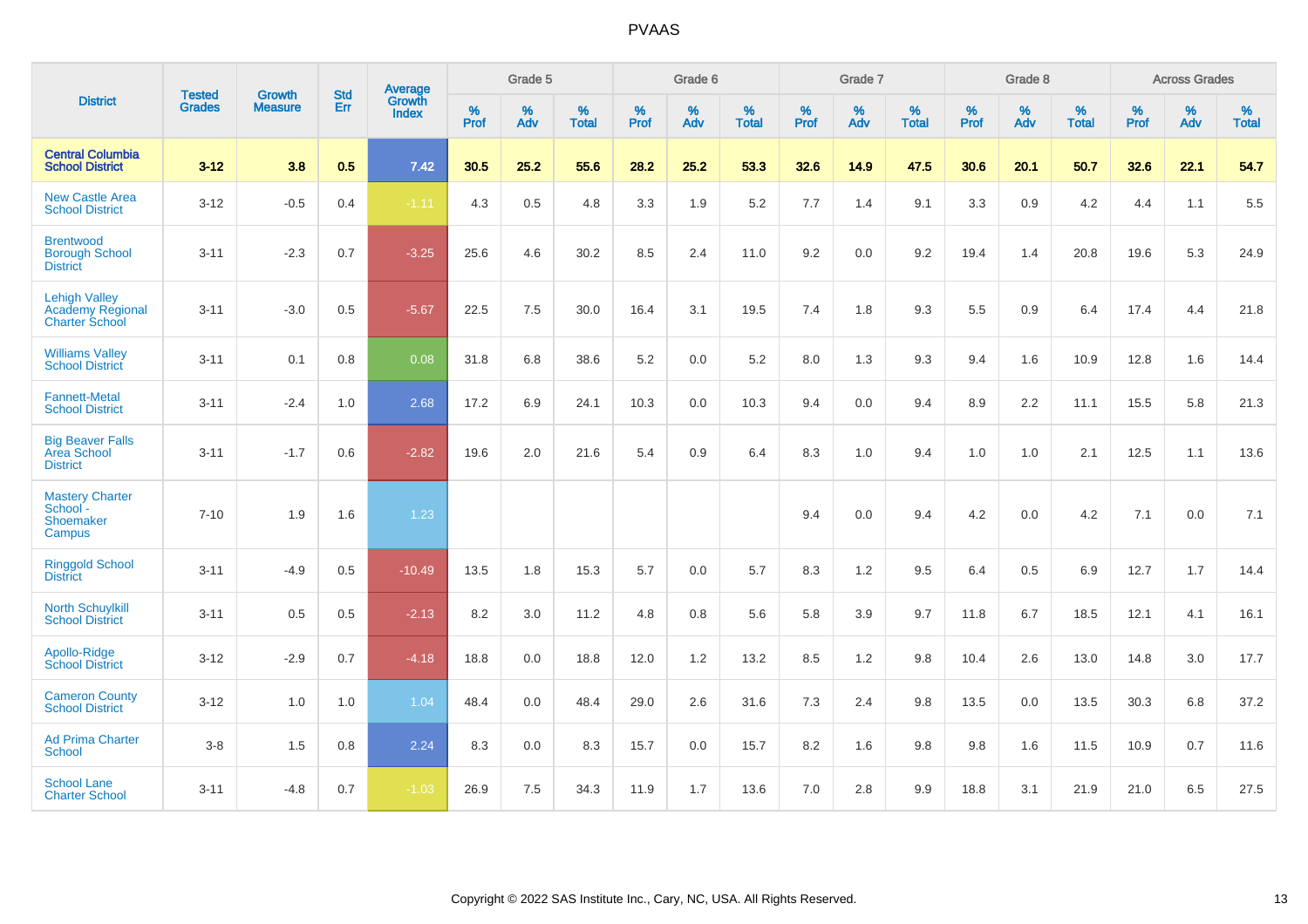|                                                                   | <b>Tested</b> | <b>Growth</b>  | <b>Std</b> | Average                |                     | Grade 5  |                   |                     | Grade 6  |                   |              | Grade 7  |                   |                     | Grade 8  |                   |                     | <b>Across Grades</b> |                   |
|-------------------------------------------------------------------|---------------|----------------|------------|------------------------|---------------------|----------|-------------------|---------------------|----------|-------------------|--------------|----------|-------------------|---------------------|----------|-------------------|---------------------|----------------------|-------------------|
| <b>District</b>                                                   | <b>Grades</b> | <b>Measure</b> | <b>Err</b> | Growth<br><b>Index</b> | $\%$<br><b>Prof</b> | %<br>Adv | %<br><b>Total</b> | $\%$<br><b>Prof</b> | %<br>Adv | %<br><b>Total</b> | $\%$<br>Prof | %<br>Adv | %<br><b>Total</b> | $\%$<br><b>Prof</b> | %<br>Adv | %<br><b>Total</b> | $\%$<br><b>Prof</b> | %<br>Adv             | %<br><b>Total</b> |
| <b>Central Columbia</b><br><b>School District</b>                 | $3 - 12$      | 3.8            | 0.5        | 7.42                   | 30.5                | 25.2     | 55.6              | 28.2                | 25.2     | 53.3              | 32.6         | 14.9     | 47.5              | 30.6                | 20.1     | 50.7              | 32.6                | 22.1                 | 54.7              |
| <b>New Castle Area</b><br><b>School District</b>                  | $3 - 12$      | $-0.5$         | 0.4        | $-1.11$                | 4.3                 | 0.5      | 4.8               | 3.3                 | 1.9      | 5.2               | 7.7          | 1.4      | 9.1               | 3.3                 | 0.9      | 4.2               | 4.4                 | 1.1                  | 5.5               |
| <b>Brentwood</b><br><b>Borough School</b><br><b>District</b>      | $3 - 11$      | $-2.3$         | 0.7        | $-3.25$                | 25.6                | 4.6      | 30.2              | 8.5                 | 2.4      | 11.0              | 9.2          | 0.0      | 9.2               | 19.4                | 1.4      | 20.8              | 19.6                | 5.3                  | 24.9              |
| <b>Lehigh Valley</b><br>Academy Regional<br><b>Charter School</b> | $3 - 11$      | $-3.0$         | 0.5        | $-5.67$                | 22.5                | 7.5      | 30.0              | 16.4                | 3.1      | 19.5              | 7.4          | 1.8      | 9.3               | 5.5                 | 0.9      | 6.4               | 17.4                | 4.4                  | 21.8              |
| <b>Williams Valley</b><br><b>School District</b>                  | $3 - 11$      | 0.1            | 0.8        | 0.08                   | 31.8                | 6.8      | 38.6              | 5.2                 | 0.0      | 5.2               | 8.0          | 1.3      | 9.3               | 9.4                 | 1.6      | 10.9              | 12.8                | 1.6                  | 14.4              |
| <b>Fannett-Metal</b><br><b>School District</b>                    | $3 - 11$      | $-2.4$         | 1.0        | 2.68                   | 17.2                | 6.9      | 24.1              | 10.3                | 0.0      | 10.3              | 9.4          | $0.0\,$  | 9.4               | 8.9                 | 2.2      | 11.1              | 15.5                | 5.8                  | 21.3              |
| <b>Big Beaver Falls</b><br>Area School<br><b>District</b>         | $3 - 11$      | $-1.7$         | 0.6        | $-2.82$                | 19.6                | 2.0      | 21.6              | 5.4                 | 0.9      | 6.4               | 8.3          | 1.0      | 9.4               | 1.0                 | 1.0      | 2.1               | 12.5                | 1.1                  | 13.6              |
| <b>Mastery Charter</b><br>School -<br>Shoemaker<br>Campus         | $7 - 10$      | 1.9            | 1.6        | 1.23                   |                     |          |                   |                     |          |                   | 9.4          | 0.0      | 9.4               | 4.2                 | 0.0      | 4.2               | 7.1                 | 0.0                  | 7.1               |
| <b>Ringgold School</b><br><b>District</b>                         | $3 - 11$      | $-4.9$         | 0.5        | $-10.49$               | 13.5                | 1.8      | 15.3              | 5.7                 | 0.0      | 5.7               | 8.3          | 1.2      | 9.5               | 6.4                 | 0.5      | 6.9               | 12.7                | 1.7                  | 14.4              |
| <b>North Schuylkill</b><br><b>School District</b>                 | $3 - 11$      | 0.5            | 0.5        | $-2.13$                | 8.2                 | 3.0      | 11.2              | 4.8                 | 0.8      | 5.6               | 5.8          | 3.9      | 9.7               | 11.8                | 6.7      | 18.5              | 12.1                | 4.1                  | 16.1              |
| Apollo-Ridge<br><b>School District</b>                            | $3 - 12$      | $-2.9$         | 0.7        | $-4.18$                | 18.8                | 0.0      | 18.8              | 12.0                | 1.2      | 13.2              | 8.5          | 1.2      | 9.8               | 10.4                | 2.6      | 13.0              | 14.8                | 3.0                  | 17.7              |
| <b>Cameron County</b><br><b>School District</b>                   | $3 - 12$      | 1.0            | 1.0        | 1.04                   | 48.4                | 0.0      | 48.4              | 29.0                | 2.6      | 31.6              | 7.3          | 2.4      | 9.8               | 13.5                | 0.0      | 13.5              | 30.3                | 6.8                  | 37.2              |
| <b>Ad Prima Charter</b><br><b>School</b>                          | $3 - 8$       | 1.5            | 0.8        | 2.24                   | 8.3                 | 0.0      | 8.3               | 15.7                | 0.0      | 15.7              | 8.2          | 1.6      | 9.8               | 9.8                 | 1.6      | 11.5              | 10.9                | 0.7                  | 11.6              |
| <b>School Lane</b><br><b>Charter School</b>                       | $3 - 11$      | $-4.8$         | 0.7        | $-1.03$                | 26.9                | 7.5      | 34.3              | 11.9                | 1.7      | 13.6              | 7.0          | 2.8      | 9.9               | 18.8                | 3.1      | 21.9              | 21.0                | 6.5                  | 27.5              |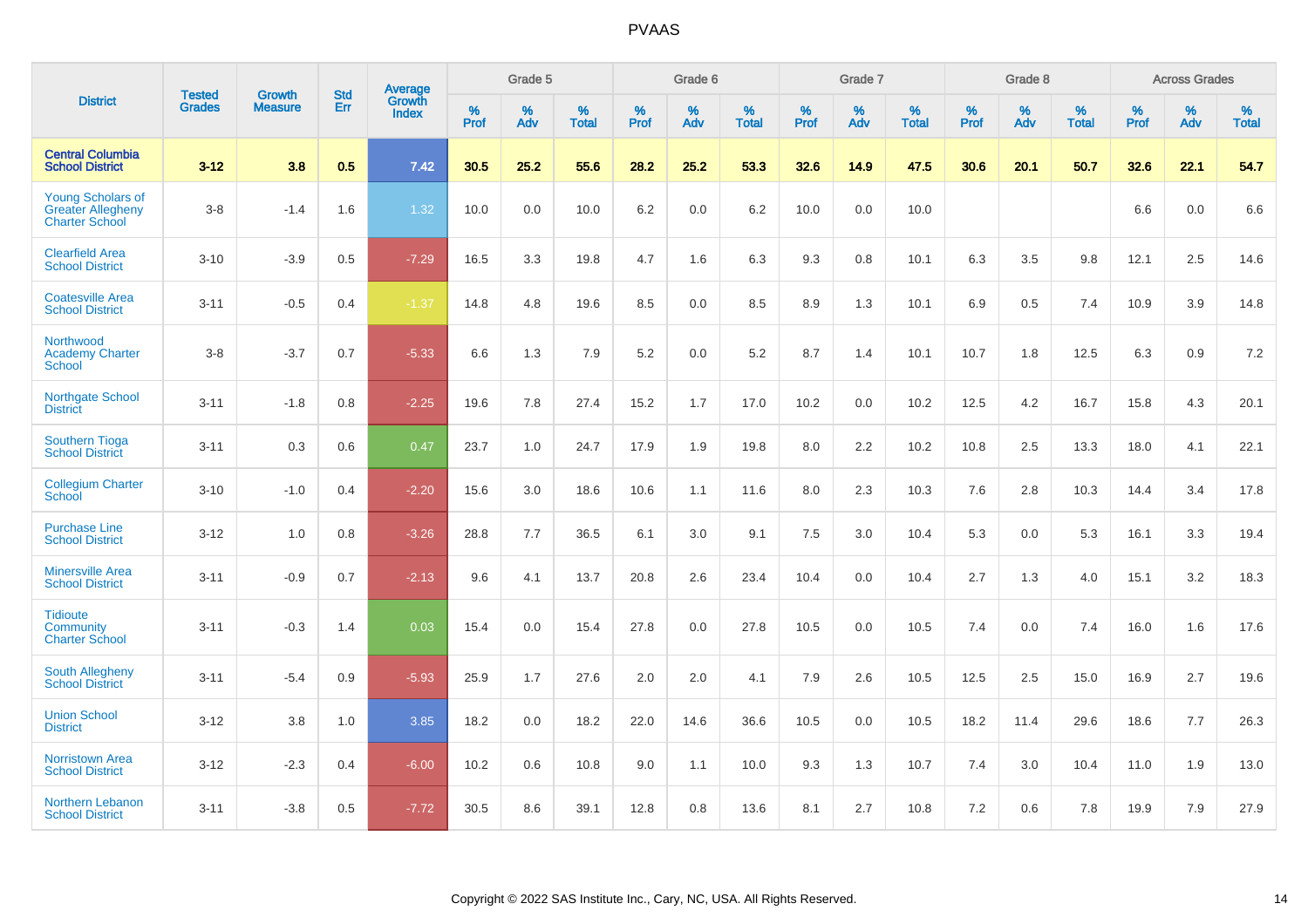|                                                                               |                                |                                 | <b>Std</b> | Average                       |           | Grade 5  |                   |           | Grade 6  |                   |           | Grade 7  |                   |           | Grade 8  |                   |           | <b>Across Grades</b> |                   |
|-------------------------------------------------------------------------------|--------------------------------|---------------------------------|------------|-------------------------------|-----------|----------|-------------------|-----------|----------|-------------------|-----------|----------|-------------------|-----------|----------|-------------------|-----------|----------------------|-------------------|
| <b>District</b>                                                               | <b>Tested</b><br><b>Grades</b> | <b>Growth</b><br><b>Measure</b> | Err        | <b>Growth</b><br><b>Index</b> | %<br>Prof | %<br>Adv | %<br><b>Total</b> | %<br>Prof | %<br>Adv | %<br><b>Total</b> | %<br>Prof | %<br>Adv | %<br><b>Total</b> | %<br>Prof | %<br>Adv | %<br><b>Total</b> | %<br>Prof | %<br>Adv             | %<br><b>Total</b> |
| <b>Central Columbia</b><br><b>School District</b>                             | $3 - 12$                       | 3.8                             | 0.5        | 7.42                          | 30.5      | 25.2     | 55.6              | 28.2      | 25.2     | 53.3              | 32.6      | 14.9     | 47.5              | 30.6      | 20.1     | 50.7              | 32.6      | 22.1                 | 54.7              |
| <b>Young Scholars of</b><br><b>Greater Allegheny</b><br><b>Charter School</b> | $3 - 8$                        | $-1.4$                          | 1.6        | 1.32                          | 10.0      | $0.0\,$  | 10.0              | 6.2       | $0.0\,$  | 6.2               | 10.0      | $0.0\,$  | 10.0              |           |          |                   | 6.6       | $0.0\,$              | 6.6               |
| <b>Clearfield Area</b><br><b>School District</b>                              | $3 - 10$                       | $-3.9$                          | 0.5        | $-7.29$                       | 16.5      | 3.3      | 19.8              | 4.7       | 1.6      | 6.3               | 9.3       | 0.8      | 10.1              | 6.3       | 3.5      | 9.8               | 12.1      | 2.5                  | 14.6              |
| <b>Coatesville Area</b><br><b>School District</b>                             | $3 - 11$                       | $-0.5$                          | 0.4        | $-1.37$                       | 14.8      | 4.8      | 19.6              | 8.5       | 0.0      | 8.5               | 8.9       | 1.3      | 10.1              | 6.9       | 0.5      | 7.4               | 10.9      | 3.9                  | 14.8              |
| Northwood<br><b>Academy Charter</b><br>School                                 | $3 - 8$                        | $-3.7$                          | 0.7        | $-5.33$                       | 6.6       | 1.3      | 7.9               | 5.2       | 0.0      | 5.2               | 8.7       | 1.4      | 10.1              | 10.7      | 1.8      | 12.5              | 6.3       | 0.9                  | 7.2               |
| Northgate School<br><b>District</b>                                           | $3 - 11$                       | $-1.8$                          | 0.8        | $-2.25$                       | 19.6      | 7.8      | 27.4              | 15.2      | 1.7      | 17.0              | 10.2      | 0.0      | 10.2              | 12.5      | 4.2      | 16.7              | 15.8      | 4.3                  | 20.1              |
| <b>Southern Tioga</b><br><b>School District</b>                               | $3 - 11$                       | 0.3                             | 0.6        | 0.47                          | 23.7      | 1.0      | 24.7              | 17.9      | 1.9      | 19.8              | 8.0       | 2.2      | 10.2              | 10.8      | 2.5      | 13.3              | 18.0      | 4.1                  | 22.1              |
| <b>Collegium Charter</b><br>School                                            | $3 - 10$                       | $-1.0$                          | 0.4        | $-2.20$                       | 15.6      | 3.0      | 18.6              | 10.6      | 1.1      | 11.6              | 8.0       | 2.3      | 10.3              | 7.6       | 2.8      | 10.3              | 14.4      | 3.4                  | 17.8              |
| <b>Purchase Line</b><br><b>School District</b>                                | $3 - 12$                       | 1.0                             | 0.8        | $-3.26$                       | 28.8      | 7.7      | 36.5              | 6.1       | 3.0      | 9.1               | 7.5       | 3.0      | 10.4              | 5.3       | 0.0      | 5.3               | 16.1      | 3.3                  | 19.4              |
| <b>Minersville Area</b><br><b>School District</b>                             | $3 - 11$                       | $-0.9$                          | 0.7        | $-2.13$                       | 9.6       | 4.1      | 13.7              | 20.8      | 2.6      | 23.4              | 10.4      | 0.0      | 10.4              | 2.7       | 1.3      | 4.0               | 15.1      | 3.2                  | 18.3              |
| <b>Tidioute</b><br><b>Community</b><br><b>Charter School</b>                  | $3 - 11$                       | $-0.3$                          | 1.4        | 0.03                          | 15.4      | 0.0      | 15.4              | 27.8      | 0.0      | 27.8              | 10.5      | 0.0      | 10.5              | 7.4       | 0.0      | 7.4               | 16.0      | 1.6                  | 17.6              |
| <b>South Allegheny</b><br><b>School District</b>                              | $3 - 11$                       | $-5.4$                          | 0.9        | $-5.93$                       | 25.9      | 1.7      | 27.6              | 2.0       | 2.0      | 4.1               | 7.9       | 2.6      | 10.5              | 12.5      | 2.5      | 15.0              | 16.9      | 2.7                  | 19.6              |
| <b>Union School</b><br><b>District</b>                                        | $3 - 12$                       | 3.8                             | 1.0        | 3.85                          | 18.2      | 0.0      | 18.2              | 22.0      | 14.6     | 36.6              | 10.5      | 0.0      | 10.5              | 18.2      | 11.4     | 29.6              | 18.6      | $7.7\,$              | 26.3              |
| <b>Norristown Area</b><br><b>School District</b>                              | $3 - 12$                       | $-2.3$                          | 0.4        | $-6.00$                       | 10.2      | 0.6      | 10.8              | 9.0       | 1.1      | 10.0              | 9.3       | 1.3      | 10.7              | 7.4       | 3.0      | 10.4              | 11.0      | 1.9                  | 13.0              |
| <b>Northern Lebanon</b><br><b>School District</b>                             | $3 - 11$                       | $-3.8$                          | 0.5        | $-7.72$                       | 30.5      | 8.6      | 39.1              | 12.8      | 0.8      | 13.6              | 8.1       | 2.7      | 10.8              | 7.2       | 0.6      | 7.8               | 19.9      | 7.9                  | 27.9              |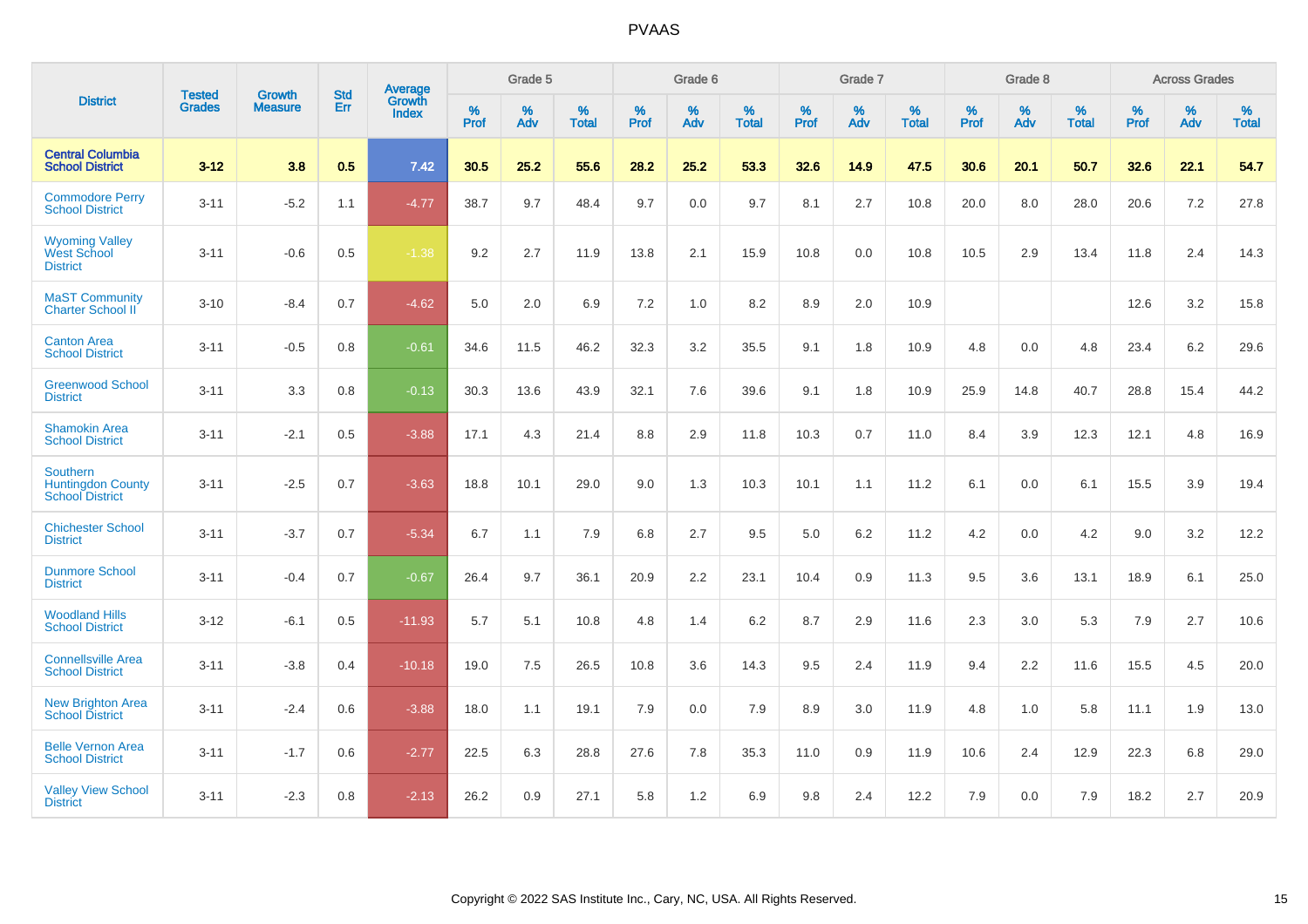|                                                                       | <b>Tested</b> | <b>Growth</b>  | <b>Std</b> | <b>Average</b>  |           | Grade 5  |                   |           | Grade 6  |                   |           | Grade 7  |                   |           | Grade 8  |                   |           | <b>Across Grades</b> |                   |
|-----------------------------------------------------------------------|---------------|----------------|------------|-----------------|-----------|----------|-------------------|-----------|----------|-------------------|-----------|----------|-------------------|-----------|----------|-------------------|-----------|----------------------|-------------------|
| <b>District</b>                                                       | <b>Grades</b> | <b>Measure</b> | Err        | Growth<br>Index | %<br>Prof | %<br>Adv | %<br><b>Total</b> | %<br>Prof | %<br>Adv | %<br><b>Total</b> | %<br>Prof | %<br>Adv | %<br><b>Total</b> | %<br>Prof | %<br>Adv | %<br><b>Total</b> | %<br>Prof | %<br>Adv             | %<br><b>Total</b> |
| <b>Central Columbia</b><br><b>School District</b>                     | $3 - 12$      | 3.8            | 0.5        | 7.42            | 30.5      | 25.2     | 55.6              | 28.2      | 25.2     | 53.3              | 32.6      | 14.9     | 47.5              | 30.6      | 20.1     | 50.7              | 32.6      | 22.1                 | 54.7              |
| <b>Commodore Perry</b><br><b>School District</b>                      | $3 - 11$      | $-5.2$         | 1.1        | $-4.77$         | 38.7      | 9.7      | 48.4              | 9.7       | 0.0      | 9.7               | 8.1       | 2.7      | 10.8              | 20.0      | 8.0      | 28.0              | 20.6      | 7.2                  | 27.8              |
| <b>Wyoming Valley</b><br><b>West School</b><br><b>District</b>        | $3 - 11$      | $-0.6$         | 0.5        | $-1.38$         | 9.2       | 2.7      | 11.9              | 13.8      | 2.1      | 15.9              | 10.8      | 0.0      | 10.8              | 10.5      | 2.9      | 13.4              | 11.8      | 2.4                  | 14.3              |
| <b>MaST Community</b><br><b>Charter School II</b>                     | $3 - 10$      | $-8.4$         | 0.7        | $-4.62$         | 5.0       | 2.0      | 6.9               | 7.2       | 1.0      | 8.2               | 8.9       | 2.0      | 10.9              |           |          |                   | 12.6      | 3.2                  | 15.8              |
| <b>Canton Area</b><br><b>School District</b>                          | $3 - 11$      | $-0.5$         | 0.8        | $-0.61$         | 34.6      | 11.5     | 46.2              | 32.3      | 3.2      | 35.5              | 9.1       | 1.8      | 10.9              | 4.8       | 0.0      | 4.8               | 23.4      | 6.2                  | 29.6              |
| <b>Greenwood School</b><br><b>District</b>                            | $3 - 11$      | 3.3            | $0.8\,$    | $-0.13$         | 30.3      | 13.6     | 43.9              | 32.1      | 7.6      | 39.6              | 9.1       | 1.8      | 10.9              | 25.9      | 14.8     | 40.7              | 28.8      | 15.4                 | 44.2              |
| <b>Shamokin Area</b><br><b>School District</b>                        | $3 - 11$      | $-2.1$         | 0.5        | $-3.88$         | 17.1      | 4.3      | 21.4              | 8.8       | 2.9      | 11.8              | 10.3      | 0.7      | 11.0              | 8.4       | 3.9      | 12.3              | 12.1      | 4.8                  | 16.9              |
| <b>Southern</b><br><b>Huntingdon County</b><br><b>School District</b> | $3 - 11$      | $-2.5$         | 0.7        | $-3.63$         | 18.8      | 10.1     | 29.0              | 9.0       | 1.3      | 10.3              | 10.1      | 1.1      | 11.2              | 6.1       | 0.0      | 6.1               | 15.5      | 3.9                  | 19.4              |
| <b>Chichester School</b><br><b>District</b>                           | $3 - 11$      | $-3.7$         | 0.7        | $-5.34$         | 6.7       | 1.1      | 7.9               | 6.8       | 2.7      | 9.5               | 5.0       | 6.2      | 11.2              | 4.2       | 0.0      | 4.2               | 9.0       | 3.2                  | 12.2              |
| <b>Dunmore School</b><br><b>District</b>                              | $3 - 11$      | $-0.4$         | 0.7        | $-0.67$         | 26.4      | 9.7      | 36.1              | 20.9      | 2.2      | 23.1              | 10.4      | 0.9      | 11.3              | 9.5       | 3.6      | 13.1              | 18.9      | 6.1                  | 25.0              |
| <b>Woodland Hills</b><br><b>School District</b>                       | $3 - 12$      | $-6.1$         | 0.5        | $-11.93$        | 5.7       | 5.1      | 10.8              | 4.8       | 1.4      | 6.2               | 8.7       | 2.9      | 11.6              | 2.3       | 3.0      | 5.3               | 7.9       | 2.7                  | 10.6              |
| <b>Connellsville Area</b><br><b>School District</b>                   | $3 - 11$      | $-3.8$         | 0.4        | $-10.18$        | 19.0      | 7.5      | 26.5              | 10.8      | 3.6      | 14.3              | 9.5       | 2.4      | 11.9              | 9.4       | 2.2      | 11.6              | 15.5      | 4.5                  | 20.0              |
| New Brighton Area<br><b>School District</b>                           | $3 - 11$      | $-2.4$         | 0.6        | $-3.88$         | 18.0      | 1.1      | 19.1              | 7.9       | 0.0      | 7.9               | 8.9       | 3.0      | 11.9              | 4.8       | 1.0      | 5.8               | 11.1      | 1.9                  | 13.0              |
| <b>Belle Vernon Area</b><br><b>School District</b>                    | $3 - 11$      | $-1.7$         | 0.6        | $-2.77$         | 22.5      | 6.3      | 28.8              | 27.6      | 7.8      | 35.3              | 11.0      | 0.9      | 11.9              | 10.6      | 2.4      | 12.9              | 22.3      | 6.8                  | 29.0              |
| <b>Valley View School</b><br><b>District</b>                          | $3 - 11$      | $-2.3$         | 0.8        | $-2.13$         | 26.2      | 0.9      | 27.1              | 5.8       | 1.2      | 6.9               | 9.8       | 2.4      | 12.2              | 7.9       | 0.0      | 7.9               | 18.2      | 2.7                  | 20.9              |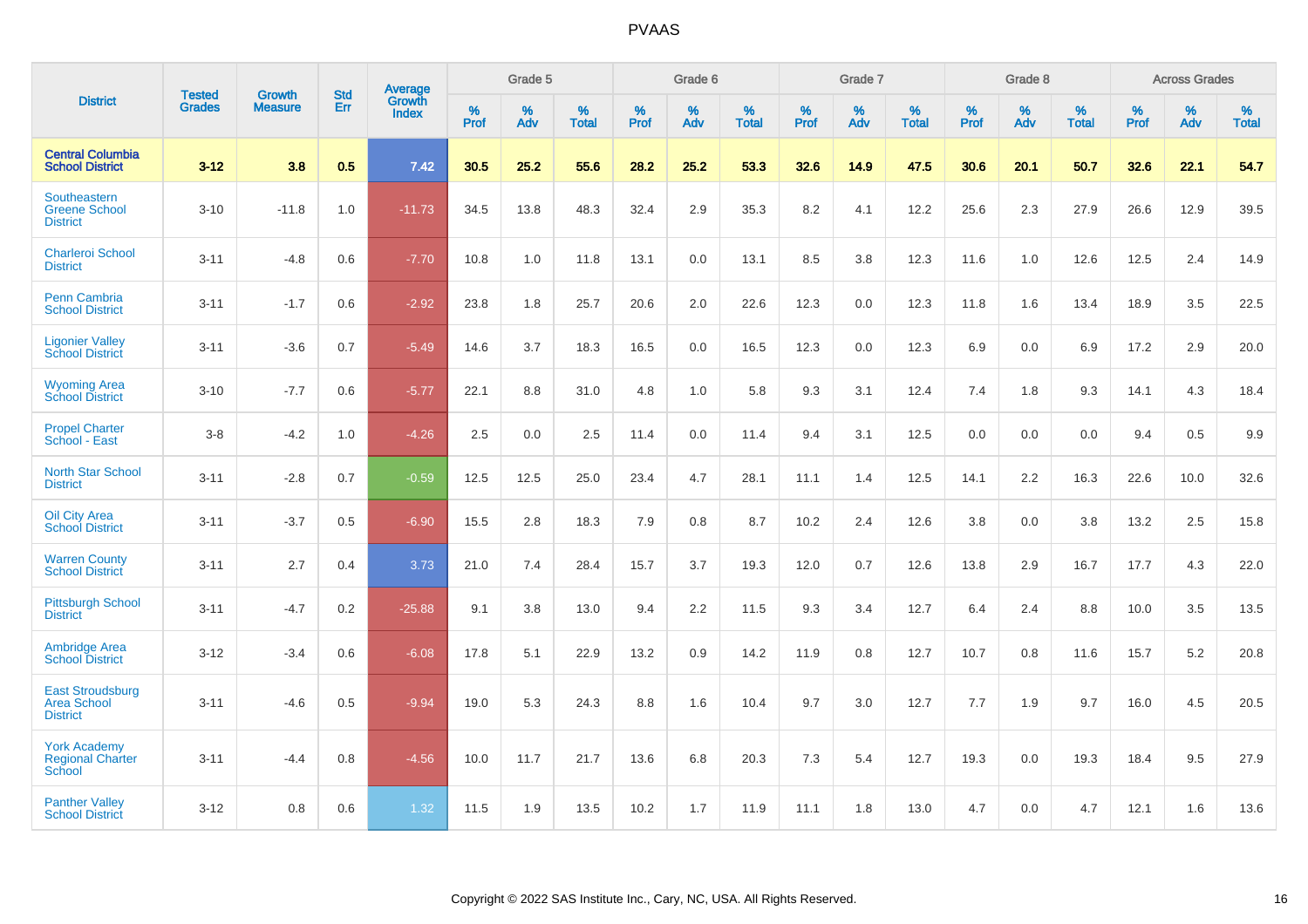|                                                           |                                |                                 | <b>Std</b> | Average                       |           | Grade 5  |                   |           | Grade 6  |                   |           | Grade 7  |                   |           | Grade 8  |                   |           | <b>Across Grades</b> |                   |
|-----------------------------------------------------------|--------------------------------|---------------------------------|------------|-------------------------------|-----------|----------|-------------------|-----------|----------|-------------------|-----------|----------|-------------------|-----------|----------|-------------------|-----------|----------------------|-------------------|
| <b>District</b>                                           | <b>Tested</b><br><b>Grades</b> | <b>Growth</b><br><b>Measure</b> | Err        | <b>Growth</b><br><b>Index</b> | %<br>Prof | %<br>Adv | %<br><b>Total</b> | %<br>Prof | %<br>Adv | %<br><b>Total</b> | %<br>Prof | %<br>Adv | %<br><b>Total</b> | %<br>Prof | %<br>Adv | %<br><b>Total</b> | %<br>Prof | %<br>Adv             | %<br><b>Total</b> |
| <b>Central Columbia</b><br><b>School District</b>         | $3 - 12$                       | 3.8                             | 0.5        | 7.42                          | 30.5      | 25.2     | 55.6              | 28.2      | 25.2     | 53.3              | 32.6      | 14.9     | 47.5              | 30.6      | 20.1     | 50.7              | 32.6      | 22.1                 | 54.7              |
| Southeastern<br><b>Greene School</b><br><b>District</b>   | $3 - 10$                       | $-11.8$                         | 1.0        | $-11.73$                      | 34.5      | 13.8     | 48.3              | 32.4      | 2.9      | 35.3              | 8.2       | 4.1      | 12.2              | 25.6      | 2.3      | 27.9              | 26.6      | 12.9                 | 39.5              |
| <b>Charleroi School</b><br><b>District</b>                | $3 - 11$                       | $-4.8$                          | 0.6        | $-7.70$                       | 10.8      | 1.0      | 11.8              | 13.1      | 0.0      | 13.1              | 8.5       | 3.8      | 12.3              | 11.6      | 1.0      | 12.6              | 12.5      | 2.4                  | 14.9              |
| Penn Cambria<br><b>School District</b>                    | $3 - 11$                       | $-1.7$                          | 0.6        | $-2.92$                       | 23.8      | 1.8      | 25.7              | 20.6      | 2.0      | 22.6              | 12.3      | 0.0      | 12.3              | 11.8      | 1.6      | 13.4              | 18.9      | 3.5                  | 22.5              |
| <b>Ligonier Valley</b><br><b>School District</b>          | $3 - 11$                       | $-3.6$                          | 0.7        | $-5.49$                       | 14.6      | 3.7      | 18.3              | 16.5      | 0.0      | 16.5              | 12.3      | 0.0      | 12.3              | 6.9       | 0.0      | 6.9               | 17.2      | 2.9                  | 20.0              |
| <b>Wyoming Area</b><br><b>School District</b>             | $3 - 10$                       | $-7.7$                          | 0.6        | $-5.77$                       | 22.1      | 8.8      | 31.0              | 4.8       | 1.0      | 5.8               | 9.3       | 3.1      | 12.4              | 7.4       | 1.8      | 9.3               | 14.1      | 4.3                  | 18.4              |
| <b>Propel Charter</b><br>School - East                    | $3 - 8$                        | $-4.2$                          | 1.0        | $-4.26$                       | 2.5       | 0.0      | 2.5               | 11.4      | 0.0      | 11.4              | 9.4       | 3.1      | 12.5              | 0.0       | 0.0      | 0.0               | 9.4       | 0.5                  | 9.9               |
| <b>North Star School</b><br><b>District</b>               | $3 - 11$                       | $-2.8$                          | 0.7        | $-0.59$                       | 12.5      | 12.5     | 25.0              | 23.4      | 4.7      | 28.1              | 11.1      | 1.4      | 12.5              | 14.1      | 2.2      | 16.3              | 22.6      | 10.0                 | 32.6              |
| <b>Oil City Area</b><br><b>School District</b>            | $3 - 11$                       | $-3.7$                          | 0.5        | $-6.90$                       | 15.5      | 2.8      | 18.3              | 7.9       | 0.8      | 8.7               | 10.2      | 2.4      | 12.6              | 3.8       | 0.0      | 3.8               | 13.2      | 2.5                  | 15.8              |
| <b>Warren County</b><br><b>School District</b>            | $3 - 11$                       | 2.7                             | 0.4        | 3.73                          | 21.0      | 7.4      | 28.4              | 15.7      | 3.7      | 19.3              | 12.0      | 0.7      | 12.6              | 13.8      | 2.9      | 16.7              | 17.7      | 4.3                  | 22.0              |
| <b>Pittsburgh School</b><br><b>District</b>               | $3 - 11$                       | $-4.7$                          | 0.2        | $-25.88$                      | 9.1       | 3.8      | 13.0              | 9.4       | $2.2\,$  | 11.5              | 9.3       | 3.4      | 12.7              | 6.4       | 2.4      | 8.8               | 10.0      | $3.5\,$              | 13.5              |
| <b>Ambridge Area</b><br><b>School District</b>            | $3 - 12$                       | $-3.4$                          | 0.6        | $-6.08$                       | 17.8      | 5.1      | 22.9              | 13.2      | 0.9      | 14.2              | 11.9      | 0.8      | 12.7              | 10.7      | 0.8      | 11.6              | 15.7      | 5.2                  | 20.8              |
| <b>East Stroudsburg</b><br>Area School<br><b>District</b> | $3 - 11$                       | $-4.6$                          | 0.5        | $-9.94$                       | 19.0      | 5.3      | 24.3              | 8.8       | 1.6      | 10.4              | 9.7       | 3.0      | 12.7              | 7.7       | 1.9      | 9.7               | 16.0      | 4.5                  | 20.5              |
| <b>York Academy</b><br><b>Regional Charter</b><br>School  | $3 - 11$                       | $-4.4$                          | 0.8        | $-4.56$                       | 10.0      | 11.7     | 21.7              | 13.6      | 6.8      | 20.3              | 7.3       | 5.4      | 12.7              | 19.3      | 0.0      | 19.3              | 18.4      | 9.5                  | 27.9              |
| <b>Panther Valley</b><br><b>School District</b>           | $3 - 12$                       | 0.8                             | 0.6        | 1.32                          | 11.5      | 1.9      | 13.5              | 10.2      | 1.7      | 11.9              | 11.1      | 1.8      | 13.0              | 4.7       | 0.0      | 4.7               | 12.1      | 1.6                  | 13.6              |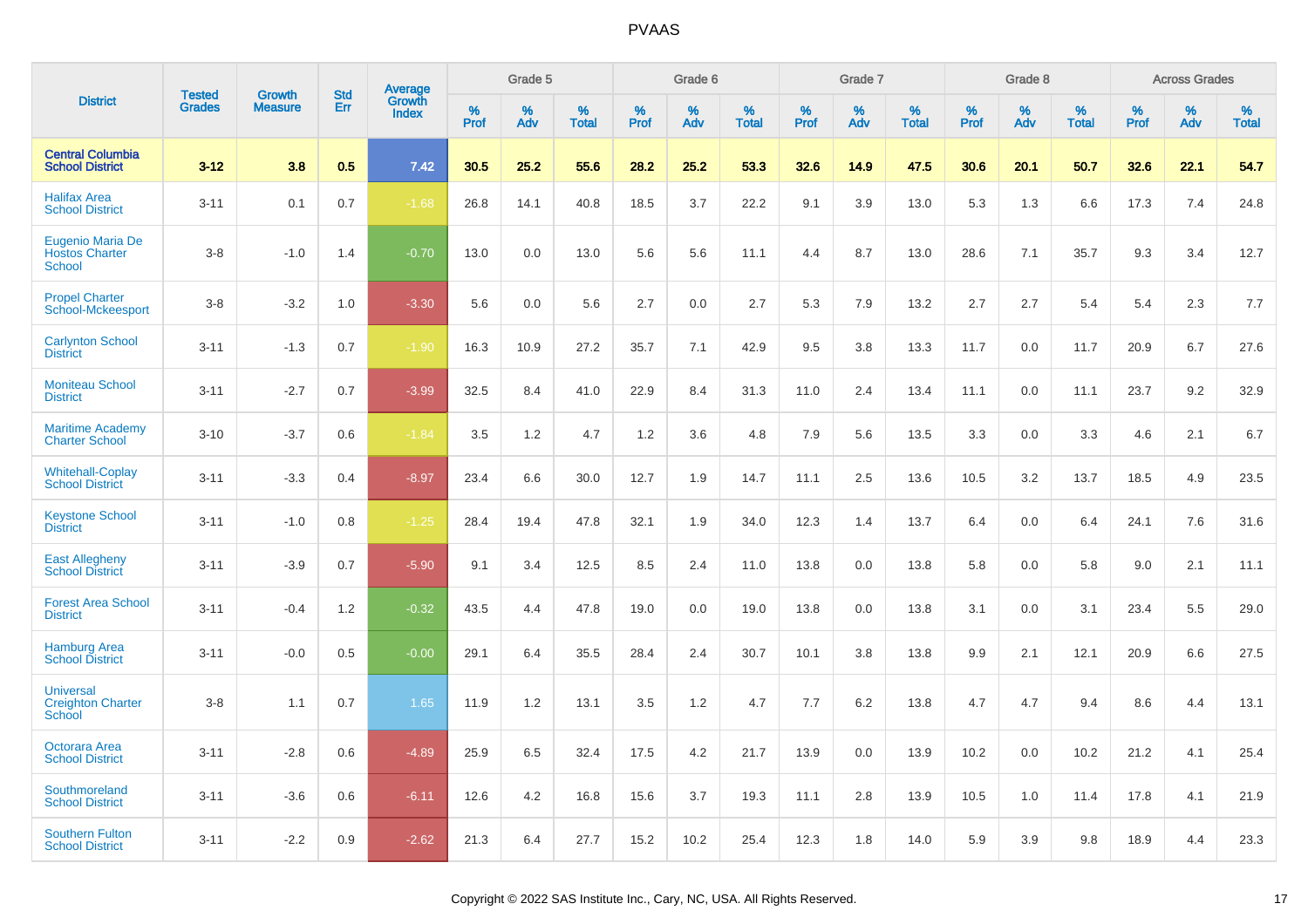|                                                        | <b>Tested</b> | <b>Growth</b>  | <b>Std</b> | Average                |              | Grade 5  |                   |              | Grade 6  |                   |              | Grade 7  |                   |              | Grade 8  |                   |              | <b>Across Grades</b> |                   |
|--------------------------------------------------------|---------------|----------------|------------|------------------------|--------------|----------|-------------------|--------------|----------|-------------------|--------------|----------|-------------------|--------------|----------|-------------------|--------------|----------------------|-------------------|
| <b>District</b>                                        | <b>Grades</b> | <b>Measure</b> | Err        | Growth<br><b>Index</b> | $\%$<br>Prof | %<br>Adv | %<br><b>Total</b> | $\%$<br>Prof | %<br>Adv | %<br><b>Total</b> | $\%$<br>Prof | %<br>Adv | %<br><b>Total</b> | $\%$<br>Prof | %<br>Adv | %<br><b>Total</b> | $\%$<br>Prof | %<br>Adv             | %<br><b>Total</b> |
| <b>Central Columbia</b><br><b>School District</b>      | $3 - 12$      | 3.8            | 0.5        | 7.42                   | 30.5         | 25.2     | 55.6              | 28.2         | 25.2     | 53.3              | 32.6         | 14.9     | 47.5              | 30.6         | 20.1     | 50.7              | 32.6         | 22.1                 | 54.7              |
| <b>Halifax Area</b><br><b>School District</b>          | $3 - 11$      | 0.1            | 0.7        | $-1.68$                | 26.8         | 14.1     | 40.8              | 18.5         | 3.7      | 22.2              | 9.1          | 3.9      | 13.0              | 5.3          | 1.3      | 6.6               | 17.3         | 7.4                  | 24.8              |
| Eugenio Maria De<br><b>Hostos Charter</b><br>School    | $3 - 8$       | $-1.0$         | 1.4        | $-0.70$                | 13.0         | 0.0      | 13.0              | 5.6          | 5.6      | 11.1              | 4.4          | 8.7      | 13.0              | 28.6         | 7.1      | 35.7              | 9.3          | 3.4                  | 12.7              |
| <b>Propel Charter</b><br>School-Mckeesport             | $3 - 8$       | $-3.2$         | 1.0        | $-3.30$                | 5.6          | 0.0      | 5.6               | 2.7          | 0.0      | 2.7               | 5.3          | 7.9      | 13.2              | 2.7          | 2.7      | 5.4               | 5.4          | 2.3                  | 7.7               |
| <b>Carlynton School</b><br><b>District</b>             | $3 - 11$      | $-1.3$         | 0.7        | $-1.90$                | 16.3         | 10.9     | 27.2              | 35.7         | 7.1      | 42.9              | 9.5          | 3.8      | 13.3              | 11.7         | 0.0      | 11.7              | 20.9         | 6.7                  | 27.6              |
| <b>Moniteau School</b><br><b>District</b>              | $3 - 11$      | $-2.7$         | 0.7        | $-3.99$                | 32.5         | 8.4      | 41.0              | 22.9         | 8.4      | 31.3              | 11.0         | 2.4      | 13.4              | 11.1         | 0.0      | 11.1              | 23.7         | 9.2                  | 32.9              |
| <b>Maritime Academy</b><br><b>Charter School</b>       | $3 - 10$      | $-3.7$         | 0.6        | $-1.84$                | 3.5          | 1.2      | 4.7               | 1.2          | 3.6      | 4.8               | 7.9          | 5.6      | 13.5              | 3.3          | 0.0      | 3.3               | 4.6          | 2.1                  | 6.7               |
| <b>Whitehall-Coplay</b><br><b>School District</b>      | $3 - 11$      | $-3.3$         | 0.4        | $-8.97$                | 23.4         | 6.6      | 30.0              | 12.7         | 1.9      | 14.7              | 11.1         | 2.5      | 13.6              | 10.5         | 3.2      | 13.7              | 18.5         | 4.9                  | 23.5              |
| <b>Keystone School</b><br><b>District</b>              | $3 - 11$      | $-1.0$         | 0.8        | $-1.25$                | 28.4         | 19.4     | 47.8              | 32.1         | 1.9      | 34.0              | 12.3         | 1.4      | 13.7              | 6.4          | 0.0      | 6.4               | 24.1         | 7.6                  | 31.6              |
| <b>East Allegheny</b><br><b>School District</b>        | $3 - 11$      | $-3.9$         | 0.7        | $-5.90$                | 9.1          | 3.4      | 12.5              | 8.5          | 2.4      | 11.0              | 13.8         | 0.0      | 13.8              | 5.8          | 0.0      | 5.8               | 9.0          | 2.1                  | 11.1              |
| <b>Forest Area School</b><br><b>District</b>           | $3 - 11$      | $-0.4$         | 1.2        | $-0.32$                | 43.5         | 4.4      | 47.8              | 19.0         | 0.0      | 19.0              | 13.8         | 0.0      | 13.8              | 3.1          | 0.0      | 3.1               | 23.4         | 5.5                  | 29.0              |
| <b>Hamburg Area</b><br><b>School District</b>          | $3 - 11$      | $-0.0$         | 0.5        | $-0.00$                | 29.1         | 6.4      | 35.5              | 28.4         | 2.4      | 30.7              | 10.1         | 3.8      | 13.8              | 9.9          | 2.1      | 12.1              | 20.9         | 6.6                  | 27.5              |
| <b>Universal</b><br><b>Creighton Charter</b><br>School | $3 - 8$       | 1.1            | 0.7        | 1.65                   | 11.9         | 1.2      | 13.1              | 3.5          | 1.2      | 4.7               | 7.7          | 6.2      | 13.8              | 4.7          | 4.7      | 9.4               | 8.6          | 4.4                  | 13.1              |
| Octorara Area<br><b>School District</b>                | $3 - 11$      | $-2.8$         | 0.6        | $-4.89$                | 25.9         | 6.5      | 32.4              | 17.5         | 4.2      | 21.7              | 13.9         | 0.0      | 13.9              | 10.2         | 0.0      | 10.2              | 21.2         | 4.1                  | 25.4              |
| Southmoreland<br><b>School District</b>                | $3 - 11$      | $-3.6$         | 0.6        | $-6.11$                | 12.6         | 4.2      | 16.8              | 15.6         | 3.7      | 19.3              | 11.1         | 2.8      | 13.9              | 10.5         | 1.0      | 11.4              | 17.8         | 4.1                  | 21.9              |
| <b>Southern Fulton</b><br><b>School District</b>       | $3 - 11$      | $-2.2$         | 0.9        | $-2.62$                | 21.3         | 6.4      | 27.7              | 15.2         | 10.2     | 25.4              | 12.3         | 1.8      | 14.0              | 5.9          | 3.9      | 9.8               | 18.9         | 4.4                  | 23.3              |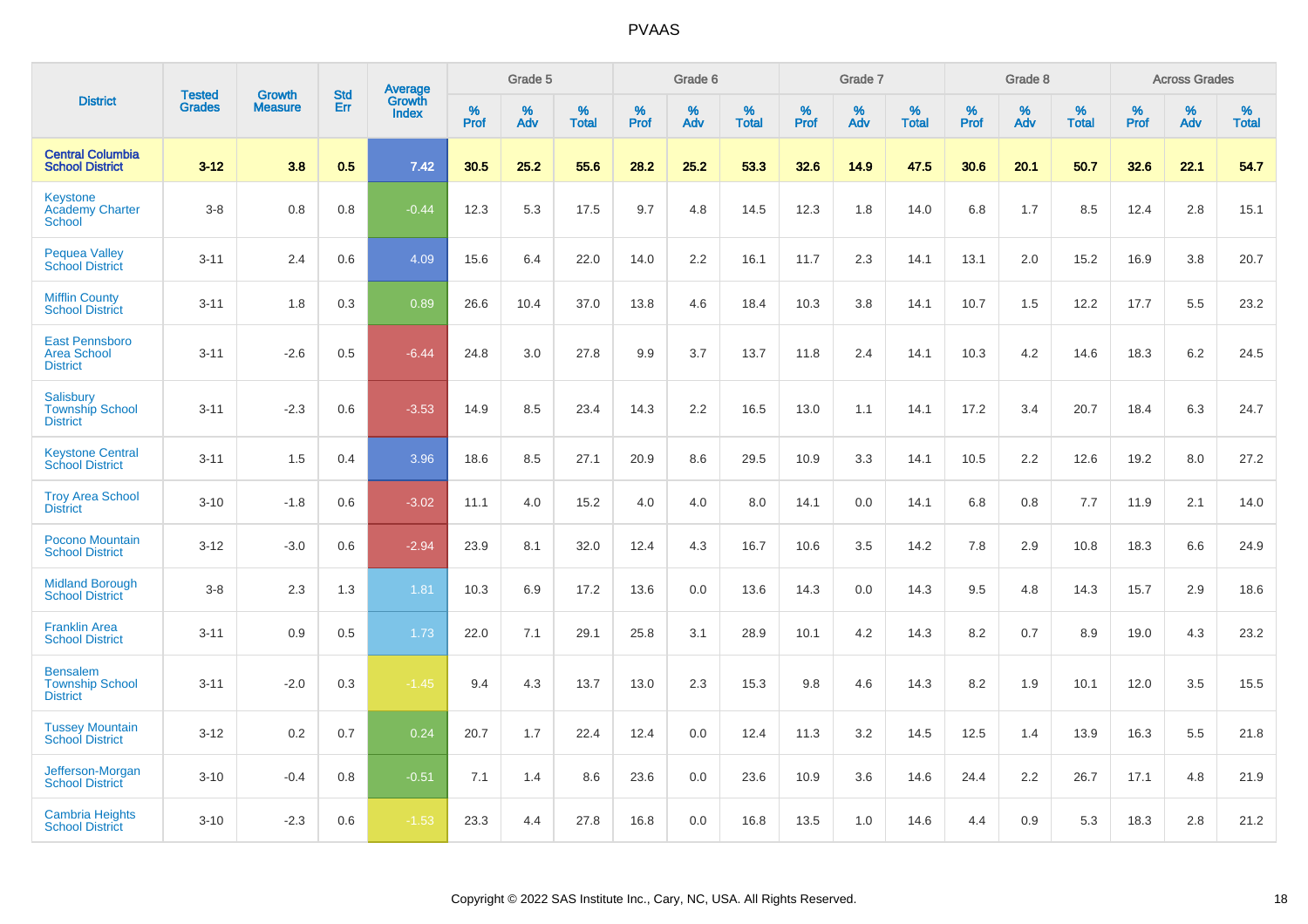|                                                                |                                | <b>Growth</b>  | <b>Std</b> | Average<br>Growth |              | Grade 5  |                   |              | Grade 6  |                   |              | Grade 7  |                      |              | Grade 8  |                   |              | <b>Across Grades</b> |                   |
|----------------------------------------------------------------|--------------------------------|----------------|------------|-------------------|--------------|----------|-------------------|--------------|----------|-------------------|--------------|----------|----------------------|--------------|----------|-------------------|--------------|----------------------|-------------------|
| <b>District</b>                                                | <b>Tested</b><br><b>Grades</b> | <b>Measure</b> | <b>Err</b> | Index             | $\%$<br>Prof | %<br>Adv | %<br><b>Total</b> | $\%$<br>Prof | %<br>Adv | %<br><b>Total</b> | $\%$<br>Prof | %<br>Adv | $\%$<br><b>Total</b> | $\%$<br>Prof | %<br>Adv | %<br><b>Total</b> | $\%$<br>Prof | %<br>Adv             | %<br><b>Total</b> |
| <b>Central Columbia</b><br><b>School District</b>              | $3 - 12$                       | 3.8            | 0.5        | 7.42              | 30.5         | 25.2     | 55.6              | 28.2         | 25.2     | 53.3              | 32.6         | 14.9     | 47.5                 | 30.6         | 20.1     | 50.7              | 32.6         | 22.1                 | 54.7              |
| <b>Keystone</b><br><b>Academy Charter</b><br>School            | $3 - 8$                        | 0.8            | 0.8        | $-0.44$           | 12.3         | 5.3      | 17.5              | 9.7          | 4.8      | 14.5              | 12.3         | 1.8      | 14.0                 | 6.8          | 1.7      | 8.5               | 12.4         | 2.8                  | 15.1              |
| <b>Pequea Valley</b><br><b>School District</b>                 | $3 - 11$                       | 2.4            | 0.6        | 4.09              | 15.6         | 6.4      | 22.0              | 14.0         | 2.2      | 16.1              | 11.7         | 2.3      | 14.1                 | 13.1         | 2.0      | 15.2              | 16.9         | 3.8                  | 20.7              |
| <b>Mifflin County</b><br><b>School District</b>                | $3 - 11$                       | 1.8            | 0.3        | 0.89              | 26.6         | 10.4     | 37.0              | 13.8         | 4.6      | 18.4              | 10.3         | 3.8      | 14.1                 | 10.7         | 1.5      | 12.2              | 17.7         | 5.5                  | 23.2              |
| <b>East Pennsboro</b><br><b>Area School</b><br><b>District</b> | $3 - 11$                       | $-2.6$         | 0.5        | $-6.44$           | 24.8         | 3.0      | 27.8              | 9.9          | 3.7      | 13.7              | 11.8         | 2.4      | 14.1                 | 10.3         | 4.2      | 14.6              | 18.3         | 6.2                  | 24.5              |
| <b>Salisbury</b><br><b>Township School</b><br><b>District</b>  | $3 - 11$                       | $-2.3$         | 0.6        | $-3.53$           | 14.9         | 8.5      | 23.4              | 14.3         | 2.2      | 16.5              | 13.0         | 1.1      | 14.1                 | 17.2         | 3.4      | 20.7              | 18.4         | 6.3                  | 24.7              |
| <b>Keystone Central</b><br><b>School District</b>              | $3 - 11$                       | 1.5            | 0.4        | 3.96              | 18.6         | 8.5      | 27.1              | 20.9         | 8.6      | 29.5              | 10.9         | 3.3      | 14.1                 | 10.5         | 2.2      | 12.6              | 19.2         | 8.0                  | 27.2              |
| <b>Troy Area School</b><br><b>District</b>                     | $3 - 10$                       | $-1.8$         | 0.6        | $-3.02$           | 11.1         | 4.0      | 15.2              | 4.0          | 4.0      | 8.0               | 14.1         | 0.0      | 14.1                 | 6.8          | 0.8      | 7.7               | 11.9         | 2.1                  | 14.0              |
| Pocono Mountain<br><b>School District</b>                      | $3 - 12$                       | $-3.0$         | 0.6        | $-2.94$           | 23.9         | 8.1      | 32.0              | 12.4         | 4.3      | 16.7              | 10.6         | 3.5      | 14.2                 | 7.8          | 2.9      | 10.8              | 18.3         | 6.6                  | 24.9              |
| <b>Midland Borough</b><br><b>School District</b>               | $3 - 8$                        | 2.3            | 1.3        | 1.81              | 10.3         | 6.9      | 17.2              | 13.6         | 0.0      | 13.6              | 14.3         | 0.0      | 14.3                 | 9.5          | 4.8      | 14.3              | 15.7         | 2.9                  | 18.6              |
| <b>Franklin Area</b><br><b>School District</b>                 | $3 - 11$                       | 0.9            | 0.5        | 1.73              | 22.0         | 7.1      | 29.1              | 25.8         | 3.1      | 28.9              | 10.1         | 4.2      | 14.3                 | 8.2          | 0.7      | 8.9               | 19.0         | 4.3                  | 23.2              |
| <b>Bensalem</b><br><b>Township School</b><br><b>District</b>   | $3 - 11$                       | $-2.0$         | 0.3        | $-1.45$           | 9.4          | 4.3      | 13.7              | 13.0         | 2.3      | 15.3              | 9.8          | 4.6      | 14.3                 | 8.2          | 1.9      | 10.1              | 12.0         | 3.5                  | 15.5              |
| <b>Tussey Mountain</b><br><b>School District</b>               | $3 - 12$                       | 0.2            | 0.7        | 0.24              | 20.7         | 1.7      | 22.4              | 12.4         | 0.0      | 12.4              | 11.3         | 3.2      | 14.5                 | 12.5         | 1.4      | 13.9              | 16.3         | 5.5                  | 21.8              |
| Jefferson-Morgan<br><b>School District</b>                     | $3 - 10$                       | $-0.4$         | 0.8        | $-0.51$           | 7.1          | 1.4      | 8.6               | 23.6         | 0.0      | 23.6              | 10.9         | 3.6      | 14.6                 | 24.4         | 2.2      | 26.7              | 17.1         | 4.8                  | 21.9              |
| Cambria Heights<br><b>School District</b>                      | $3 - 10$                       | $-2.3$         | 0.6        | $-1.53$           | 23.3         | 4.4      | 27.8              | 16.8         | 0.0      | 16.8              | 13.5         | 1.0      | 14.6                 | 4.4          | 0.9      | 5.3               | 18.3         | 2.8                  | 21.2              |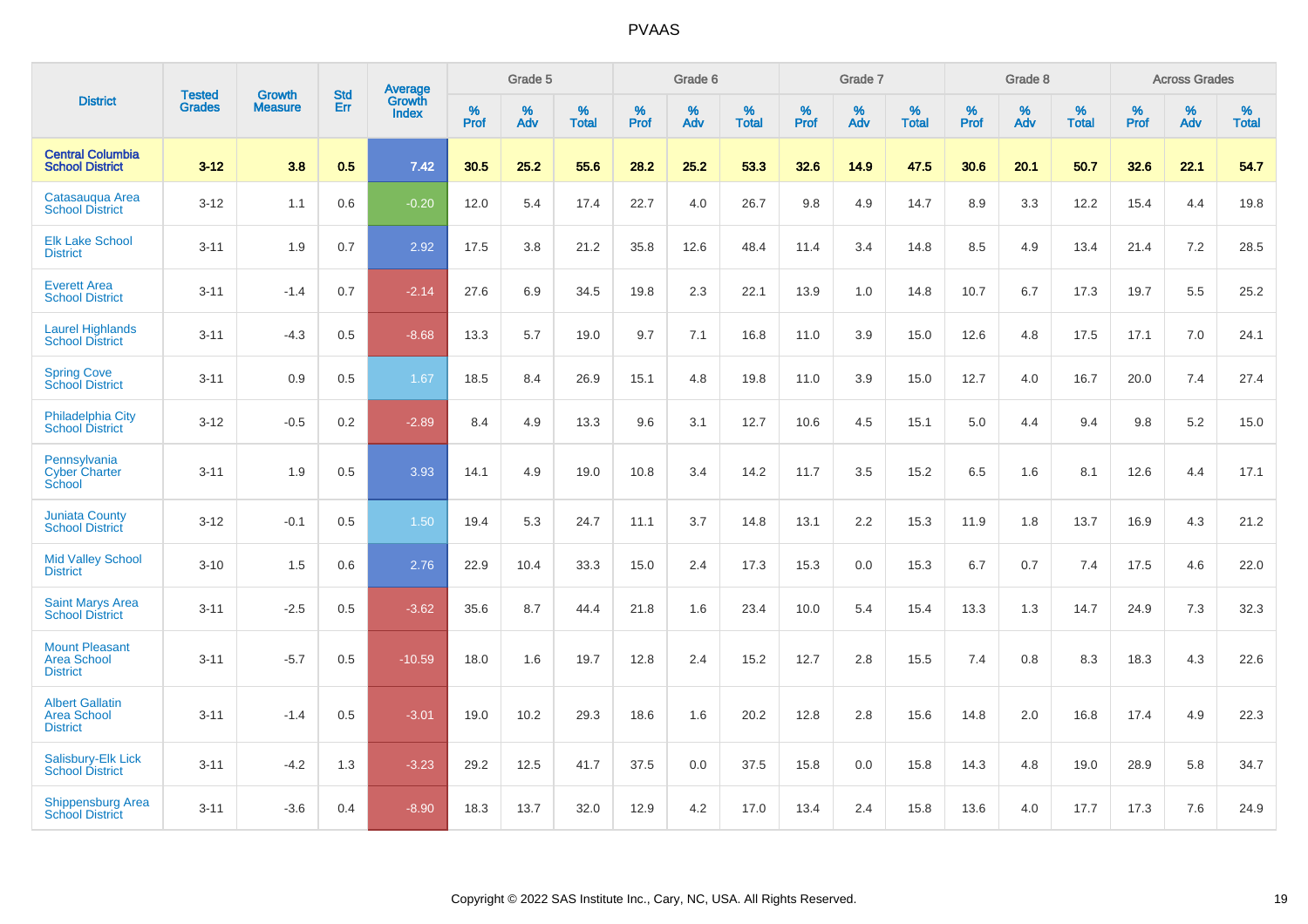|                                                                 |                                |                                 | <b>Std</b> | Average                       |           | Grade 5  |                   |           | Grade 6  |                   |           | Grade 7  |                   |           | Grade 8  |                   |           | <b>Across Grades</b> |                   |
|-----------------------------------------------------------------|--------------------------------|---------------------------------|------------|-------------------------------|-----------|----------|-------------------|-----------|----------|-------------------|-----------|----------|-------------------|-----------|----------|-------------------|-----------|----------------------|-------------------|
| <b>District</b>                                                 | <b>Tested</b><br><b>Grades</b> | <b>Growth</b><br><b>Measure</b> | Err        | <b>Growth</b><br><b>Index</b> | %<br>Prof | %<br>Adv | %<br><b>Total</b> | %<br>Prof | %<br>Adv | %<br><b>Total</b> | %<br>Prof | %<br>Adv | %<br><b>Total</b> | %<br>Prof | %<br>Adv | %<br><b>Total</b> | %<br>Prof | %<br>Adv             | %<br><b>Total</b> |
| <b>Central Columbia</b><br><b>School District</b>               | $3 - 12$                       | 3.8                             | 0.5        | 7.42                          | 30.5      | 25.2     | 55.6              | 28.2      | 25.2     | 53.3              | 32.6      | 14.9     | 47.5              | 30.6      | 20.1     | 50.7              | 32.6      | 22.1                 | 54.7              |
| Catasaugua Area<br><b>School District</b>                       | $3 - 12$                       | 1.1                             | 0.6        | $-0.20$                       | 12.0      | 5.4      | 17.4              | 22.7      | 4.0      | 26.7              | 9.8       | 4.9      | 14.7              | 8.9       | 3.3      | 12.2              | 15.4      | 4.4                  | 19.8              |
| <b>Elk Lake School</b><br><b>District</b>                       | $3 - 11$                       | 1.9                             | 0.7        | 2.92                          | 17.5      | 3.8      | 21.2              | 35.8      | 12.6     | 48.4              | 11.4      | 3.4      | 14.8              | 8.5       | 4.9      | 13.4              | 21.4      | 7.2                  | 28.5              |
| <b>Everett Area</b><br><b>School District</b>                   | $3 - 11$                       | $-1.4$                          | 0.7        | $-2.14$                       | 27.6      | 6.9      | 34.5              | 19.8      | 2.3      | 22.1              | 13.9      | 1.0      | 14.8              | 10.7      | 6.7      | 17.3              | 19.7      | 5.5                  | 25.2              |
| <b>Laurel Highlands</b><br><b>School District</b>               | $3 - 11$                       | $-4.3$                          | 0.5        | $-8.68$                       | 13.3      | 5.7      | 19.0              | 9.7       | 7.1      | 16.8              | 11.0      | 3.9      | 15.0              | 12.6      | 4.8      | 17.5              | 17.1      | 7.0                  | 24.1              |
| <b>Spring Cove</b><br><b>School District</b>                    | $3 - 11$                       | 0.9                             | 0.5        | 1.67                          | 18.5      | 8.4      | 26.9              | 15.1      | 4.8      | 19.8              | 11.0      | 3.9      | 15.0              | 12.7      | 4.0      | 16.7              | 20.0      | 7.4                  | 27.4              |
| Philadelphia City<br><b>School District</b>                     | $3 - 12$                       | $-0.5$                          | 0.2        | $-2.89$                       | 8.4       | 4.9      | 13.3              | 9.6       | 3.1      | 12.7              | 10.6      | 4.5      | 15.1              | 5.0       | 4.4      | 9.4               | 9.8       | $5.2\,$              | 15.0              |
| Pennsylvania<br><b>Cyber Charter</b><br>School                  | $3 - 11$                       | 1.9                             | 0.5        | 3.93                          | 14.1      | 4.9      | 19.0              | 10.8      | 3.4      | 14.2              | 11.7      | 3.5      | 15.2              | 6.5       | 1.6      | 8.1               | 12.6      | 4.4                  | 17.1              |
| <b>Juniata County</b><br><b>School District</b>                 | $3 - 12$                       | $-0.1$                          | 0.5        | 1.50                          | 19.4      | 5.3      | 24.7              | 11.1      | 3.7      | 14.8              | 13.1      | 2.2      | 15.3              | 11.9      | 1.8      | 13.7              | 16.9      | 4.3                  | 21.2              |
| <b>Mid Valley School</b><br><b>District</b>                     | $3 - 10$                       | 1.5                             | 0.6        | 2.76                          | 22.9      | 10.4     | 33.3              | 15.0      | 2.4      | 17.3              | 15.3      | 0.0      | 15.3              | 6.7       | 0.7      | 7.4               | 17.5      | 4.6                  | 22.0              |
| <b>Saint Marys Area</b><br><b>School District</b>               | $3 - 11$                       | $-2.5$                          | 0.5        | $-3.62$                       | 35.6      | 8.7      | 44.4              | 21.8      | 1.6      | 23.4              | 10.0      | 5.4      | 15.4              | 13.3      | 1.3      | 14.7              | 24.9      | 7.3                  | 32.3              |
| <b>Mount Pleasant</b><br><b>Area School</b><br><b>District</b>  | $3 - 11$                       | $-5.7$                          | 0.5        | $-10.59$                      | 18.0      | 1.6      | 19.7              | 12.8      | 2.4      | 15.2              | 12.7      | 2.8      | 15.5              | 7.4       | 0.8      | 8.3               | 18.3      | 4.3                  | 22.6              |
| <b>Albert Gallatin</b><br><b>Area School</b><br><b>District</b> | $3 - 11$                       | $-1.4$                          | 0.5        | $-3.01$                       | 19.0      | 10.2     | 29.3              | 18.6      | 1.6      | 20.2              | 12.8      | 2.8      | 15.6              | 14.8      | 2.0      | 16.8              | 17.4      | 4.9                  | 22.3              |
| <b>Salisbury-Elk Lick</b><br><b>School District</b>             | $3 - 11$                       | $-4.2$                          | 1.3        | $-3.23$                       | 29.2      | 12.5     | 41.7              | 37.5      | 0.0      | 37.5              | 15.8      | 0.0      | 15.8              | 14.3      | 4.8      | 19.0              | 28.9      | 5.8                  | 34.7              |
| <b>Shippensburg Area</b><br><b>School District</b>              | $3 - 11$                       | $-3.6$                          | 0.4        | $-8.90$                       | 18.3      | 13.7     | 32.0              | 12.9      | 4.2      | 17.0              | 13.4      | 2.4      | 15.8              | 13.6      | 4.0      | 17.7              | 17.3      | 7.6                  | 24.9              |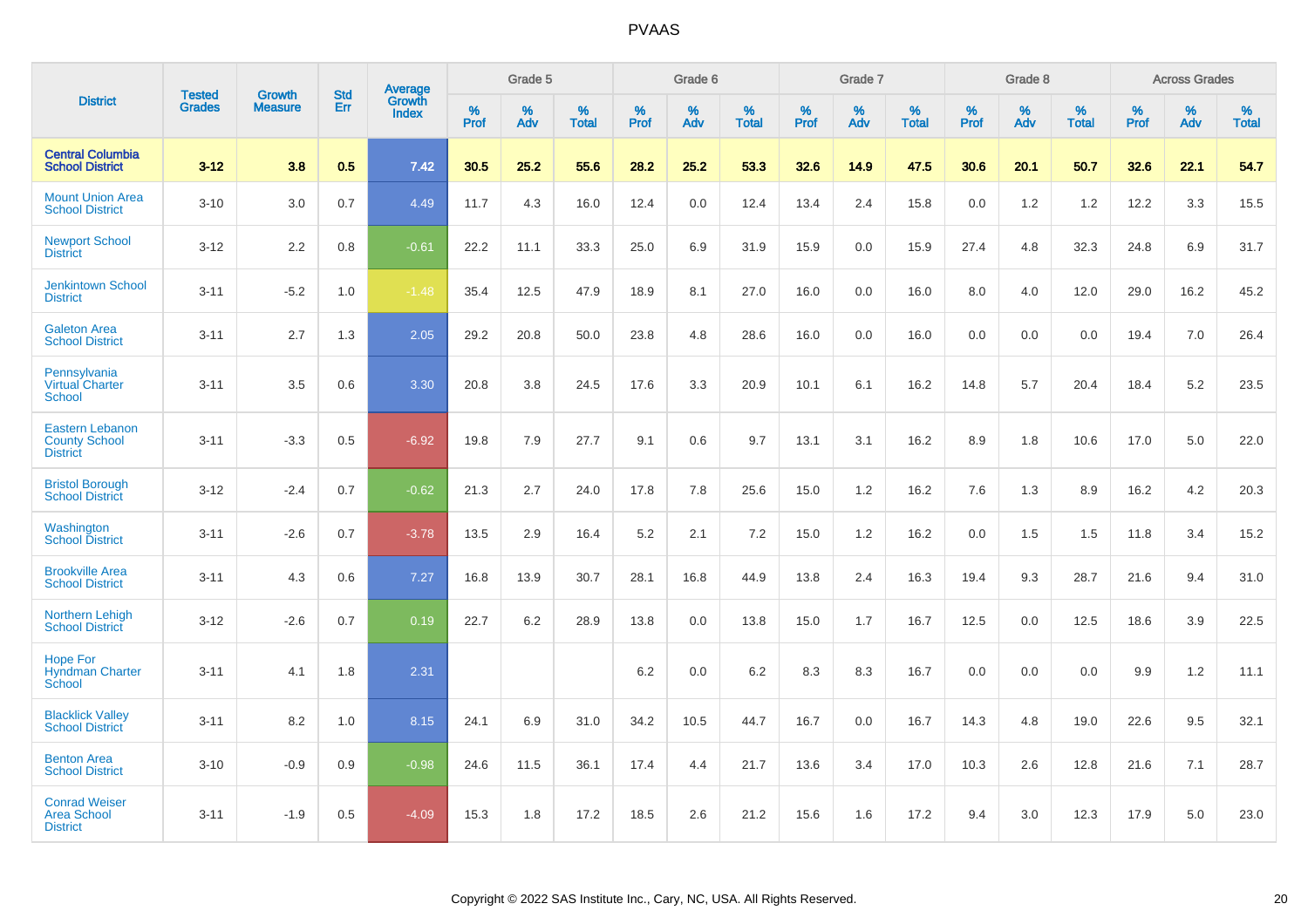|                                                               |                                |                                 | <b>Std</b> | Average                |           | Grade 5  |                   |           | Grade 6  |                   |           | Grade 7  |                      |           | Grade 8  |                   |              | <b>Across Grades</b> |                   |
|---------------------------------------------------------------|--------------------------------|---------------------------------|------------|------------------------|-----------|----------|-------------------|-----------|----------|-------------------|-----------|----------|----------------------|-----------|----------|-------------------|--------------|----------------------|-------------------|
| <b>District</b>                                               | <b>Tested</b><br><b>Grades</b> | <b>Growth</b><br><b>Measure</b> | Err        | Growth<br><b>Index</b> | %<br>Prof | %<br>Adv | %<br><b>Total</b> | %<br>Prof | %<br>Adv | %<br><b>Total</b> | %<br>Prof | %<br>Adv | $\%$<br><b>Total</b> | %<br>Prof | %<br>Adv | %<br><b>Total</b> | $\%$<br>Prof | %<br>Adv             | %<br><b>Total</b> |
| <b>Central Columbia</b><br><b>School District</b>             | $3 - 12$                       | 3.8                             | 0.5        | 7.42                   | 30.5      | 25.2     | 55.6              | 28.2      | 25.2     | 53.3              | 32.6      | 14.9     | 47.5                 | 30.6      | 20.1     | 50.7              | 32.6         | 22.1                 | 54.7              |
| <b>Mount Union Area</b><br><b>School District</b>             | $3 - 10$                       | 3.0                             | 0.7        | 4.49                   | 11.7      | 4.3      | 16.0              | 12.4      | 0.0      | 12.4              | 13.4      | 2.4      | 15.8                 | 0.0       | 1.2      | 1.2               | 12.2         | 3.3                  | 15.5              |
| <b>Newport School</b><br><b>District</b>                      | $3 - 12$                       | 2.2                             | 0.8        | $-0.61$                | 22.2      | 11.1     | 33.3              | 25.0      | 6.9      | 31.9              | 15.9      | 0.0      | 15.9                 | 27.4      | 4.8      | 32.3              | 24.8         | 6.9                  | 31.7              |
| <b>Jenkintown School</b><br><b>District</b>                   | $3 - 11$                       | $-5.2$                          | 1.0        | $-1.48$                | 35.4      | 12.5     | 47.9              | 18.9      | 8.1      | 27.0              | 16.0      | 0.0      | 16.0                 | 8.0       | 4.0      | 12.0              | 29.0         | 16.2                 | 45.2              |
| <b>Galeton Area</b><br><b>School District</b>                 | $3 - 11$                       | 2.7                             | 1.3        | 2.05                   | 29.2      | 20.8     | 50.0              | 23.8      | 4.8      | 28.6              | 16.0      | 0.0      | 16.0                 | 0.0       | 0.0      | 0.0               | 19.4         | 7.0                  | 26.4              |
| Pennsylvania<br><b>Virtual Charter</b><br><b>School</b>       | $3 - 11$                       | 3.5                             | 0.6        | 3.30                   | 20.8      | 3.8      | 24.5              | 17.6      | 3.3      | 20.9              | 10.1      | 6.1      | 16.2                 | 14.8      | 5.7      | 20.4              | 18.4         | 5.2                  | 23.5              |
| Eastern Lebanon<br><b>County School</b><br><b>District</b>    | $3 - 11$                       | $-3.3$                          | 0.5        | $-6.92$                | 19.8      | 7.9      | 27.7              | 9.1       | 0.6      | 9.7               | 13.1      | 3.1      | 16.2                 | 8.9       | 1.8      | 10.6              | 17.0         | 5.0                  | 22.0              |
| <b>Bristol Borough</b><br><b>School District</b>              | $3 - 12$                       | $-2.4$                          | 0.7        | $-0.62$                | 21.3      | 2.7      | 24.0              | 17.8      | 7.8      | 25.6              | 15.0      | 1.2      | 16.2                 | 7.6       | 1.3      | 8.9               | 16.2         | 4.2                  | 20.3              |
| Washington<br><b>School District</b>                          | $3 - 11$                       | $-2.6$                          | 0.7        | $-3.78$                | 13.5      | 2.9      | 16.4              | 5.2       | 2.1      | 7.2               | 15.0      | 1.2      | 16.2                 | 0.0       | 1.5      | 1.5               | 11.8         | 3.4                  | 15.2              |
| <b>Brookville Area</b><br><b>School District</b>              | $3 - 11$                       | 4.3                             | 0.6        | 7.27                   | 16.8      | 13.9     | 30.7              | 28.1      | 16.8     | 44.9              | 13.8      | 2.4      | 16.3                 | 19.4      | 9.3      | 28.7              | 21.6         | 9.4                  | 31.0              |
| <b>Northern Lehigh</b><br><b>School District</b>              | $3 - 12$                       | $-2.6$                          | 0.7        | 0.19                   | 22.7      | 6.2      | 28.9              | 13.8      | 0.0      | 13.8              | 15.0      | 1.7      | 16.7                 | 12.5      | 0.0      | 12.5              | 18.6         | 3.9                  | 22.5              |
| <b>Hope For</b><br><b>Hyndman Charter</b><br>School           | $3 - 11$                       | 4.1                             | 1.8        | 2.31                   |           |          |                   | 6.2       | 0.0      | 6.2               | 8.3       | 8.3      | 16.7                 | 0.0       | 0.0      | 0.0               | 9.9          | 1.2                  | 11.1              |
| <b>Blacklick Valley</b><br><b>School District</b>             | $3 - 11$                       | 8.2                             | 1.0        | 8.15                   | 24.1      | 6.9      | 31.0              | 34.2      | 10.5     | 44.7              | 16.7      | 0.0      | 16.7                 | 14.3      | 4.8      | 19.0              | 22.6         | 9.5                  | 32.1              |
| <b>Benton Area</b><br><b>School District</b>                  | $3 - 10$                       | $-0.9$                          | 0.9        | $-0.98$                | 24.6      | 11.5     | 36.1              | 17.4      | 4.4      | 21.7              | 13.6      | 3.4      | 17.0                 | 10.3      | 2.6      | 12.8              | 21.6         | 7.1                  | 28.7              |
| <b>Conrad Weiser</b><br><b>Area School</b><br><b>District</b> | $3 - 11$                       | $-1.9$                          | 0.5        | $-4.09$                | 15.3      | 1.8      | 17.2              | 18.5      | 2.6      | 21.2              | 15.6      | 1.6      | 17.2                 | 9.4       | 3.0      | 12.3              | 17.9         | 5.0                  | 23.0              |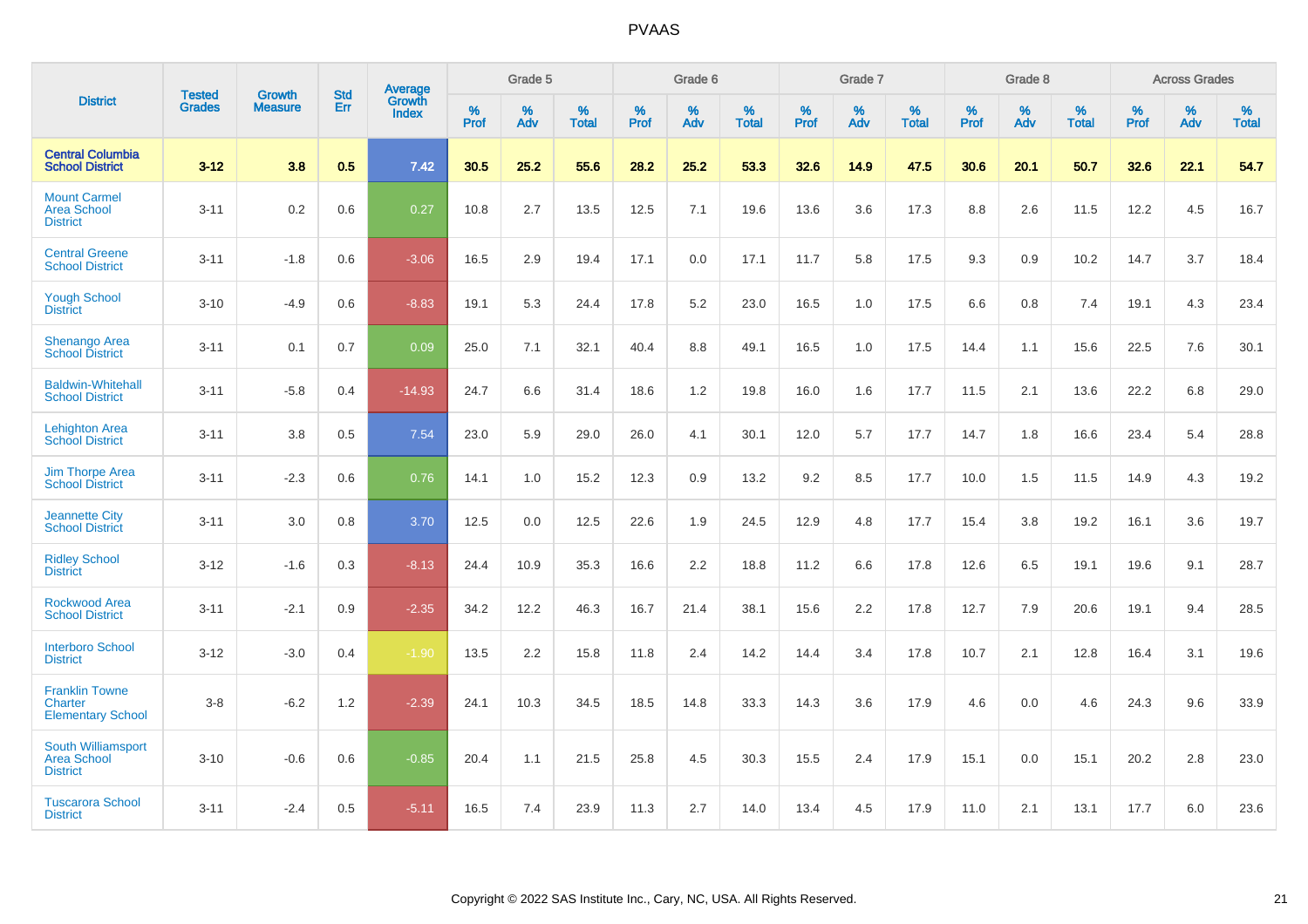|                                                              |                                |                                 | <b>Std</b> | Average                |           | Grade 5  |                   |           | Grade 6  |                   |           | Grade 7  |                   |           | Grade 8  |                   |           | <b>Across Grades</b> |                   |
|--------------------------------------------------------------|--------------------------------|---------------------------------|------------|------------------------|-----------|----------|-------------------|-----------|----------|-------------------|-----------|----------|-------------------|-----------|----------|-------------------|-----------|----------------------|-------------------|
| <b>District</b>                                              | <b>Tested</b><br><b>Grades</b> | <b>Growth</b><br><b>Measure</b> | Err        | Growth<br><b>Index</b> | %<br>Prof | %<br>Adv | %<br><b>Total</b> | %<br>Prof | %<br>Adv | %<br><b>Total</b> | %<br>Prof | %<br>Adv | %<br><b>Total</b> | %<br>Prof | %<br>Adv | %<br><b>Total</b> | %<br>Prof | %<br>Adv             | %<br><b>Total</b> |
| <b>Central Columbia</b><br><b>School District</b>            | $3 - 12$                       | 3.8                             | 0.5        | 7.42                   | 30.5      | 25.2     | 55.6              | 28.2      | 25.2     | 53.3              | 32.6      | 14.9     | 47.5              | 30.6      | 20.1     | 50.7              | 32.6      | 22.1                 | 54.7              |
| <b>Mount Carmel</b><br><b>Area School</b><br><b>District</b> | $3 - 11$                       | 0.2                             | 0.6        | 0.27                   | 10.8      | 2.7      | 13.5              | 12.5      | 7.1      | 19.6              | 13.6      | 3.6      | 17.3              | 8.8       | 2.6      | 11.5              | 12.2      | 4.5                  | 16.7              |
| <b>Central Greene</b><br><b>School District</b>              | $3 - 11$                       | $-1.8$                          | 0.6        | $-3.06$                | 16.5      | 2.9      | 19.4              | 17.1      | 0.0      | 17.1              | 11.7      | 5.8      | 17.5              | 9.3       | 0.9      | 10.2              | 14.7      | 3.7                  | 18.4              |
| <b>Yough School</b><br><b>District</b>                       | $3 - 10$                       | $-4.9$                          | 0.6        | $-8.83$                | 19.1      | 5.3      | 24.4              | 17.8      | 5.2      | 23.0              | 16.5      | 1.0      | 17.5              | 6.6       | 0.8      | 7.4               | 19.1      | 4.3                  | 23.4              |
| <b>Shenango Area</b><br><b>School District</b>               | $3 - 11$                       | 0.1                             | 0.7        | 0.09                   | 25.0      | 7.1      | 32.1              | 40.4      | 8.8      | 49.1              | 16.5      | 1.0      | 17.5              | 14.4      | 1.1      | 15.6              | 22.5      | 7.6                  | 30.1              |
| <b>Baldwin-Whitehall</b><br><b>School District</b>           | $3 - 11$                       | $-5.8$                          | 0.4        | $-14.93$               | 24.7      | 6.6      | 31.4              | 18.6      | 1.2      | 19.8              | 16.0      | 1.6      | 17.7              | 11.5      | 2.1      | 13.6              | 22.2      | 6.8                  | 29.0              |
| <b>Lehighton Area</b><br><b>School District</b>              | $3 - 11$                       | 3.8                             | 0.5        | 7.54                   | 23.0      | 5.9      | 29.0              | 26.0      | 4.1      | 30.1              | 12.0      | 5.7      | 17.7              | 14.7      | 1.8      | 16.6              | 23.4      | 5.4                  | 28.8              |
| <b>Jim Thorpe Area</b><br><b>School District</b>             | $3 - 11$                       | $-2.3$                          | 0.6        | 0.76                   | 14.1      | 1.0      | 15.2              | 12.3      | 0.9      | 13.2              | 9.2       | 8.5      | 17.7              | 10.0      | 1.5      | 11.5              | 14.9      | 4.3                  | 19.2              |
| <b>Jeannette City</b><br><b>School District</b>              | $3 - 11$                       | 3.0                             | 0.8        | 3.70                   | 12.5      | 0.0      | 12.5              | 22.6      | 1.9      | 24.5              | 12.9      | 4.8      | 17.7              | 15.4      | 3.8      | 19.2              | 16.1      | 3.6                  | 19.7              |
| <b>Ridley School</b><br><b>District</b>                      | $3 - 12$                       | $-1.6$                          | 0.3        | $-8.13$                | 24.4      | 10.9     | 35.3              | 16.6      | 2.2      | 18.8              | 11.2      | 6.6      | 17.8              | 12.6      | 6.5      | 19.1              | 19.6      | 9.1                  | 28.7              |
| <b>Rockwood Area</b><br><b>School District</b>               | $3 - 11$                       | $-2.1$                          | 0.9        | $-2.35$                | 34.2      | 12.2     | 46.3              | 16.7      | 21.4     | 38.1              | 15.6      | 2.2      | 17.8              | 12.7      | 7.9      | 20.6              | 19.1      | 9.4                  | 28.5              |
| <b>Interboro School</b><br><b>District</b>                   | $3 - 12$                       | $-3.0$                          | 0.4        | $-1.90$                | 13.5      | 2.2      | 15.8              | 11.8      | 2.4      | 14.2              | 14.4      | 3.4      | 17.8              | 10.7      | 2.1      | 12.8              | 16.4      | 3.1                  | 19.6              |
| <b>Franklin Towne</b><br>Charter<br><b>Elementary School</b> | $3 - 8$                        | $-6.2$                          | 1.2        | $-2.39$                | 24.1      | 10.3     | 34.5              | 18.5      | 14.8     | 33.3              | 14.3      | 3.6      | 17.9              | 4.6       | 0.0      | 4.6               | 24.3      | 9.6                  | 33.9              |
| South Williamsport<br><b>Area School</b><br><b>District</b>  | $3 - 10$                       | $-0.6$                          | 0.6        | $-0.85$                | 20.4      | 1.1      | 21.5              | 25.8      | 4.5      | 30.3              | 15.5      | 2.4      | 17.9              | 15.1      | 0.0      | 15.1              | 20.2      | $2.8\,$              | 23.0              |
| <b>Tuscarora School</b><br><b>District</b>                   | $3 - 11$                       | $-2.4$                          | 0.5        | $-5.11$                | 16.5      | 7.4      | 23.9              | 11.3      | 2.7      | 14.0              | 13.4      | 4.5      | 17.9              | 11.0      | 2.1      | 13.1              | 17.7      | 6.0                  | 23.6              |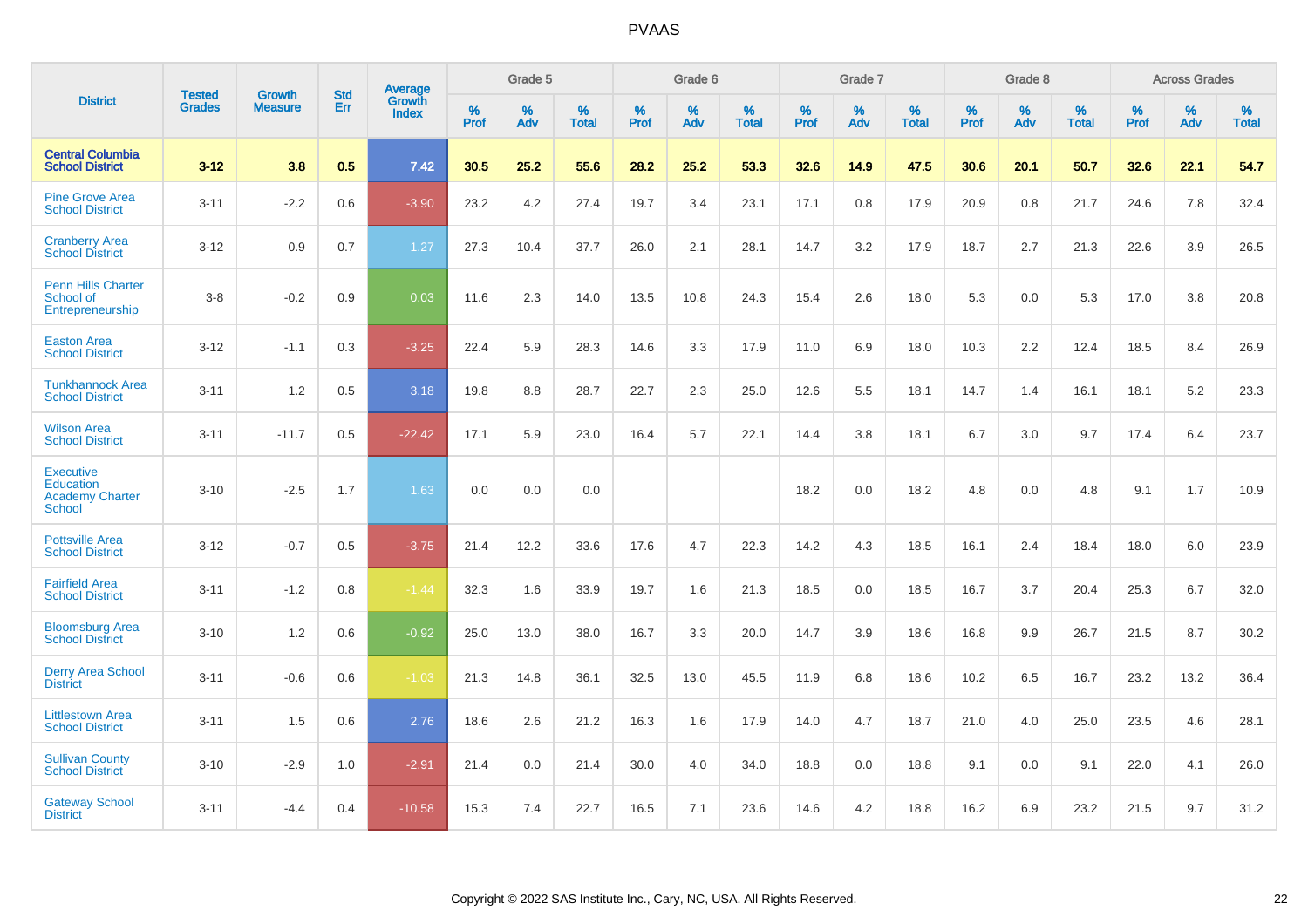|                                                                          |                                |                                 | <b>Std</b> | Average                       |           | Grade 5  |                   |           | Grade 6  |                   |           | Grade 7  |                   |           | Grade 8  |                   |           | <b>Across Grades</b> |                   |
|--------------------------------------------------------------------------|--------------------------------|---------------------------------|------------|-------------------------------|-----------|----------|-------------------|-----------|----------|-------------------|-----------|----------|-------------------|-----------|----------|-------------------|-----------|----------------------|-------------------|
| <b>District</b>                                                          | <b>Tested</b><br><b>Grades</b> | <b>Growth</b><br><b>Measure</b> | Err        | <b>Growth</b><br><b>Index</b> | %<br>Prof | %<br>Adv | %<br><b>Total</b> | %<br>Prof | %<br>Adv | %<br><b>Total</b> | %<br>Prof | %<br>Adv | %<br><b>Total</b> | %<br>Prof | %<br>Adv | %<br><b>Total</b> | %<br>Prof | %<br>Adv             | %<br><b>Total</b> |
| <b>Central Columbia</b><br><b>School District</b>                        | $3 - 12$                       | 3.8                             | 0.5        | 7.42                          | 30.5      | 25.2     | 55.6              | 28.2      | 25.2     | 53.3              | 32.6      | 14.9     | 47.5              | 30.6      | 20.1     | 50.7              | 32.6      | 22.1                 | 54.7              |
| <b>Pine Grove Area</b><br><b>School District</b>                         | $3 - 11$                       | $-2.2$                          | 0.6        | $-3.90$                       | 23.2      | 4.2      | 27.4              | 19.7      | 3.4      | 23.1              | 17.1      | 0.8      | 17.9              | 20.9      | 0.8      | 21.7              | 24.6      | 7.8                  | 32.4              |
| <b>Cranberry Area</b><br><b>School District</b>                          | $3 - 12$                       | 0.9                             | 0.7        | 1.27                          | 27.3      | 10.4     | 37.7              | 26.0      | 2.1      | 28.1              | 14.7      | 3.2      | 17.9              | 18.7      | 2.7      | 21.3              | 22.6      | 3.9                  | 26.5              |
| <b>Penn Hills Charter</b><br>School of<br>Entrepreneurship               | $3-8$                          | $-0.2$                          | 0.9        | 0.03                          | 11.6      | 2.3      | 14.0              | 13.5      | 10.8     | 24.3              | 15.4      | 2.6      | 18.0              | 5.3       | 0.0      | 5.3               | 17.0      | 3.8                  | 20.8              |
| <b>Easton Area</b><br><b>School District</b>                             | $3 - 12$                       | $-1.1$                          | 0.3        | $-3.25$                       | 22.4      | 5.9      | 28.3              | 14.6      | 3.3      | 17.9              | 11.0      | 6.9      | 18.0              | 10.3      | 2.2      | 12.4              | 18.5      | 8.4                  | 26.9              |
| <b>Tunkhannock Area</b><br><b>School District</b>                        | $3 - 11$                       | 1.2                             | 0.5        | 3.18                          | 19.8      | 8.8      | 28.7              | 22.7      | 2.3      | 25.0              | 12.6      | 5.5      | 18.1              | 14.7      | 1.4      | 16.1              | 18.1      | 5.2                  | 23.3              |
| <b>Wilson Area</b><br><b>School District</b>                             | $3 - 11$                       | $-11.7$                         | 0.5        | $-22.42$                      | 17.1      | 5.9      | 23.0              | 16.4      | 5.7      | 22.1              | 14.4      | 3.8      | 18.1              | 6.7       | 3.0      | 9.7               | 17.4      | 6.4                  | 23.7              |
| <b>Executive</b><br>Education<br><b>Academy Charter</b><br><b>School</b> | $3 - 10$                       | $-2.5$                          | 1.7        | 1.63                          | 0.0       | 0.0      | 0.0               |           |          |                   | 18.2      | 0.0      | 18.2              | 4.8       | 0.0      | 4.8               | 9.1       | 1.7                  | 10.9              |
| <b>Pottsville Area</b><br><b>School District</b>                         | $3 - 12$                       | $-0.7$                          | 0.5        | $-3.75$                       | 21.4      | 12.2     | 33.6              | 17.6      | 4.7      | 22.3              | 14.2      | 4.3      | 18.5              | 16.1      | 2.4      | 18.4              | 18.0      | 6.0                  | 23.9              |
| <b>Fairfield Area</b><br><b>School District</b>                          | $3 - 11$                       | $-1.2$                          | 0.8        | $-1.44$                       | 32.3      | 1.6      | 33.9              | 19.7      | 1.6      | 21.3              | 18.5      | 0.0      | 18.5              | 16.7      | 3.7      | 20.4              | 25.3      | 6.7                  | 32.0              |
| <b>Bloomsburg Area</b><br><b>School District</b>                         | $3 - 10$                       | 1.2                             | 0.6        | $-0.92$                       | 25.0      | 13.0     | 38.0              | 16.7      | 3.3      | 20.0              | 14.7      | 3.9      | 18.6              | 16.8      | 9.9      | 26.7              | 21.5      | 8.7                  | 30.2              |
| <b>Derry Area School</b><br><b>District</b>                              | $3 - 11$                       | $-0.6$                          | 0.6        | $-1.03$                       | 21.3      | 14.8     | 36.1              | 32.5      | 13.0     | 45.5              | 11.9      | 6.8      | 18.6              | 10.2      | 6.5      | 16.7              | 23.2      | 13.2                 | 36.4              |
| <b>Littlestown Area</b><br><b>School District</b>                        | $3 - 11$                       | 1.5                             | 0.6        | 2.76                          | 18.6      | 2.6      | 21.2              | 16.3      | 1.6      | 17.9              | 14.0      | 4.7      | 18.7              | 21.0      | 4.0      | 25.0              | 23.5      | 4.6                  | 28.1              |
| <b>Sullivan County</b><br><b>School District</b>                         | $3 - 10$                       | $-2.9$                          | 1.0        | $-2.91$                       | 21.4      | 0.0      | 21.4              | 30.0      | 4.0      | 34.0              | 18.8      | 0.0      | 18.8              | 9.1       | 0.0      | 9.1               | 22.0      | 4.1                  | 26.0              |
| <b>Gateway School</b><br><b>District</b>                                 | $3 - 11$                       | $-4.4$                          | 0.4        | $-10.58$                      | 15.3      | 7.4      | 22.7              | 16.5      | 7.1      | 23.6              | 14.6      | 4.2      | 18.8              | 16.2      | 6.9      | 23.2              | 21.5      | 9.7                  | 31.2              |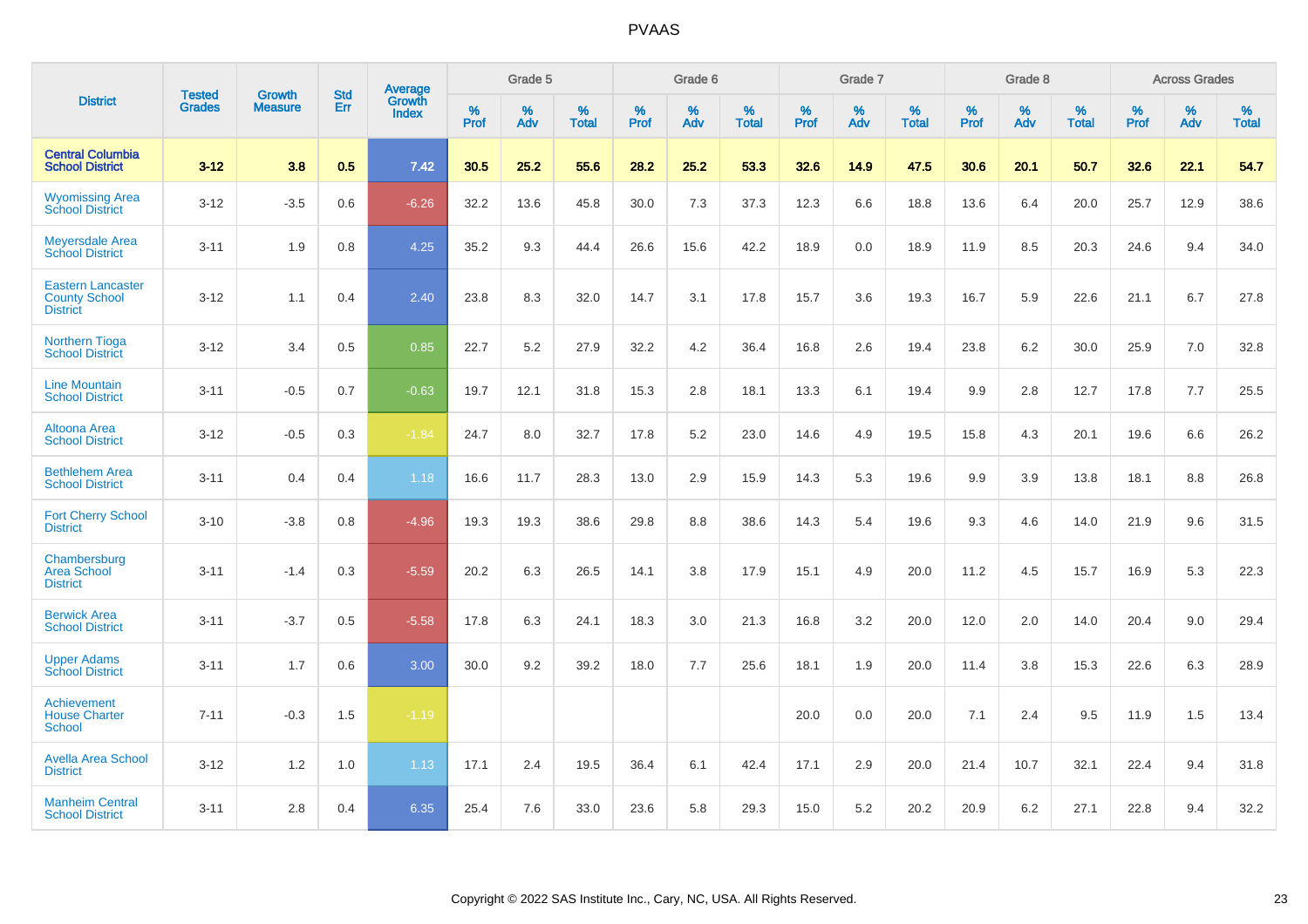|                                                                     |                                |                                 | <b>Std</b> | Average                       |           | Grade 5  |                   |           | Grade 6  |                   |           | Grade 7  |                   |           | Grade 8  |                   |           | <b>Across Grades</b> |                   |
|---------------------------------------------------------------------|--------------------------------|---------------------------------|------------|-------------------------------|-----------|----------|-------------------|-----------|----------|-------------------|-----------|----------|-------------------|-----------|----------|-------------------|-----------|----------------------|-------------------|
| <b>District</b>                                                     | <b>Tested</b><br><b>Grades</b> | <b>Growth</b><br><b>Measure</b> | Err        | <b>Growth</b><br><b>Index</b> | %<br>Prof | %<br>Adv | %<br><b>Total</b> | %<br>Prof | %<br>Adv | %<br><b>Total</b> | %<br>Prof | %<br>Adv | %<br><b>Total</b> | %<br>Prof | %<br>Adv | %<br><b>Total</b> | %<br>Prof | %<br>Adv             | %<br><b>Total</b> |
| <b>Central Columbia</b><br><b>School District</b>                   | $3 - 12$                       | 3.8                             | 0.5        | 7.42                          | 30.5      | 25.2     | 55.6              | 28.2      | 25.2     | 53.3              | 32.6      | 14.9     | 47.5              | 30.6      | 20.1     | 50.7              | 32.6      | 22.1                 | 54.7              |
| <b>Wyomissing Area</b><br><b>School District</b>                    | $3 - 12$                       | $-3.5$                          | 0.6        | $-6.26$                       | 32.2      | 13.6     | 45.8              | 30.0      | 7.3      | 37.3              | 12.3      | 6.6      | 18.8              | 13.6      | 6.4      | 20.0              | 25.7      | 12.9                 | 38.6              |
| <b>Meyersdale Area</b><br><b>School District</b>                    | $3 - 11$                       | 1.9                             | 0.8        | 4.25                          | 35.2      | 9.3      | 44.4              | 26.6      | 15.6     | 42.2              | 18.9      | 0.0      | 18.9              | 11.9      | 8.5      | 20.3              | 24.6      | 9.4                  | 34.0              |
| <b>Eastern Lancaster</b><br><b>County School</b><br><b>District</b> | $3 - 12$                       | 1.1                             | 0.4        | 2.40                          | 23.8      | 8.3      | 32.0              | 14.7      | 3.1      | 17.8              | 15.7      | 3.6      | 19.3              | 16.7      | 5.9      | 22.6              | 21.1      | 6.7                  | 27.8              |
| <b>Northern Tioga</b><br><b>School District</b>                     | $3 - 12$                       | 3.4                             | 0.5        | 0.85                          | 22.7      | 5.2      | 27.9              | 32.2      | 4.2      | 36.4              | 16.8      | 2.6      | 19.4              | 23.8      | 6.2      | 30.0              | 25.9      | 7.0                  | 32.8              |
| <b>Line Mountain</b><br><b>School District</b>                      | $3 - 11$                       | $-0.5$                          | 0.7        | $-0.63$                       | 19.7      | 12.1     | 31.8              | 15.3      | 2.8      | 18.1              | 13.3      | 6.1      | 19.4              | 9.9       | 2.8      | 12.7              | 17.8      | 7.7                  | 25.5              |
| <b>Altoona Area</b><br><b>School District</b>                       | $3 - 12$                       | $-0.5$                          | 0.3        | $-1.84$                       | 24.7      | $8.0\,$  | 32.7              | 17.8      | 5.2      | 23.0              | 14.6      | 4.9      | 19.5              | 15.8      | 4.3      | 20.1              | 19.6      | 6.6                  | 26.2              |
| <b>Bethlehem Area</b><br><b>School District</b>                     | $3 - 11$                       | 0.4                             | 0.4        | 1.18                          | 16.6      | 11.7     | 28.3              | 13.0      | 2.9      | 15.9              | 14.3      | 5.3      | 19.6              | 9.9       | 3.9      | 13.8              | 18.1      | 8.8                  | 26.8              |
| <b>Fort Cherry School</b><br><b>District</b>                        | $3 - 10$                       | $-3.8$                          | 0.8        | $-4.96$                       | 19.3      | 19.3     | 38.6              | 29.8      | 8.8      | 38.6              | 14.3      | 5.4      | 19.6              | 9.3       | 4.6      | 14.0              | 21.9      | 9.6                  | 31.5              |
| Chambersburg<br>Area School<br><b>District</b>                      | $3 - 11$                       | $-1.4$                          | 0.3        | $-5.59$                       | 20.2      | 6.3      | 26.5              | 14.1      | 3.8      | 17.9              | 15.1      | 4.9      | 20.0              | 11.2      | 4.5      | 15.7              | 16.9      | 5.3                  | 22.3              |
| <b>Berwick Area</b><br><b>School District</b>                       | $3 - 11$                       | $-3.7$                          | 0.5        | $-5.58$                       | 17.8      | 6.3      | 24.1              | 18.3      | 3.0      | 21.3              | 16.8      | 3.2      | 20.0              | 12.0      | 2.0      | 14.0              | 20.4      | 9.0                  | 29.4              |
| <b>Upper Adams</b><br><b>School District</b>                        | $3 - 11$                       | 1.7                             | 0.6        | 3.00                          | 30.0      | 9.2      | 39.2              | 18.0      | 7.7      | 25.6              | 18.1      | 1.9      | 20.0              | 11.4      | 3.8      | 15.3              | 22.6      | 6.3                  | 28.9              |
| Achievement<br><b>House Charter</b><br><b>School</b>                | $7 - 11$                       | $-0.3$                          | 1.5        | $-1.19$                       |           |          |                   |           |          |                   | 20.0      | 0.0      | 20.0              | 7.1       | 2.4      | 9.5               | 11.9      | 1.5                  | 13.4              |
| <b>Avella Area School</b><br><b>District</b>                        | $3 - 12$                       | 1.2                             | 1.0        | 1.13                          | 17.1      | 2.4      | 19.5              | 36.4      | 6.1      | 42.4              | 17.1      | 2.9      | 20.0              | 21.4      | 10.7     | 32.1              | 22.4      | 9.4                  | 31.8              |
| <b>Manheim Central</b><br><b>School District</b>                    | $3 - 11$                       | 2.8                             | 0.4        | 6.35                          | 25.4      | 7.6      | 33.0              | 23.6      | 5.8      | 29.3              | 15.0      | 5.2      | 20.2              | 20.9      | 6.2      | 27.1              | 22.8      | 9.4                  | 32.2              |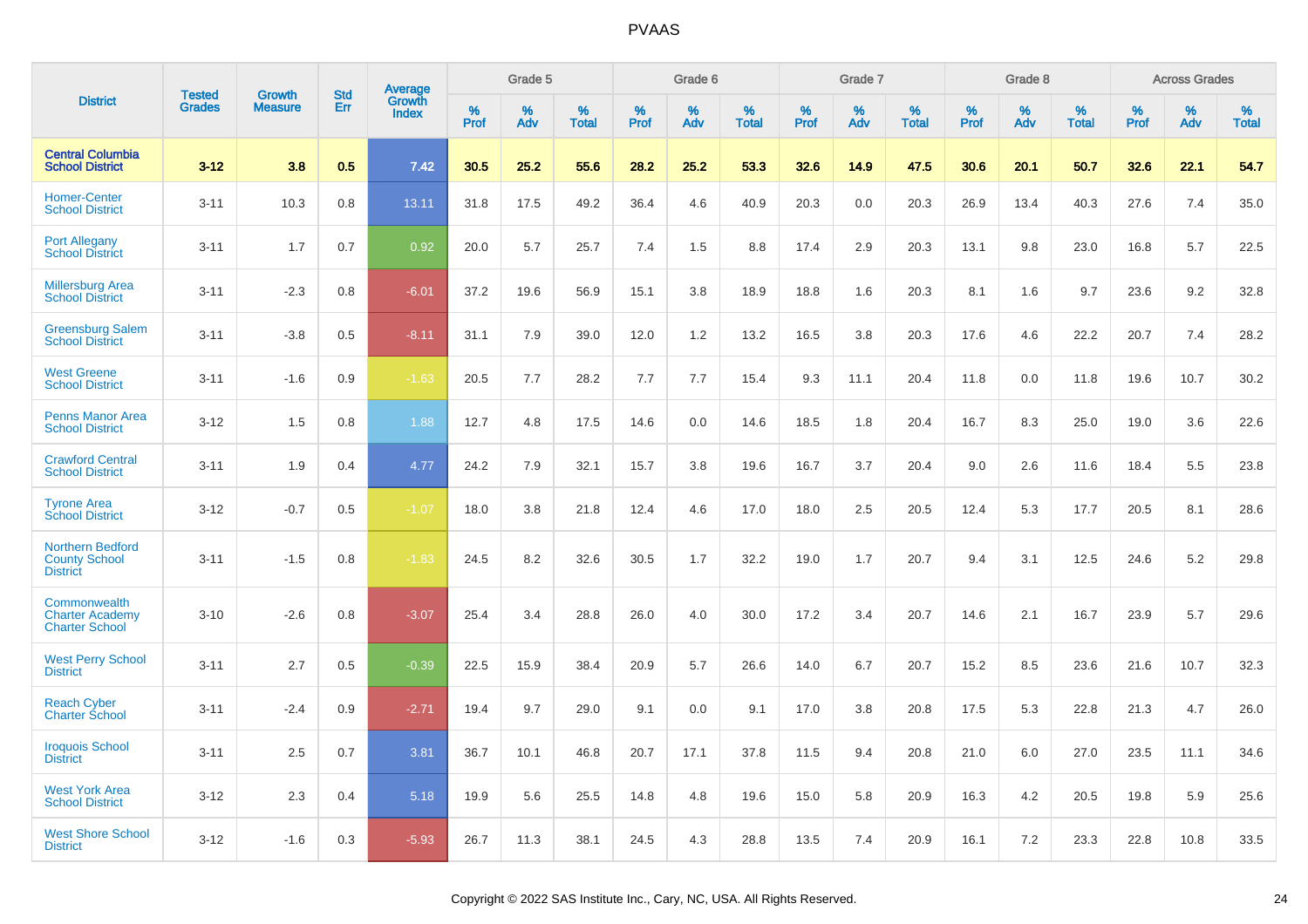|                                                                 | <b>Tested</b> | <b>Growth</b>  | <b>Std</b> | Average         |              | Grade 5  |                   |              | Grade 6  |                   |              | Grade 7  |                   |              | Grade 8  |                   |              | <b>Across Grades</b> |                   |
|-----------------------------------------------------------------|---------------|----------------|------------|-----------------|--------------|----------|-------------------|--------------|----------|-------------------|--------------|----------|-------------------|--------------|----------|-------------------|--------------|----------------------|-------------------|
| <b>District</b>                                                 | <b>Grades</b> | <b>Measure</b> | Err        | Growth<br>Index | $\%$<br>Prof | %<br>Adv | %<br><b>Total</b> | $\%$<br>Prof | %<br>Adv | %<br><b>Total</b> | $\%$<br>Prof | %<br>Adv | %<br><b>Total</b> | $\%$<br>Prof | %<br>Adv | %<br><b>Total</b> | $\%$<br>Prof | $\%$<br>Adv          | %<br><b>Total</b> |
| <b>Central Columbia</b><br><b>School District</b>               | $3 - 12$      | 3.8            | 0.5        | 7.42            | 30.5         | 25.2     | 55.6              | 28.2         | 25.2     | 53.3              | 32.6         | 14.9     | 47.5              | 30.6         | 20.1     | 50.7              | 32.6         | 22.1                 | 54.7              |
| <b>Homer-Center</b><br><b>School District</b>                   | $3 - 11$      | 10.3           | 0.8        | 13.11           | 31.8         | 17.5     | 49.2              | 36.4         | 4.6      | 40.9              | 20.3         | 0.0      | 20.3              | 26.9         | 13.4     | 40.3              | 27.6         | 7.4                  | 35.0              |
| <b>Port Allegany</b><br><b>School District</b>                  | $3 - 11$      | 1.7            | 0.7        | 0.92            | 20.0         | 5.7      | 25.7              | 7.4          | 1.5      | 8.8               | 17.4         | 2.9      | 20.3              | 13.1         | 9.8      | 23.0              | 16.8         | 5.7                  | 22.5              |
| <b>Millersburg Area</b><br><b>School District</b>               | $3 - 11$      | $-2.3$         | 0.8        | $-6.01$         | 37.2         | 19.6     | 56.9              | 15.1         | 3.8      | 18.9              | 18.8         | 1.6      | 20.3              | 8.1          | 1.6      | 9.7               | 23.6         | 9.2                  | 32.8              |
| <b>Greensburg Salem</b><br><b>School District</b>               | $3 - 11$      | $-3.8$         | 0.5        | $-8.11$         | 31.1         | 7.9      | 39.0              | 12.0         | 1.2      | 13.2              | 16.5         | 3.8      | 20.3              | 17.6         | 4.6      | 22.2              | 20.7         | 7.4                  | 28.2              |
| <b>West Greene</b><br><b>School District</b>                    | $3 - 11$      | $-1.6$         | 0.9        | $-1.63$         | 20.5         | 7.7      | 28.2              | 7.7          | 7.7      | 15.4              | 9.3          | 11.1     | 20.4              | 11.8         | 0.0      | 11.8              | 19.6         | 10.7                 | 30.2              |
| <b>Penns Manor Area</b><br><b>School District</b>               | $3 - 12$      | 1.5            | 0.8        | 1.88            | 12.7         | 4.8      | 17.5              | 14.6         | 0.0      | 14.6              | 18.5         | 1.8      | 20.4              | 16.7         | 8.3      | 25.0              | 19.0         | 3.6                  | 22.6              |
| <b>Crawford Central</b><br><b>School District</b>               | $3 - 11$      | 1.9            | 0.4        | 4.77            | 24.2         | 7.9      | 32.1              | 15.7         | 3.8      | 19.6              | 16.7         | 3.7      | 20.4              | 9.0          | 2.6      | 11.6              | 18.4         | 5.5                  | 23.8              |
| <b>Tyrone Area</b><br><b>School District</b>                    | $3 - 12$      | $-0.7$         | 0.5        | $-1.07$         | 18.0         | 3.8      | 21.8              | 12.4         | 4.6      | 17.0              | 18.0         | 2.5      | 20.5              | 12.4         | 5.3      | 17.7              | 20.5         | 8.1                  | 28.6              |
| Northern Bedford<br><b>County School</b><br><b>District</b>     | $3 - 11$      | $-1.5$         | 0.8        | $-1.83$         | 24.5         | 8.2      | 32.6              | 30.5         | 1.7      | 32.2              | 19.0         | 1.7      | 20.7              | 9.4          | 3.1      | 12.5              | 24.6         | 5.2                  | 29.8              |
| Commonwealth<br><b>Charter Academy</b><br><b>Charter School</b> | $3 - 10$      | $-2.6$         | 0.8        | $-3.07$         | 25.4         | 3.4      | 28.8              | 26.0         | 4.0      | 30.0              | 17.2         | 3.4      | 20.7              | 14.6         | 2.1      | 16.7              | 23.9         | 5.7                  | 29.6              |
| <b>West Perry School</b><br><b>District</b>                     | $3 - 11$      | 2.7            | 0.5        | $-0.39$         | 22.5         | 15.9     | 38.4              | 20.9         | 5.7      | 26.6              | 14.0         | 6.7      | 20.7              | 15.2         | 8.5      | 23.6              | 21.6         | 10.7                 | 32.3              |
| <b>Reach Cyber</b><br><b>Charter School</b>                     | $3 - 11$      | $-2.4$         | 0.9        | $-2.71$         | 19.4         | 9.7      | 29.0              | 9.1          | 0.0      | 9.1               | 17.0         | 3.8      | 20.8              | 17.5         | 5.3      | 22.8              | 21.3         | 4.7                  | 26.0              |
| <b>Iroquois School</b><br><b>District</b>                       | $3 - 11$      | 2.5            | 0.7        | 3.81            | 36.7         | 10.1     | 46.8              | 20.7         | 17.1     | 37.8              | 11.5         | 9.4      | 20.8              | 21.0         | 6.0      | 27.0              | 23.5         | 11.1                 | 34.6              |
| <b>West York Area</b><br><b>School District</b>                 | $3 - 12$      | 2.3            | 0.4        | 5.18            | 19.9         | 5.6      | 25.5              | 14.8         | 4.8      | 19.6              | 15.0         | 5.8      | 20.9              | 16.3         | 4.2      | 20.5              | 19.8         | 5.9                  | 25.6              |
| <b>West Shore School</b><br><b>District</b>                     | $3 - 12$      | $-1.6$         | 0.3        | $-5.93$         | 26.7         | 11.3     | 38.1              | 24.5         | 4.3      | 28.8              | 13.5         | 7.4      | 20.9              | 16.1         | 7.2      | 23.3              | 22.8         | 10.8                 | 33.5              |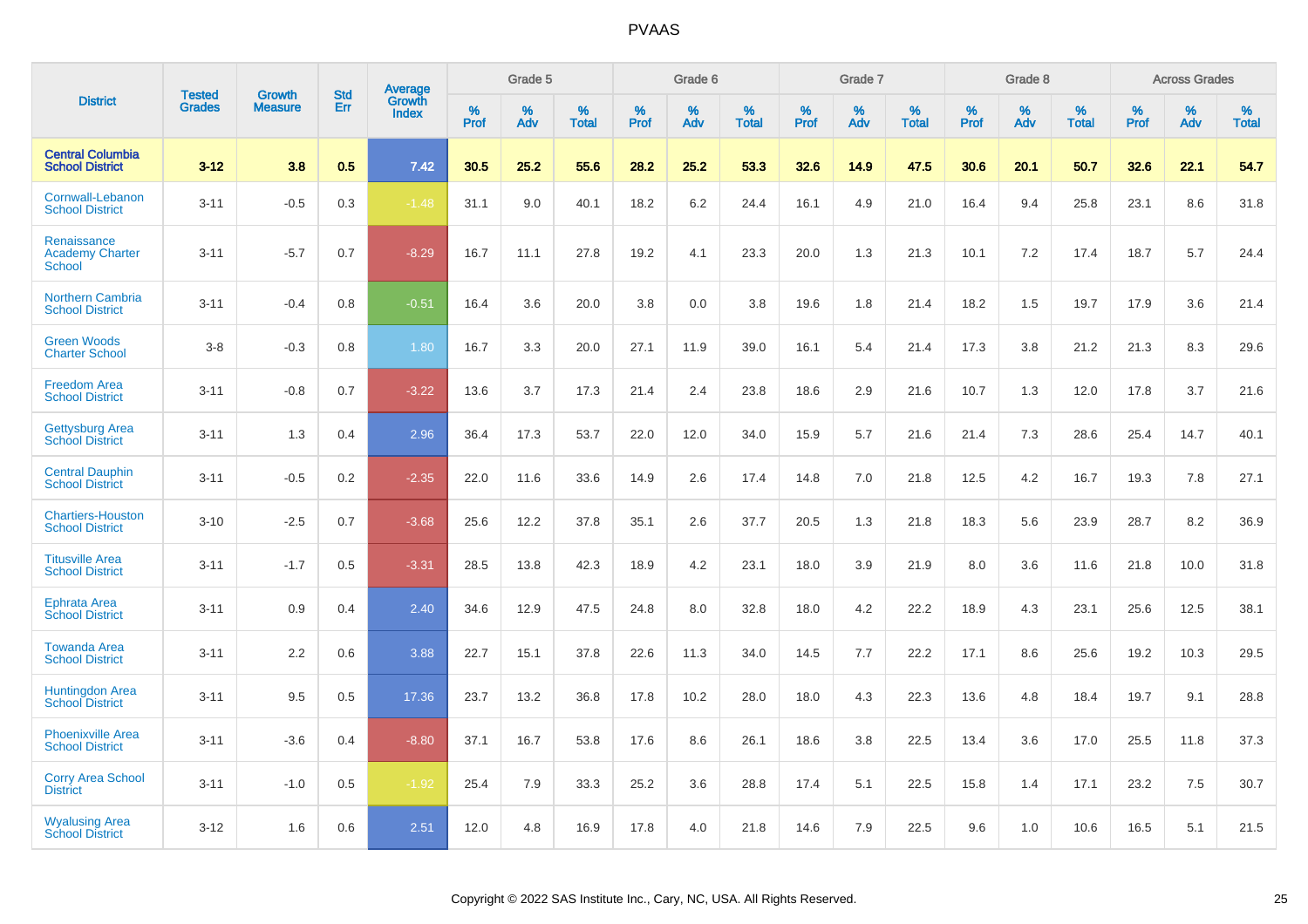|                                                        |                                |                          | <b>Std</b> | Average                |                     | Grade 5  |                      |              | Grade 6     |                      |              | Grade 7  |                      |              | Grade 8     |                      |              | <b>Across Grades</b> |                      |
|--------------------------------------------------------|--------------------------------|--------------------------|------------|------------------------|---------------------|----------|----------------------|--------------|-------------|----------------------|--------------|----------|----------------------|--------------|-------------|----------------------|--------------|----------------------|----------------------|
| <b>District</b>                                        | <b>Tested</b><br><b>Grades</b> | Growth<br><b>Measure</b> | Err        | Growth<br><b>Index</b> | $\%$<br><b>Prof</b> | %<br>Adv | $\%$<br><b>Total</b> | $\%$<br>Prof | $\%$<br>Adv | $\%$<br><b>Total</b> | $\%$<br>Prof | %<br>Adv | $\%$<br><b>Total</b> | $\%$<br>Prof | $\%$<br>Adv | $\%$<br><b>Total</b> | $\%$<br>Prof | $\%$<br>Adv          | $\%$<br><b>Total</b> |
| <b>Central Columbia</b><br><b>School District</b>      | $3 - 12$                       | 3.8                      | 0.5        | 7.42                   | 30.5                | 25.2     | 55.6                 | 28.2         | 25.2        | 53.3                 | 32.6         | 14.9     | 47.5                 | 30.6         | 20.1        | 50.7                 | 32.6         | 22.1                 | 54.7                 |
| Cornwall-Lebanon<br><b>School District</b>             | $3 - 11$                       | $-0.5$                   | 0.3        | $-1.48$                | 31.1                | 9.0      | 40.1                 | 18.2         | 6.2         | 24.4                 | 16.1         | 4.9      | 21.0                 | 16.4         | 9.4         | 25.8                 | 23.1         | 8.6                  | 31.8                 |
| Renaissance<br><b>Academy Charter</b><br><b>School</b> | $3 - 11$                       | $-5.7$                   | 0.7        | $-8.29$                | 16.7                | 11.1     | 27.8                 | 19.2         | 4.1         | 23.3                 | 20.0         | 1.3      | 21.3                 | 10.1         | 7.2         | 17.4                 | 18.7         | 5.7                  | 24.4                 |
| <b>Northern Cambria</b><br><b>School District</b>      | $3 - 11$                       | $-0.4$                   | 0.8        | $-0.51$                | 16.4                | 3.6      | 20.0                 | 3.8          | 0.0         | 3.8                  | 19.6         | 1.8      | 21.4                 | 18.2         | 1.5         | 19.7                 | 17.9         | 3.6                  | 21.4                 |
| <b>Green Woods</b><br><b>Charter School</b>            | $3 - 8$                        | $-0.3$                   | 0.8        | 1.80                   | 16.7                | 3.3      | 20.0                 | 27.1         | 11.9        | 39.0                 | 16.1         | 5.4      | 21.4                 | 17.3         | 3.8         | 21.2                 | 21.3         | 8.3                  | 29.6                 |
| <b>Freedom Area</b><br><b>School District</b>          | $3 - 11$                       | $-0.8$                   | 0.7        | $-3.22$                | 13.6                | 3.7      | 17.3                 | 21.4         | 2.4         | 23.8                 | 18.6         | 2.9      | 21.6                 | 10.7         | 1.3         | 12.0                 | 17.8         | 3.7                  | 21.6                 |
| <b>Gettysburg Area</b><br><b>School District</b>       | $3 - 11$                       | 1.3                      | 0.4        | 2.96                   | 36.4                | 17.3     | 53.7                 | 22.0         | 12.0        | 34.0                 | 15.9         | 5.7      | 21.6                 | 21.4         | 7.3         | 28.6                 | 25.4         | 14.7                 | 40.1                 |
| <b>Central Dauphin</b><br><b>School District</b>       | $3 - 11$                       | $-0.5$                   | 0.2        | $-2.35$                | 22.0                | 11.6     | 33.6                 | 14.9         | 2.6         | 17.4                 | 14.8         | 7.0      | 21.8                 | 12.5         | 4.2         | 16.7                 | 19.3         | 7.8                  | 27.1                 |
| <b>Chartiers-Houston</b><br><b>School District</b>     | $3 - 10$                       | $-2.5$                   | 0.7        | $-3.68$                | 25.6                | 12.2     | 37.8                 | 35.1         | 2.6         | 37.7                 | 20.5         | 1.3      | 21.8                 | 18.3         | 5.6         | 23.9                 | 28.7         | 8.2                  | 36.9                 |
| <b>Titusville Area</b><br><b>School District</b>       | $3 - 11$                       | $-1.7$                   | 0.5        | $-3.31$                | 28.5                | 13.8     | 42.3                 | 18.9         | 4.2         | 23.1                 | 18.0         | 3.9      | 21.9                 | 8.0          | 3.6         | 11.6                 | 21.8         | 10.0                 | 31.8                 |
| <b>Ephrata Area</b><br><b>School District</b>          | $3 - 11$                       | 0.9                      | 0.4        | 2.40                   | 34.6                | 12.9     | 47.5                 | 24.8         | 8.0         | 32.8                 | 18.0         | 4.2      | 22.2                 | 18.9         | 4.3         | 23.1                 | 25.6         | 12.5                 | 38.1                 |
| <b>Towanda Area</b><br><b>School District</b>          | $3 - 11$                       | 2.2                      | 0.6        | 3.88                   | 22.7                | 15.1     | 37.8                 | 22.6         | 11.3        | 34.0                 | 14.5         | 7.7      | 22.2                 | 17.1         | 8.6         | 25.6                 | 19.2         | 10.3                 | 29.5                 |
| <b>Huntingdon Area</b><br><b>School District</b>       | $3 - 11$                       | 9.5                      | 0.5        | 17.36                  | 23.7                | 13.2     | 36.8                 | 17.8         | 10.2        | 28.0                 | 18.0         | 4.3      | 22.3                 | 13.6         | 4.8         | 18.4                 | 19.7         | 9.1                  | 28.8                 |
| <b>Phoenixville Area</b><br><b>School District</b>     | $3 - 11$                       | $-3.6$                   | 0.4        | $-8.80$                | 37.1                | 16.7     | 53.8                 | 17.6         | 8.6         | 26.1                 | 18.6         | 3.8      | 22.5                 | 13.4         | 3.6         | 17.0                 | 25.5         | 11.8                 | 37.3                 |
| <b>Corry Area School</b><br><b>District</b>            | $3 - 11$                       | $-1.0$                   | 0.5        | $-1.92$                | 25.4                | 7.9      | 33.3                 | 25.2         | 3.6         | 28.8                 | 17.4         | 5.1      | 22.5                 | 15.8         | 1.4         | 17.1                 | 23.2         | 7.5                  | 30.7                 |
| <b>Wyalusing Area</b><br><b>School District</b>        | $3 - 12$                       | 1.6                      | 0.6        | 2.51                   | 12.0                | 4.8      | 16.9                 | 17.8         | 4.0         | 21.8                 | 14.6         | 7.9      | 22.5                 | 9.6          | 1.0         | 10.6                 | 16.5         | 5.1                  | 21.5                 |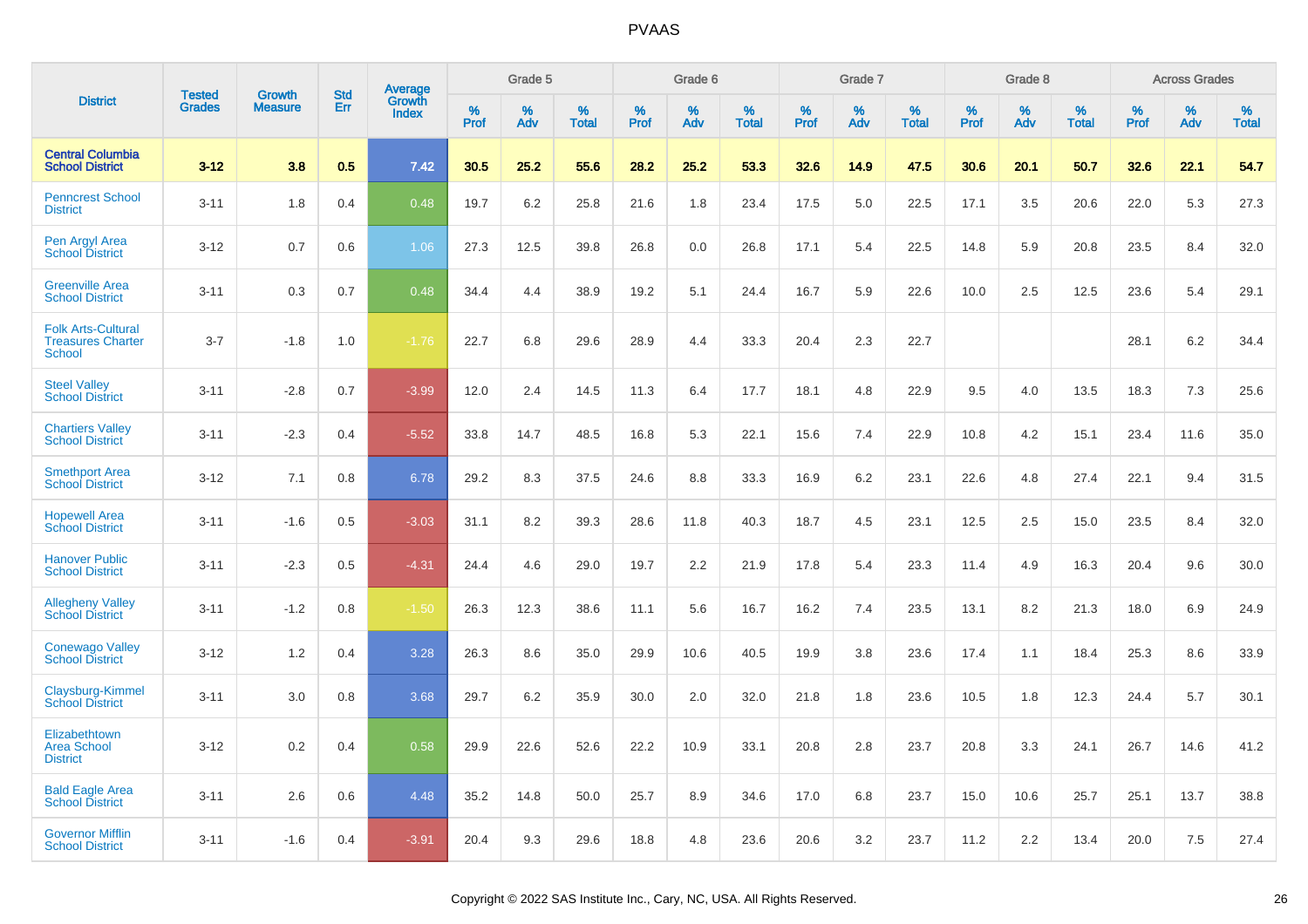|                                                                 | <b>Tested</b> | <b>Growth</b>  | <b>Std</b> | <b>Average</b>         |              | Grade 5  |                   |              | Grade 6  |                   |              | Grade 7  |                   |              | Grade 8  |                   |              | <b>Across Grades</b> |                   |
|-----------------------------------------------------------------|---------------|----------------|------------|------------------------|--------------|----------|-------------------|--------------|----------|-------------------|--------------|----------|-------------------|--------------|----------|-------------------|--------------|----------------------|-------------------|
| <b>District</b>                                                 | <b>Grades</b> | <b>Measure</b> | Err        | Growth<br><b>Index</b> | $\%$<br>Prof | %<br>Adv | %<br><b>Total</b> | $\%$<br>Prof | %<br>Adv | %<br><b>Total</b> | $\%$<br>Prof | %<br>Adv | %<br><b>Total</b> | $\%$<br>Prof | %<br>Adv | %<br><b>Total</b> | $\%$<br>Prof | %<br>Adv             | %<br><b>Total</b> |
| <b>Central Columbia</b><br><b>School District</b>               | $3 - 12$      | 3.8            | 0.5        | 7.42                   | 30.5         | 25.2     | 55.6              | 28.2         | 25.2     | 53.3              | 32.6         | 14.9     | 47.5              | 30.6         | 20.1     | 50.7              | 32.6         | 22.1                 | 54.7              |
| <b>Penncrest School</b><br><b>District</b>                      | $3 - 11$      | 1.8            | 0.4        | 0.48                   | 19.7         | 6.2      | 25.8              | 21.6         | 1.8      | 23.4              | 17.5         | 5.0      | 22.5              | 17.1         | 3.5      | 20.6              | 22.0         | 5.3                  | 27.3              |
| Pen Argyl Area<br><b>School District</b>                        | $3 - 12$      | 0.7            | 0.6        | 1.06                   | 27.3         | 12.5     | 39.8              | 26.8         | 0.0      | 26.8              | 17.1         | 5.4      | 22.5              | 14.8         | 5.9      | 20.8              | 23.5         | 8.4                  | 32.0              |
| <b>Greenville Area</b><br><b>School District</b>                | $3 - 11$      | 0.3            | 0.7        | 0.48                   | 34.4         | 4.4      | 38.9              | 19.2         | 5.1      | 24.4              | 16.7         | 5.9      | 22.6              | 10.0         | 2.5      | 12.5              | 23.6         | 5.4                  | 29.1              |
| <b>Folk Arts-Cultural</b><br><b>Treasures Charter</b><br>School | $3 - 7$       | $-1.8$         | 1.0        | $-1.76$                | 22.7         | 6.8      | 29.6              | 28.9         | 4.4      | 33.3              | 20.4         | 2.3      | 22.7              |              |          |                   | 28.1         | 6.2                  | 34.4              |
| <b>Steel Valley</b><br><b>School District</b>                   | $3 - 11$      | $-2.8$         | 0.7        | $-3.99$                | 12.0         | 2.4      | 14.5              | 11.3         | 6.4      | 17.7              | 18.1         | 4.8      | 22.9              | 9.5          | 4.0      | 13.5              | 18.3         | 7.3                  | 25.6              |
| <b>Chartiers Valley</b><br><b>School District</b>               | $3 - 11$      | $-2.3$         | 0.4        | $-5.52$                | 33.8         | 14.7     | 48.5              | 16.8         | 5.3      | 22.1              | 15.6         | 7.4      | 22.9              | 10.8         | 4.2      | 15.1              | 23.4         | 11.6                 | 35.0              |
| <b>Smethport Area</b><br><b>School District</b>                 | $3 - 12$      | 7.1            | 0.8        | 6.78                   | 29.2         | 8.3      | 37.5              | 24.6         | 8.8      | 33.3              | 16.9         | 6.2      | 23.1              | 22.6         | 4.8      | 27.4              | 22.1         | 9.4                  | 31.5              |
| <b>Hopewell Area</b><br><b>School District</b>                  | $3 - 11$      | $-1.6$         | 0.5        | $-3.03$                | 31.1         | 8.2      | 39.3              | 28.6         | 11.8     | 40.3              | 18.7         | 4.5      | 23.1              | 12.5         | 2.5      | 15.0              | 23.5         | 8.4                  | 32.0              |
| <b>Hanover Public</b><br><b>School District</b>                 | $3 - 11$      | $-2.3$         | 0.5        | $-4.31$                | 24.4         | 4.6      | 29.0              | 19.7         | 2.2      | 21.9              | 17.8         | 5.4      | 23.3              | 11.4         | 4.9      | 16.3              | 20.4         | 9.6                  | 30.0              |
| <b>Allegheny Valley</b><br><b>School District</b>               | $3 - 11$      | $-1.2$         | 0.8        | $-1.50$                | 26.3         | 12.3     | 38.6              | 11.1         | 5.6      | 16.7              | 16.2         | 7.4      | 23.5              | 13.1         | 8.2      | 21.3              | 18.0         | 6.9                  | 24.9              |
| <b>Conewago Valley</b><br><b>School District</b>                | $3 - 12$      | 1.2            | 0.4        | 3.28                   | 26.3         | 8.6      | 35.0              | 29.9         | 10.6     | 40.5              | 19.9         | 3.8      | 23.6              | 17.4         | 1.1      | 18.4              | 25.3         | 8.6                  | 33.9              |
| Claysburg-Kimmel<br><b>School District</b>                      | $3 - 11$      | 3.0            | 0.8        | 3.68                   | 29.7         | 6.2      | 35.9              | 30.0         | 2.0      | 32.0              | 21.8         | 1.8      | 23.6              | 10.5         | 1.8      | 12.3              | 24.4         | 5.7                  | 30.1              |
| Elizabethtown<br><b>Area School</b><br><b>District</b>          | $3 - 12$      | 0.2            | 0.4        | 0.58                   | 29.9         | 22.6     | 52.6              | 22.2         | 10.9     | 33.1              | 20.8         | 2.8      | 23.7              | 20.8         | 3.3      | 24.1              | 26.7         | 14.6                 | 41.2              |
| <b>Bald Eagle Area</b><br><b>School District</b>                | $3 - 11$      | 2.6            | 0.6        | 4.48                   | 35.2         | 14.8     | 50.0              | 25.7         | 8.9      | 34.6              | 17.0         | 6.8      | 23.7              | 15.0         | 10.6     | 25.7              | 25.1         | 13.7                 | 38.8              |
| <b>Governor Mifflin</b><br><b>School District</b>               | $3 - 11$      | $-1.6$         | 0.4        | $-3.91$                | 20.4         | 9.3      | 29.6              | 18.8         | 4.8      | 23.6              | 20.6         | 3.2      | 23.7              | 11.2         | 2.2      | 13.4              | 20.0         | 7.5                  | 27.4              |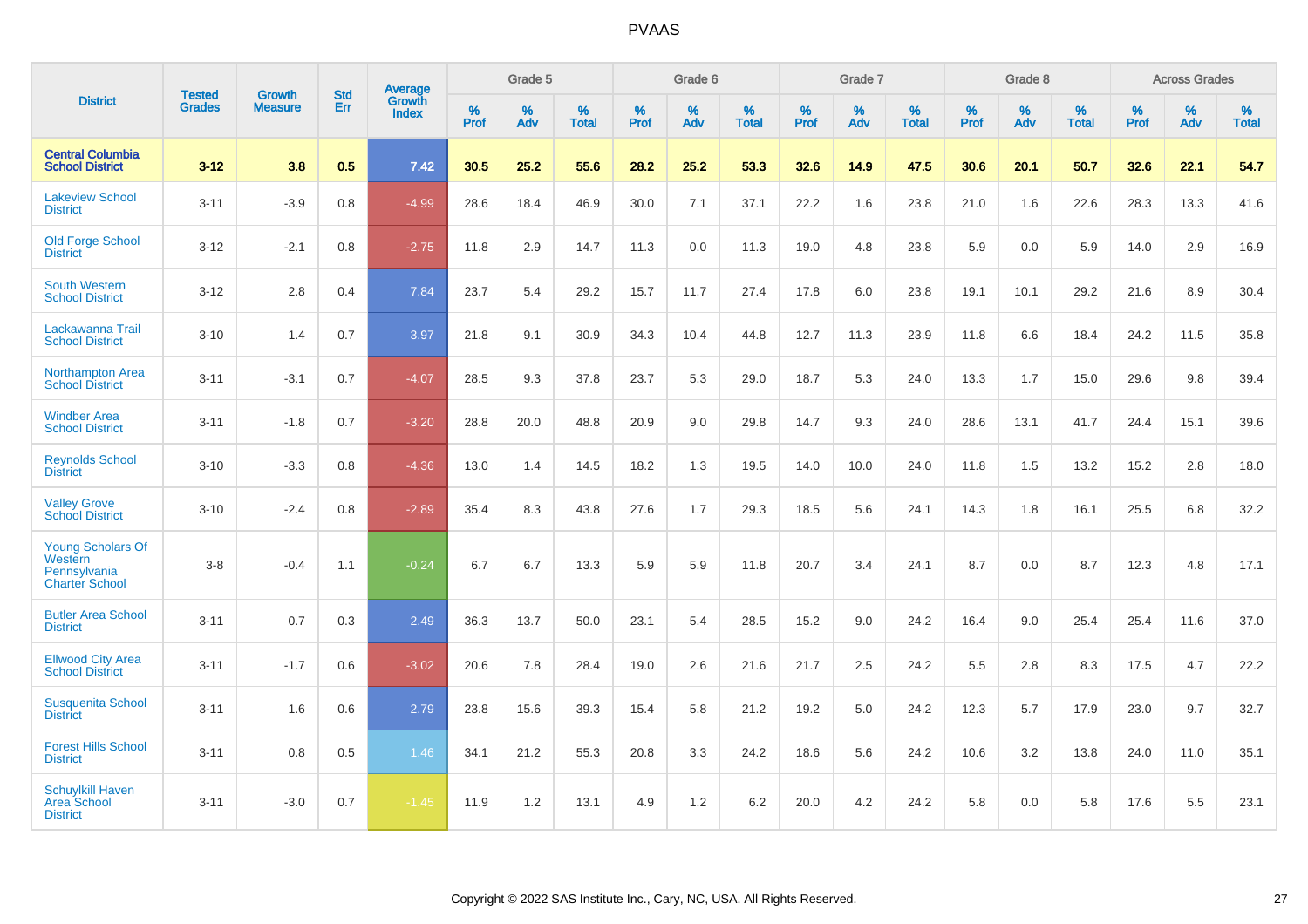|                                                                              |                                | <b>Growth</b>  | <b>Std</b> | Average                |              | Grade 5  |                   |           | Grade 6  |                   |           | Grade 7  |                   |           | Grade 8  |                   |           | <b>Across Grades</b> |                   |
|------------------------------------------------------------------------------|--------------------------------|----------------|------------|------------------------|--------------|----------|-------------------|-----------|----------|-------------------|-----------|----------|-------------------|-----------|----------|-------------------|-----------|----------------------|-------------------|
| <b>District</b>                                                              | <b>Tested</b><br><b>Grades</b> | <b>Measure</b> | Err        | Growth<br><b>Index</b> | $\%$<br>Prof | %<br>Adv | %<br><b>Total</b> | %<br>Prof | %<br>Adv | %<br><b>Total</b> | %<br>Prof | %<br>Adv | %<br><b>Total</b> | %<br>Prof | %<br>Adv | %<br><b>Total</b> | %<br>Prof | %<br>Adv             | %<br><b>Total</b> |
| <b>Central Columbia</b><br><b>School District</b>                            | $3 - 12$                       | 3.8            | 0.5        | 7.42                   | 30.5         | 25.2     | 55.6              | 28.2      | 25.2     | 53.3              | 32.6      | 14.9     | 47.5              | 30.6      | 20.1     | 50.7              | 32.6      | 22.1                 | 54.7              |
| <b>Lakeview School</b><br><b>District</b>                                    | $3 - 11$                       | $-3.9$         | 0.8        | $-4.99$                | 28.6         | 18.4     | 46.9              | 30.0      | 7.1      | 37.1              | 22.2      | 1.6      | 23.8              | 21.0      | 1.6      | 22.6              | 28.3      | 13.3                 | 41.6              |
| <b>Old Forge School</b><br><b>District</b>                                   | $3 - 12$                       | $-2.1$         | 0.8        | $-2.75$                | 11.8         | 2.9      | 14.7              | 11.3      | 0.0      | 11.3              | 19.0      | 4.8      | 23.8              | 5.9       | 0.0      | 5.9               | 14.0      | 2.9                  | 16.9              |
| <b>South Western</b><br><b>School District</b>                               | $3 - 12$                       | 2.8            | 0.4        | 7.84                   | 23.7         | 5.4      | 29.2              | 15.7      | 11.7     | 27.4              | 17.8      | 6.0      | 23.8              | 19.1      | 10.1     | 29.2              | 21.6      | 8.9                  | 30.4              |
| Lackawanna Trail<br><b>School District</b>                                   | $3 - 10$                       | 1.4            | 0.7        | 3.97                   | 21.8         | 9.1      | 30.9              | 34.3      | 10.4     | 44.8              | 12.7      | 11.3     | 23.9              | 11.8      | 6.6      | 18.4              | 24.2      | 11.5                 | 35.8              |
| <b>Northampton Area</b><br><b>School District</b>                            | $3 - 11$                       | $-3.1$         | 0.7        | $-4.07$                | 28.5         | 9.3      | 37.8              | 23.7      | 5.3      | 29.0              | 18.7      | 5.3      | 24.0              | 13.3      | 1.7      | 15.0              | 29.6      | 9.8                  | 39.4              |
| <b>Windber Area</b><br><b>School District</b>                                | $3 - 11$                       | $-1.8$         | 0.7        | $-3.20$                | 28.8         | 20.0     | 48.8              | 20.9      | 9.0      | 29.8              | 14.7      | 9.3      | 24.0              | 28.6      | 13.1     | 41.7              | 24.4      | 15.1                 | 39.6              |
| <b>Reynolds School</b><br><b>District</b>                                    | $3 - 10$                       | $-3.3$         | 0.8        | $-4.36$                | 13.0         | 1.4      | 14.5              | 18.2      | 1.3      | 19.5              | 14.0      | 10.0     | 24.0              | 11.8      | 1.5      | 13.2              | 15.2      | 2.8                  | 18.0              |
| <b>Valley Grove</b><br><b>School District</b>                                | $3 - 10$                       | $-2.4$         | 0.8        | $-2.89$                | 35.4         | 8.3      | 43.8              | 27.6      | 1.7      | 29.3              | 18.5      | 5.6      | 24.1              | 14.3      | 1.8      | 16.1              | 25.5      | 6.8                  | 32.2              |
| <b>Young Scholars Of</b><br>Western<br>Pennsylvania<br><b>Charter School</b> | $3 - 8$                        | $-0.4$         | 1.1        | $-0.24$                | 6.7          | 6.7      | 13.3              | 5.9       | 5.9      | 11.8              | 20.7      | 3.4      | 24.1              | 8.7       | 0.0      | 8.7               | 12.3      | 4.8                  | 17.1              |
| <b>Butler Area School</b><br><b>District</b>                                 | $3 - 11$                       | 0.7            | 0.3        | 2.49                   | 36.3         | 13.7     | 50.0              | 23.1      | 5.4      | 28.5              | 15.2      | 9.0      | 24.2              | 16.4      | 9.0      | 25.4              | 25.4      | 11.6                 | 37.0              |
| <b>Ellwood City Area</b><br><b>School District</b>                           | $3 - 11$                       | $-1.7$         | 0.6        | $-3.02$                | 20.6         | 7.8      | 28.4              | 19.0      | 2.6      | 21.6              | 21.7      | 2.5      | 24.2              | 5.5       | 2.8      | 8.3               | 17.5      | 4.7                  | 22.2              |
| <b>Susquenita School</b><br><b>District</b>                                  | $3 - 11$                       | 1.6            | 0.6        | 2.79                   | 23.8         | 15.6     | 39.3              | 15.4      | 5.8      | 21.2              | 19.2      | 5.0      | 24.2              | 12.3      | 5.7      | 17.9              | 23.0      | 9.7                  | 32.7              |
| <b>Forest Hills School</b><br><b>District</b>                                | $3 - 11$                       | 0.8            | 0.5        | 1.46                   | 34.1         | 21.2     | 55.3              | 20.8      | 3.3      | 24.2              | 18.6      | 5.6      | 24.2              | 10.6      | 3.2      | 13.8              | 24.0      | 11.0                 | 35.1              |
| <b>Schuylkill Haven</b><br><b>Area School</b><br><b>District</b>             | $3 - 11$                       | $-3.0$         | 0.7        | $-1.45$                | 11.9         | 1.2      | 13.1              | 4.9       | 1.2      | 6.2               | 20.0      | 4.2      | 24.2              | 5.8       | 0.0      | 5.8               | 17.6      | 5.5                  | 23.1              |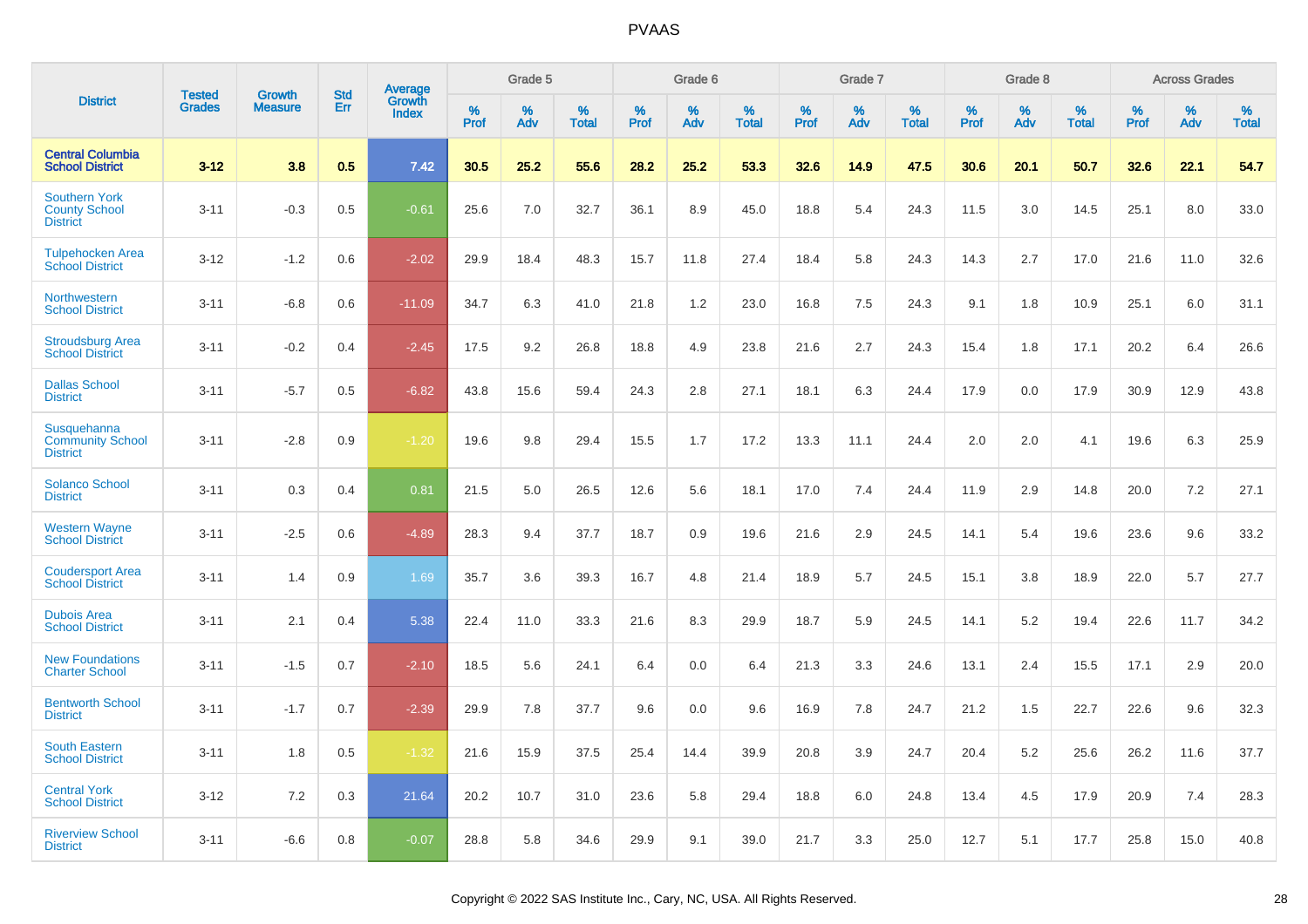|                                                                 | <b>Tested</b> | <b>Growth</b>  | <b>Std</b> |                                   |              | Grade 5  |                   |              | Grade 6  |                   |              | Grade 7  |                   |              | Grade 8  |                   |              | <b>Across Grades</b> |                   |
|-----------------------------------------------------------------|---------------|----------------|------------|-----------------------------------|--------------|----------|-------------------|--------------|----------|-------------------|--------------|----------|-------------------|--------------|----------|-------------------|--------------|----------------------|-------------------|
| <b>District</b>                                                 | <b>Grades</b> | <b>Measure</b> | Err        | Average<br>Growth<br><b>Index</b> | $\%$<br>Prof | %<br>Adv | %<br><b>Total</b> | $\%$<br>Prof | %<br>Adv | %<br><b>Total</b> | $\%$<br>Prof | %<br>Adv | %<br><b>Total</b> | $\%$<br>Prof | %<br>Adv | %<br><b>Total</b> | $\%$<br>Prof | %<br>Adv             | %<br><b>Total</b> |
| <b>Central Columbia</b><br><b>School District</b>               | $3 - 12$      | 3.8            | 0.5        | 7.42                              | 30.5         | 25.2     | 55.6              | 28.2         | 25.2     | 53.3              | 32.6         | 14.9     | 47.5              | 30.6         | 20.1     | 50.7              | 32.6         | 22.1                 | 54.7              |
| <b>Southern York</b><br><b>County School</b><br><b>District</b> | $3 - 11$      | $-0.3$         | 0.5        | $-0.61$                           | 25.6         | 7.0      | 32.7              | 36.1         | 8.9      | 45.0              | 18.8         | 5.4      | 24.3              | 11.5         | 3.0      | 14.5              | 25.1         | 8.0                  | 33.0              |
| <b>Tulpehocken Area</b><br><b>School District</b>               | $3 - 12$      | $-1.2$         | 0.6        | $-2.02$                           | 29.9         | 18.4     | 48.3              | 15.7         | 11.8     | 27.4              | 18.4         | 5.8      | 24.3              | 14.3         | 2.7      | 17.0              | 21.6         | 11.0                 | 32.6              |
| Northwestern<br><b>School District</b>                          | $3 - 11$      | $-6.8$         | 0.6        | $-11.09$                          | 34.7         | 6.3      | 41.0              | 21.8         | 1.2      | 23.0              | 16.8         | 7.5      | 24.3              | 9.1          | 1.8      | 10.9              | 25.1         | 6.0                  | 31.1              |
| <b>Stroudsburg Area</b><br><b>School District</b>               | $3 - 11$      | $-0.2$         | 0.4        | $-2.45$                           | 17.5         | 9.2      | 26.8              | 18.8         | 4.9      | 23.8              | 21.6         | 2.7      | 24.3              | 15.4         | 1.8      | 17.1              | 20.2         | 6.4                  | 26.6              |
| <b>Dallas School</b><br><b>District</b>                         | $3 - 11$      | $-5.7$         | 0.5        | $-6.82$                           | 43.8         | 15.6     | 59.4              | 24.3         | 2.8      | 27.1              | 18.1         | 6.3      | 24.4              | 17.9         | 0.0      | 17.9              | 30.9         | 12.9                 | 43.8              |
| Susquehanna<br><b>Community School</b><br><b>District</b>       | $3 - 11$      | $-2.8$         | 0.9        | $-1.20$                           | 19.6         | 9.8      | 29.4              | 15.5         | 1.7      | 17.2              | 13.3         | 11.1     | 24.4              | 2.0          | 2.0      | 4.1               | 19.6         | 6.3                  | 25.9              |
| <b>Solanco School</b><br><b>District</b>                        | $3 - 11$      | 0.3            | 0.4        | 0.81                              | 21.5         | 5.0      | 26.5              | 12.6         | 5.6      | 18.1              | 17.0         | 7.4      | 24.4              | 11.9         | 2.9      | 14.8              | 20.0         | 7.2                  | 27.1              |
| <b>Western Wayne</b><br><b>School District</b>                  | $3 - 11$      | $-2.5$         | 0.6        | $-4.89$                           | 28.3         | 9.4      | 37.7              | 18.7         | 0.9      | 19.6              | 21.6         | 2.9      | 24.5              | 14.1         | 5.4      | 19.6              | 23.6         | 9.6                  | 33.2              |
| <b>Coudersport Area</b><br><b>School District</b>               | $3 - 11$      | 1.4            | 0.9        | 1.69                              | 35.7         | 3.6      | 39.3              | 16.7         | 4.8      | 21.4              | 18.9         | 5.7      | 24.5              | 15.1         | 3.8      | 18.9              | 22.0         | 5.7                  | 27.7              |
| <b>Dubois Area</b><br><b>School District</b>                    | $3 - 11$      | 2.1            | 0.4        | 5.38                              | 22.4         | 11.0     | 33.3              | 21.6         | 8.3      | 29.9              | 18.7         | 5.9      | 24.5              | 14.1         | 5.2      | 19.4              | 22.6         | 11.7                 | 34.2              |
| <b>New Foundations</b><br><b>Charter School</b>                 | $3 - 11$      | $-1.5$         | 0.7        | $-2.10$                           | 18.5         | 5.6      | 24.1              | 6.4          | 0.0      | 6.4               | 21.3         | 3.3      | 24.6              | 13.1         | 2.4      | 15.5              | 17.1         | 2.9                  | 20.0              |
| <b>Bentworth School</b><br><b>District</b>                      | $3 - 11$      | $-1.7$         | 0.7        | $-2.39$                           | 29.9         | 7.8      | 37.7              | 9.6          | 0.0      | 9.6               | 16.9         | 7.8      | 24.7              | 21.2         | 1.5      | 22.7              | 22.6         | 9.6                  | 32.3              |
| <b>South Eastern</b><br><b>School District</b>                  | $3 - 11$      | 1.8            | 0.5        | $-1.32$                           | 21.6         | 15.9     | 37.5              | 25.4         | 14.4     | 39.9              | 20.8         | 3.9      | 24.7              | 20.4         | 5.2      | 25.6              | 26.2         | 11.6                 | 37.7              |
| <b>Central York</b><br><b>School District</b>                   | $3 - 12$      | 7.2            | 0.3        | 21.64                             | 20.2         | 10.7     | 31.0              | 23.6         | 5.8      | 29.4              | 18.8         | 6.0      | 24.8              | 13.4         | 4.5      | 17.9              | 20.9         | 7.4                  | 28.3              |
| <b>Riverview School</b><br><b>District</b>                      | $3 - 11$      | $-6.6$         | 0.8        | $-0.07$                           | 28.8         | 5.8      | 34.6              | 29.9         | 9.1      | 39.0              | 21.7         | 3.3      | 25.0              | 12.7         | 5.1      | 17.7              | 25.8         | 15.0                 | 40.8              |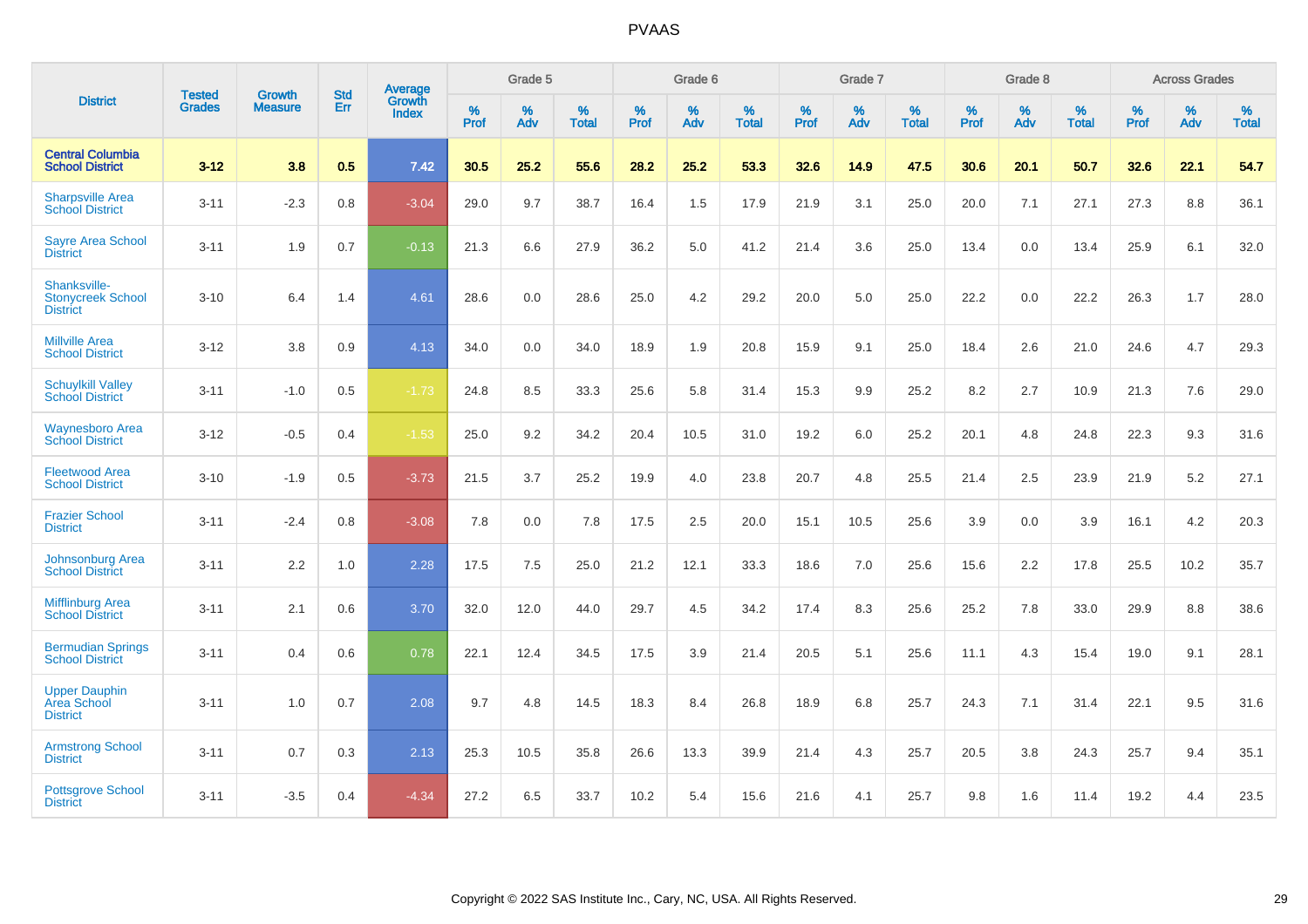|                                                             | <b>Tested</b> | <b>Growth</b>  | <b>Std</b> | <b>Average</b>         |                  | Grade 5  |                   |           | Grade 6  |                   |                  | Grade 7  |                   |                  | Grade 8  |                   |           | <b>Across Grades</b> |                   |
|-------------------------------------------------------------|---------------|----------------|------------|------------------------|------------------|----------|-------------------|-----------|----------|-------------------|------------------|----------|-------------------|------------------|----------|-------------------|-----------|----------------------|-------------------|
| <b>District</b>                                             | <b>Grades</b> | <b>Measure</b> | Err        | Growth<br><b>Index</b> | %<br><b>Prof</b> | %<br>Adv | %<br><b>Total</b> | %<br>Prof | %<br>Adv | %<br><b>Total</b> | %<br><b>Prof</b> | %<br>Adv | %<br><b>Total</b> | %<br><b>Prof</b> | %<br>Adv | %<br><b>Total</b> | %<br>Prof | %<br>Adv             | %<br><b>Total</b> |
| <b>Central Columbia</b><br><b>School District</b>           | $3 - 12$      | 3.8            | 0.5        | 7.42                   | 30.5             | 25.2     | 55.6              | 28.2      | 25.2     | 53.3              | 32.6             | 14.9     | 47.5              | 30.6             | 20.1     | 50.7              | 32.6      | 22.1                 | 54.7              |
| <b>Sharpsville Area</b><br><b>School District</b>           | $3 - 11$      | $-2.3$         | 0.8        | $-3.04$                | 29.0             | 9.7      | 38.7              | 16.4      | 1.5      | 17.9              | 21.9             | 3.1      | 25.0              | 20.0             | 7.1      | 27.1              | 27.3      | 8.8                  | 36.1              |
| <b>Sayre Area School</b><br><b>District</b>                 | $3 - 11$      | 1.9            | 0.7        | $-0.13$                | 21.3             | 6.6      | 27.9              | 36.2      | 5.0      | 41.2              | 21.4             | 3.6      | 25.0              | 13.4             | 0.0      | 13.4              | 25.9      | 6.1                  | 32.0              |
| Shanksville-<br><b>Stonycreek School</b><br><b>District</b> | $3 - 10$      | 6.4            | 1.4        | 4.61                   | 28.6             | 0.0      | 28.6              | 25.0      | 4.2      | 29.2              | 20.0             | 5.0      | 25.0              | 22.2             | 0.0      | 22.2              | 26.3      | 1.7                  | 28.0              |
| <b>Millville Area</b><br><b>School District</b>             | $3 - 12$      | 3.8            | 0.9        | 4.13                   | 34.0             | 0.0      | 34.0              | 18.9      | 1.9      | 20.8              | 15.9             | 9.1      | 25.0              | 18.4             | 2.6      | 21.0              | 24.6      | 4.7                  | 29.3              |
| <b>Schuylkill Valley</b><br><b>School District</b>          | $3 - 11$      | $-1.0$         | 0.5        | $-1.73$                | 24.8             | 8.5      | 33.3              | 25.6      | 5.8      | 31.4              | 15.3             | 9.9      | 25.2              | 8.2              | 2.7      | 10.9              | 21.3      | 7.6                  | 29.0              |
| <b>Waynesboro Area</b><br><b>School District</b>            | $3 - 12$      | $-0.5$         | 0.4        | $-1.53$                | 25.0             | 9.2      | 34.2              | 20.4      | 10.5     | 31.0              | 19.2             | 6.0      | 25.2              | 20.1             | 4.8      | 24.8              | 22.3      | 9.3                  | 31.6              |
| <b>Fleetwood Area</b><br><b>School District</b>             | $3 - 10$      | $-1.9$         | 0.5        | $-3.73$                | 21.5             | 3.7      | 25.2              | 19.9      | 4.0      | 23.8              | 20.7             | 4.8      | 25.5              | 21.4             | 2.5      | 23.9              | 21.9      | 5.2                  | 27.1              |
| <b>Frazier School</b><br><b>District</b>                    | $3 - 11$      | $-2.4$         | 0.8        | $-3.08$                | 7.8              | 0.0      | 7.8               | 17.5      | 2.5      | 20.0              | 15.1             | 10.5     | 25.6              | 3.9              | 0.0      | 3.9               | 16.1      | 4.2                  | 20.3              |
| <b>Johnsonburg Area</b><br><b>School District</b>           | $3 - 11$      | 2.2            | 1.0        | 2.28                   | 17.5             | 7.5      | 25.0              | 21.2      | 12.1     | 33.3              | 18.6             | 7.0      | 25.6              | 15.6             | 2.2      | 17.8              | 25.5      | 10.2                 | 35.7              |
| Mifflinburg Area<br><b>School District</b>                  | $3 - 11$      | 2.1            | 0.6        | 3.70                   | 32.0             | 12.0     | 44.0              | 29.7      | 4.5      | 34.2              | 17.4             | 8.3      | 25.6              | 25.2             | 7.8      | 33.0              | 29.9      | 8.8                  | 38.6              |
| <b>Bermudian Springs</b><br><b>School District</b>          | $3 - 11$      | 0.4            | 0.6        | 0.78                   | 22.1             | 12.4     | 34.5              | 17.5      | 3.9      | 21.4              | 20.5             | 5.1      | 25.6              | 11.1             | 4.3      | 15.4              | 19.0      | 9.1                  | 28.1              |
| <b>Upper Dauphin</b><br>Area School<br><b>District</b>      | $3 - 11$      | 1.0            | 0.7        | 2.08                   | 9.7              | 4.8      | 14.5              | 18.3      | 8.4      | 26.8              | 18.9             | 6.8      | 25.7              | 24.3             | 7.1      | 31.4              | 22.1      | 9.5                  | 31.6              |
| <b>Armstrong School</b><br><b>District</b>                  | $3 - 11$      | 0.7            | 0.3        | 2.13                   | 25.3             | 10.5     | 35.8              | 26.6      | 13.3     | 39.9              | 21.4             | 4.3      | 25.7              | 20.5             | 3.8      | 24.3              | 25.7      | 9.4                  | 35.1              |
| <b>Pottsgrove School</b><br><b>District</b>                 | $3 - 11$      | $-3.5$         | 0.4        | $-4.34$                | 27.2             | 6.5      | 33.7              | 10.2      | 5.4      | 15.6              | 21.6             | 4.1      | 25.7              | 9.8              | 1.6      | 11.4              | 19.2      | 4.4                  | 23.5              |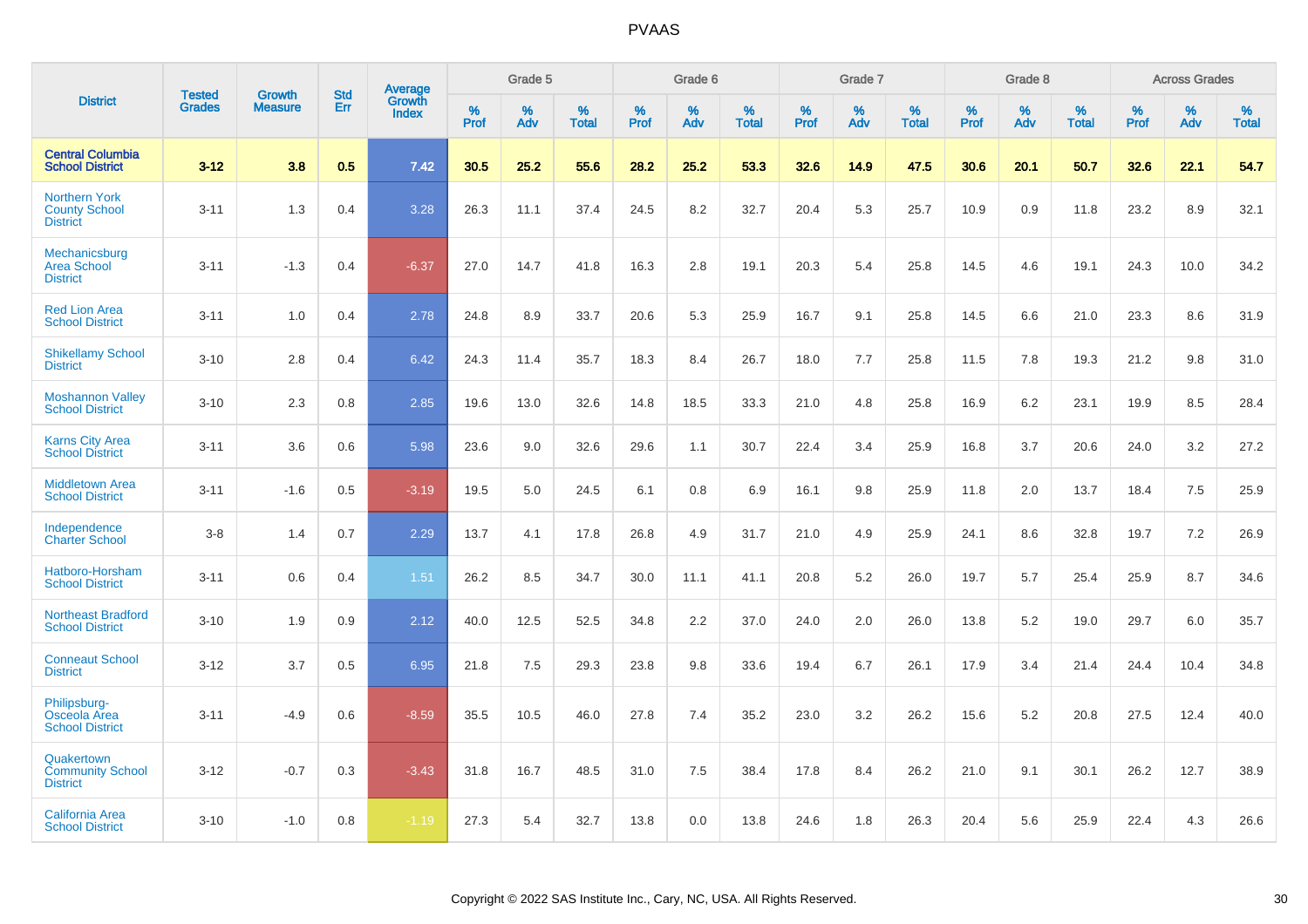|                                                                 | <b>Tested</b> | <b>Growth</b>  | <b>Std</b> |                                   |                  | Grade 5  |                   |                  | Grade 6  |                   |           | Grade 7  |                   |                  | Grade 8  |                   |                     | <b>Across Grades</b> |                   |
|-----------------------------------------------------------------|---------------|----------------|------------|-----------------------------------|------------------|----------|-------------------|------------------|----------|-------------------|-----------|----------|-------------------|------------------|----------|-------------------|---------------------|----------------------|-------------------|
| <b>District</b>                                                 | <b>Grades</b> | <b>Measure</b> | <b>Err</b> | Average<br>Growth<br><b>Index</b> | %<br><b>Prof</b> | %<br>Adv | %<br><b>Total</b> | %<br><b>Prof</b> | %<br>Adv | %<br><b>Total</b> | %<br>Prof | %<br>Adv | %<br><b>Total</b> | %<br><b>Prof</b> | %<br>Adv | %<br><b>Total</b> | $\%$<br><b>Prof</b> | %<br>Adv             | %<br><b>Total</b> |
| <b>Central Columbia</b><br><b>School District</b>               | $3 - 12$      | 3.8            | 0.5        | 7.42                              | 30.5             | 25.2     | 55.6              | 28.2             | 25.2     | 53.3              | 32.6      | 14.9     | 47.5              | 30.6             | 20.1     | 50.7              | 32.6                | 22.1                 | 54.7              |
| <b>Northern York</b><br><b>County School</b><br><b>District</b> | $3 - 11$      | 1.3            | 0.4        | 3.28                              | 26.3             | 11.1     | 37.4              | 24.5             | 8.2      | 32.7              | 20.4      | 5.3      | 25.7              | 10.9             | 0.9      | 11.8              | 23.2                | 8.9                  | 32.1              |
| Mechanicsburg<br><b>Area School</b><br><b>District</b>          | $3 - 11$      | $-1.3$         | 0.4        | $-6.37$                           | 27.0             | 14.7     | 41.8              | 16.3             | 2.8      | 19.1              | 20.3      | 5.4      | 25.8              | 14.5             | 4.6      | 19.1              | 24.3                | 10.0                 | 34.2              |
| <b>Red Lion Area</b><br><b>School District</b>                  | $3 - 11$      | 1.0            | 0.4        | 2.78                              | 24.8             | 8.9      | 33.7              | 20.6             | 5.3      | 25.9              | 16.7      | 9.1      | 25.8              | 14.5             | 6.6      | 21.0              | 23.3                | 8.6                  | 31.9              |
| <b>Shikellamy School</b><br><b>District</b>                     | $3 - 10$      | 2.8            | 0.4        | 6.42                              | 24.3             | 11.4     | 35.7              | 18.3             | 8.4      | 26.7              | 18.0      | 7.7      | 25.8              | 11.5             | 7.8      | 19.3              | 21.2                | 9.8                  | 31.0              |
| <b>Moshannon Valley</b><br><b>School District</b>               | $3 - 10$      | 2.3            | 0.8        | 2.85                              | 19.6             | 13.0     | 32.6              | 14.8             | 18.5     | 33.3              | 21.0      | 4.8      | 25.8              | 16.9             | 6.2      | 23.1              | 19.9                | 8.5                  | 28.4              |
| <b>Karns City Area</b><br><b>School District</b>                | $3 - 11$      | 3.6            | 0.6        | 5.98                              | 23.6             | 9.0      | 32.6              | 29.6             | 1.1      | 30.7              | 22.4      | 3.4      | 25.9              | 16.8             | 3.7      | 20.6              | 24.0                | 3.2                  | 27.2              |
| <b>Middletown Area</b><br><b>School District</b>                | $3 - 11$      | $-1.6$         | 0.5        | $-3.19$                           | 19.5             | 5.0      | 24.5              | 6.1              | 0.8      | 6.9               | 16.1      | 9.8      | 25.9              | 11.8             | 2.0      | 13.7              | 18.4                | 7.5                  | 25.9              |
| Independence<br><b>Charter School</b>                           | $3 - 8$       | 1.4            | 0.7        | 2.29                              | 13.7             | 4.1      | 17.8              | 26.8             | 4.9      | 31.7              | 21.0      | 4.9      | 25.9              | 24.1             | 8.6      | 32.8              | 19.7                | 7.2                  | 26.9              |
| Hatboro-Horsham<br><b>School District</b>                       | $3 - 11$      | 0.6            | 0.4        | 1.51                              | 26.2             | 8.5      | 34.7              | 30.0             | 11.1     | 41.1              | 20.8      | 5.2      | 26.0              | 19.7             | 5.7      | 25.4              | 25.9                | 8.7                  | 34.6              |
| <b>Northeast Bradford</b><br><b>School District</b>             | $3 - 10$      | 1.9            | 0.9        | 2.12                              | 40.0             | 12.5     | 52.5              | 34.8             | 2.2      | 37.0              | 24.0      | 2.0      | 26.0              | 13.8             | 5.2      | 19.0              | 29.7                | 6.0                  | 35.7              |
| <b>Conneaut School</b><br><b>District</b>                       | $3 - 12$      | 3.7            | 0.5        | 6.95                              | 21.8             | 7.5      | 29.3              | 23.8             | 9.8      | 33.6              | 19.4      | 6.7      | 26.1              | 17.9             | 3.4      | 21.4              | 24.4                | 10.4                 | 34.8              |
| Philipsburg-<br>Osceola Area<br><b>School District</b>          | $3 - 11$      | $-4.9$         | 0.6        | $-8.59$                           | 35.5             | 10.5     | 46.0              | 27.8             | 7.4      | 35.2              | 23.0      | 3.2      | 26.2              | 15.6             | 5.2      | 20.8              | 27.5                | 12.4                 | 40.0              |
| Quakertown<br><b>Community School</b><br><b>District</b>        | $3 - 12$      | $-0.7$         | 0.3        | $-3.43$                           | 31.8             | 16.7     | 48.5              | 31.0             | 7.5      | 38.4              | 17.8      | 8.4      | 26.2              | 21.0             | 9.1      | 30.1              | 26.2                | 12.7                 | 38.9              |
| <b>California Area</b><br><b>School District</b>                | $3 - 10$      | $-1.0$         | 0.8        | $-1.19$                           | 27.3             | 5.4      | 32.7              | 13.8             | 0.0      | 13.8              | 24.6      | 1.8      | 26.3              | 20.4             | 5.6      | 25.9              | 22.4                | 4.3                  | 26.6              |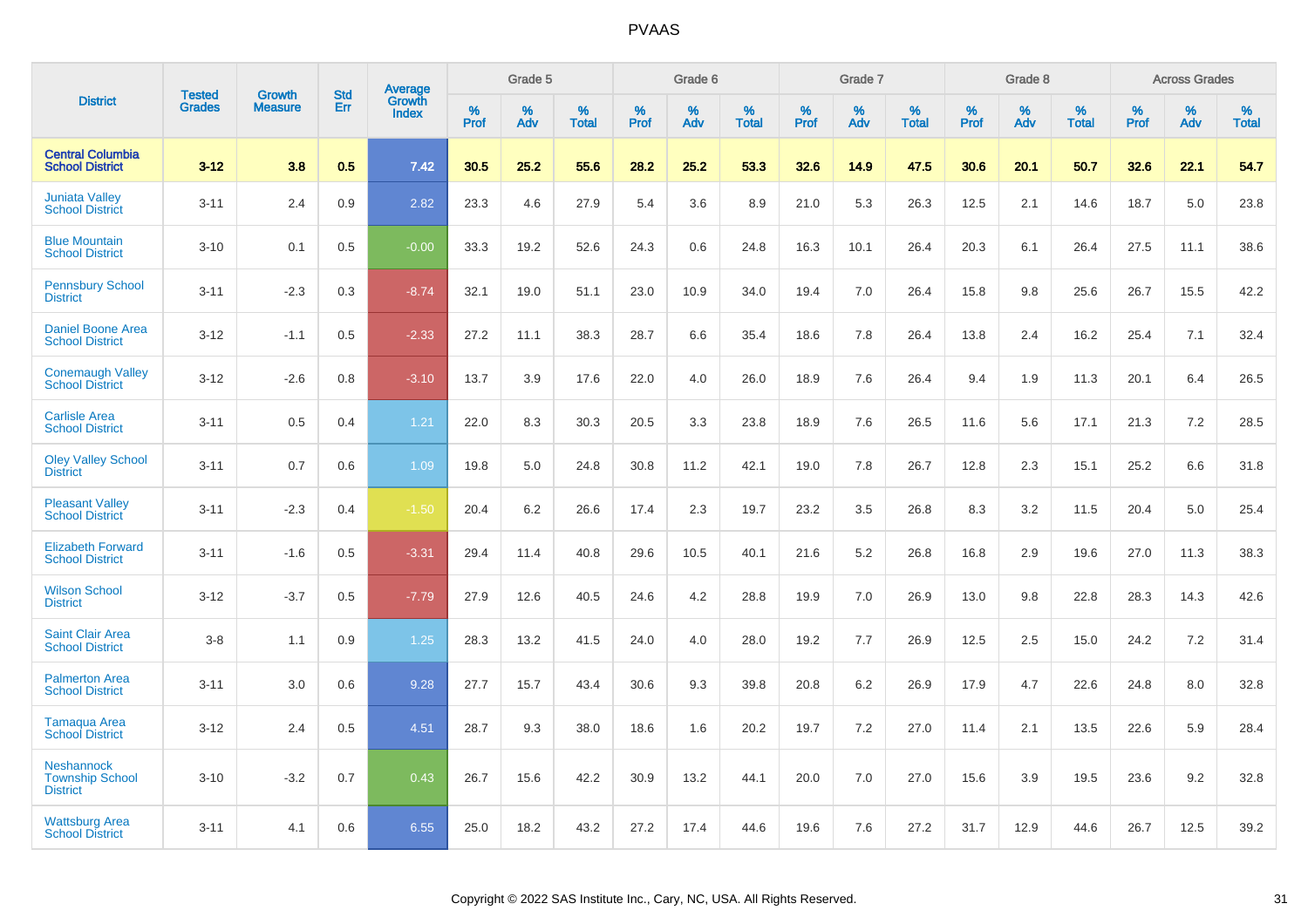|                                                                | <b>Tested</b> | <b>Growth</b>  | <b>Std</b> | Average         |              | Grade 5  |                   |              | Grade 6  |                   |              | Grade 7  |                   |              | Grade 8  |                   |              | <b>Across Grades</b> |                   |
|----------------------------------------------------------------|---------------|----------------|------------|-----------------|--------------|----------|-------------------|--------------|----------|-------------------|--------------|----------|-------------------|--------------|----------|-------------------|--------------|----------------------|-------------------|
| <b>District</b>                                                | <b>Grades</b> | <b>Measure</b> | Err        | Growth<br>Index | $\%$<br>Prof | %<br>Adv | %<br><b>Total</b> | $\%$<br>Prof | %<br>Adv | %<br><b>Total</b> | $\%$<br>Prof | %<br>Adv | %<br><b>Total</b> | $\%$<br>Prof | %<br>Adv | %<br><b>Total</b> | $\%$<br>Prof | $\%$<br>Adv          | %<br><b>Total</b> |
| <b>Central Columbia</b><br><b>School District</b>              | $3 - 12$      | 3.8            | 0.5        | 7.42            | 30.5         | 25.2     | 55.6              | 28.2         | 25.2     | 53.3              | 32.6         | 14.9     | 47.5              | 30.6         | 20.1     | 50.7              | 32.6         | 22.1                 | 54.7              |
| <b>Juniata Valley</b><br><b>School District</b>                | $3 - 11$      | 2.4            | 0.9        | 2.82            | 23.3         | 4.6      | 27.9              | 5.4          | 3.6      | 8.9               | 21.0         | 5.3      | 26.3              | 12.5         | 2.1      | 14.6              | 18.7         | 5.0                  | 23.8              |
| <b>Blue Mountain</b><br><b>School District</b>                 | $3 - 10$      | 0.1            | 0.5        | $-0.00$         | 33.3         | 19.2     | 52.6              | 24.3         | 0.6      | 24.8              | 16.3         | 10.1     | 26.4              | 20.3         | 6.1      | 26.4              | 27.5         | 11.1                 | 38.6              |
| <b>Pennsbury School</b><br><b>District</b>                     | $3 - 11$      | $-2.3$         | 0.3        | $-8.74$         | 32.1         | 19.0     | 51.1              | 23.0         | 10.9     | 34.0              | 19.4         | 7.0      | 26.4              | 15.8         | 9.8      | 25.6              | 26.7         | 15.5                 | 42.2              |
| <b>Daniel Boone Area</b><br><b>School District</b>             | $3 - 12$      | $-1.1$         | 0.5        | $-2.33$         | 27.2         | 11.1     | 38.3              | 28.7         | 6.6      | 35.4              | 18.6         | 7.8      | 26.4              | 13.8         | 2.4      | 16.2              | 25.4         | 7.1                  | 32.4              |
| <b>Conemaugh Valley</b><br><b>School District</b>              | $3 - 12$      | $-2.6$         | 0.8        | $-3.10$         | 13.7         | 3.9      | 17.6              | 22.0         | 4.0      | 26.0              | 18.9         | 7.6      | 26.4              | 9.4          | 1.9      | 11.3              | 20.1         | 6.4                  | 26.5              |
| <b>Carlisle Area</b><br><b>School District</b>                 | $3 - 11$      | 0.5            | 0.4        | 1.21            | 22.0         | 8.3      | 30.3              | 20.5         | 3.3      | 23.8              | 18.9         | 7.6      | 26.5              | 11.6         | 5.6      | 17.1              | 21.3         | 7.2                  | 28.5              |
| <b>Oley Valley School</b><br><b>District</b>                   | $3 - 11$      | 0.7            | 0.6        | 1.09            | 19.8         | 5.0      | 24.8              | 30.8         | 11.2     | 42.1              | 19.0         | 7.8      | 26.7              | 12.8         | 2.3      | 15.1              | 25.2         | 6.6                  | 31.8              |
| <b>Pleasant Valley</b><br><b>School District</b>               | $3 - 11$      | $-2.3$         | 0.4        | $-1.50$         | 20.4         | 6.2      | 26.6              | 17.4         | 2.3      | 19.7              | 23.2         | 3.5      | 26.8              | 8.3          | 3.2      | 11.5              | 20.4         | 5.0                  | 25.4              |
| <b>Elizabeth Forward</b><br><b>School District</b>             | $3 - 11$      | $-1.6$         | 0.5        | $-3.31$         | 29.4         | 11.4     | 40.8              | 29.6         | 10.5     | 40.1              | 21.6         | 5.2      | 26.8              | 16.8         | 2.9      | 19.6              | 27.0         | 11.3                 | 38.3              |
| <b>Wilson School</b><br><b>District</b>                        | $3 - 12$      | $-3.7$         | 0.5        | $-7.79$         | 27.9         | 12.6     | 40.5              | 24.6         | 4.2      | 28.8              | 19.9         | 7.0      | 26.9              | 13.0         | 9.8      | 22.8              | 28.3         | 14.3                 | 42.6              |
| <b>Saint Clair Area</b><br><b>School District</b>              | $3 - 8$       | 1.1            | 0.9        | 1.25            | 28.3         | 13.2     | 41.5              | 24.0         | 4.0      | 28.0              | 19.2         | 7.7      | 26.9              | 12.5         | 2.5      | 15.0              | 24.2         | 7.2                  | 31.4              |
| <b>Palmerton Area</b><br><b>School District</b>                | $3 - 11$      | 3.0            | 0.6        | 9.28            | 27.7         | 15.7     | 43.4              | 30.6         | 9.3      | 39.8              | 20.8         | 6.2      | 26.9              | 17.9         | 4.7      | 22.6              | 24.8         | 8.0                  | 32.8              |
| Tamaqua Area<br><b>School District</b>                         | $3 - 12$      | 2.4            | 0.5        | 4.51            | 28.7         | 9.3      | 38.0              | 18.6         | 1.6      | 20.2              | 19.7         | 7.2      | 27.0              | 11.4         | 2.1      | 13.5              | 22.6         | 5.9                  | 28.4              |
| <b>Neshannock</b><br><b>Township School</b><br><b>District</b> | $3 - 10$      | $-3.2$         | 0.7        | 0.43            | 26.7         | 15.6     | 42.2              | 30.9         | 13.2     | 44.1              | 20.0         | 7.0      | 27.0              | 15.6         | 3.9      | 19.5              | 23.6         | 9.2                  | 32.8              |
| <b>Wattsburg Area</b><br><b>School District</b>                | $3 - 11$      | 4.1            | 0.6        | 6.55            | 25.0         | 18.2     | 43.2              | 27.2         | 17.4     | 44.6              | 19.6         | 7.6      | 27.2              | 31.7         | 12.9     | 44.6              | 26.7         | 12.5                 | 39.2              |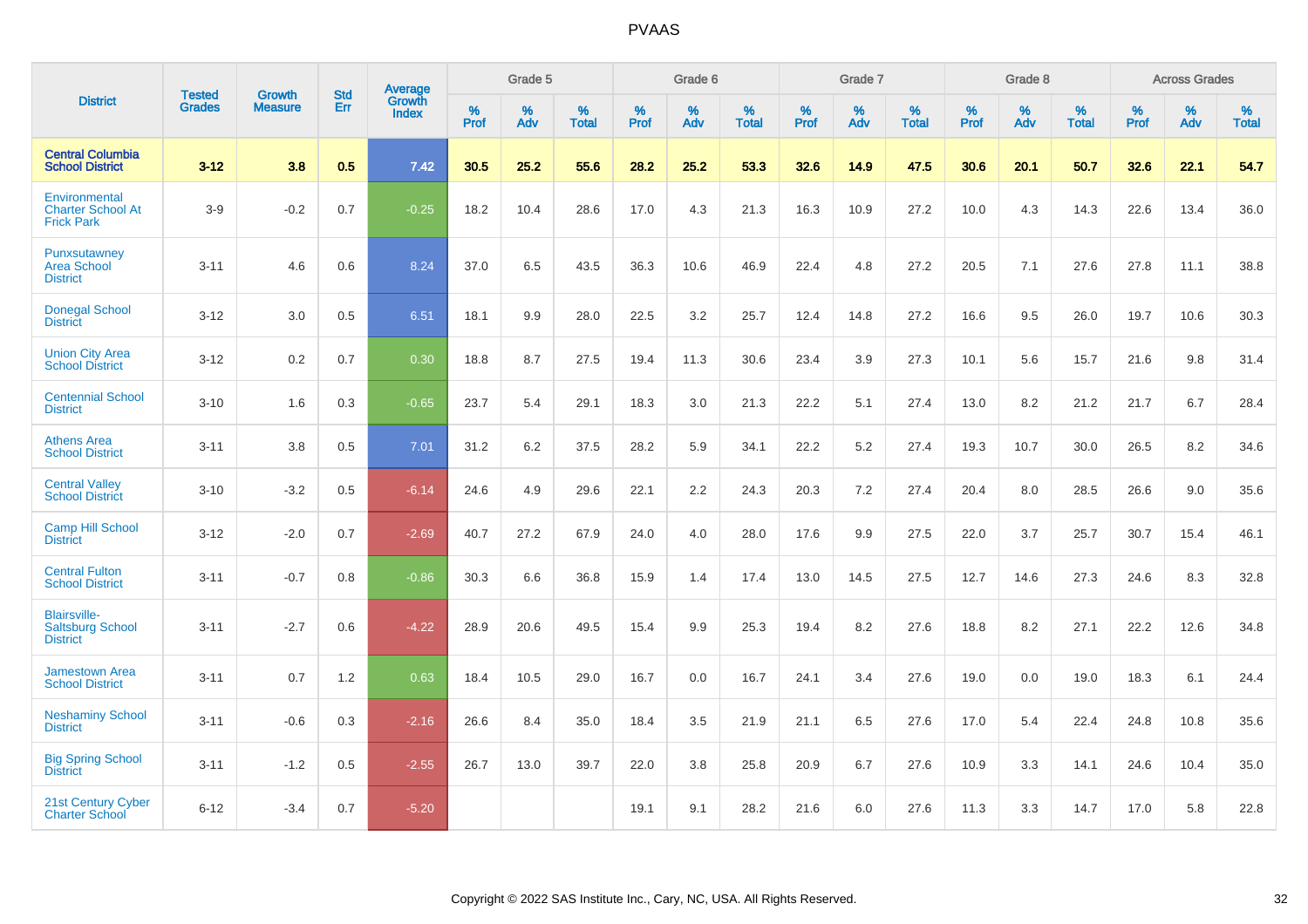|                                                                   | <b>Tested</b> | <b>Growth</b>  | <b>Std</b> |                                   |              | Grade 5  |                      |           | Grade 6  |                   |              | Grade 7  |                      |              | Grade 8  |                   |              | <b>Across Grades</b> |                   |
|-------------------------------------------------------------------|---------------|----------------|------------|-----------------------------------|--------------|----------|----------------------|-----------|----------|-------------------|--------------|----------|----------------------|--------------|----------|-------------------|--------------|----------------------|-------------------|
| <b>District</b>                                                   | <b>Grades</b> | <b>Measure</b> | Err        | Average<br>Growth<br><b>Index</b> | $\%$<br>Prof | %<br>Adv | $\%$<br><b>Total</b> | %<br>Prof | %<br>Adv | %<br><b>Total</b> | $\%$<br>Prof | %<br>Adv | $\%$<br><b>Total</b> | $\%$<br>Prof | %<br>Adv | %<br><b>Total</b> | $\%$<br>Prof | %<br>Adv             | %<br><b>Total</b> |
| <b>Central Columbia</b><br><b>School District</b>                 | $3-12$        | 3.8            | 0.5        | 7.42                              | 30.5         | 25.2     | 55.6                 | 28.2      | 25.2     | 53.3              | 32.6         | 14.9     | 47.5                 | 30.6         | 20.1     | 50.7              | 32.6         | 22.1                 | 54.7              |
| Environmental<br><b>Charter School At</b><br><b>Frick Park</b>    | $3-9$         | $-0.2$         | 0.7        | $-0.25$                           | 18.2         | 10.4     | 28.6                 | 17.0      | 4.3      | 21.3              | 16.3         | 10.9     | 27.2                 | 10.0         | 4.3      | 14.3              | 22.6         | 13.4                 | 36.0              |
| Punxsutawney<br><b>Area School</b><br><b>District</b>             | $3 - 11$      | 4.6            | 0.6        | 8.24                              | 37.0         | 6.5      | 43.5                 | 36.3      | 10.6     | 46.9              | 22.4         | 4.8      | 27.2                 | 20.5         | 7.1      | 27.6              | 27.8         | 11.1                 | 38.8              |
| <b>Donegal School</b><br><b>District</b>                          | $3 - 12$      | 3.0            | 0.5        | 6.51                              | 18.1         | 9.9      | 28.0                 | 22.5      | 3.2      | 25.7              | 12.4         | 14.8     | 27.2                 | 16.6         | 9.5      | 26.0              | 19.7         | 10.6                 | 30.3              |
| <b>Union City Area</b><br><b>School District</b>                  | $3 - 12$      | 0.2            | 0.7        | 0.30                              | 18.8         | 8.7      | 27.5                 | 19.4      | 11.3     | 30.6              | 23.4         | 3.9      | 27.3                 | 10.1         | 5.6      | 15.7              | 21.6         | 9.8                  | 31.4              |
| <b>Centennial School</b><br><b>District</b>                       | $3 - 10$      | 1.6            | 0.3        | $-0.65$                           | 23.7         | 5.4      | 29.1                 | 18.3      | 3.0      | 21.3              | 22.2         | 5.1      | 27.4                 | 13.0         | 8.2      | 21.2              | 21.7         | 6.7                  | 28.4              |
| <b>Athens Area</b><br><b>School District</b>                      | $3 - 11$      | 3.8            | 0.5        | 7.01                              | 31.2         | 6.2      | 37.5                 | 28.2      | 5.9      | 34.1              | 22.2         | 5.2      | 27.4                 | 19.3         | 10.7     | 30.0              | 26.5         | 8.2                  | 34.6              |
| <b>Central Valley</b><br><b>School District</b>                   | $3 - 10$      | $-3.2$         | 0.5        | $-6.14$                           | 24.6         | 4.9      | 29.6                 | 22.1      | 2.2      | 24.3              | 20.3         | 7.2      | 27.4                 | 20.4         | 8.0      | 28.5              | 26.6         | 9.0                  | 35.6              |
| Camp Hill School<br><b>District</b>                               | $3 - 12$      | $-2.0$         | 0.7        | $-2.69$                           | 40.7         | 27.2     | 67.9                 | 24.0      | 4.0      | 28.0              | 17.6         | 9.9      | 27.5                 | 22.0         | 3.7      | 25.7              | 30.7         | 15.4                 | 46.1              |
| <b>Central Fulton</b><br><b>School District</b>                   | $3 - 11$      | $-0.7$         | 0.8        | $-0.86$                           | 30.3         | 6.6      | 36.8                 | 15.9      | 1.4      | 17.4              | 13.0         | 14.5     | 27.5                 | 12.7         | 14.6     | 27.3              | 24.6         | 8.3                  | 32.8              |
| <b>Blairsville-</b><br><b>Saltsburg School</b><br><b>District</b> | $3 - 11$      | $-2.7$         | 0.6        | $-4.22$                           | 28.9         | 20.6     | 49.5                 | 15.4      | 9.9      | 25.3              | 19.4         | 8.2      | 27.6                 | 18.8         | 8.2      | 27.1              | 22.2         | 12.6                 | 34.8              |
| <b>Jamestown Area</b><br><b>School District</b>                   | $3 - 11$      | 0.7            | 1.2        | 0.63                              | 18.4         | 10.5     | 29.0                 | 16.7      | 0.0      | 16.7              | 24.1         | 3.4      | 27.6                 | 19.0         | 0.0      | 19.0              | 18.3         | 6.1                  | 24.4              |
| <b>Neshaminy School</b><br><b>District</b>                        | $3 - 11$      | $-0.6$         | 0.3        | $-2.16$                           | 26.6         | 8.4      | 35.0                 | 18.4      | 3.5      | 21.9              | 21.1         | 6.5      | 27.6                 | 17.0         | 5.4      | 22.4              | 24.8         | 10.8                 | 35.6              |
| <b>Big Spring School</b><br><b>District</b>                       | $3 - 11$      | $-1.2$         | 0.5        | $-2.55$                           | 26.7         | 13.0     | 39.7                 | 22.0      | 3.8      | 25.8              | 20.9         | 6.7      | 27.6                 | 10.9         | 3.3      | 14.1              | 24.6         | 10.4                 | 35.0              |
| 21st Century Cyber<br><b>Charter School</b>                       | $6 - 12$      | $-3.4$         | 0.7        | $-5.20$                           |              |          |                      | 19.1      | 9.1      | 28.2              | 21.6         | 6.0      | 27.6                 | 11.3         | 3.3      | 14.7              | 17.0         | 5.8                  | 22.8              |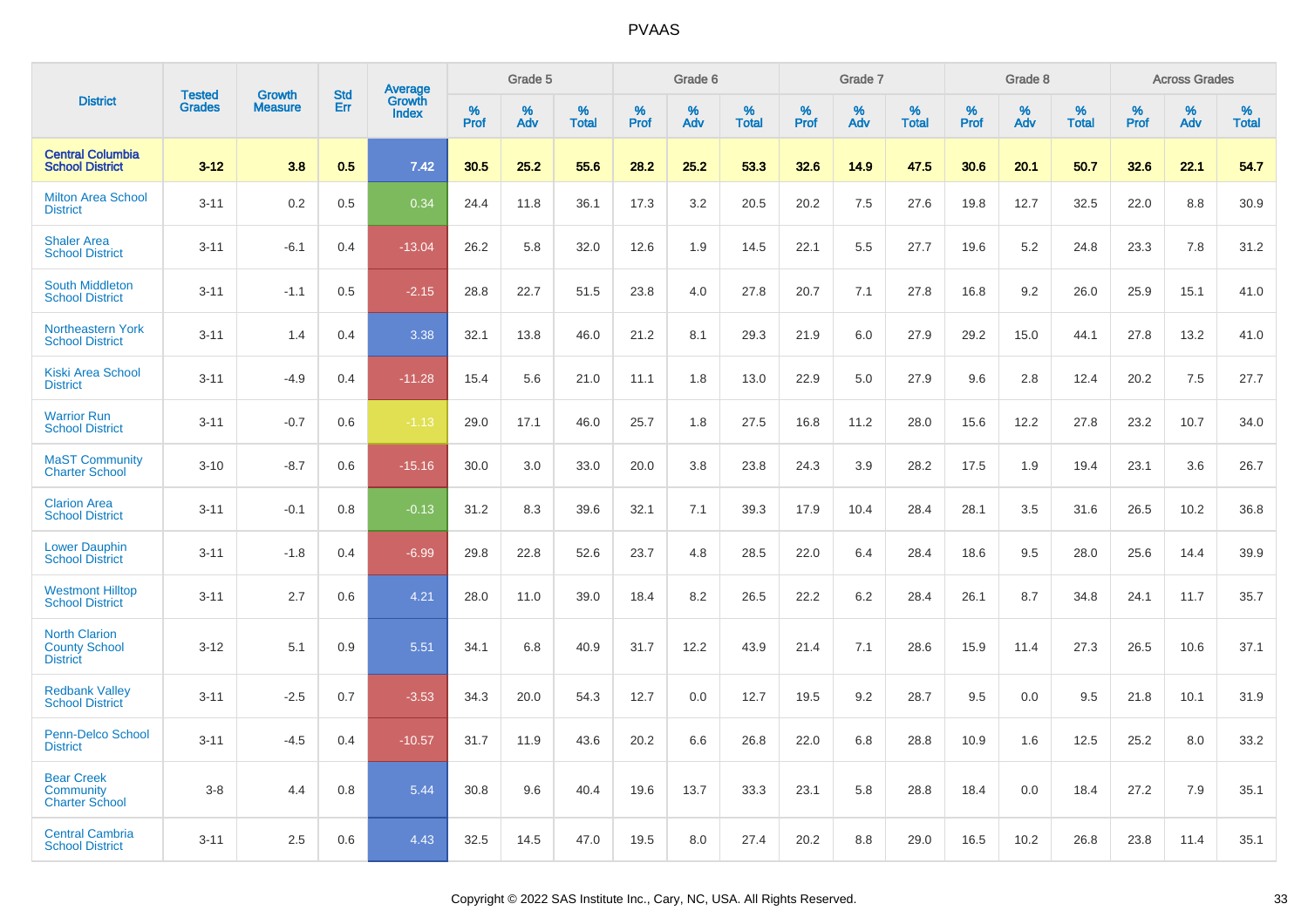|                                                                 | <b>Tested</b> | <b>Growth</b>  | <b>Std</b> | Average         |              | Grade 5  |                   |              | Grade 6  |                   |              | Grade 7  |                   |              | Grade 8  |                   |              | <b>Across Grades</b> |                   |
|-----------------------------------------------------------------|---------------|----------------|------------|-----------------|--------------|----------|-------------------|--------------|----------|-------------------|--------------|----------|-------------------|--------------|----------|-------------------|--------------|----------------------|-------------------|
| <b>District</b>                                                 | <b>Grades</b> | <b>Measure</b> | Err        | Growth<br>Index | $\%$<br>Prof | %<br>Adv | %<br><b>Total</b> | $\%$<br>Prof | %<br>Adv | %<br><b>Total</b> | $\%$<br>Prof | %<br>Adv | %<br><b>Total</b> | $\%$<br>Prof | %<br>Adv | %<br><b>Total</b> | $\%$<br>Prof | $\%$<br>Adv          | %<br><b>Total</b> |
| <b>Central Columbia</b><br><b>School District</b>               | $3 - 12$      | 3.8            | 0.5        | 7.42            | 30.5         | 25.2     | 55.6              | 28.2         | 25.2     | 53.3              | 32.6         | 14.9     | 47.5              | 30.6         | 20.1     | 50.7              | 32.6         | 22.1                 | 54.7              |
| <b>Milton Area School</b><br><b>District</b>                    | $3 - 11$      | 0.2            | 0.5        | 0.34            | 24.4         | 11.8     | 36.1              | 17.3         | 3.2      | 20.5              | 20.2         | 7.5      | 27.6              | 19.8         | 12.7     | 32.5              | 22.0         | 8.8                  | 30.9              |
| <b>Shaler Area</b><br><b>School District</b>                    | $3 - 11$      | $-6.1$         | 0.4        | $-13.04$        | 26.2         | 5.8      | 32.0              | 12.6         | 1.9      | 14.5              | 22.1         | 5.5      | 27.7              | 19.6         | 5.2      | 24.8              | 23.3         | 7.8                  | 31.2              |
| <b>South Middleton</b><br><b>School District</b>                | $3 - 11$      | $-1.1$         | 0.5        | $-2.15$         | 28.8         | 22.7     | 51.5              | 23.8         | 4.0      | 27.8              | 20.7         | 7.1      | 27.8              | 16.8         | 9.2      | 26.0              | 25.9         | 15.1                 | 41.0              |
| <b>Northeastern York</b><br><b>School District</b>              | $3 - 11$      | 1.4            | 0.4        | 3.38            | 32.1         | 13.8     | 46.0              | 21.2         | 8.1      | 29.3              | 21.9         | 6.0      | 27.9              | 29.2         | 15.0     | 44.1              | 27.8         | 13.2                 | 41.0              |
| <b>Kiski Area School</b><br><b>District</b>                     | $3 - 11$      | $-4.9$         | 0.4        | $-11.28$        | 15.4         | 5.6      | 21.0              | 11.1         | 1.8      | 13.0              | 22.9         | 5.0      | 27.9              | 9.6          | 2.8      | 12.4              | 20.2         | 7.5                  | 27.7              |
| <b>Warrior Run</b><br><b>School District</b>                    | $3 - 11$      | $-0.7$         | 0.6        | $-1.13$         | 29.0         | 17.1     | 46.0              | 25.7         | 1.8      | 27.5              | 16.8         | 11.2     | 28.0              | 15.6         | 12.2     | 27.8              | 23.2         | 10.7                 | 34.0              |
| <b>MaST Community</b><br><b>Charter School</b>                  | $3 - 10$      | $-8.7$         | 0.6        | $-15.16$        | 30.0         | 3.0      | 33.0              | 20.0         | 3.8      | 23.8              | 24.3         | 3.9      | 28.2              | 17.5         | 1.9      | 19.4              | 23.1         | 3.6                  | 26.7              |
| <b>Clarion Area</b><br><b>School District</b>                   | $3 - 11$      | $-0.1$         | 0.8        | $-0.13$         | 31.2         | 8.3      | 39.6              | 32.1         | 7.1      | 39.3              | 17.9         | 10.4     | 28.4              | 28.1         | 3.5      | 31.6              | 26.5         | 10.2                 | 36.8              |
| <b>Lower Dauphin</b><br><b>School District</b>                  | $3 - 11$      | $-1.8$         | 0.4        | $-6.99$         | 29.8         | 22.8     | 52.6              | 23.7         | 4.8      | 28.5              | 22.0         | 6.4      | 28.4              | 18.6         | 9.5      | 28.0              | 25.6         | 14.4                 | 39.9              |
| <b>Westmont Hilltop</b><br><b>School District</b>               | $3 - 11$      | 2.7            | 0.6        | 4.21            | 28.0         | 11.0     | 39.0              | 18.4         | 8.2      | 26.5              | 22.2         | 6.2      | 28.4              | 26.1         | 8.7      | 34.8              | 24.1         | 11.7                 | 35.7              |
| <b>North Clarion</b><br><b>County School</b><br><b>District</b> | $3 - 12$      | 5.1            | 0.9        | 5.51            | 34.1         | 6.8      | 40.9              | 31.7         | 12.2     | 43.9              | 21.4         | 7.1      | 28.6              | 15.9         | 11.4     | 27.3              | 26.5         | 10.6                 | 37.1              |
| <b>Redbank Valley</b><br><b>School District</b>                 | $3 - 11$      | $-2.5$         | 0.7        | $-3.53$         | 34.3         | 20.0     | 54.3              | 12.7         | 0.0      | 12.7              | 19.5         | 9.2      | 28.7              | 9.5          | 0.0      | 9.5               | 21.8         | 10.1                 | 31.9              |
| <b>Penn-Delco School</b><br><b>District</b>                     | $3 - 11$      | $-4.5$         | 0.4        | $-10.57$        | 31.7         | 11.9     | 43.6              | 20.2         | 6.6      | 26.8              | 22.0         | 6.8      | 28.8              | 10.9         | 1.6      | 12.5              | 25.2         | 8.0                  | 33.2              |
| <b>Bear Creek</b><br><b>Community</b><br><b>Charter School</b>  | $3 - 8$       | 4.4            | 0.8        | 5.44            | 30.8         | 9.6      | 40.4              | 19.6         | 13.7     | 33.3              | 23.1         | 5.8      | 28.8              | 18.4         | 0.0      | 18.4              | 27.2         | 7.9                  | 35.1              |
| <b>Central Cambria</b><br><b>School District</b>                | $3 - 11$      | 2.5            | 0.6        | 4.43            | 32.5         | 14.5     | 47.0              | 19.5         | 8.0      | 27.4              | 20.2         | 8.8      | 29.0              | 16.5         | 10.2     | 26.8              | 23.8         | 11.4                 | 35.1              |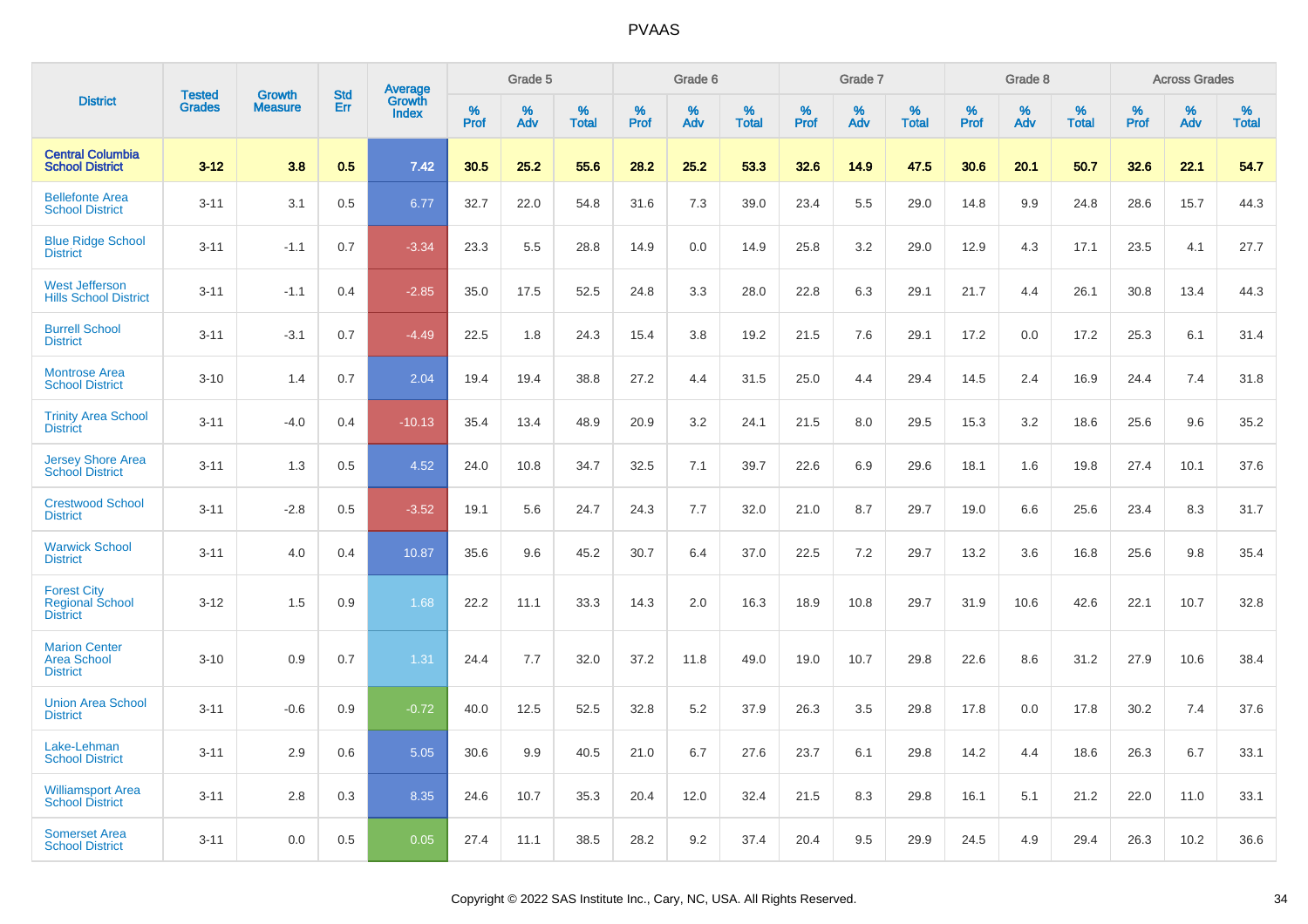|                                                                 |                                |                                 |                   |                                   |           | Grade 5  |                   |           | Grade 6  |                   |           | Grade 7  |                   |           | Grade 8  |                   |           | <b>Across Grades</b> |                   |
|-----------------------------------------------------------------|--------------------------------|---------------------------------|-------------------|-----------------------------------|-----------|----------|-------------------|-----------|----------|-------------------|-----------|----------|-------------------|-----------|----------|-------------------|-----------|----------------------|-------------------|
| <b>District</b>                                                 | <b>Tested</b><br><b>Grades</b> | <b>Growth</b><br><b>Measure</b> | <b>Std</b><br>Err | Average<br>Growth<br><b>Index</b> | %<br>Prof | %<br>Adv | %<br><b>Total</b> | %<br>Prof | %<br>Adv | %<br><b>Total</b> | %<br>Prof | %<br>Adv | %<br><b>Total</b> | %<br>Prof | %<br>Adv | %<br><b>Total</b> | %<br>Prof | %<br>Adv             | %<br><b>Total</b> |
| <b>Central Columbia</b><br><b>School District</b>               | $3 - 12$                       | 3.8                             | 0.5               | 7.42                              | 30.5      | 25.2     | 55.6              | 28.2      | 25.2     | 53.3              | 32.6      | 14.9     | 47.5              | 30.6      | 20.1     | 50.7              | 32.6      | 22.1                 | 54.7              |
| <b>Bellefonte Area</b><br><b>School District</b>                | $3 - 11$                       | 3.1                             | 0.5               | 6.77                              | 32.7      | 22.0     | 54.8              | 31.6      | 7.3      | 39.0              | 23.4      | 5.5      | 29.0              | 14.8      | 9.9      | 24.8              | 28.6      | 15.7                 | 44.3              |
| <b>Blue Ridge School</b><br><b>District</b>                     | $3 - 11$                       | $-1.1$                          | 0.7               | $-3.34$                           | 23.3      | 5.5      | 28.8              | 14.9      | 0.0      | 14.9              | 25.8      | 3.2      | 29.0              | 12.9      | 4.3      | 17.1              | 23.5      | 4.1                  | 27.7              |
| <b>West Jefferson</b><br><b>Hills School District</b>           | $3 - 11$                       | $-1.1$                          | 0.4               | $-2.85$                           | 35.0      | 17.5     | 52.5              | 24.8      | 3.3      | 28.0              | 22.8      | 6.3      | 29.1              | 21.7      | 4.4      | 26.1              | 30.8      | 13.4                 | 44.3              |
| <b>Burrell School</b><br><b>District</b>                        | $3 - 11$                       | $-3.1$                          | 0.7               | $-4.49$                           | 22.5      | 1.8      | 24.3              | 15.4      | 3.8      | 19.2              | 21.5      | 7.6      | 29.1              | 17.2      | 0.0      | 17.2              | 25.3      | 6.1                  | 31.4              |
| <b>Montrose Area</b><br><b>School District</b>                  | $3 - 10$                       | 1.4                             | 0.7               | 2.04                              | 19.4      | 19.4     | 38.8              | 27.2      | 4.4      | 31.5              | 25.0      | 4.4      | 29.4              | 14.5      | 2.4      | 16.9              | 24.4      | 7.4                  | 31.8              |
| <b>Trinity Area School</b><br><b>District</b>                   | $3 - 11$                       | $-4.0$                          | 0.4               | $-10.13$                          | 35.4      | 13.4     | 48.9              | 20.9      | 3.2      | 24.1              | 21.5      | 8.0      | 29.5              | 15.3      | 3.2      | 18.6              | 25.6      | 9.6                  | 35.2              |
| <b>Jersey Shore Area</b><br><b>School District</b>              | $3 - 11$                       | 1.3                             | 0.5               | 4.52                              | 24.0      | 10.8     | 34.7              | 32.5      | 7.1      | 39.7              | 22.6      | 6.9      | 29.6              | 18.1      | 1.6      | 19.8              | 27.4      | 10.1                 | 37.6              |
| <b>Crestwood School</b><br><b>District</b>                      | $3 - 11$                       | $-2.8$                          | 0.5               | $-3.52$                           | 19.1      | 5.6      | 24.7              | 24.3      | 7.7      | 32.0              | 21.0      | 8.7      | 29.7              | 19.0      | 6.6      | 25.6              | 23.4      | 8.3                  | 31.7              |
| <b>Warwick School</b><br><b>District</b>                        | $3 - 11$                       | 4.0                             | 0.4               | 10.87                             | 35.6      | 9.6      | 45.2              | 30.7      | 6.4      | 37.0              | 22.5      | 7.2      | 29.7              | 13.2      | 3.6      | 16.8              | 25.6      | 9.8                  | 35.4              |
| <b>Forest City</b><br><b>Regional School</b><br><b>District</b> | $3 - 12$                       | 1.5                             | 0.9               | 1.68                              | 22.2      | 11.1     | 33.3              | 14.3      | 2.0      | 16.3              | 18.9      | 10.8     | 29.7              | 31.9      | 10.6     | 42.6              | 22.1      | 10.7                 | 32.8              |
| <b>Marion Center</b><br><b>Area School</b><br><b>District</b>   | $3 - 10$                       | 0.9                             | 0.7               | 1.31                              | 24.4      | 7.7      | 32.0              | 37.2      | 11.8     | 49.0              | 19.0      | 10.7     | 29.8              | 22.6      | 8.6      | 31.2              | 27.9      | 10.6                 | 38.4              |
| <b>Union Area School</b><br><b>District</b>                     | $3 - 11$                       | $-0.6$                          | 0.9               | $-0.72$                           | 40.0      | 12.5     | 52.5              | 32.8      | 5.2      | 37.9              | 26.3      | 3.5      | 29.8              | 17.8      | 0.0      | 17.8              | 30.2      | 7.4                  | 37.6              |
| Lake-Lehman<br><b>School District</b>                           | $3 - 11$                       | 2.9                             | 0.6               | 5.05                              | 30.6      | 9.9      | 40.5              | 21.0      | 6.7      | 27.6              | 23.7      | 6.1      | 29.8              | 14.2      | 4.4      | 18.6              | 26.3      | 6.7                  | 33.1              |
| <b>Williamsport Area</b><br><b>School District</b>              | $3 - 11$                       | 2.8                             | 0.3               | 8.35                              | 24.6      | 10.7     | 35.3              | 20.4      | 12.0     | 32.4              | 21.5      | 8.3      | 29.8              | 16.1      | 5.1      | 21.2              | 22.0      | 11.0                 | 33.1              |
| <b>Somerset Area</b><br><b>School District</b>                  | $3 - 11$                       | 0.0                             | 0.5               | 0.05                              | 27.4      | 11.1     | 38.5              | 28.2      | 9.2      | 37.4              | 20.4      | 9.5      | 29.9              | 24.5      | 4.9      | 29.4              | 26.3      | 10.2                 | 36.6              |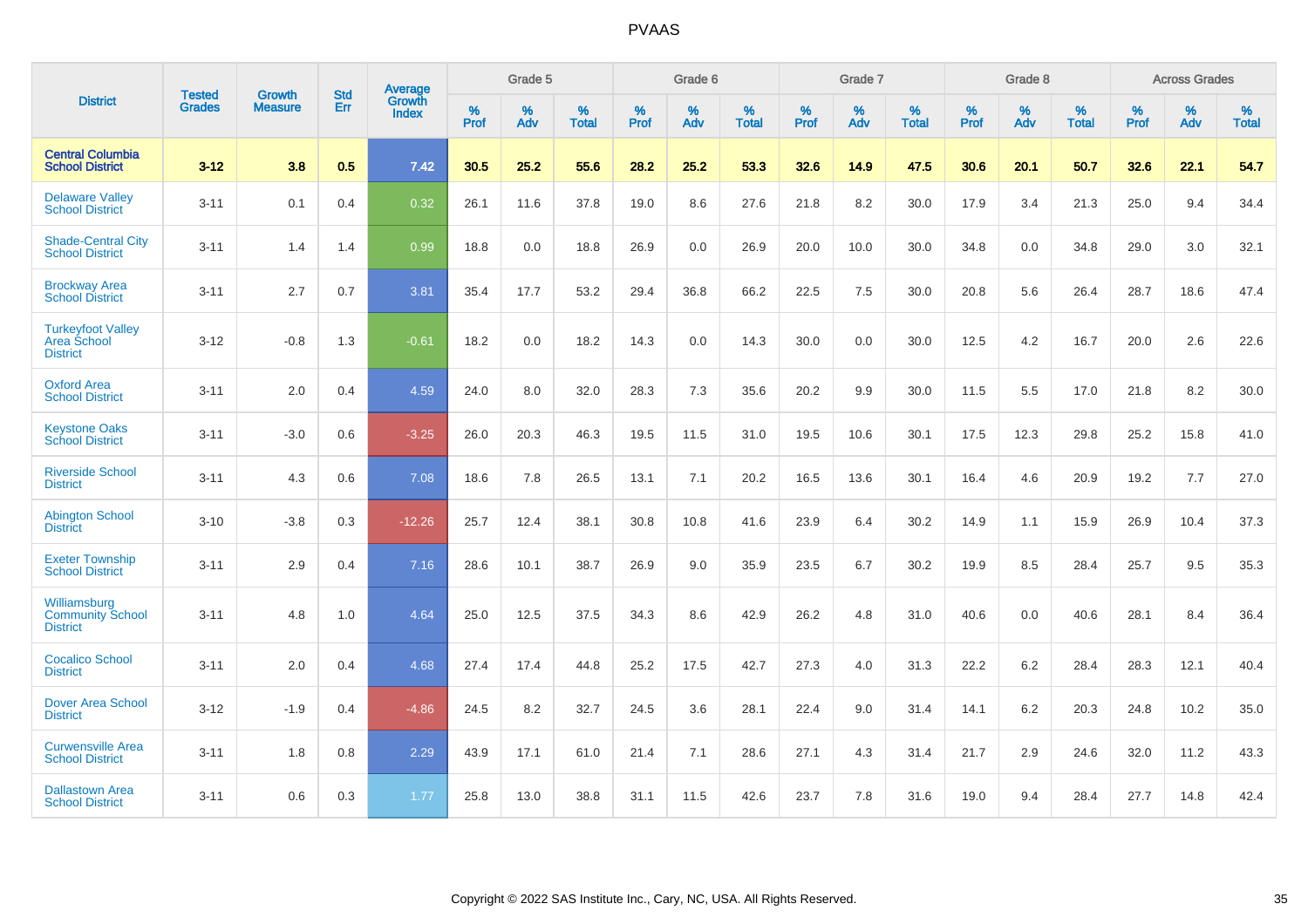|                                                            | <b>Tested</b> | <b>Growth</b>  | <b>Std</b> | <b>Average</b>         |           | Grade 5  |                   |           | Grade 6  |                   |           | Grade 7  |                   |           | Grade 8  |                   |           | <b>Across Grades</b> |                   |
|------------------------------------------------------------|---------------|----------------|------------|------------------------|-----------|----------|-------------------|-----------|----------|-------------------|-----------|----------|-------------------|-----------|----------|-------------------|-----------|----------------------|-------------------|
| <b>District</b>                                            | <b>Grades</b> | <b>Measure</b> | Err        | Growth<br><b>Index</b> | %<br>Prof | %<br>Adv | %<br><b>Total</b> | %<br>Prof | %<br>Adv | %<br><b>Total</b> | %<br>Prof | %<br>Adv | %<br><b>Total</b> | %<br>Prof | %<br>Adv | %<br><b>Total</b> | %<br>Prof | %<br>Adv             | %<br><b>Total</b> |
| <b>Central Columbia</b><br><b>School District</b>          | $3 - 12$      | 3.8            | 0.5        | 7.42                   | 30.5      | 25.2     | 55.6              | 28.2      | 25.2     | 53.3              | 32.6      | 14.9     | 47.5              | 30.6      | 20.1     | 50.7              | 32.6      | 22.1                 | 54.7              |
| <b>Delaware Valley</b><br><b>School District</b>           | $3 - 11$      | 0.1            | 0.4        | 0.32                   | 26.1      | 11.6     | 37.8              | 19.0      | 8.6      | 27.6              | 21.8      | 8.2      | 30.0              | 17.9      | 3.4      | 21.3              | 25.0      | 9.4                  | 34.4              |
| <b>Shade-Central City</b><br><b>School District</b>        | $3 - 11$      | 1.4            | 1.4        | 0.99                   | 18.8      | 0.0      | 18.8              | 26.9      | 0.0      | 26.9              | 20.0      | 10.0     | 30.0              | 34.8      | 0.0      | 34.8              | 29.0      | 3.0                  | 32.1              |
| <b>Brockway Area</b><br><b>School District</b>             | $3 - 11$      | 2.7            | 0.7        | 3.81                   | 35.4      | 17.7     | 53.2              | 29.4      | 36.8     | 66.2              | 22.5      | 7.5      | 30.0              | 20.8      | 5.6      | 26.4              | 28.7      | 18.6                 | 47.4              |
| <b>Turkeyfoot Valley</b><br>Area School<br><b>District</b> | $3 - 12$      | $-0.8$         | 1.3        | $-0.61$                | 18.2      | 0.0      | 18.2              | 14.3      | 0.0      | 14.3              | 30.0      | 0.0      | 30.0              | 12.5      | 4.2      | 16.7              | 20.0      | 2.6                  | 22.6              |
| <b>Oxford Area</b><br><b>School District</b>               | $3 - 11$      | 2.0            | 0.4        | 4.59                   | 24.0      | 8.0      | 32.0              | 28.3      | 7.3      | 35.6              | 20.2      | 9.9      | 30.0              | 11.5      | 5.5      | 17.0              | 21.8      | 8.2                  | 30.0              |
| <b>Keystone Oaks</b><br><b>School District</b>             | $3 - 11$      | $-3.0$         | 0.6        | $-3.25$                | 26.0      | 20.3     | 46.3              | 19.5      | 11.5     | 31.0              | 19.5      | 10.6     | 30.1              | 17.5      | 12.3     | 29.8              | 25.2      | 15.8                 | 41.0              |
| <b>Riverside School</b><br><b>District</b>                 | $3 - 11$      | 4.3            | 0.6        | 7.08                   | 18.6      | 7.8      | 26.5              | 13.1      | 7.1      | 20.2              | 16.5      | 13.6     | 30.1              | 16.4      | 4.6      | 20.9              | 19.2      | 7.7                  | 27.0              |
| <b>Abington School</b><br><b>District</b>                  | $3 - 10$      | $-3.8$         | 0.3        | $-12.26$               | 25.7      | 12.4     | 38.1              | 30.8      | 10.8     | 41.6              | 23.9      | 6.4      | 30.2              | 14.9      | 1.1      | 15.9              | 26.9      | 10.4                 | 37.3              |
| <b>Exeter Township</b><br><b>School District</b>           | $3 - 11$      | 2.9            | 0.4        | 7.16                   | 28.6      | 10.1     | 38.7              | 26.9      | 9.0      | 35.9              | 23.5      | 6.7      | 30.2              | 19.9      | 8.5      | 28.4              | 25.7      | 9.5                  | 35.3              |
| Williamsburg<br><b>Community School</b><br><b>District</b> | $3 - 11$      | 4.8            | 1.0        | 4.64                   | 25.0      | 12.5     | 37.5              | 34.3      | 8.6      | 42.9              | 26.2      | 4.8      | 31.0              | 40.6      | 0.0      | 40.6              | 28.1      | 8.4                  | 36.4              |
| <b>Cocalico School</b><br><b>District</b>                  | $3 - 11$      | 2.0            | 0.4        | 4.68                   | 27.4      | 17.4     | 44.8              | 25.2      | 17.5     | 42.7              | 27.3      | 4.0      | 31.3              | 22.2      | $6.2\,$  | 28.4              | 28.3      | 12.1                 | 40.4              |
| <b>Dover Area School</b><br><b>District</b>                | $3 - 12$      | $-1.9$         | 0.4        | $-4.86$                | 24.5      | 8.2      | 32.7              | 24.5      | 3.6      | 28.1              | 22.4      | 9.0      | 31.4              | 14.1      | 6.2      | 20.3              | 24.8      | 10.2                 | 35.0              |
| <b>Curwensville Area</b><br><b>School District</b>         | $3 - 11$      | 1.8            | 0.8        | 2.29                   | 43.9      | 17.1     | 61.0              | 21.4      | 7.1      | 28.6              | 27.1      | 4.3      | 31.4              | 21.7      | 2.9      | 24.6              | 32.0      | 11.2                 | 43.3              |
| <b>Dallastown Area</b><br><b>School District</b>           | $3 - 11$      | 0.6            | 0.3        | 1.77                   | 25.8      | 13.0     | 38.8              | 31.1      | 11.5     | 42.6              | 23.7      | 7.8      | 31.6              | 19.0      | 9.4      | 28.4              | 27.7      | 14.8                 | 42.4              |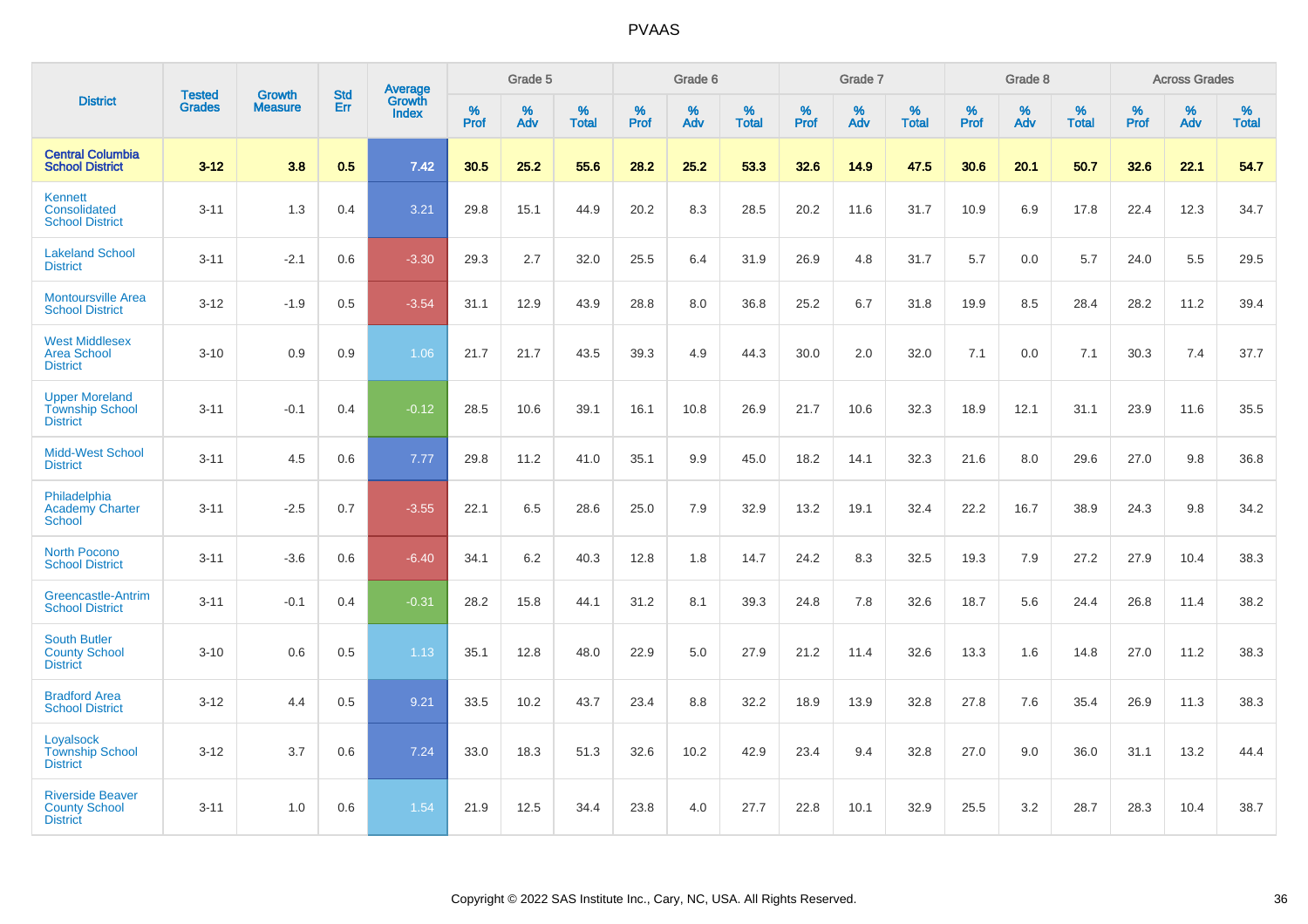|                                                                    |                                | <b>Growth</b>  | <b>Std</b> |                            |              | Grade 5  |                      |              | Grade 6  |                   |              | Grade 7  |                   |              | Grade 8  |                   |              | <b>Across Grades</b> |                   |
|--------------------------------------------------------------------|--------------------------------|----------------|------------|----------------------------|--------------|----------|----------------------|--------------|----------|-------------------|--------------|----------|-------------------|--------------|----------|-------------------|--------------|----------------------|-------------------|
| <b>District</b>                                                    | <b>Tested</b><br><b>Grades</b> | <b>Measure</b> | Err        | Average<br>Growth<br>Index | $\%$<br>Prof | %<br>Adv | $\%$<br><b>Total</b> | $\%$<br>Prof | %<br>Adv | %<br><b>Total</b> | $\%$<br>Prof | %<br>Adv | %<br><b>Total</b> | $\%$<br>Prof | %<br>Adv | %<br><b>Total</b> | $\%$<br>Prof | %<br>Adv             | %<br><b>Total</b> |
| <b>Central Columbia</b><br><b>School District</b>                  | $3 - 12$                       | 3.8            | 0.5        | 7.42                       | 30.5         | 25.2     | 55.6                 | 28.2         | 25.2     | 53.3              | 32.6         | 14.9     | 47.5              | 30.6         | 20.1     | 50.7              | 32.6         | 22.1                 | 54.7              |
| Kennett<br>Consolidated<br><b>School District</b>                  | $3 - 11$                       | 1.3            | 0.4        | 3.21                       | 29.8         | 15.1     | 44.9                 | 20.2         | 8.3      | 28.5              | 20.2         | 11.6     | 31.7              | 10.9         | 6.9      | 17.8              | 22.4         | 12.3                 | 34.7              |
| <b>Lakeland School</b><br><b>District</b>                          | $3 - 11$                       | $-2.1$         | 0.6        | $-3.30$                    | 29.3         | 2.7      | 32.0                 | 25.5         | 6.4      | 31.9              | 26.9         | 4.8      | 31.7              | 5.7          | 0.0      | 5.7               | 24.0         | 5.5                  | 29.5              |
| <b>Montoursville Area</b><br><b>School District</b>                | $3 - 12$                       | $-1.9$         | 0.5        | $-3.54$                    | 31.1         | 12.9     | 43.9                 | 28.8         | $8.0\,$  | 36.8              | 25.2         | 6.7      | 31.8              | 19.9         | 8.5      | 28.4              | 28.2         | 11.2                 | 39.4              |
| <b>West Middlesex</b><br><b>Area School</b><br><b>District</b>     | $3 - 10$                       | 0.9            | 0.9        | 1.06                       | 21.7         | 21.7     | 43.5                 | 39.3         | 4.9      | 44.3              | 30.0         | 2.0      | 32.0              | 7.1          | 0.0      | 7.1               | 30.3         | 7.4                  | 37.7              |
| <b>Upper Moreland</b><br><b>Township School</b><br><b>District</b> | $3 - 11$                       | $-0.1$         | 0.4        | $-0.12$                    | 28.5         | 10.6     | 39.1                 | 16.1         | 10.8     | 26.9              | 21.7         | 10.6     | 32.3              | 18.9         | 12.1     | 31.1              | 23.9         | 11.6                 | 35.5              |
| <b>Midd-West School</b><br><b>District</b>                         | $3 - 11$                       | 4.5            | 0.6        | 7.77                       | 29.8         | 11.2     | 41.0                 | 35.1         | 9.9      | 45.0              | 18.2         | 14.1     | 32.3              | 21.6         | 8.0      | 29.6              | 27.0         | 9.8                  | 36.8              |
| Philadelphia<br><b>Academy Charter</b><br><b>School</b>            | $3 - 11$                       | $-2.5$         | 0.7        | $-3.55$                    | 22.1         | 6.5      | 28.6                 | 25.0         | 7.9      | 32.9              | 13.2         | 19.1     | 32.4              | 22.2         | 16.7     | 38.9              | 24.3         | 9.8                  | 34.2              |
| <b>North Pocono</b><br><b>School District</b>                      | $3 - 11$                       | $-3.6$         | 0.6        | $-6.40$                    | 34.1         | 6.2      | 40.3                 | 12.8         | 1.8      | 14.7              | 24.2         | 8.3      | 32.5              | 19.3         | 7.9      | 27.2              | 27.9         | 10.4                 | 38.3              |
| Greencastle-Antrim<br><b>School District</b>                       | $3 - 11$                       | $-0.1$         | 0.4        | $-0.31$                    | 28.2         | 15.8     | 44.1                 | 31.2         | 8.1      | 39.3              | 24.8         | 7.8      | 32.6              | 18.7         | 5.6      | 24.4              | 26.8         | 11.4                 | 38.2              |
| <b>South Butler</b><br><b>County School</b><br><b>District</b>     | $3 - 10$                       | 0.6            | 0.5        | 1.13                       | 35.1         | 12.8     | 48.0                 | 22.9         | 5.0      | 27.9              | 21.2         | 11.4     | 32.6              | 13.3         | 1.6      | 14.8              | 27.0         | 11.2                 | 38.3              |
| <b>Bradford Area</b><br><b>School District</b>                     | $3 - 12$                       | 4.4            | 0.5        | 9.21                       | 33.5         | 10.2     | 43.7                 | 23.4         | 8.8      | 32.2              | 18.9         | 13.9     | 32.8              | 27.8         | 7.6      | 35.4              | 26.9         | 11.3                 | 38.3              |
| Loyalsock<br><b>Township School</b><br><b>District</b>             | $3 - 12$                       | 3.7            | 0.6        | 7.24                       | 33.0         | 18.3     | 51.3                 | 32.6         | 10.2     | 42.9              | 23.4         | 9.4      | 32.8              | 27.0         | 9.0      | 36.0              | 31.1         | 13.2                 | 44.4              |
| <b>Riverside Beaver</b><br><b>County School</b><br><b>District</b> | $3 - 11$                       | 1.0            | 0.6        | 1.54                       | 21.9         | 12.5     | 34.4                 | 23.8         | 4.0      | 27.7              | 22.8         | 10.1     | 32.9              | 25.5         | 3.2      | 28.7              | 28.3         | 10.4                 | 38.7              |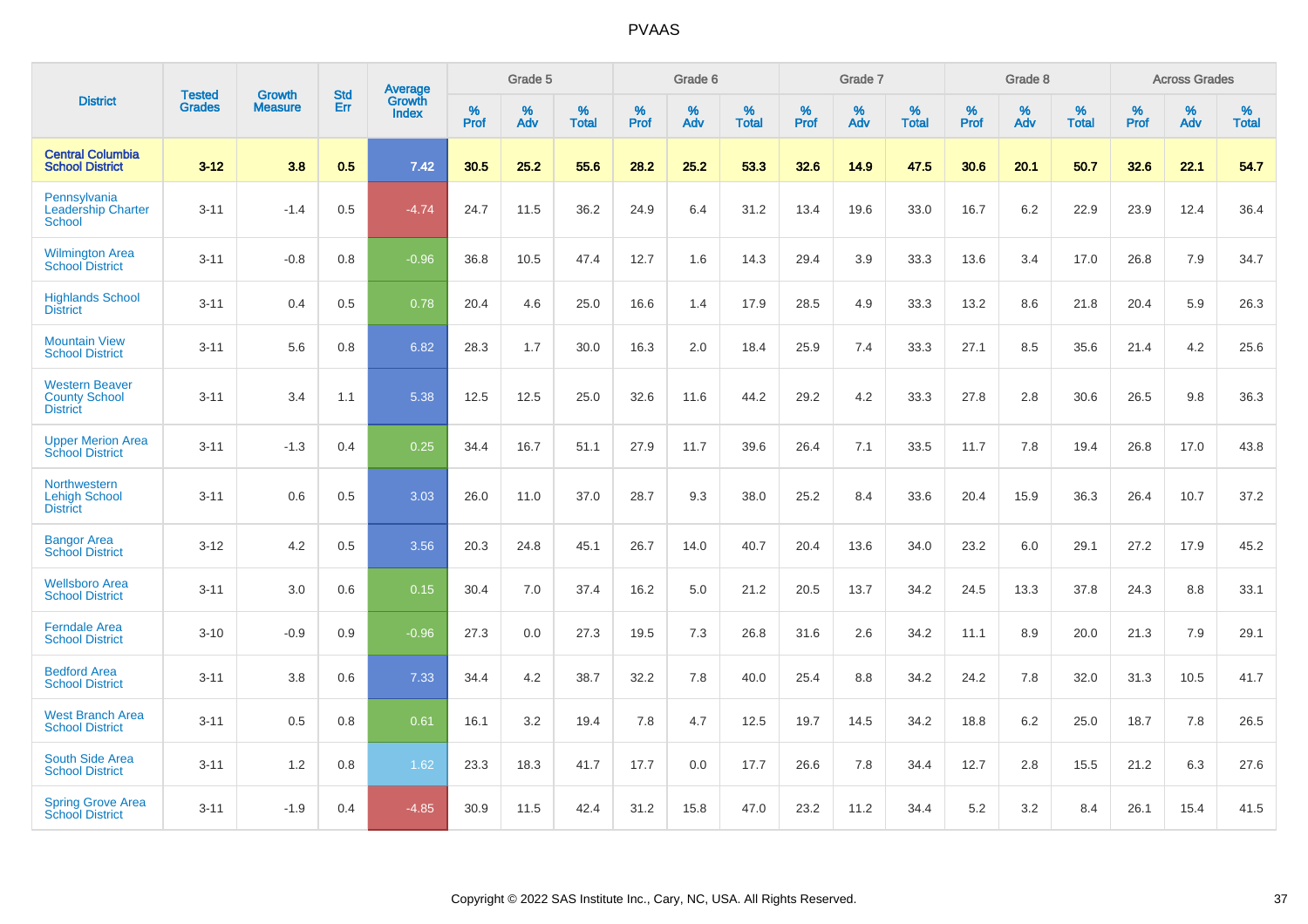|                                                                  | <b>Tested</b> | <b>Growth</b>  | <b>Std</b> | Average                |              | Grade 5  |                   |           | Grade 6  |                   |           | Grade 7  |                      |           | Grade 8  |                   |              | <b>Across Grades</b> |                   |
|------------------------------------------------------------------|---------------|----------------|------------|------------------------|--------------|----------|-------------------|-----------|----------|-------------------|-----------|----------|----------------------|-----------|----------|-------------------|--------------|----------------------|-------------------|
| <b>District</b>                                                  | <b>Grades</b> | <b>Measure</b> | Err        | Growth<br><b>Index</b> | $\%$<br>Prof | %<br>Adv | %<br><b>Total</b> | %<br>Prof | %<br>Adv | %<br><b>Total</b> | %<br>Prof | %<br>Adv | $\%$<br><b>Total</b> | %<br>Prof | %<br>Adv | %<br><b>Total</b> | $\%$<br>Prof | %<br>Adv             | %<br><b>Total</b> |
| <b>Central Columbia</b><br><b>School District</b>                | $3 - 12$      | 3.8            | 0.5        | 7.42                   | 30.5         | 25.2     | 55.6              | 28.2      | 25.2     | 53.3              | 32.6      | 14.9     | 47.5                 | 30.6      | 20.1     | 50.7              | 32.6         | 22.1                 | 54.7              |
| Pennsylvania<br><b>Leadership Charter</b><br>School              | $3 - 11$      | $-1.4$         | 0.5        | $-4.74$                | 24.7         | 11.5     | 36.2              | 24.9      | 6.4      | 31.2              | 13.4      | 19.6     | 33.0                 | 16.7      | 6.2      | 22.9              | 23.9         | 12.4                 | 36.4              |
| <b>Wilmington Area</b><br><b>School District</b>                 | $3 - 11$      | $-0.8$         | 0.8        | $-0.96$                | 36.8         | 10.5     | 47.4              | 12.7      | 1.6      | 14.3              | 29.4      | 3.9      | 33.3                 | 13.6      | 3.4      | 17.0              | 26.8         | 7.9                  | 34.7              |
| <b>Highlands School</b><br><b>District</b>                       | $3 - 11$      | 0.4            | 0.5        | 0.78                   | 20.4         | 4.6      | 25.0              | 16.6      | 1.4      | 17.9              | 28.5      | 4.9      | 33.3                 | 13.2      | 8.6      | 21.8              | 20.4         | 5.9                  | 26.3              |
| <b>Mountain View</b><br><b>School District</b>                   | $3 - 11$      | 5.6            | 0.8        | 6.82                   | 28.3         | 1.7      | 30.0              | 16.3      | 2.0      | 18.4              | 25.9      | 7.4      | 33.3                 | 27.1      | 8.5      | 35.6              | 21.4         | 4.2                  | 25.6              |
| <b>Western Beaver</b><br><b>County School</b><br><b>District</b> | $3 - 11$      | 3.4            | 1.1        | 5.38                   | 12.5         | 12.5     | 25.0              | 32.6      | 11.6     | 44.2              | 29.2      | 4.2      | 33.3                 | 27.8      | 2.8      | 30.6              | 26.5         | 9.8                  | 36.3              |
| <b>Upper Merion Area</b><br><b>School District</b>               | $3 - 11$      | $-1.3$         | 0.4        | 0.25                   | 34.4         | 16.7     | 51.1              | 27.9      | 11.7     | 39.6              | 26.4      | 7.1      | 33.5                 | 11.7      | 7.8      | 19.4              | 26.8         | 17.0                 | 43.8              |
| Northwestern<br><b>Lehigh School</b><br><b>District</b>          | $3 - 11$      | 0.6            | 0.5        | 3.03                   | 26.0         | 11.0     | 37.0              | 28.7      | 9.3      | 38.0              | 25.2      | 8.4      | 33.6                 | 20.4      | 15.9     | 36.3              | 26.4         | 10.7                 | 37.2              |
| <b>Bangor Area</b><br><b>School District</b>                     | $3 - 12$      | 4.2            | 0.5        | 3.56                   | 20.3         | 24.8     | 45.1              | 26.7      | 14.0     | 40.7              | 20.4      | 13.6     | 34.0                 | 23.2      | 6.0      | 29.1              | 27.2         | 17.9                 | 45.2              |
| <b>Wellsboro Area</b><br><b>School District</b>                  | $3 - 11$      | 3.0            | 0.6        | 0.15                   | 30.4         | 7.0      | 37.4              | 16.2      | 5.0      | 21.2              | 20.5      | 13.7     | 34.2                 | 24.5      | 13.3     | 37.8              | 24.3         | 8.8                  | 33.1              |
| <b>Ferndale Area</b><br><b>School District</b>                   | $3 - 10$      | $-0.9$         | 0.9        | $-0.96$                | 27.3         | 0.0      | 27.3              | 19.5      | 7.3      | 26.8              | 31.6      | 2.6      | 34.2                 | 11.1      | 8.9      | 20.0              | 21.3         | 7.9                  | 29.1              |
| <b>Bedford Area</b><br><b>School District</b>                    | $3 - 11$      | 3.8            | 0.6        | 7.33                   | 34.4         | 4.2      | 38.7              | 32.2      | 7.8      | 40.0              | 25.4      | 8.8      | 34.2                 | 24.2      | 7.8      | 32.0              | 31.3         | 10.5                 | 41.7              |
| <b>West Branch Area</b><br><b>School District</b>                | $3 - 11$      | 0.5            | 0.8        | 0.61                   | 16.1         | 3.2      | 19.4              | 7.8       | 4.7      | 12.5              | 19.7      | 14.5     | 34.2                 | 18.8      | 6.2      | 25.0              | 18.7         | 7.8                  | 26.5              |
| South Side Area<br><b>School District</b>                        | $3 - 11$      | 1.2            | 0.8        | 1.62                   | 23.3         | 18.3     | 41.7              | 17.7      | 0.0      | 17.7              | 26.6      | 7.8      | 34.4                 | 12.7      | 2.8      | 15.5              | 21.2         | 6.3                  | 27.6              |
| <b>Spring Grove Area</b><br><b>School District</b>               | $3 - 11$      | $-1.9$         | 0.4        | $-4.85$                | 30.9         | 11.5     | 42.4              | 31.2      | 15.8     | 47.0              | 23.2      | 11.2     | 34.4                 | 5.2       | 3.2      | 8.4               | 26.1         | 15.4                 | 41.5              |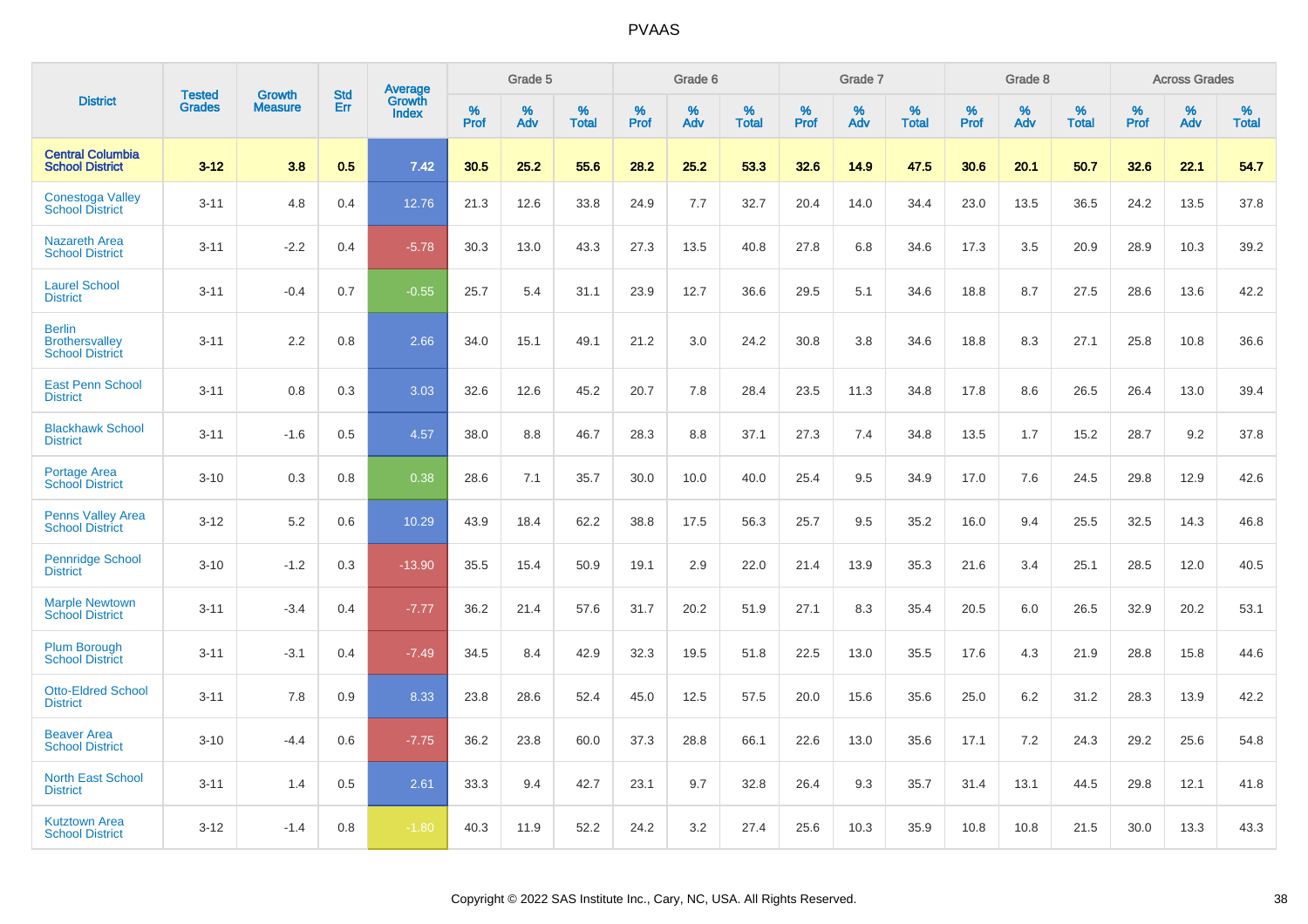|                                                                  |                                |                          | <b>Std</b> | Average                |                     | Grade 5  |                      |                     | Grade 6     |                      |              | Grade 7     |                   |              | Grade 8     |                   |                     | <b>Across Grades</b> |                   |
|------------------------------------------------------------------|--------------------------------|--------------------------|------------|------------------------|---------------------|----------|----------------------|---------------------|-------------|----------------------|--------------|-------------|-------------------|--------------|-------------|-------------------|---------------------|----------------------|-------------------|
| <b>District</b>                                                  | <b>Tested</b><br><b>Grades</b> | Growth<br><b>Measure</b> | Err        | Growth<br><b>Index</b> | $\%$<br><b>Prof</b> | %<br>Adv | $\%$<br><b>Total</b> | $\%$<br><b>Prof</b> | $\%$<br>Adv | $\%$<br><b>Total</b> | $\%$<br>Prof | $\%$<br>Adv | %<br><b>Total</b> | $\%$<br>Prof | $\%$<br>Adv | %<br><b>Total</b> | $\%$<br><b>Prof</b> | $\%$<br>Adv          | %<br><b>Total</b> |
| <b>Central Columbia</b><br><b>School District</b>                | $3 - 12$                       | 3.8                      | 0.5        | 7.42                   | 30.5                | 25.2     | 55.6                 | 28.2                | 25.2        | 53.3                 | 32.6         | 14.9        | 47.5              | 30.6         | 20.1        | 50.7              | 32.6                | 22.1                 | 54.7              |
| <b>Conestoga Valley</b><br><b>School District</b>                | $3 - 11$                       | 4.8                      | 0.4        | 12.76                  | 21.3                | 12.6     | 33.8                 | 24.9                | 7.7         | 32.7                 | 20.4         | 14.0        | 34.4              | 23.0         | 13.5        | 36.5              | 24.2                | 13.5                 | 37.8              |
| <b>Nazareth Area</b><br><b>School District</b>                   | $3 - 11$                       | $-2.2$                   | 0.4        | $-5.78$                | 30.3                | 13.0     | 43.3                 | 27.3                | 13.5        | 40.8                 | 27.8         | 6.8         | 34.6              | 17.3         | 3.5         | 20.9              | 28.9                | 10.3                 | 39.2              |
| <b>Laurel School</b><br><b>District</b>                          | $3 - 11$                       | $-0.4$                   | 0.7        | $-0.55$                | 25.7                | 5.4      | 31.1                 | 23.9                | 12.7        | 36.6                 | 29.5         | 5.1         | 34.6              | 18.8         | 8.7         | 27.5              | 28.6                | 13.6                 | 42.2              |
| <b>Berlin</b><br><b>Brothersvalley</b><br><b>School District</b> | $3 - 11$                       | 2.2                      | 0.8        | 2.66                   | 34.0                | 15.1     | 49.1                 | 21.2                | 3.0         | 24.2                 | 30.8         | 3.8         | 34.6              | 18.8         | 8.3         | 27.1              | 25.8                | 10.8                 | 36.6              |
| <b>East Penn School</b><br><b>District</b>                       | $3 - 11$                       | 0.8                      | 0.3        | 3.03                   | 32.6                | 12.6     | 45.2                 | 20.7                | 7.8         | 28.4                 | 23.5         | 11.3        | 34.8              | 17.8         | 8.6         | 26.5              | 26.4                | 13.0                 | 39.4              |
| <b>Blackhawk School</b><br><b>District</b>                       | $3 - 11$                       | $-1.6$                   | 0.5        | 4.57                   | 38.0                | 8.8      | 46.7                 | 28.3                | 8.8         | 37.1                 | 27.3         | 7.4         | 34.8              | 13.5         | 1.7         | 15.2              | 28.7                | 9.2                  | 37.8              |
| <b>Portage Area</b><br><b>School District</b>                    | $3 - 10$                       | 0.3                      | 0.8        | 0.38                   | 28.6                | 7.1      | 35.7                 | 30.0                | 10.0        | 40.0                 | 25.4         | 9.5         | 34.9              | 17.0         | 7.6         | 24.5              | 29.8                | 12.9                 | 42.6              |
| <b>Penns Valley Area</b><br><b>School District</b>               | $3 - 12$                       | 5.2                      | 0.6        | 10.29                  | 43.9                | 18.4     | 62.2                 | 38.8                | 17.5        | 56.3                 | 25.7         | 9.5         | 35.2              | 16.0         | 9.4         | 25.5              | 32.5                | 14.3                 | 46.8              |
| <b>Pennridge School</b><br><b>District</b>                       | $3 - 10$                       | $-1.2$                   | 0.3        | $-13.90$               | 35.5                | 15.4     | 50.9                 | 19.1                | 2.9         | 22.0                 | 21.4         | 13.9        | 35.3              | 21.6         | 3.4         | 25.1              | 28.5                | 12.0                 | 40.5              |
| <b>Marple Newtown</b><br><b>School District</b>                  | $3 - 11$                       | $-3.4$                   | 0.4        | $-7.77$                | 36.2                | 21.4     | 57.6                 | 31.7                | 20.2        | 51.9                 | 27.1         | 8.3         | 35.4              | 20.5         | 6.0         | 26.5              | 32.9                | 20.2                 | 53.1              |
| <b>Plum Borough</b><br><b>School District</b>                    | $3 - 11$                       | $-3.1$                   | 0.4        | $-7.49$                | 34.5                | 8.4      | 42.9                 | 32.3                | 19.5        | 51.8                 | 22.5         | 13.0        | 35.5              | 17.6         | 4.3         | 21.9              | 28.8                | 15.8                 | 44.6              |
| <b>Otto-Eldred School</b><br><b>District</b>                     | $3 - 11$                       | 7.8                      | 0.9        | 8.33                   | 23.8                | 28.6     | 52.4                 | 45.0                | 12.5        | 57.5                 | 20.0         | 15.6        | 35.6              | 25.0         | 6.2         | 31.2              | 28.3                | 13.9                 | 42.2              |
| <b>Beaver Area</b><br><b>School District</b>                     | $3 - 10$                       | $-4.4$                   | 0.6        | $-7.75$                | 36.2                | 23.8     | 60.0                 | 37.3                | 28.8        | 66.1                 | 22.6         | 13.0        | 35.6              | 17.1         | 7.2         | 24.3              | 29.2                | 25.6                 | 54.8              |
| <b>North East School</b><br><b>District</b>                      | $3 - 11$                       | 1.4                      | 0.5        | 2.61                   | 33.3                | 9.4      | 42.7                 | 23.1                | 9.7         | 32.8                 | 26.4         | 9.3         | 35.7              | 31.4         | 13.1        | 44.5              | 29.8                | 12.1                 | 41.8              |
| <b>Kutztown Area</b><br><b>School District</b>                   | $3 - 12$                       | $-1.4$                   | 0.8        | $-1.80$                | 40.3                | 11.9     | 52.2                 | 24.2                | 3.2         | 27.4                 | 25.6         | 10.3        | 35.9              | 10.8         | 10.8        | 21.5              | 30.0                | 13.3                 | 43.3              |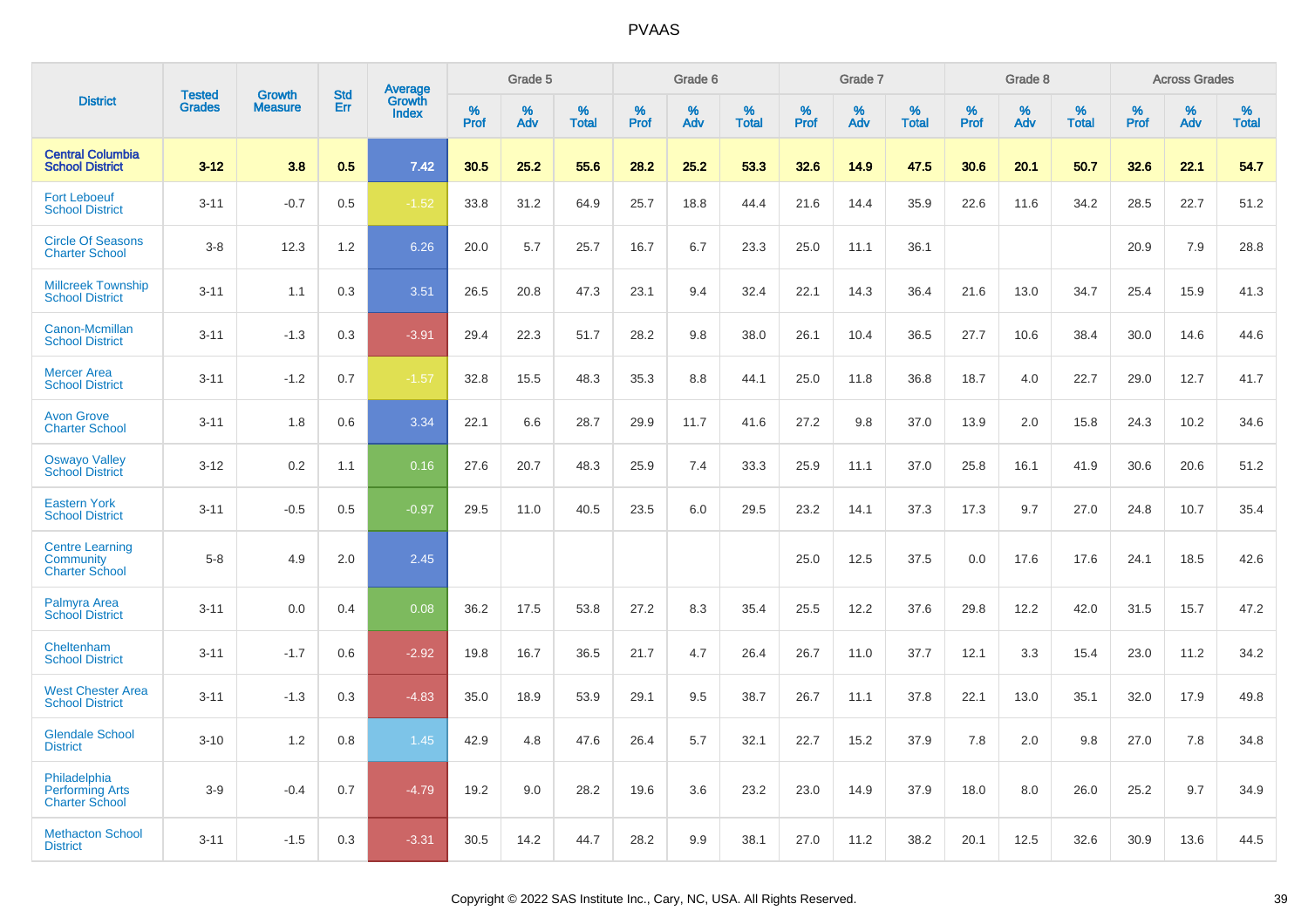|                                                                 |                                |                                 |                   |                                          |              | Grade 5  |                   |              | Grade 6  |                   |           | Grade 7  |                   |           | Grade 8  |                   |           | <b>Across Grades</b> |                   |
|-----------------------------------------------------------------|--------------------------------|---------------------------------|-------------------|------------------------------------------|--------------|----------|-------------------|--------------|----------|-------------------|-----------|----------|-------------------|-----------|----------|-------------------|-----------|----------------------|-------------------|
| <b>District</b>                                                 | <b>Tested</b><br><b>Grades</b> | <b>Growth</b><br><b>Measure</b> | <b>Std</b><br>Err | <b>Average</b><br>Growth<br><b>Index</b> | $\%$<br>Prof | %<br>Adv | %<br><b>Total</b> | $\%$<br>Prof | %<br>Adv | %<br><b>Total</b> | %<br>Prof | %<br>Adv | %<br><b>Total</b> | %<br>Prof | %<br>Adv | %<br><b>Total</b> | %<br>Prof | %<br>Adv             | %<br><b>Total</b> |
| <b>Central Columbia</b><br><b>School District</b>               | $3 - 12$                       | 3.8                             | 0.5               | 7.42                                     | 30.5         | 25.2     | 55.6              | 28.2         | 25.2     | 53.3              | 32.6      | 14.9     | 47.5              | 30.6      | 20.1     | 50.7              | 32.6      | 22.1                 | 54.7              |
| <b>Fort Leboeuf</b><br><b>School District</b>                   | $3 - 11$                       | $-0.7$                          | 0.5               | $-1.52$                                  | 33.8         | 31.2     | 64.9              | 25.7         | 18.8     | 44.4              | 21.6      | 14.4     | 35.9              | 22.6      | 11.6     | 34.2              | 28.5      | 22.7                 | 51.2              |
| <b>Circle Of Seasons</b><br><b>Charter School</b>               | $3 - 8$                        | 12.3                            | 1.2               | 6.26                                     | 20.0         | 5.7      | 25.7              | 16.7         | 6.7      | 23.3              | 25.0      | 11.1     | 36.1              |           |          |                   | 20.9      | 7.9                  | 28.8              |
| <b>Millcreek Township</b><br><b>School District</b>             | $3 - 11$                       | 1.1                             | 0.3               | 3.51                                     | 26.5         | 20.8     | 47.3              | 23.1         | 9.4      | 32.4              | 22.1      | 14.3     | 36.4              | 21.6      | 13.0     | 34.7              | 25.4      | 15.9                 | 41.3              |
| Canon-Mcmillan<br><b>School District</b>                        | $3 - 11$                       | $-1.3$                          | 0.3               | $-3.91$                                  | 29.4         | 22.3     | 51.7              | 28.2         | 9.8      | 38.0              | 26.1      | 10.4     | 36.5              | 27.7      | 10.6     | 38.4              | 30.0      | 14.6                 | 44.6              |
| <b>Mercer Area</b><br><b>School District</b>                    | $3 - 11$                       | $-1.2$                          | 0.7               | $-1.57$                                  | 32.8         | 15.5     | 48.3              | 35.3         | 8.8      | 44.1              | 25.0      | 11.8     | 36.8              | 18.7      | 4.0      | 22.7              | 29.0      | 12.7                 | 41.7              |
| <b>Avon Grove</b><br><b>Charter School</b>                      | $3 - 11$                       | 1.8                             | 0.6               | 3.34                                     | 22.1         | 6.6      | 28.7              | 29.9         | 11.7     | 41.6              | 27.2      | 9.8      | 37.0              | 13.9      | 2.0      | 15.8              | 24.3      | 10.2                 | 34.6              |
| <b>Oswayo Valley</b><br><b>School District</b>                  | $3 - 12$                       | 0.2                             | 1.1               | 0.16                                     | 27.6         | 20.7     | 48.3              | 25.9         | 7.4      | 33.3              | 25.9      | 11.1     | 37.0              | 25.8      | 16.1     | 41.9              | 30.6      | 20.6                 | 51.2              |
| <b>Eastern York</b><br><b>School District</b>                   | $3 - 11$                       | $-0.5$                          | 0.5               | $-0.97$                                  | 29.5         | 11.0     | 40.5              | 23.5         | 6.0      | 29.5              | 23.2      | 14.1     | 37.3              | 17.3      | 9.7      | 27.0              | 24.8      | 10.7                 | 35.4              |
| <b>Centre Learning</b><br>Community<br><b>Charter School</b>    | $5-8$                          | 4.9                             | 2.0               | 2.45                                     |              |          |                   |              |          |                   | 25.0      | 12.5     | 37.5              | 0.0       | 17.6     | 17.6              | 24.1      | 18.5                 | 42.6              |
| <b>Palmyra Area</b><br><b>School District</b>                   | $3 - 11$                       | 0.0                             | 0.4               | 0.08                                     | 36.2         | 17.5     | 53.8              | 27.2         | 8.3      | 35.4              | 25.5      | 12.2     | 37.6              | 29.8      | 12.2     | 42.0              | 31.5      | 15.7                 | 47.2              |
| Cheltenham<br><b>School District</b>                            | $3 - 11$                       | $-1.7$                          | 0.6               | $-2.92$                                  | 19.8         | 16.7     | 36.5              | 21.7         | 4.7      | 26.4              | 26.7      | 11.0     | 37.7              | 12.1      | 3.3      | 15.4              | 23.0      | 11.2                 | 34.2              |
| <b>West Chester Area</b><br><b>School District</b>              | $3 - 11$                       | $-1.3$                          | 0.3               | $-4.83$                                  | 35.0         | 18.9     | 53.9              | 29.1         | 9.5      | 38.7              | 26.7      | 11.1     | 37.8              | 22.1      | 13.0     | 35.1              | 32.0      | 17.9                 | 49.8              |
| <b>Glendale School</b><br><b>District</b>                       | $3 - 10$                       | 1.2                             | 0.8               | 1.45                                     | 42.9         | 4.8      | 47.6              | 26.4         | 5.7      | 32.1              | 22.7      | 15.2     | 37.9              | 7.8       | 2.0      | 9.8               | 27.0      | 7.8                  | 34.8              |
| Philadelphia<br><b>Performing Arts</b><br><b>Charter School</b> | $3-9$                          | $-0.4$                          | 0.7               | $-4.79$                                  | 19.2         | 9.0      | 28.2              | 19.6         | 3.6      | 23.2              | 23.0      | 14.9     | 37.9              | 18.0      | 8.0      | 26.0              | 25.2      | 9.7                  | 34.9              |
| <b>Methacton School</b><br><b>District</b>                      | $3 - 11$                       | $-1.5$                          | 0.3               | $-3.31$                                  | 30.5         | 14.2     | 44.7              | 28.2         | 9.9      | 38.1              | 27.0      | 11.2     | 38.2              | 20.1      | 12.5     | 32.6              | 30.9      | 13.6                 | 44.5              |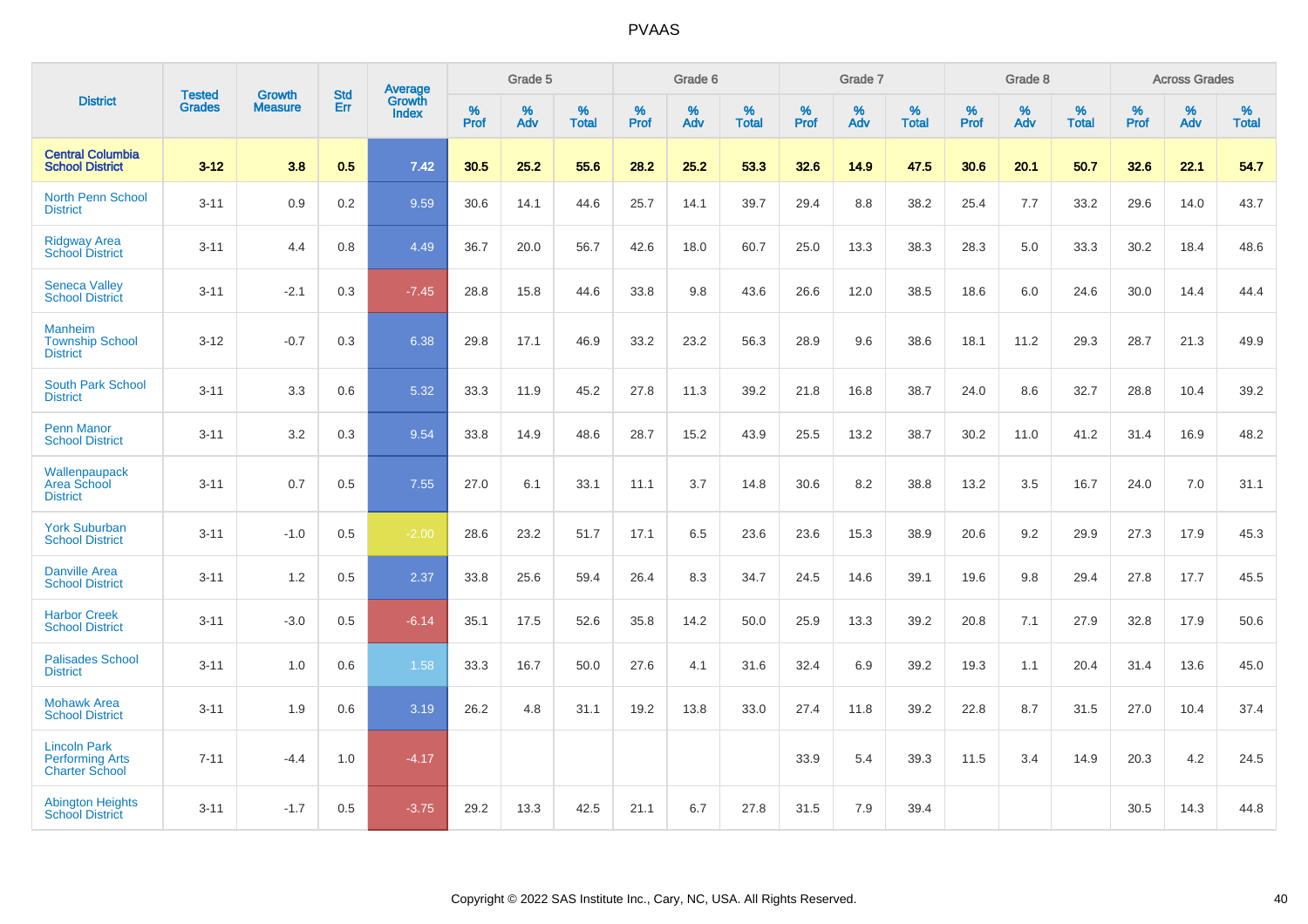|                                                                        |                                | <b>Growth</b>  | <b>Std</b> | Average         |              | Grade 5  |                   |           | Grade 6  |                   |              | Grade 7  |                   |           | Grade 8  |                   |              | <b>Across Grades</b> |                   |
|------------------------------------------------------------------------|--------------------------------|----------------|------------|-----------------|--------------|----------|-------------------|-----------|----------|-------------------|--------------|----------|-------------------|-----------|----------|-------------------|--------------|----------------------|-------------------|
| <b>District</b>                                                        | <b>Tested</b><br><b>Grades</b> | <b>Measure</b> | Err        | Growth<br>Index | $\%$<br>Prof | %<br>Adv | %<br><b>Total</b> | %<br>Prof | %<br>Adv | %<br><b>Total</b> | $\%$<br>Prof | %<br>Adv | %<br><b>Total</b> | %<br>Prof | %<br>Adv | %<br><b>Total</b> | $\%$<br>Prof | %<br>Adv             | %<br><b>Total</b> |
| <b>Central Columbia</b><br><b>School District</b>                      | $3 - 12$                       | 3.8            | 0.5        | 7.42            | 30.5         | 25.2     | 55.6              | 28.2      | 25.2     | 53.3              | 32.6         | 14.9     | 47.5              | 30.6      | 20.1     | 50.7              | 32.6         | 22.1                 | 54.7              |
| <b>North Penn School</b><br><b>District</b>                            | $3 - 11$                       | 0.9            | 0.2        | 9.59            | 30.6         | 14.1     | 44.6              | 25.7      | 14.1     | 39.7              | 29.4         | 8.8      | 38.2              | 25.4      | 7.7      | 33.2              | 29.6         | 14.0                 | 43.7              |
| <b>Ridgway Area</b><br><b>School District</b>                          | $3 - 11$                       | 4.4            | 0.8        | 4.49            | 36.7         | 20.0     | 56.7              | 42.6      | 18.0     | 60.7              | 25.0         | 13.3     | 38.3              | 28.3      | 5.0      | 33.3              | 30.2         | 18.4                 | 48.6              |
| <b>Seneca Valley</b><br><b>School District</b>                         | $3 - 11$                       | $-2.1$         | 0.3        | $-7.45$         | 28.8         | 15.8     | 44.6              | 33.8      | 9.8      | 43.6              | 26.6         | 12.0     | 38.5              | 18.6      | 6.0      | 24.6              | 30.0         | 14.4                 | 44.4              |
| <b>Manheim</b><br><b>Township School</b><br><b>District</b>            | $3 - 12$                       | $-0.7$         | 0.3        | 6.38            | 29.8         | 17.1     | 46.9              | 33.2      | 23.2     | 56.3              | 28.9         | 9.6      | 38.6              | 18.1      | 11.2     | 29.3              | 28.7         | 21.3                 | 49.9              |
| <b>South Park School</b><br><b>District</b>                            | $3 - 11$                       | 3.3            | 0.6        | 5.32            | 33.3         | 11.9     | 45.2              | 27.8      | 11.3     | 39.2              | 21.8         | 16.8     | 38.7              | 24.0      | 8.6      | 32.7              | 28.8         | 10.4                 | 39.2              |
| <b>Penn Manor</b><br><b>School District</b>                            | $3 - 11$                       | 3.2            | 0.3        | 9.54            | 33.8         | 14.9     | 48.6              | 28.7      | 15.2     | 43.9              | 25.5         | 13.2     | 38.7              | 30.2      | 11.0     | 41.2              | 31.4         | 16.9                 | 48.2              |
| Wallenpaupack<br>Area School<br><b>District</b>                        | $3 - 11$                       | 0.7            | 0.5        | 7.55            | 27.0         | 6.1      | 33.1              | 11.1      | 3.7      | 14.8              | 30.6         | 8.2      | 38.8              | 13.2      | 3.5      | 16.7              | 24.0         | 7.0                  | 31.1              |
| <b>York Suburban</b><br><b>School District</b>                         | $3 - 11$                       | $-1.0$         | 0.5        | $-2.00$         | 28.6         | 23.2     | 51.7              | 17.1      | 6.5      | 23.6              | 23.6         | 15.3     | 38.9              | 20.6      | 9.2      | 29.9              | 27.3         | 17.9                 | 45.3              |
| <b>Danville Area</b><br><b>School District</b>                         | $3 - 11$                       | 1.2            | 0.5        | 2.37            | 33.8         | 25.6     | 59.4              | 26.4      | 8.3      | 34.7              | 24.5         | 14.6     | 39.1              | 19.6      | 9.8      | 29.4              | 27.8         | 17.7                 | 45.5              |
| <b>Harbor Creek</b><br><b>School District</b>                          | $3 - 11$                       | $-3.0$         | 0.5        | $-6.14$         | 35.1         | 17.5     | 52.6              | 35.8      | 14.2     | 50.0              | 25.9         | 13.3     | 39.2              | 20.8      | 7.1      | 27.9              | 32.8         | 17.9                 | 50.6              |
| <b>Palisades School</b><br><b>District</b>                             | $3 - 11$                       | 1.0            | 0.6        | 1.58            | 33.3         | 16.7     | 50.0              | 27.6      | 4.1      | 31.6              | 32.4         | 6.9      | 39.2              | 19.3      | 1.1      | 20.4              | 31.4         | 13.6                 | 45.0              |
| <b>Mohawk Area</b><br><b>School District</b>                           | $3 - 11$                       | 1.9            | 0.6        | 3.19            | 26.2         | 4.8      | 31.1              | 19.2      | 13.8     | 33.0              | 27.4         | 11.8     | 39.2              | 22.8      | 8.7      | 31.5              | 27.0         | 10.4                 | 37.4              |
| <b>Lincoln Park</b><br><b>Performing Arts</b><br><b>Charter School</b> | $7 - 11$                       | $-4.4$         | 1.0        | $-4.17$         |              |          |                   |           |          |                   | 33.9         | 5.4      | 39.3              | 11.5      | 3.4      | 14.9              | 20.3         | 4.2                  | 24.5              |
| <b>Abington Heights</b><br><b>School District</b>                      | $3 - 11$                       | $-1.7$         | 0.5        | $-3.75$         | 29.2         | 13.3     | 42.5              | 21.1      | 6.7      | 27.8              | 31.5         | 7.9      | 39.4              |           |          |                   | 30.5         | 14.3                 | 44.8              |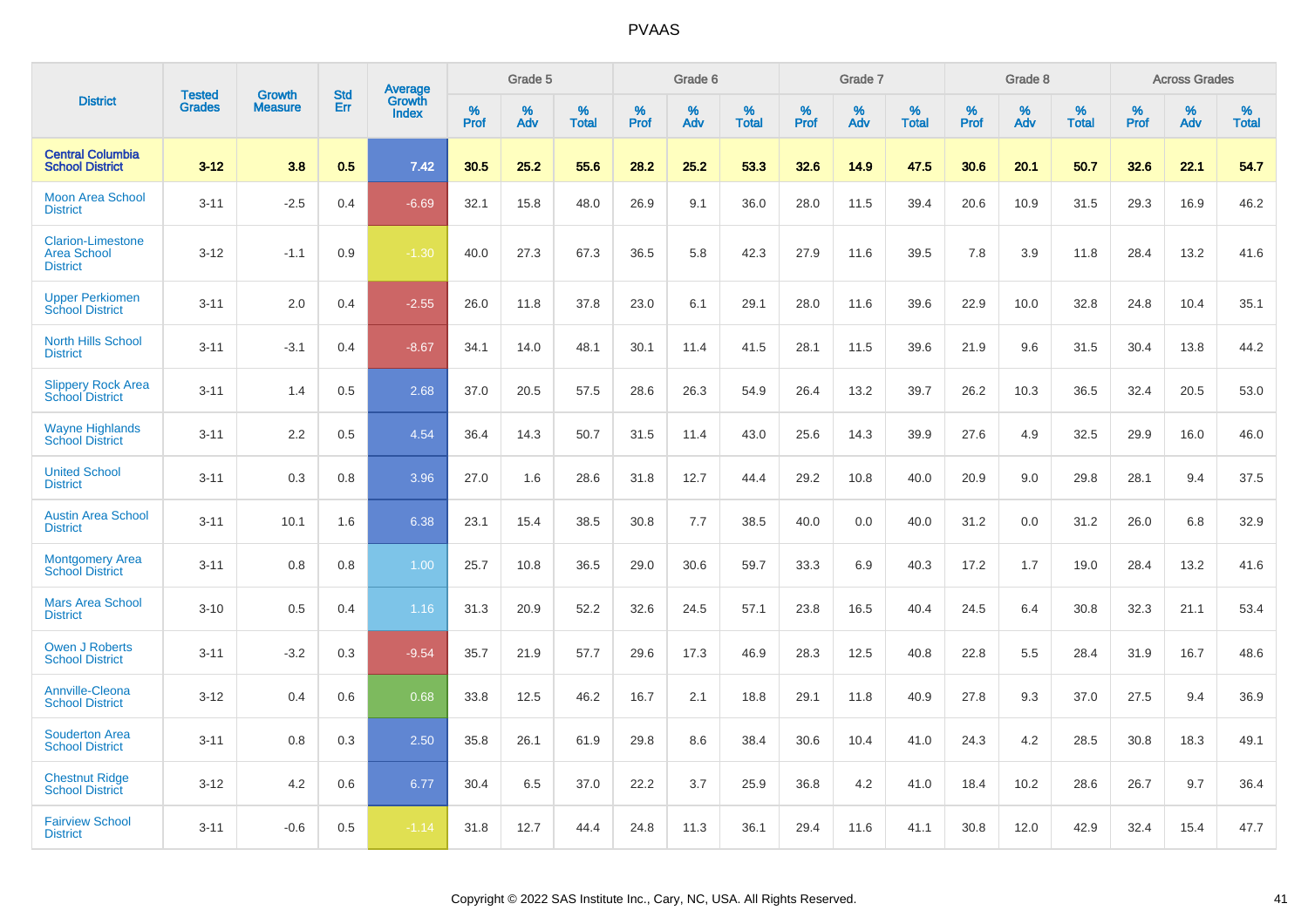|                                                                   |                         |                                 | <b>Std</b> | Average                |                     | Grade 5  |                      |              | Grade 6     |                      |              | Grade 7  |                      |              | Grade 8     |                   |              | <b>Across Grades</b> |                   |
|-------------------------------------------------------------------|-------------------------|---------------------------------|------------|------------------------|---------------------|----------|----------------------|--------------|-------------|----------------------|--------------|----------|----------------------|--------------|-------------|-------------------|--------------|----------------------|-------------------|
| <b>District</b>                                                   | Tested<br><b>Grades</b> | <b>Growth</b><br><b>Measure</b> | Err        | Growth<br><b>Index</b> | $\%$<br><b>Prof</b> | %<br>Adv | $\%$<br><b>Total</b> | $\%$<br>Prof | $\%$<br>Adv | $\%$<br><b>Total</b> | $\%$<br>Prof | %<br>Adv | $\%$<br><b>Total</b> | $\%$<br>Prof | $\%$<br>Adv | %<br><b>Total</b> | $\%$<br>Prof | $\%$<br>Adv          | %<br><b>Total</b> |
| <b>Central Columbia</b><br><b>School District</b>                 | $3 - 12$                | 3.8                             | 0.5        | 7.42                   | 30.5                | 25.2     | 55.6                 | 28.2         | 25.2        | 53.3                 | 32.6         | 14.9     | 47.5                 | 30.6         | 20.1        | 50.7              | 32.6         | 22.1                 | 54.7              |
| <b>Moon Area School</b><br><b>District</b>                        | $3 - 11$                | $-2.5$                          | 0.4        | $-6.69$                | 32.1                | 15.8     | 48.0                 | 26.9         | 9.1         | 36.0                 | 28.0         | 11.5     | 39.4                 | 20.6         | 10.9        | 31.5              | 29.3         | 16.9                 | 46.2              |
| <b>Clarion-Limestone</b><br><b>Area School</b><br><b>District</b> | $3 - 12$                | $-1.1$                          | 0.9        | $-1.30$                | 40.0                | 27.3     | 67.3                 | 36.5         | 5.8         | 42.3                 | 27.9         | 11.6     | 39.5                 | 7.8          | 3.9         | 11.8              | 28.4         | 13.2                 | 41.6              |
| <b>Upper Perkiomen</b><br><b>School District</b>                  | $3 - 11$                | 2.0                             | 0.4        | $-2.55$                | 26.0                | 11.8     | 37.8                 | 23.0         | 6.1         | 29.1                 | 28.0         | 11.6     | 39.6                 | 22.9         | 10.0        | 32.8              | 24.8         | 10.4                 | 35.1              |
| <b>North Hills School</b><br><b>District</b>                      | $3 - 11$                | $-3.1$                          | 0.4        | $-8.67$                | 34.1                | 14.0     | 48.1                 | 30.1         | 11.4        | 41.5                 | 28.1         | 11.5     | 39.6                 | 21.9         | 9.6         | 31.5              | 30.4         | 13.8                 | 44.2              |
| <b>Slippery Rock Area</b><br><b>School District</b>               | $3 - 11$                | 1.4                             | 0.5        | 2.68                   | 37.0                | 20.5     | 57.5                 | 28.6         | 26.3        | 54.9                 | 26.4         | 13.2     | 39.7                 | 26.2         | 10.3        | 36.5              | 32.4         | 20.5                 | 53.0              |
| <b>Wayne Highlands</b><br><b>School District</b>                  | $3 - 11$                | 2.2                             | 0.5        | 4.54                   | 36.4                | 14.3     | 50.7                 | 31.5         | 11.4        | 43.0                 | 25.6         | 14.3     | 39.9                 | 27.6         | 4.9         | 32.5              | 29.9         | 16.0                 | 46.0              |
| <b>United School</b><br><b>District</b>                           | $3 - 11$                | 0.3                             | 0.8        | 3.96                   | 27.0                | 1.6      | 28.6                 | 31.8         | 12.7        | 44.4                 | 29.2         | 10.8     | 40.0                 | 20.9         | 9.0         | 29.8              | 28.1         | 9.4                  | 37.5              |
| <b>Austin Area School</b><br><b>District</b>                      | $3 - 11$                | 10.1                            | 1.6        | 6.38                   | 23.1                | 15.4     | 38.5                 | 30.8         | 7.7         | 38.5                 | 40.0         | 0.0      | 40.0                 | 31.2         | 0.0         | 31.2              | 26.0         | 6.8                  | 32.9              |
| <b>Montgomery Area</b><br><b>School District</b>                  | $3 - 11$                | 0.8                             | 0.8        | 1.00                   | 25.7                | 10.8     | 36.5                 | 29.0         | 30.6        | 59.7                 | 33.3         | 6.9      | 40.3                 | 17.2         | 1.7         | 19.0              | 28.4         | 13.2                 | 41.6              |
| <b>Mars Area School</b><br><b>District</b>                        | $3 - 10$                | 0.5                             | 0.4        | 1.16                   | 31.3                | 20.9     | 52.2                 | 32.6         | 24.5        | 57.1                 | 23.8         | 16.5     | 40.4                 | 24.5         | 6.4         | 30.8              | 32.3         | 21.1                 | 53.4              |
| <b>Owen J Roberts</b><br><b>School District</b>                   | $3 - 11$                | $-3.2$                          | 0.3        | $-9.54$                | 35.7                | 21.9     | 57.7                 | 29.6         | 17.3        | 46.9                 | 28.3         | 12.5     | 40.8                 | 22.8         | 5.5         | 28.4              | 31.9         | 16.7                 | 48.6              |
| <b>Annville-Cleona</b><br><b>School District</b>                  | $3 - 12$                | 0.4                             | 0.6        | 0.68                   | 33.8                | 12.5     | 46.2                 | 16.7         | 2.1         | 18.8                 | 29.1         | 11.8     | 40.9                 | 27.8         | 9.3         | 37.0              | 27.5         | 9.4                  | 36.9              |
| <b>Souderton Area</b><br><b>School District</b>                   | $3 - 11$                | 0.8                             | 0.3        | 2.50                   | 35.8                | 26.1     | 61.9                 | 29.8         | 8.6         | 38.4                 | 30.6         | 10.4     | 41.0                 | 24.3         | 4.2         | 28.5              | 30.8         | 18.3                 | 49.1              |
| <b>Chestnut Ridge</b><br><b>School District</b>                   | $3 - 12$                | 4.2                             | 0.6        | 6.77                   | 30.4                | 6.5      | 37.0                 | 22.2         | 3.7         | 25.9                 | 36.8         | 4.2      | 41.0                 | 18.4         | 10.2        | 28.6              | 26.7         | 9.7                  | 36.4              |
| <b>Fairview School</b><br><b>District</b>                         | $3 - 11$                | $-0.6$                          | 0.5        | $-1.14$                | 31.8                | 12.7     | 44.4                 | 24.8         | 11.3        | 36.1                 | 29.4         | 11.6     | 41.1                 | 30.8         | 12.0        | 42.9              | 32.4         | 15.4                 | 47.7              |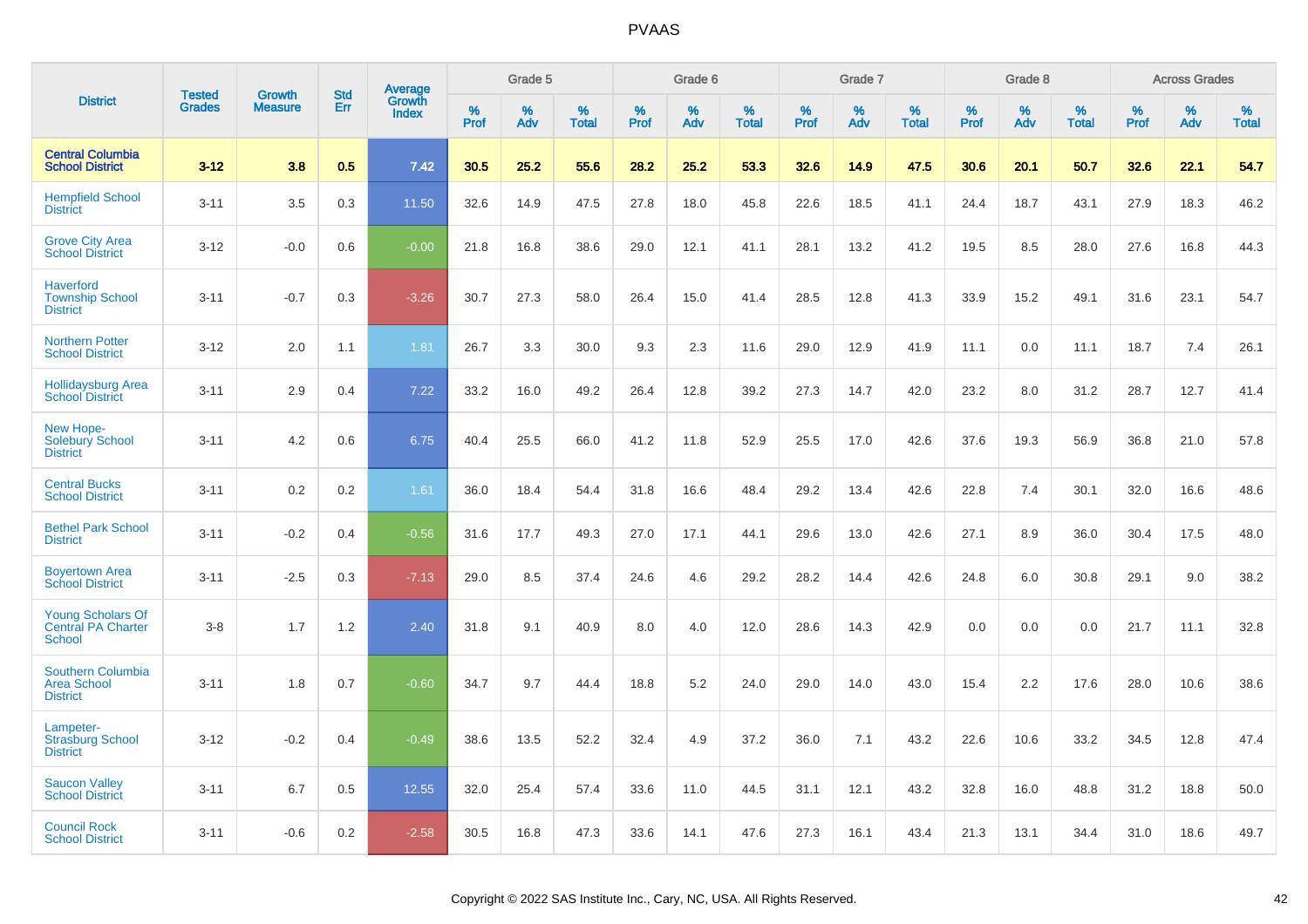|                                                                        | <b>Tested</b> | <b>Growth</b>  | <b>Std</b> |                                          |           | Grade 5  |                   |           | Grade 6  |                   |           | Grade 7  |                   |           | Grade 8  |                   |              | <b>Across Grades</b> |                   |
|------------------------------------------------------------------------|---------------|----------------|------------|------------------------------------------|-----------|----------|-------------------|-----------|----------|-------------------|-----------|----------|-------------------|-----------|----------|-------------------|--------------|----------------------|-------------------|
| <b>District</b>                                                        | <b>Grades</b> | <b>Measure</b> | Err        | <b>Average</b><br>Growth<br><b>Index</b> | %<br>Prof | %<br>Adv | %<br><b>Total</b> | %<br>Prof | %<br>Adv | %<br><b>Total</b> | %<br>Prof | %<br>Adv | %<br><b>Total</b> | %<br>Prof | %<br>Adv | %<br><b>Total</b> | $\%$<br>Prof | %<br>Adv             | %<br><b>Total</b> |
| <b>Central Columbia</b><br><b>School District</b>                      | $3 - 12$      | 3.8            | 0.5        | 7.42                                     | 30.5      | 25.2     | 55.6              | 28.2      | 25.2     | 53.3              | 32.6      | 14.9     | 47.5              | 30.6      | 20.1     | 50.7              | 32.6         | 22.1                 | 54.7              |
| <b>Hempfield School</b><br><b>District</b>                             | $3 - 11$      | 3.5            | 0.3        | 11.50                                    | 32.6      | 14.9     | 47.5              | 27.8      | 18.0     | 45.8              | 22.6      | 18.5     | 41.1              | 24.4      | 18.7     | 43.1              | 27.9         | 18.3                 | 46.2              |
| <b>Grove City Area</b><br><b>School District</b>                       | $3 - 12$      | $-0.0$         | 0.6        | $-0.00$                                  | 21.8      | 16.8     | 38.6              | 29.0      | 12.1     | 41.1              | 28.1      | 13.2     | 41.2              | 19.5      | 8.5      | 28.0              | 27.6         | 16.8                 | 44.3              |
| <b>Haverford</b><br><b>Township School</b><br><b>District</b>          | $3 - 11$      | $-0.7$         | 0.3        | $-3.26$                                  | 30.7      | 27.3     | 58.0              | 26.4      | 15.0     | 41.4              | 28.5      | 12.8     | 41.3              | 33.9      | 15.2     | 49.1              | 31.6         | 23.1                 | 54.7              |
| <b>Northern Potter</b><br><b>School District</b>                       | $3 - 12$      | 2.0            | 1.1        | 1.81                                     | 26.7      | 3.3      | 30.0              | 9.3       | 2.3      | 11.6              | 29.0      | 12.9     | 41.9              | 11.1      | 0.0      | 11.1              | 18.7         | 7.4                  | 26.1              |
| <b>Hollidaysburg Area</b><br><b>School District</b>                    | $3 - 11$      | 2.9            | 0.4        | 7.22                                     | 33.2      | 16.0     | 49.2              | 26.4      | 12.8     | 39.2              | 27.3      | 14.7     | 42.0              | 23.2      | 8.0      | 31.2              | 28.7         | 12.7                 | 41.4              |
| New Hope-<br>Solebury School<br><b>District</b>                        | $3 - 11$      | 4.2            | 0.6        | 6.75                                     | 40.4      | 25.5     | 66.0              | 41.2      | 11.8     | 52.9              | 25.5      | 17.0     | 42.6              | 37.6      | 19.3     | 56.9              | 36.8         | 21.0                 | 57.8              |
| <b>Central Bucks</b><br><b>School District</b>                         | $3 - 11$      | 0.2            | 0.2        | 1.61                                     | 36.0      | 18.4     | 54.4              | 31.8      | 16.6     | 48.4              | 29.2      | 13.4     | 42.6              | 22.8      | 7.4      | 30.1              | 32.0         | 16.6                 | 48.6              |
| <b>Bethel Park School</b><br><b>District</b>                           | $3 - 11$      | $-0.2$         | 0.4        | $-0.56$                                  | 31.6      | 17.7     | 49.3              | 27.0      | 17.1     | 44.1              | 29.6      | 13.0     | 42.6              | 27.1      | 8.9      | 36.0              | 30.4         | 17.5                 | 48.0              |
| <b>Boyertown Area</b><br><b>School District</b>                        | $3 - 11$      | $-2.5$         | 0.3        | $-7.13$                                  | 29.0      | 8.5      | 37.4              | 24.6      | 4.6      | 29.2              | 28.2      | 14.4     | 42.6              | 24.8      | 6.0      | 30.8              | 29.1         | 9.0                  | 38.2              |
| <b>Young Scholars Of</b><br><b>Central PA Charter</b><br><b>School</b> | $3 - 8$       | 1.7            | 1.2        | 2.40                                     | 31.8      | 9.1      | 40.9              | 8.0       | 4.0      | 12.0              | 28.6      | 14.3     | 42.9              | 0.0       | 0.0      | 0.0               | 21.7         | 11.1                 | 32.8              |
| <b>Southern Columbia</b><br><b>Area School</b><br><b>District</b>      | $3 - 11$      | 1.8            | 0.7        | $-0.60$                                  | 34.7      | 9.7      | 44.4              | 18.8      | 5.2      | 24.0              | 29.0      | 14.0     | 43.0              | 15.4      | 2.2      | 17.6              | 28.0         | 10.6                 | 38.6              |
| Lampeter-<br><b>Strasburg School</b><br><b>District</b>                | $3 - 12$      | $-0.2$         | 0.4        | $-0.49$                                  | 38.6      | 13.5     | 52.2              | 32.4      | 4.9      | 37.2              | 36.0      | 7.1      | 43.2              | 22.6      | 10.6     | 33.2              | 34.5         | 12.8                 | 47.4              |
| <b>Saucon Valley</b><br><b>School District</b>                         | $3 - 11$      | 6.7            | 0.5        | 12.55                                    | 32.0      | 25.4     | 57.4              | 33.6      | 11.0     | 44.5              | 31.1      | 12.1     | 43.2              | 32.8      | 16.0     | 48.8              | 31.2         | 18.8                 | 50.0              |
| <b>Council Rock</b><br><b>School District</b>                          | $3 - 11$      | $-0.6$         | 0.2        | $-2.58$                                  | 30.5      | 16.8     | 47.3              | 33.6      | 14.1     | 47.6              | 27.3      | 16.1     | 43.4              | 21.3      | 13.1     | 34.4              | 31.0         | 18.6                 | 49.7              |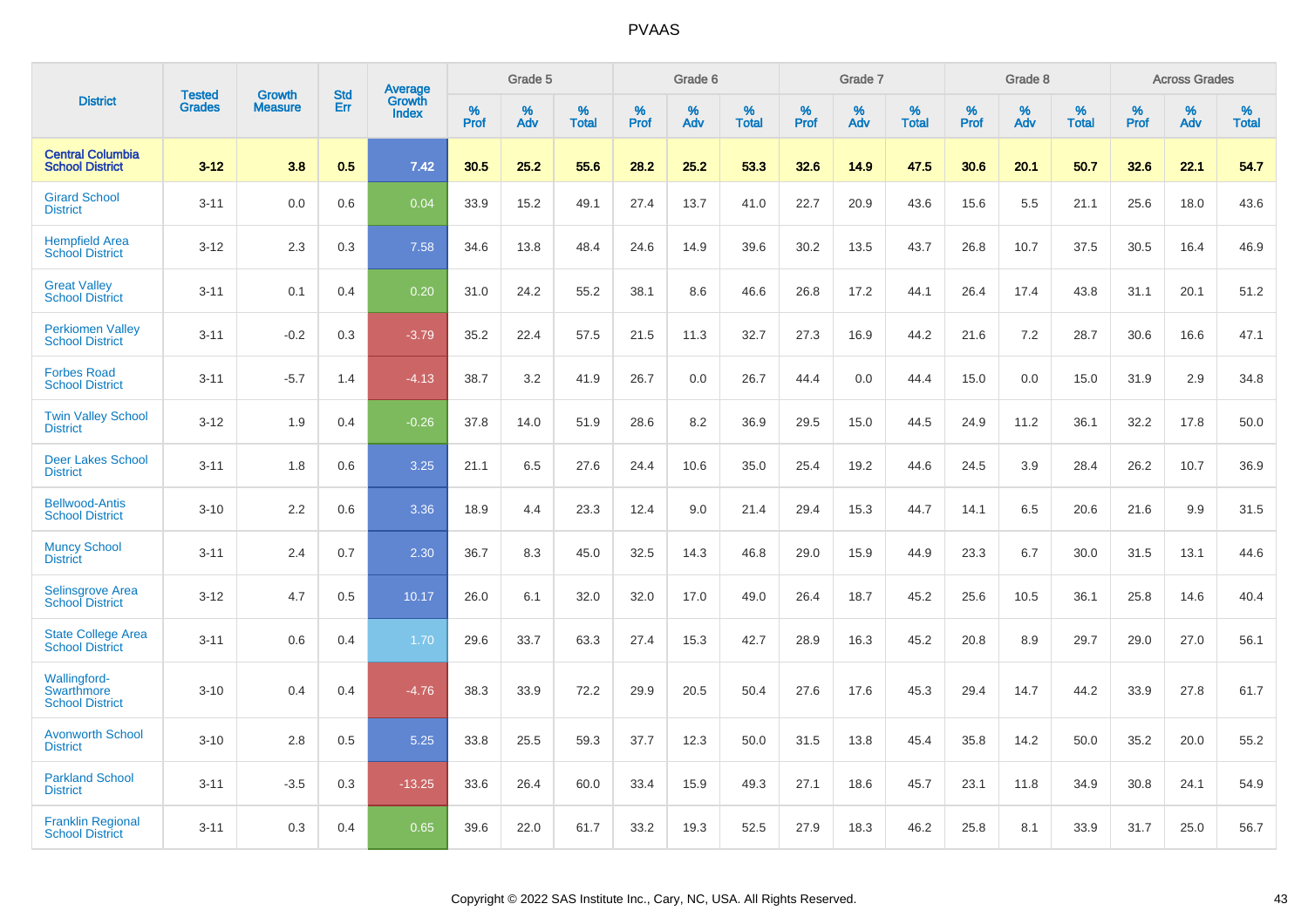|                                                      | <b>Tested</b> | Growth         | <b>Std</b> | <b>Average</b><br>Growth |                     | Grade 5  |                      |              | Grade 6     |                      |              | Grade 7  |                      |              | Grade 8     |                      |              | <b>Across Grades</b> |                      |
|------------------------------------------------------|---------------|----------------|------------|--------------------------|---------------------|----------|----------------------|--------------|-------------|----------------------|--------------|----------|----------------------|--------------|-------------|----------------------|--------------|----------------------|----------------------|
| <b>District</b>                                      | <b>Grades</b> | <b>Measure</b> | Err        | <b>Index</b>             | $\%$<br><b>Prof</b> | %<br>Adv | $\%$<br><b>Total</b> | $\%$<br>Prof | $\%$<br>Adv | $\%$<br><b>Total</b> | $\%$<br>Prof | %<br>Adv | $\%$<br><b>Total</b> | $\%$<br>Prof | $\%$<br>Adv | $\%$<br><b>Total</b> | $\%$<br>Prof | $\%$<br>Adv          | $\%$<br><b>Total</b> |
| <b>Central Columbia</b><br><b>School District</b>    | $3 - 12$      | 3.8            | 0.5        | 7.42                     | 30.5                | 25.2     | 55.6                 | 28.2         | 25.2        | 53.3                 | 32.6         | 14.9     | 47.5                 | 30.6         | 20.1        | 50.7                 | 32.6         | 22.1                 | 54.7                 |
| <b>Girard School</b><br><b>District</b>              | $3 - 11$      | 0.0            | 0.6        | 0.04                     | 33.9                | 15.2     | 49.1                 | 27.4         | 13.7        | 41.0                 | 22.7         | 20.9     | 43.6                 | 15.6         | 5.5         | 21.1                 | 25.6         | 18.0                 | 43.6                 |
| <b>Hempfield Area</b><br><b>School District</b>      | $3 - 12$      | 2.3            | 0.3        | 7.58                     | 34.6                | 13.8     | 48.4                 | 24.6         | 14.9        | 39.6                 | 30.2         | 13.5     | 43.7                 | 26.8         | 10.7        | 37.5                 | 30.5         | 16.4                 | 46.9                 |
| <b>Great Valley</b><br><b>School District</b>        | $3 - 11$      | 0.1            | 0.4        | 0.20                     | 31.0                | 24.2     | 55.2                 | 38.1         | 8.6         | 46.6                 | 26.8         | 17.2     | 44.1                 | 26.4         | 17.4        | 43.8                 | 31.1         | 20.1                 | 51.2                 |
| <b>Perkiomen Valley</b><br><b>School District</b>    | $3 - 11$      | $-0.2$         | 0.3        | $-3.79$                  | 35.2                | 22.4     | 57.5                 | 21.5         | 11.3        | 32.7                 | 27.3         | 16.9     | 44.2                 | 21.6         | 7.2         | 28.7                 | 30.6         | 16.6                 | 47.1                 |
| <b>Forbes Road</b><br><b>School District</b>         | $3 - 11$      | $-5.7$         | 1.4        | $-4.13$                  | 38.7                | 3.2      | 41.9                 | 26.7         | 0.0         | 26.7                 | 44.4         | 0.0      | 44.4                 | 15.0         | 0.0         | 15.0                 | 31.9         | 2.9                  | 34.8                 |
| <b>Twin Valley School</b><br><b>District</b>         | $3 - 12$      | 1.9            | 0.4        | $-0.26$                  | 37.8                | 14.0     | 51.9                 | 28.6         | 8.2         | 36.9                 | 29.5         | 15.0     | 44.5                 | 24.9         | 11.2        | 36.1                 | 32.2         | 17.8                 | 50.0                 |
| <b>Deer Lakes School</b><br><b>District</b>          | $3 - 11$      | 1.8            | 0.6        | 3.25                     | 21.1                | 6.5      | 27.6                 | 24.4         | 10.6        | 35.0                 | 25.4         | 19.2     | 44.6                 | 24.5         | 3.9         | 28.4                 | 26.2         | 10.7                 | 36.9                 |
| <b>Bellwood-Antis</b><br><b>School District</b>      | $3 - 10$      | 2.2            | 0.6        | 3.36                     | 18.9                | 4.4      | 23.3                 | 12.4         | 9.0         | 21.4                 | 29.4         | 15.3     | 44.7                 | 14.1         | 6.5         | 20.6                 | 21.6         | 9.9                  | 31.5                 |
| <b>Muncy School</b><br><b>District</b>               | $3 - 11$      | 2.4            | 0.7        | 2.30                     | 36.7                | 8.3      | 45.0                 | 32.5         | 14.3        | 46.8                 | 29.0         | 15.9     | 44.9                 | 23.3         | 6.7         | 30.0                 | 31.5         | 13.1                 | 44.6                 |
| Selinsgrove Area<br><b>School District</b>           | $3 - 12$      | 4.7            | 0.5        | 10.17                    | 26.0                | 6.1      | 32.0                 | 32.0         | 17.0        | 49.0                 | 26.4         | 18.7     | 45.2                 | 25.6         | 10.5        | 36.1                 | 25.8         | 14.6                 | 40.4                 |
| <b>State College Area</b><br><b>School District</b>  | $3 - 11$      | 0.6            | 0.4        | 1.70                     | 29.6                | 33.7     | 63.3                 | 27.4         | 15.3        | 42.7                 | 28.9         | 16.3     | 45.2                 | 20.8         | 8.9         | 29.7                 | 29.0         | 27.0                 | 56.1                 |
| Wallingford-<br>Swarthmore<br><b>School District</b> | $3 - 10$      | 0.4            | 0.4        | $-4.76$                  | 38.3                | 33.9     | 72.2                 | 29.9         | 20.5        | 50.4                 | 27.6         | 17.6     | 45.3                 | 29.4         | 14.7        | 44.2                 | 33.9         | 27.8                 | 61.7                 |
| <b>Avonworth School</b><br><b>District</b>           | $3 - 10$      | 2.8            | 0.5        | 5.25                     | 33.8                | 25.5     | 59.3                 | 37.7         | 12.3        | 50.0                 | 31.5         | 13.8     | 45.4                 | 35.8         | 14.2        | 50.0                 | 35.2         | 20.0                 | 55.2                 |
| <b>Parkland School</b><br><b>District</b>            | $3 - 11$      | $-3.5$         | 0.3        | $-13.25$                 | 33.6                | 26.4     | 60.0                 | 33.4         | 15.9        | 49.3                 | 27.1         | 18.6     | 45.7                 | 23.1         | 11.8        | 34.9                 | 30.8         | 24.1                 | 54.9                 |
| <b>Franklin Regional</b><br><b>School District</b>   | $3 - 11$      | 0.3            | 0.4        | 0.65                     | 39.6                | 22.0     | 61.7                 | 33.2         | 19.3        | 52.5                 | 27.9         | 18.3     | 46.2                 | 25.8         | 8.1         | 33.9                 | 31.7         | 25.0                 | 56.7                 |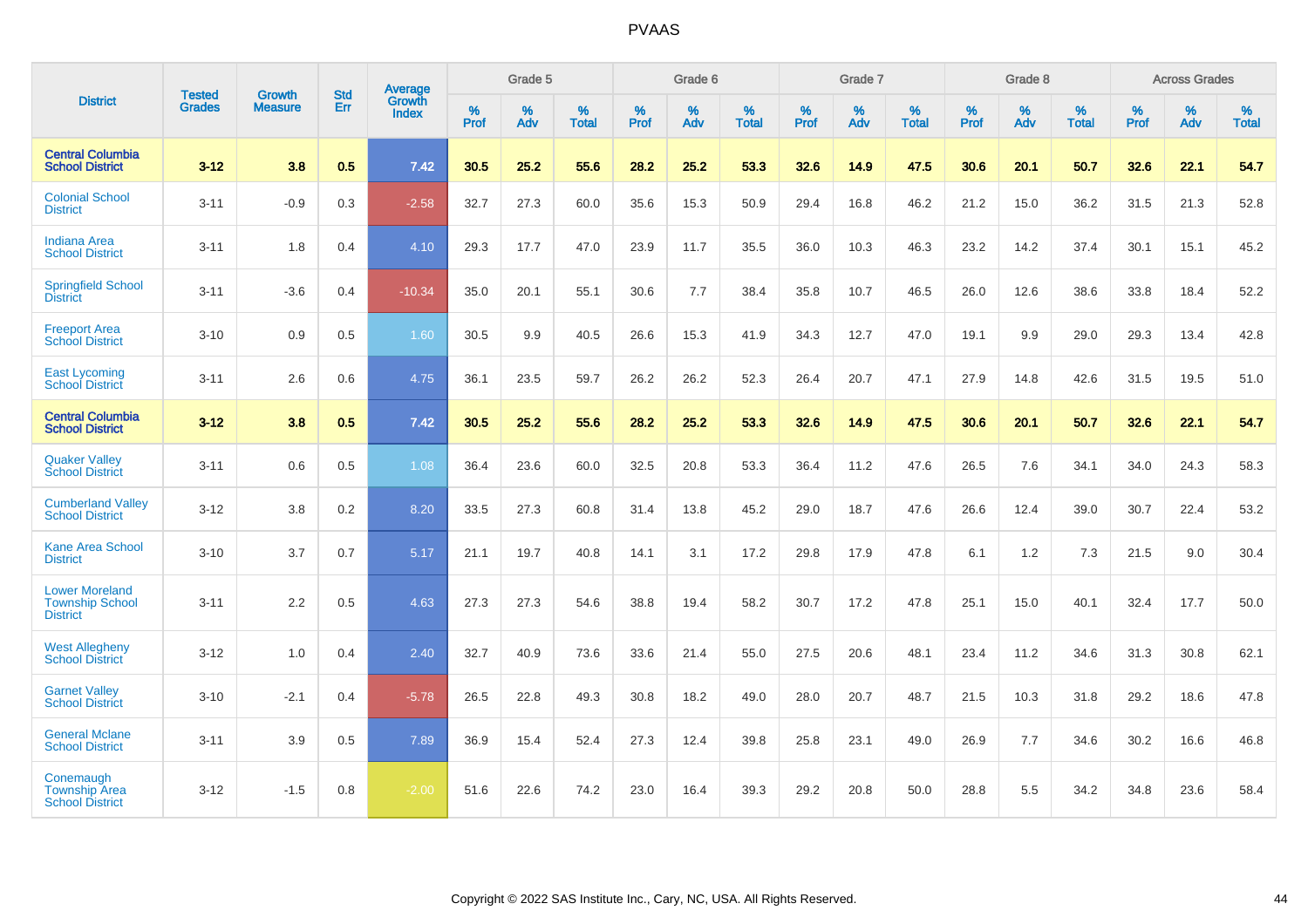|                                                                    | <b>Tested</b> | <b>Growth</b>  | <b>Std</b> | Average                |           | Grade 5  |                   |           | Grade 6  |                   |           | Grade 7  |                   |           | Grade 8  |                   |                  | <b>Across Grades</b> |                   |
|--------------------------------------------------------------------|---------------|----------------|------------|------------------------|-----------|----------|-------------------|-----------|----------|-------------------|-----------|----------|-------------------|-----------|----------|-------------------|------------------|----------------------|-------------------|
| <b>District</b>                                                    | <b>Grades</b> | <b>Measure</b> | Err        | Growth<br><b>Index</b> | %<br>Prof | %<br>Adv | %<br><b>Total</b> | %<br>Prof | %<br>Adv | %<br><b>Total</b> | %<br>Prof | %<br>Adv | %<br><b>Total</b> | %<br>Prof | %<br>Adv | %<br><b>Total</b> | %<br><b>Prof</b> | %<br>Adv             | %<br><b>Total</b> |
| <b>Central Columbia</b><br><b>School District</b>                  | $3 - 12$      | 3.8            | 0.5        | 7.42                   | 30.5      | 25.2     | 55.6              | 28.2      | 25.2     | 53.3              | 32.6      | 14.9     | 47.5              | 30.6      | 20.1     | 50.7              | 32.6             | 22.1                 | 54.7              |
| <b>Colonial School</b><br><b>District</b>                          | $3 - 11$      | $-0.9$         | 0.3        | $-2.58$                | 32.7      | 27.3     | 60.0              | 35.6      | 15.3     | 50.9              | 29.4      | 16.8     | 46.2              | 21.2      | 15.0     | 36.2              | 31.5             | 21.3                 | 52.8              |
| <b>Indiana Area</b><br><b>School District</b>                      | $3 - 11$      | 1.8            | 0.4        | 4.10                   | 29.3      | 17.7     | 47.0              | 23.9      | 11.7     | 35.5              | 36.0      | 10.3     | 46.3              | 23.2      | 14.2     | 37.4              | 30.1             | 15.1                 | 45.2              |
| <b>Springfield School</b><br><b>District</b>                       | $3 - 11$      | $-3.6$         | 0.4        | $-10.34$               | 35.0      | 20.1     | 55.1              | 30.6      | 7.7      | 38.4              | 35.8      | 10.7     | 46.5              | 26.0      | 12.6     | 38.6              | 33.8             | 18.4                 | 52.2              |
| <b>Freeport Area</b><br><b>School District</b>                     | $3 - 10$      | 0.9            | 0.5        | 1.60                   | 30.5      | 9.9      | 40.5              | 26.6      | 15.3     | 41.9              | 34.3      | 12.7     | 47.0              | 19.1      | 9.9      | 29.0              | 29.3             | 13.4                 | 42.8              |
| <b>East Lycoming</b><br><b>School District</b>                     | $3 - 11$      | 2.6            | 0.6        | 4.75                   | 36.1      | 23.5     | 59.7              | 26.2      | 26.2     | 52.3              | 26.4      | 20.7     | 47.1              | 27.9      | 14.8     | 42.6              | 31.5             | 19.5                 | 51.0              |
| <b>Central Columbia</b><br><b>School District</b>                  | $3 - 12$      | 3.8            | 0.5        | 7.42                   | 30.5      | 25.2     | 55.6              | 28.2      | 25.2     | 53.3              | 32.6      | 14.9     | 47.5              | 30.6      | 20.1     | 50.7              | 32.6             | 22.1                 | 54.7              |
| <b>Quaker Valley</b><br><b>School District</b>                     | $3 - 11$      | 0.6            | 0.5        | 1.08                   | 36.4      | 23.6     | 60.0              | 32.5      | 20.8     | 53.3              | 36.4      | 11.2     | 47.6              | 26.5      | 7.6      | 34.1              | 34.0             | 24.3                 | 58.3              |
| <b>Cumberland Valley</b><br><b>School District</b>                 | $3 - 12$      | 3.8            | 0.2        | 8.20                   | 33.5      | 27.3     | 60.8              | 31.4      | 13.8     | 45.2              | 29.0      | 18.7     | 47.6              | 26.6      | 12.4     | 39.0              | 30.7             | 22.4                 | 53.2              |
| <b>Kane Area School</b><br><b>District</b>                         | $3 - 10$      | 3.7            | 0.7        | 5.17                   | 21.1      | 19.7     | 40.8              | 14.1      | 3.1      | 17.2              | 29.8      | 17.9     | 47.8              | 6.1       | 1.2      | 7.3               | 21.5             | 9.0                  | 30.4              |
| <b>Lower Moreland</b><br><b>Township School</b><br><b>District</b> | $3 - 11$      | 2.2            | 0.5        | 4.63                   | 27.3      | 27.3     | 54.6              | 38.8      | 19.4     | 58.2              | 30.7      | 17.2     | 47.8              | 25.1      | 15.0     | 40.1              | 32.4             | 17.7                 | 50.0              |
| <b>West Allegheny</b><br><b>School District</b>                    | $3 - 12$      | 1.0            | 0.4        | 2.40                   | 32.7      | 40.9     | 73.6              | 33.6      | 21.4     | 55.0              | 27.5      | 20.6     | 48.1              | 23.4      | 11.2     | 34.6              | 31.3             | 30.8                 | 62.1              |
| <b>Garnet Valley</b><br><b>School District</b>                     | $3 - 10$      | $-2.1$         | 0.4        | $-5.78$                | 26.5      | 22.8     | 49.3              | 30.8      | 18.2     | 49.0              | 28.0      | 20.7     | 48.7              | 21.5      | 10.3     | 31.8              | 29.2             | 18.6                 | 47.8              |
| <b>General Mclane</b><br><b>School District</b>                    | $3 - 11$      | 3.9            | 0.5        | 7.89                   | 36.9      | 15.4     | 52.4              | 27.3      | 12.4     | 39.8              | 25.8      | 23.1     | 49.0              | 26.9      | 7.7      | 34.6              | 30.2             | 16.6                 | 46.8              |
| Conemaugh<br><b>Township Area</b><br><b>School District</b>        | $3 - 12$      | $-1.5$         | 0.8        | $-2.00$                | 51.6      | 22.6     | 74.2              | 23.0      | 16.4     | 39.3              | 29.2      | 20.8     | 50.0              | 28.8      | 5.5      | 34.2              | 34.8             | 23.6                 | 58.4              |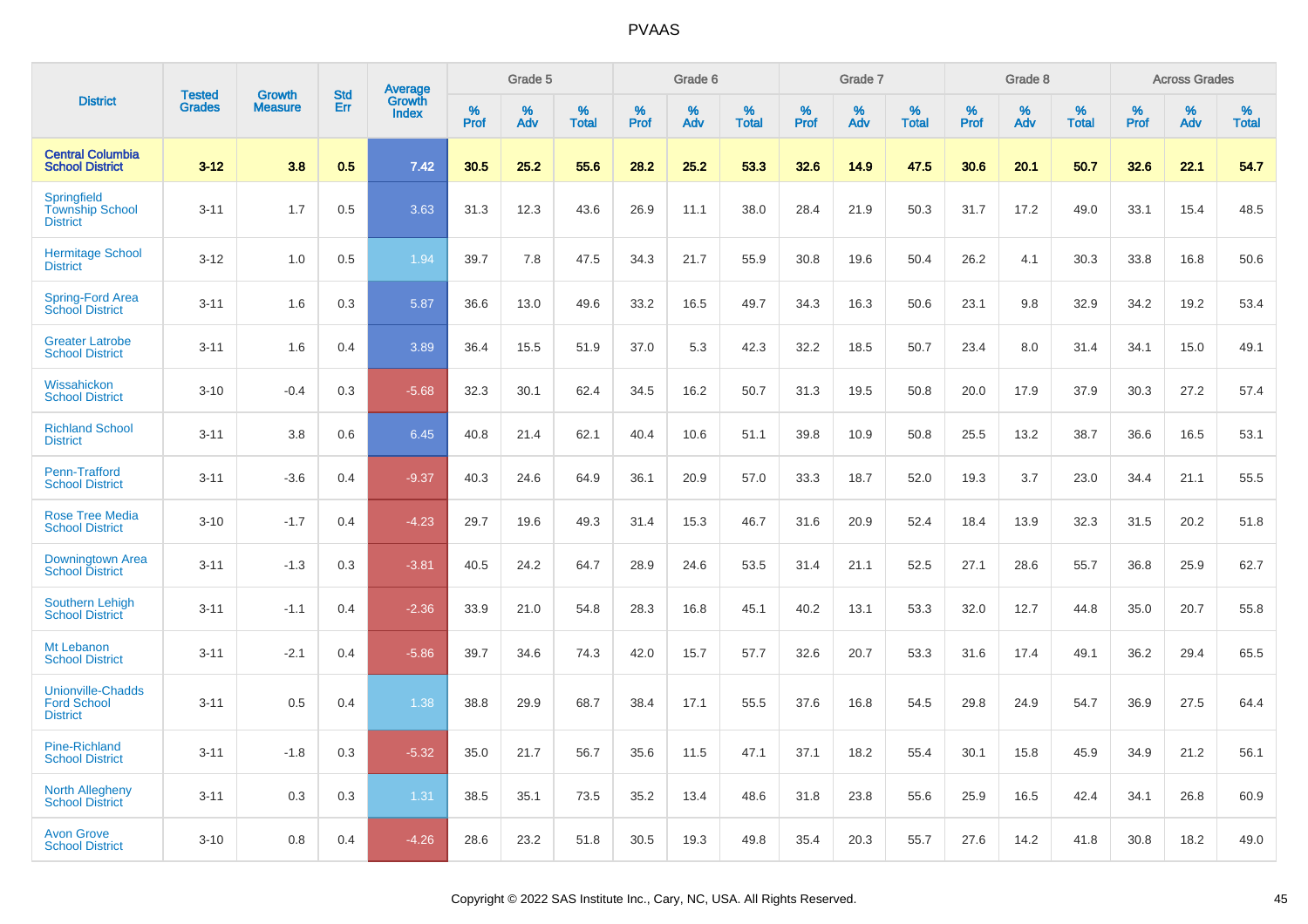|                                                                   | <b>Tested</b> | <b>Growth</b>  | <b>Std</b> | Average                |           | Grade 5  |                   |           | Grade 6  |                   |           | Grade 7  |                   |           | Grade 8  |                   |           | <b>Across Grades</b> |                   |
|-------------------------------------------------------------------|---------------|----------------|------------|------------------------|-----------|----------|-------------------|-----------|----------|-------------------|-----------|----------|-------------------|-----------|----------|-------------------|-----------|----------------------|-------------------|
| <b>District</b>                                                   | <b>Grades</b> | <b>Measure</b> | Err        | Growth<br><b>Index</b> | %<br>Prof | %<br>Adv | %<br><b>Total</b> | %<br>Prof | %<br>Adv | %<br><b>Total</b> | %<br>Prof | %<br>Adv | %<br><b>Total</b> | %<br>Prof | %<br>Adv | %<br><b>Total</b> | %<br>Prof | %<br>Adv             | %<br><b>Total</b> |
| <b>Central Columbia</b><br><b>School District</b>                 | $3 - 12$      | 3.8            | 0.5        | 7.42                   | 30.5      | 25.2     | 55.6              | 28.2      | 25.2     | 53.3              | 32.6      | 14.9     | 47.5              | 30.6      | 20.1     | 50.7              | 32.6      | 22.1                 | 54.7              |
| <b>Springfield</b><br><b>Township School</b><br><b>District</b>   | $3 - 11$      | 1.7            | 0.5        | 3.63                   | 31.3      | 12.3     | 43.6              | 26.9      | 11.1     | 38.0              | 28.4      | 21.9     | 50.3              | 31.7      | 17.2     | 49.0              | 33.1      | 15.4                 | 48.5              |
| <b>Hermitage School</b><br><b>District</b>                        | $3 - 12$      | 1.0            | 0.5        | 1.94                   | 39.7      | 7.8      | 47.5              | 34.3      | 21.7     | 55.9              | 30.8      | 19.6     | 50.4              | 26.2      | 4.1      | 30.3              | 33.8      | 16.8                 | 50.6              |
| <b>Spring-Ford Area</b><br><b>School District</b>                 | $3 - 11$      | 1.6            | 0.3        | 5.87                   | 36.6      | 13.0     | 49.6              | 33.2      | 16.5     | 49.7              | 34.3      | 16.3     | 50.6              | 23.1      | 9.8      | 32.9              | 34.2      | 19.2                 | 53.4              |
| <b>Greater Latrobe</b><br><b>School District</b>                  | $3 - 11$      | 1.6            | 0.4        | 3.89                   | 36.4      | 15.5     | 51.9              | 37.0      | 5.3      | 42.3              | 32.2      | 18.5     | 50.7              | 23.4      | 8.0      | 31.4              | 34.1      | 15.0                 | 49.1              |
| Wissahickon<br><b>School District</b>                             | $3 - 10$      | $-0.4$         | 0.3        | $-5.68$                | 32.3      | 30.1     | 62.4              | 34.5      | 16.2     | 50.7              | 31.3      | 19.5     | 50.8              | 20.0      | 17.9     | 37.9              | 30.3      | 27.2                 | 57.4              |
| <b>Richland School</b><br><b>District</b>                         | $3 - 11$      | 3.8            | 0.6        | 6.45                   | 40.8      | 21.4     | 62.1              | 40.4      | 10.6     | 51.1              | 39.8      | 10.9     | 50.8              | 25.5      | 13.2     | 38.7              | 36.6      | 16.5                 | 53.1              |
| Penn-Trafford<br><b>School District</b>                           | $3 - 11$      | $-3.6$         | 0.4        | $-9.37$                | 40.3      | 24.6     | 64.9              | 36.1      | 20.9     | 57.0              | 33.3      | 18.7     | 52.0              | 19.3      | 3.7      | 23.0              | 34.4      | 21.1                 | 55.5              |
| <b>Rose Tree Media</b><br><b>School District</b>                  | $3 - 10$      | $-1.7$         | 0.4        | $-4.23$                | 29.7      | 19.6     | 49.3              | 31.4      | 15.3     | 46.7              | 31.6      | 20.9     | 52.4              | 18.4      | 13.9     | 32.3              | 31.5      | 20.2                 | 51.8              |
| Downingtown Area<br><b>School District</b>                        | $3 - 11$      | $-1.3$         | 0.3        | $-3.81$                | 40.5      | 24.2     | 64.7              | 28.9      | 24.6     | 53.5              | 31.4      | 21.1     | 52.5              | 27.1      | 28.6     | 55.7              | 36.8      | 25.9                 | 62.7              |
| <b>Southern Lehigh</b><br><b>School District</b>                  | $3 - 11$      | $-1.1$         | 0.4        | $-2.36$                | 33.9      | 21.0     | 54.8              | 28.3      | 16.8     | 45.1              | 40.2      | 13.1     | 53.3              | 32.0      | 12.7     | 44.8              | 35.0      | 20.7                 | 55.8              |
| Mt Lebanon<br><b>School District</b>                              | $3 - 11$      | $-2.1$         | 0.4        | $-5.86$                | 39.7      | 34.6     | 74.3              | 42.0      | 15.7     | 57.7              | 32.6      | 20.7     | 53.3              | 31.6      | 17.4     | 49.1              | 36.2      | 29.4                 | 65.5              |
| <b>Unionville-Chadds</b><br><b>Ford School</b><br><b>District</b> | $3 - 11$      | 0.5            | 0.4        | 1.38                   | 38.8      | 29.9     | 68.7              | 38.4      | 17.1     | 55.5              | 37.6      | 16.8     | 54.5              | 29.8      | 24.9     | 54.7              | 36.9      | 27.5                 | 64.4              |
| <b>Pine-Richland</b><br><b>School District</b>                    | $3 - 11$      | $-1.8$         | 0.3        | $-5.32$                | 35.0      | 21.7     | 56.7              | 35.6      | 11.5     | 47.1              | 37.1      | 18.2     | 55.4              | 30.1      | 15.8     | 45.9              | 34.9      | 21.2                 | 56.1              |
| <b>North Allegheny</b><br><b>School District</b>                  | $3 - 11$      | 0.3            | 0.3        | 1.31                   | 38.5      | 35.1     | 73.5              | 35.2      | 13.4     | 48.6              | 31.8      | 23.8     | 55.6              | 25.9      | 16.5     | 42.4              | 34.1      | 26.8                 | 60.9              |
| <b>Avon Grove</b><br><b>School District</b>                       | $3 - 10$      | 0.8            | 0.4        | $-4.26$                | 28.6      | 23.2     | 51.8              | 30.5      | 19.3     | 49.8              | 35.4      | 20.3     | 55.7              | 27.6      | 14.2     | 41.8              | 30.8      | 18.2                 | 49.0              |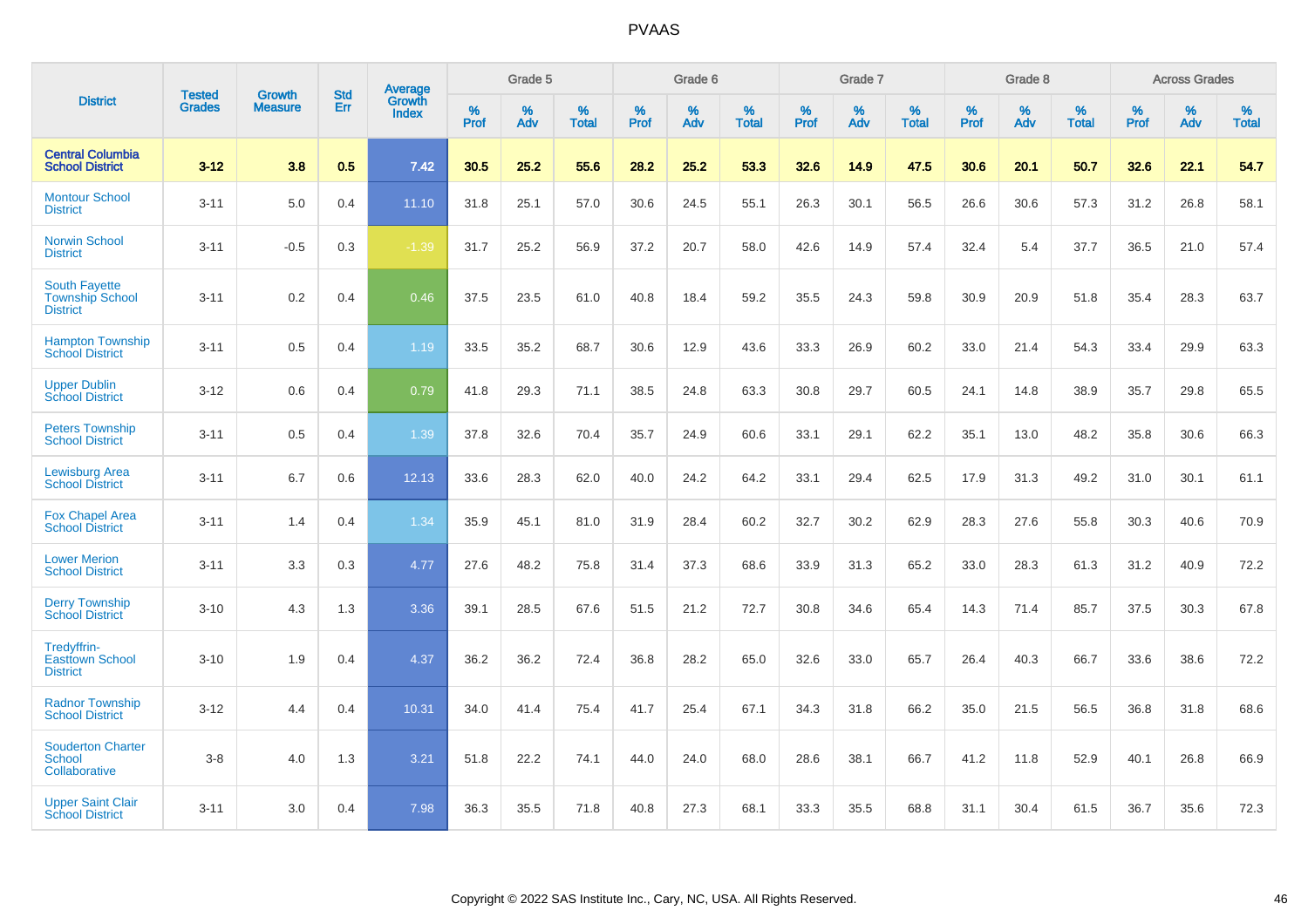|                                                                   |                                |                                 | <b>Std</b> | Average                       |           | Grade 5  |                   |           | Grade 6  |                   |           | Grade 7  |                   |           | Grade 8  |                   |           | <b>Across Grades</b> |                   |
|-------------------------------------------------------------------|--------------------------------|---------------------------------|------------|-------------------------------|-----------|----------|-------------------|-----------|----------|-------------------|-----------|----------|-------------------|-----------|----------|-------------------|-----------|----------------------|-------------------|
| <b>District</b>                                                   | <b>Tested</b><br><b>Grades</b> | <b>Growth</b><br><b>Measure</b> | Err        | <b>Growth</b><br><b>Index</b> | %<br>Prof | %<br>Adv | %<br><b>Total</b> | %<br>Prof | %<br>Adv | %<br><b>Total</b> | %<br>Prof | %<br>Adv | %<br><b>Total</b> | %<br>Prof | %<br>Adv | %<br><b>Total</b> | %<br>Prof | %<br>Adv             | %<br><b>Total</b> |
| <b>Central Columbia</b><br><b>School District</b>                 | $3 - 12$                       | 3.8                             | 0.5        | 7.42                          | 30.5      | 25.2     | 55.6              | 28.2      | 25.2     | 53.3              | 32.6      | 14.9     | 47.5              | 30.6      | 20.1     | 50.7              | 32.6      | 22.1                 | 54.7              |
| <b>Montour School</b><br><b>District</b>                          | $3 - 11$                       | 5.0                             | 0.4        | 11.10                         | 31.8      | 25.1     | 57.0              | 30.6      | 24.5     | 55.1              | 26.3      | 30.1     | 56.5              | 26.6      | 30.6     | 57.3              | 31.2      | 26.8                 | 58.1              |
| <b>Norwin School</b><br><b>District</b>                           | $3 - 11$                       | $-0.5$                          | 0.3        | $-1.39$                       | 31.7      | 25.2     | 56.9              | 37.2      | 20.7     | 58.0              | 42.6      | 14.9     | 57.4              | 32.4      | 5.4      | 37.7              | 36.5      | 21.0                 | 57.4              |
| <b>South Fayette</b><br><b>Township School</b><br><b>District</b> | $3 - 11$                       | 0.2                             | 0.4        | 0.46                          | 37.5      | 23.5     | 61.0              | 40.8      | 18.4     | 59.2              | 35.5      | 24.3     | 59.8              | 30.9      | 20.9     | 51.8              | 35.4      | 28.3                 | 63.7              |
| <b>Hampton Township</b><br><b>School District</b>                 | $3 - 11$                       | 0.5                             | 0.4        | 1.19                          | 33.5      | 35.2     | 68.7              | 30.6      | 12.9     | 43.6              | 33.3      | 26.9     | 60.2              | 33.0      | 21.4     | 54.3              | 33.4      | 29.9                 | 63.3              |
| <b>Upper Dublin</b><br><b>School District</b>                     | $3 - 12$                       | 0.6                             | 0.4        | 0.79                          | 41.8      | 29.3     | 71.1              | 38.5      | 24.8     | 63.3              | 30.8      | 29.7     | 60.5              | 24.1      | 14.8     | 38.9              | 35.7      | 29.8                 | 65.5              |
| <b>Peters Township</b><br><b>School District</b>                  | $3 - 11$                       | 0.5                             | 0.4        | 1.39                          | 37.8      | 32.6     | 70.4              | 35.7      | 24.9     | 60.6              | 33.1      | 29.1     | 62.2              | 35.1      | 13.0     | 48.2              | 35.8      | 30.6                 | 66.3              |
| <b>Lewisburg Area</b><br><b>School District</b>                   | $3 - 11$                       | 6.7                             | 0.6        | 12.13                         | 33.6      | 28.3     | 62.0              | 40.0      | 24.2     | 64.2              | 33.1      | 29.4     | 62.5              | 17.9      | 31.3     | 49.2              | 31.0      | 30.1                 | 61.1              |
| <b>Fox Chapel Area</b><br><b>School District</b>                  | $3 - 11$                       | 1.4                             | 0.4        | 1.34                          | 35.9      | 45.1     | 81.0              | 31.9      | 28.4     | 60.2              | 32.7      | 30.2     | 62.9              | 28.3      | 27.6     | 55.8              | 30.3      | 40.6                 | 70.9              |
| <b>Lower Merion</b><br><b>School District</b>                     | $3 - 11$                       | 3.3                             | 0.3        | 4.77                          | 27.6      | 48.2     | 75.8              | 31.4      | 37.3     | 68.6              | 33.9      | 31.3     | 65.2              | 33.0      | 28.3     | 61.3              | 31.2      | 40.9                 | 72.2              |
| <b>Derry Township</b><br><b>School District</b>                   | $3 - 10$                       | 4.3                             | 1.3        | 3.36                          | 39.1      | 28.5     | 67.6              | 51.5      | 21.2     | 72.7              | 30.8      | 34.6     | 65.4              | 14.3      | 71.4     | 85.7              | 37.5      | 30.3                 | 67.8              |
| Tredyffrin-<br><b>Easttown School</b><br><b>District</b>          | $3 - 10$                       | 1.9                             | 0.4        | 4.37                          | 36.2      | 36.2     | 72.4              | 36.8      | 28.2     | 65.0              | 32.6      | 33.0     | 65.7              | 26.4      | 40.3     | 66.7              | 33.6      | 38.6                 | 72.2              |
| <b>Radnor Township</b><br><b>School District</b>                  | $3 - 12$                       | 4.4                             | 0.4        | 10.31                         | 34.0      | 41.4     | 75.4              | 41.7      | 25.4     | 67.1              | 34.3      | 31.8     | 66.2              | 35.0      | 21.5     | 56.5              | 36.8      | 31.8                 | 68.6              |
| <b>Souderton Charter</b><br><b>School</b><br>Collaborative        | $3-8$                          | 4.0                             | 1.3        | 3.21                          | 51.8      | 22.2     | 74.1              | 44.0      | 24.0     | 68.0              | 28.6      | 38.1     | 66.7              | 41.2      | 11.8     | 52.9              | 40.1      | 26.8                 | 66.9              |
| <b>Upper Saint Clair</b><br><b>School District</b>                | $3 - 11$                       | 3.0                             | 0.4        | 7.98                          | 36.3      | 35.5     | 71.8              | 40.8      | 27.3     | 68.1              | 33.3      | 35.5     | 68.8              | 31.1      | 30.4     | 61.5              | 36.7      | 35.6                 | 72.3              |